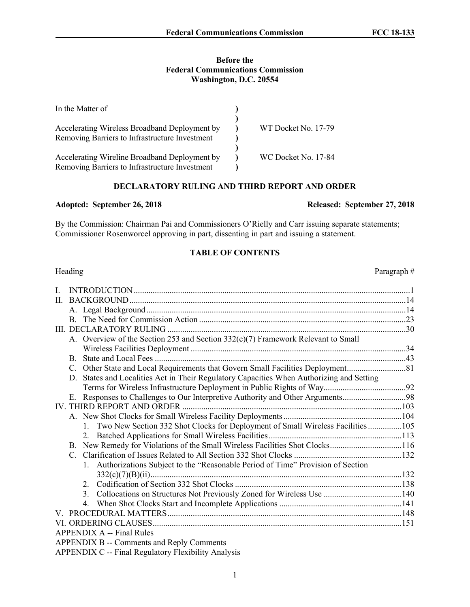## **Before the Federal Communications Commission Washington, D.C. 20554**

| In the Matter of                                                                                |                     |
|-------------------------------------------------------------------------------------------------|---------------------|
| Accelerating Wireless Broadband Deployment by<br>Removing Barriers to Infrastructure Investment | WT Docket No. 17-79 |
| Accelerating Wireline Broadband Deployment by                                                   | WC Docket No. 17-84 |
| Removing Barriers to Infrastructure Investment                                                  |                     |

# **DECLARATORY RULING AND THIRD REPORT AND ORDER**

# **Adopted: September 26, 2018 Released: September 27, 2018**

By the Commission: Chairman Pai and Commissioners O'Rielly and Carr issuing separate statements; Commissioner Rosenworcel approving in part, dissenting in part and issuing a statement.

## **TABLE OF CONTENTS**

| Heading                                                                               | Paragraph# |
|---------------------------------------------------------------------------------------|------------|
| L                                                                                     |            |
| $\mathbf{H}$                                                                          |            |
|                                                                                       |            |
|                                                                                       |            |
|                                                                                       |            |
| A. Overview of the Section 253 and Section 332(c)(7) Framework Relevant to Small      |            |
| B.                                                                                    |            |
|                                                                                       |            |
| D.                                                                                    |            |
| States and Localities Act in Their Regulatory Capacities When Authorizing and Setting |            |
| E. Responses to Challenges to Our Interpretive Authority and Other Arguments98        |            |
|                                                                                       |            |
|                                                                                       |            |
| 1. Two New Section 332 Shot Clocks for Deployment of Small Wireless Facilities 105    |            |
|                                                                                       |            |
| B. New Remedy for Violations of the Small Wireless Facilities Shot Clocks116          |            |
|                                                                                       |            |
| 1. Authorizations Subject to the "Reasonable Period of Time" Provision of Section     |            |
|                                                                                       |            |
|                                                                                       |            |
|                                                                                       |            |
|                                                                                       |            |
|                                                                                       |            |
|                                                                                       |            |
| <b>APPENDIX A -- Final Rules</b>                                                      |            |
| APPENDIX B -- Comments and Reply Comments                                             |            |
|                                                                                       |            |

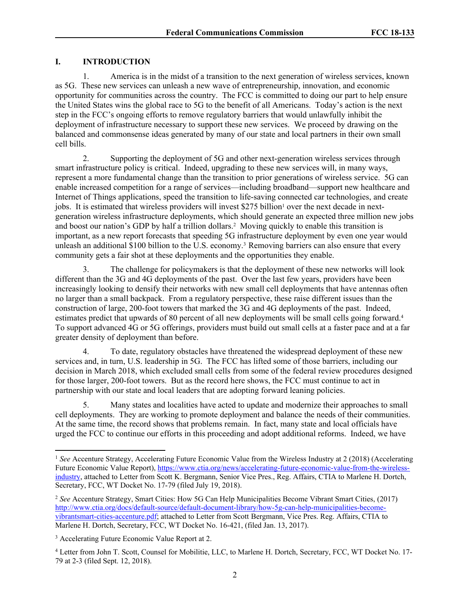# **I. INTRODUCTION**

1. America is in the midst of a transition to the next generation of wireless services, known as 5G. These new services can unleash a new wave of entrepreneurship, innovation, and economic opportunity for communities across the country. The FCC is committed to doing our part to help ensure the United States wins the global race to 5G to the benefit of all Americans. Today's action is the next step in the FCC's ongoing efforts to remove regulatory barriers that would unlawfully inhibit the deployment of infrastructure necessary to support these new services. We proceed by drawing on the balanced and commonsense ideas generated by many of our state and local partners in their own small cell bills.

2. Supporting the deployment of 5G and other next-generation wireless services through smart infrastructure policy is critical. Indeed, upgrading to these new services will, in many ways, represent a more fundamental change than the transition to prior generations of wireless service. 5G can enable increased competition for a range of services—including broadband—support new healthcare and Internet of Things applications, speed the transition to life-saving connected car technologies, and create jobs. It is estimated that wireless providers will invest \$275 billion<sup>1</sup> over the next decade in nextgeneration wireless infrastructure deployments, which should generate an expected three million new jobs and boost our nation's GDP by half a trillion dollars.<sup>2</sup> Moving quickly to enable this transition is important, as a new report forecasts that speeding 5G infrastructure deployment by even one year would unleash an additional \$100 billion to the U.S. economy.3 Removing barriers can also ensure that every community gets a fair shot at these deployments and the opportunities they enable.

3. The challenge for policymakers is that the deployment of these new networks will look different than the 3G and 4G deployments of the past. Over the last few years, providers have been increasingly looking to densify their networks with new small cell deployments that have antennas often no larger than a small backpack. From a regulatory perspective, these raise different issues than the construction of large, 200-foot towers that marked the 3G and 4G deployments of the past. Indeed, estimates predict that upwards of 80 percent of all new deployments will be small cells going forward.<sup>4</sup> To support advanced 4G or 5G offerings, providers must build out small cells at a faster pace and at a far greater density of deployment than before.

4. To date, regulatory obstacles have threatened the widespread deployment of these new services and, in turn, U.S. leadership in 5G. The FCC has lifted some of those barriers, including our decision in March 2018, which excluded small cells from some of the federal review procedures designed for those larger, 200-foot towers. But as the record here shows, the FCC must continue to act in partnership with our state and local leaders that are adopting forward leaning policies.

5. Many states and localities have acted to update and modernize their approaches to small cell deployments. They are working to promote deployment and balance the needs of their communities. At the same time, the record shows that problems remain. In fact, many state and local officials have urged the FCC to continue our efforts in this proceeding and adopt additional reforms. Indeed, we have

<sup>1</sup> *See* Accenture Strategy, Accelerating Future Economic Value from the Wireless Industry at 2 (2018) (Accelerating Future Economic Value Report), [https://www.ctia.org/news/accelerating-future-economic-value-from-the-wireless](https://www.ctia.org/news/accelerating-future-economic-value-from-the-wireless-industry)[industry,](https://www.ctia.org/news/accelerating-future-economic-value-from-the-wireless-industry) attached to Letter from Scott K. Bergmann, Senior Vice Pres., Reg. Affairs, CTIA to Marlene H. Dortch, Secretary, FCC, WT Docket No. 17-79 (filed July 19, 2018).

<sup>2</sup> *See* Accenture Strategy, Smart Cities: How 5G Can Help Municipalities Become Vibrant Smart Cities, (2017) [http://www.ctia.org/docs/default-source/default-document-library/how-5g-can-help-municipalities-become](http://www.ctia.org/docs/default-source/default-document-library/how-5g-can-help-municipalities-become-vibrantsmart-cities-accenture.pdf)[vibrantsmart-cities-accenture.pdf](http://www.ctia.org/docs/default-source/default-document-library/how-5g-can-help-municipalities-become-vibrantsmart-cities-accenture.pdf); attached to Letter from Scott Bergmann, Vice Pres. Reg. Affairs, CTIA to Marlene H. Dortch, Secretary, FCC, WT Docket No. 16-421, (filed Jan. 13, 2017).

<sup>3</sup> Accelerating Future Economic Value Report at 2.

<sup>4</sup> Letter from John T. Scott, Counsel for Mobilitie, LLC, to Marlene H. Dortch, Secretary, FCC, WT Docket No. 17- 79 at 2-3 (filed Sept. 12, 2018).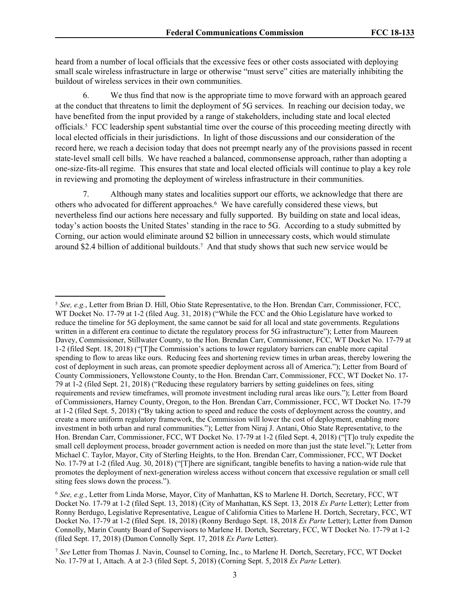heard from a number of local officials that the excessive fees or other costs associated with deploying small scale wireless infrastructure in large or otherwise "must serve" cities are materially inhibiting the buildout of wireless services in their own communities.

We thus find that now is the appropriate time to move forward with an approach geared at the conduct that threatens to limit the deployment of 5G services. In reaching our decision today, we have benefited from the input provided by a range of stakeholders, including state and local elected officials.<sup>5</sup> FCC leadership spent substantial time over the course of this proceeding meeting directly with local elected officials in their jurisdictions. In light of those discussions and our consideration of the record here, we reach a decision today that does not preempt nearly any of the provisions passed in recent state-level small cell bills. We have reached a balanced, commonsense approach, rather than adopting a one-size-fits-all regime. This ensures that state and local elected officials will continue to play a key role in reviewing and promoting the deployment of wireless infrastructure in their communities.

7. Although many states and localities support our efforts, we acknowledge that there are others who advocated for different approaches.<sup>6</sup> We have carefully considered these views, but nevertheless find our actions here necessary and fully supported. By building on state and local ideas, today's action boosts the United States' standing in the race to 5G. According to a study submitted by Corning, our action would eliminate around \$2 billion in unnecessary costs, which would stimulate around \$2.4 billion of additional buildouts.<sup>7</sup> And that study shows that such new service would be

<sup>5</sup> *See, e.g.*, Letter from Brian D. Hill, Ohio State Representative, to the Hon. Brendan Carr, Commissioner, FCC, WT Docket No. 17-79 at 1-2 (filed Aug. 31, 2018) ("While the FCC and the Ohio Legislature have worked to reduce the timeline for 5G deployment, the same cannot be said for all local and state governments. Regulations written in a different era continue to dictate the regulatory process for 5G infrastructure"); Letter from Maureen Davey, Commissioner, Stillwater County, to the Hon. Brendan Carr, Commissioner, FCC, WT Docket No. 17-79 at 1-2 (filed Sept. 18, 2018) ("[T]he Commission's actions to lower regulatory barriers can enable more capital spending to flow to areas like ours. Reducing fees and shortening review times in urban areas, thereby lowering the cost of deployment in such areas, can promote speedier deployment across all of America."); Letter from Board of County Commissioners, Yellowstone County, to the Hon. Brendan Carr, Commissioner, FCC, WT Docket No. 17- 79 at 1-2 (filed Sept. 21, 2018) ("Reducing these regulatory barriers by setting guidelines on fees, siting requirements and review timeframes, will promote investment including rural areas like ours."); Letter from Board of Commissioners, Harney County, Oregon, to the Hon. Brendan Carr, Commissioner, FCC, WT Docket No. 17-79 at 1-2 (filed Sept. 5, 2018) ("By taking action to speed and reduce the costs of deployment across the country, and create a more uniform regulatory framework, the Commission will lower the cost of deployment, enabling more investment in both urban and rural communities."); Letter from Niraj J. Antani, Ohio State Representative, to the Hon. Brendan Carr, Commissioner, FCC, WT Docket No. 17-79 at 1-2 (filed Sept. 4, 2018) ("[T]o truly expedite the small cell deployment process, broader government action is needed on more than just the state level."); Letter from Michael C. Taylor, Mayor, City of Sterling Heights, to the Hon. Brendan Carr, Commissioner, FCC, WT Docket No. 17-79 at 1-2 (filed Aug. 30, 2018) ("[T]here are significant, tangible benefits to having a nation-wide rule that promotes the deployment of next-generation wireless access without concern that excessive regulation or small cell siting fees slows down the process.").

<sup>6</sup> *See, e.g.*, Letter from Linda Morse, Mayor, City of Manhattan, KS to Marlene H. Dortch, Secretary, FCC, WT Docket No. 17-79 at 1-2 (filed Sept. 13, 2018) (City of Manhattan, KS Sept. 13, 2018 *Ex Parte* Letter); Letter from Ronny Berdugo, Legislative Representative, League of California Cities to Marlene H. Dortch, Secretary, FCC, WT Docket No. 17-79 at 1-2 (filed Sept. 18, 2018) (Ronny Berdugo Sept. 18, 2018 *Ex Parte* Letter); Letter from Damon Connolly, Marin County Board of Supervisors to Marlene H. Dortch, Secretary, FCC, WT Docket No. 17-79 at 1-2 (filed Sept. 17, 2018) (Damon Connolly Sept. 17, 2018 *Ex Parte* Letter).

<sup>7</sup> *See* Letter from Thomas J. Navin, Counsel to Corning, Inc., to Marlene H. Dortch, Secretary, FCC, WT Docket No. 17-79 at 1, Attach. A at 2-3 (filed Sept. 5, 2018) (Corning Sept. 5, 2018 *Ex Parte* Letter).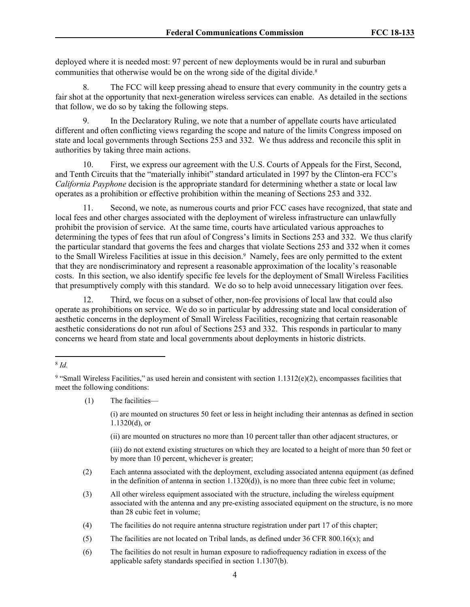deployed where it is needed most: 97 percent of new deployments would be in rural and suburban communities that otherwise would be on the wrong side of the digital divide.<sup>8</sup>

8. The FCC will keep pressing ahead to ensure that every community in the country gets a fair shot at the opportunity that next-generation wireless services can enable. As detailed in the sections that follow, we do so by taking the following steps.

9. In the Declaratory Ruling, we note that a number of appellate courts have articulated different and often conflicting views regarding the scope and nature of the limits Congress imposed on state and local governments through Sections 253 and 332. We thus address and reconcile this split in authorities by taking three main actions.

10. First, we express our agreement with the U.S. Courts of Appeals for the First, Second, and Tenth Circuits that the "materially inhibit" standard articulated in 1997 by the Clinton-era FCC's *California Payphone* decision is the appropriate standard for determining whether a state or local law operates as a prohibition or effective prohibition within the meaning of Sections 253 and 332.

11. Second, we note, as numerous courts and prior FCC cases have recognized, that state and local fees and other charges associated with the deployment of wireless infrastructure can unlawfully prohibit the provision of service. At the same time, courts have articulated various approaches to determining the types of fees that run afoul of Congress's limits in Sections 253 and 332. We thus clarify the particular standard that governs the fees and charges that violate Sections 253 and 332 when it comes to the Small Wireless Facilities at issue in this decision.<sup>9</sup> Namely, fees are only permitted to the extent that they are nondiscriminatory and represent a reasonable approximation of the locality's reasonable costs. In this section, we also identify specific fee levels for the deployment of Small Wireless Facilities that presumptively comply with this standard. We do so to help avoid unnecessary litigation over fees.

12. Third, we focus on a subset of other, non-fee provisions of local law that could also operate as prohibitions on service. We do so in particular by addressing state and local consideration of aesthetic concerns in the deployment of Small Wireless Facilities, recognizing that certain reasonable aesthetic considerations do not run afoul of Sections 253 and 332. This responds in particular to many concerns we heard from state and local governments about deployments in historic districts.

(1) The facilities—

(i) are mounted on structures 50 feet or less in height including their antennas as defined in section 1.1320(d), or

(ii) are mounted on structures no more than 10 percent taller than other adjacent structures, or

(iii) do not extend existing structures on which they are located to a height of more than 50 feet or by more than 10 percent, whichever is greater;

(2) Each antenna associated with the deployment, excluding associated antenna equipment (as defined in the definition of antenna in section 1.1320(d)), is no more than three cubic feet in volume;

(3) All other wireless equipment associated with the structure, including the wireless equipment associated with the antenna and any pre-existing associated equipment on the structure, is no more than 28 cubic feet in volume;

(4) The facilities do not require antenna structure registration under part 17 of this chapter;

- (5) The facilities are not located on Tribal lands, as defined under 36 CFR 800.16(x); and
- (6) The facilities do not result in human exposure to radiofrequency radiation in excess of the applicable safety standards specified in section 1.1307(b).

<sup>8</sup> *Id.*

<sup>&</sup>lt;sup>9</sup> "Small Wireless Facilities," as used herein and consistent with section  $1.1312(e)(2)$ , encompasses facilities that meet the following conditions: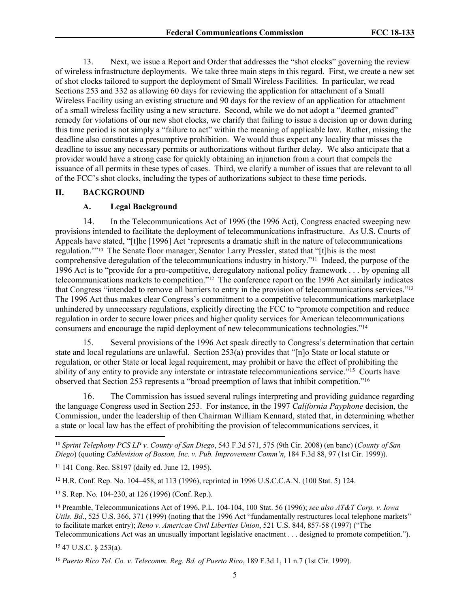13. Next, we issue a Report and Order that addresses the "shot clocks" governing the review of wireless infrastructure deployments. We take three main steps in this regard. First, we create a new set of shot clocks tailored to support the deployment of Small Wireless Facilities. In particular, we read Sections 253 and 332 as allowing 60 days for reviewing the application for attachment of a Small Wireless Facility using an existing structure and 90 days for the review of an application for attachment of a small wireless facility using a new structure. Second, while we do not adopt a "deemed granted" remedy for violations of our new shot clocks, we clarify that failing to issue a decision up or down during this time period is not simply a "failure to act" within the meaning of applicable law. Rather, missing the deadline also constitutes a presumptive prohibition. We would thus expect any locality that misses the deadline to issue any necessary permits or authorizations without further delay. We also anticipate that a provider would have a strong case for quickly obtaining an injunction from a court that compels the issuance of all permits in these types of cases. Third, we clarify a number of issues that are relevant to all of the FCC's shot clocks, including the types of authorizations subject to these time periods.

#### **II. BACKGROUND**

## **A. Legal Background**

14. In the Telecommunications Act of 1996 (the 1996 Act), Congress enacted sweeping new provisions intended to facilitate the deployment of telecommunications infrastructure. As U.S. Courts of Appeals have stated, "[t]he [1996] Act 'represents a dramatic shift in the nature of telecommunications regulation.'"<sup>10</sup> The Senate floor manager, Senator Larry Pressler, stated that "[t]his is the most comprehensive deregulation of the telecommunications industry in history."<sup>11</sup> Indeed, the purpose of the 1996 Act is to "provide for a pro-competitive, deregulatory national policy framework . . . by opening all telecommunications markets to competition."<sup>12</sup> The conference report on the 1996 Act similarly indicates that Congress "intended to remove all barriers to entry in the provision of telecommunications services."<sup>13</sup> The 1996 Act thus makes clear Congress's commitment to a competitive telecommunications marketplace unhindered by unnecessary regulations, explicitly directing the FCC to "promote competition and reduce regulation in order to secure lower prices and higher quality services for American telecommunications consumers and encourage the rapid deployment of new telecommunications technologies."<sup>14</sup>

15. Several provisions of the 1996 Act speak directly to Congress's determination that certain state and local regulations are unlawful. Section 253(a) provides that "[n]o State or local statute or regulation, or other State or local legal requirement, may prohibit or have the effect of prohibiting the ability of any entity to provide any interstate or intrastate telecommunications service."<sup>15</sup> Courts have observed that Section 253 represents a "broad preemption of laws that inhibit competition."<sup>16</sup>

16. The Commission has issued several rulings interpreting and providing guidance regarding the language Congress used in Section 253. For instance, in the 1997 *California Payphone* decision, the Commission, under the leadership of then Chairman William Kennard, stated that, in determining whether a state or local law has the effect of prohibiting the provision of telecommunications services, it

<sup>13</sup> S. Rep. No. 104-230, at 126 (1996) (Conf. Rep.).

<sup>14</sup> Preamble, Telecommunications Act of 1996, P.L. 104-104, 100 Stat. 56 (1996); *see also AT&T Corp. v. Iowa Utils. Bd*., 525 U.S. 366, 371 (1999) (noting that the 1996 Act "fundamentally restructures local telephone markets" to facilitate market entry); *Reno v. American Civil Liberties Union*, 521 U.S. 844, 857-58 (1997) ("The Telecommunications Act was an unusually important legislative enactment . . . designed to promote competition.").

<sup>15</sup> 47 U.S.C. § 253(a).

<sup>10</sup> *Sprint Telephony PCS LP v. County of San Diego*, 543 F.3d 571, 575 (9th Cir. 2008) (en banc) (*County of San Diego*) (quoting *Cablevision of Boston, Inc. v. Pub. Improvement Comm'n*, 184 F.3d 88, 97 (1st Cir. 1999)).

<sup>11</sup> 141 Cong. Rec. S8197 (daily ed. June 12, 1995).

<sup>12</sup> H.R. Conf. Rep. No. 104–458, at 113 (1996), reprinted in 1996 U.S.C.C.A.N. (100 Stat. 5) 124.

<sup>16</sup> *Puerto Rico Tel. Co. v. Telecomm. Reg. Bd. of Puerto Rico*, 189 F.3d 1, 11 n.7 (1st Cir. 1999).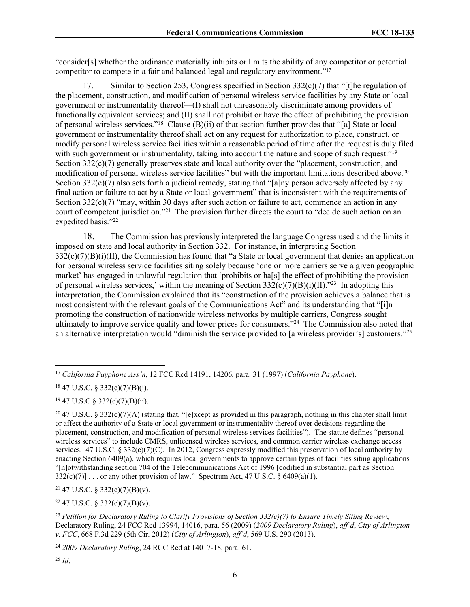"consider[s] whether the ordinance materially inhibits or limits the ability of any competitor or potential competitor to compete in a fair and balanced legal and regulatory environment."<sup>17</sup>

17. Similar to Section 253, Congress specified in Section  $332(c)(7)$  that "[t]he regulation of the placement, construction, and modification of personal wireless service facilities by any State or local government or instrumentality thereof—(I) shall not unreasonably discriminate among providers of functionally equivalent services; and (II) shall not prohibit or have the effect of prohibiting the provision of personal wireless services."<sup>18</sup> Clause (B)(ii) of that section further provides that "[a] State or local government or instrumentality thereof shall act on any request for authorization to place, construct, or modify personal wireless service facilities within a reasonable period of time after the request is duly filed with such government or instrumentality, taking into account the nature and scope of such request."<sup>19</sup> Section  $332(c)(7)$  generally preserves state and local authority over the "placement, construction, and modification of personal wireless service facilities" but with the important limitations described above.<sup>20</sup> Section  $332(c)(7)$  also sets forth a judicial remedy, stating that "[a]ny person adversely affected by any final action or failure to act by a State or local government" that is inconsistent with the requirements of Section  $332(c)(7)$  "may, within 30 days after such action or failure to act, commence an action in any court of competent jurisdiction."<sup>21</sup> The provision further directs the court to "decide such action on an expedited basis."22

18. The Commission has previously interpreted the language Congress used and the limits it imposed on state and local authority in Section 332. For instance, in interpreting Section  $332(c)(7)(B)(i)(II)$ , the Commission has found that "a State or local government that denies an application for personal wireless service facilities siting solely because 'one or more carriers serve a given geographic market' has engaged in unlawful regulation that 'prohibits or ha[s] the effect of prohibiting the provision of personal wireless services,' within the meaning of Section  $332(c)(7)(B)(i)(II)$ ."<sup>23</sup> In adopting this interpretation, the Commission explained that its "construction of the provision achieves a balance that is most consistent with the relevant goals of the Communications Act" and its understanding that "[i]n promoting the construction of nationwide wireless networks by multiple carriers, Congress sought ultimately to improve service quality and lower prices for consumers."<sup>24</sup> The Commission also noted that an alternative interpretation would "diminish the service provided to [a wireless provider's] customers."<sup>25</sup>

<sup>18</sup> 47 U.S.C. § 332(c)(7)(B)(i).

<sup>19</sup> 47 U.S.C § 332(c)(7)(B)(ii).

<sup>21</sup> 47 U.S.C. § 332(c)(7)(B)(v).

 $22$  47 U.S.C. § 332(c)(7)(B)(v).

<sup>17</sup> *California Payphone Ass'n*, 12 FCC Rcd 14191, 14206, para. 31 (1997) (*California Payphone*).

<sup>&</sup>lt;sup>20</sup> 47 U.S.C. § [332\(c\)\(7\)\(A\)](http://www.westlaw.com/Link/Document/FullText?findType=L&pubNum=1000546&cite=47USCAS332&originatingDoc=I2fe7a5605ae811e4b86bd602cb8781fa&refType=RB&originationContext=document&vr=3.0&rs=cblt1.0&transitionType=DocumentItem&contextData=(sc.UserEnteredCitation)#co_pp_d6d1000098562) (stating that, "[e]xcept as provided in this paragraph, nothing in this chapter shall limit or affect the authority of a State or local government or instrumentality thereof over decisions regarding the placement, construction, and modification of personal wireless services facilities"). The statute defines "personal wireless services" to include CMRS, unlicensed wireless services, and common carrier wireless exchange access services. 47 U.S.C. § 332(c)(7)(C). In 2012, Congress expressly modified this preservation of local authority by enacting Section 6409(a), which requires local governments to approve certain types of facilities siting applications "[n]otwithstanding section 704 of the Telecommunications Act of 1996 [codified in substantial part as [Section](http://www.westlaw.com/Link/Document/FullText?findType=L&pubNum=1000546&cite=47USCAS332&originatingDoc=I2fe7a5605ae811e4b86bd602cb8781fa&refType=RB&originationContext=document&vr=3.0&rs=cblt1.0&transitionType=DocumentItem&contextData=(sc.UserEnteredCitation)#co_pp_2cf2000076010)  $332(c)(7)$ ] ... or any other provision of law." Spectrum Act, 47 U.S.C. § 6409(a)(1).

<sup>23</sup> *Petition for Declaratory Ruling to Clarify Provisions of Section 332(c)(7) to Ensure Timely Siting Review*, Declaratory Ruling, 24 FCC Rcd 13994, 14016, para. 56 (2009) (*2009 Declaratory Ruling*), *aff'd*, *City of Arlington v. FCC*, 668 F.3d 229 (5th Cir. 2012) (*City of Arlington*), *aff'd*, 569 U.S. 290 (2013).

<sup>24</sup> *2009 Declaratory Ruling*, 24 RCC Rcd at 14017-18, para. 61.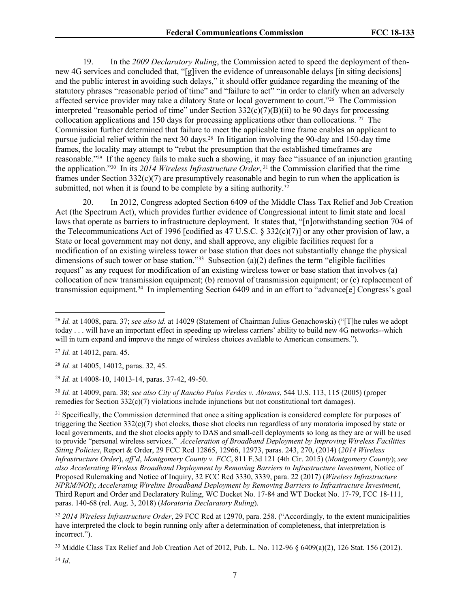19. In the *2009 Declaratory Ruling*, the Commission acted to speed the deployment of thennew 4G services and concluded that, "[g]iven the evidence of unreasonable delays [in siting decisions] and the public interest in avoiding such delays," it should offer guidance regarding the meaning of the statutory phrases "reasonable period of time" and "failure to act" "in order to clarify when an adversely affected service provider may take a dilatory State or local government to court."<sup>26</sup> The Commission interpreted "reasonable period of time" under Section  $332(c)(7)(B)(ii)$  to be 90 days for processing collocation applications and 150 days for processing applications other than collocations. <sup>27</sup> The Commission further determined that failure to meet the applicable time frame enables an applicant to pursue judicial relief within the next 30 days.<sup>28</sup> In litigation involving the 90-day and 150-day time frames, the locality may attempt to "rebut the presumption that the established timeframes are reasonable."<sup>29</sup> If the agency fails to make such a showing, it may face "issuance of an injunction granting the application."<sup>30</sup> In its *2014 Wireless Infrastructure Order*, <sup>31</sup> the Commission clarified that the time frames under Section  $332(c)(7)$  are presumptively reasonable and begin to run when the application is submitted, not when it is found to be complete by a siting authority.<sup>32</sup>

20. In 2012, Congress adopted Section 6409 of the Middle Class Tax Relief and Job Creation Act (the Spectrum Act), which provides further evidence of Congressional intent to limit state and local laws that operate as barriers to infrastructure deployment. It states that, "[n]otwithstanding section 704 of the Telecommunications Act of 1996 [codified as 47 U.S.C. § 332(c)(7)] or any other provision of law, a State or local government may not deny, and shall approve, any eligible facilities request for a modification of an existing wireless tower or base station that does not substantially change the physical dimensions of such tower or base station."<sup>33</sup> Subsection (a)(2) defines the term "eligible facilities request" as any request for modification of an existing wireless tower or base station that involves (a) collocation of new transmission equipment; (b) removal of transmission equipment; or (c) replacement of transmission equipment.<sup>34</sup> In implementing Section 6409 and in an effort to "advance[e] Congress's goal

<sup>28</sup> *Id.* at 14005, 14012, paras. 32, 45.

<sup>29</sup> *Id.* at 14008-10, 14013-14, paras. 37-42, 49-50.

<sup>30</sup> *Id.* at 14009, para. 38; *see also City of Rancho Palos Verdes v. Abrams*, 544 U.S. 113, 115 (2005) (proper remedies for Section  $332(c)(7)$  violations include injunctions but not constitutional tort damages).

<sup>31</sup> Specifically, the Commission determined that once a siting application is considered complete for purposes of triggering the Section  $332(c)(7)$  shot clocks, those shot clocks run regardless of any moratoria imposed by state or local governments, and the shot clocks apply to DAS and small-cell deployments so long as they are or will be used to provide "personal wireless services." *Acceleration of Broadband Deployment by Improving Wireless Facilities Siting Policies*, Report & Order, 29 FCC Rcd 12865, 12966, 12973, paras. 243, 270, (2014) (*2014 Wireless Infrastructure Order*), *aff'd*, *Montgomery County v. FCC*, 811 F.3d 121 (4th Cir. 2015) (*Montgomery County*); *see also Accelerating Wireless Broadband Deployment by Removing Barriers to Infrastructure Investment*, Notice of Proposed Rulemaking and Notice of Inquiry, 32 FCC Rcd 3330, 3339, para. 22 (2017) (*Wireless Infrastructure NPRM/NOI*); *Accelerating Wireline Broadband Deployment by Removing Barriers to Infrastructure Investment*, Third Report and Order and Declaratory Ruling, WC Docket No. 17-84 and WT Docket No. 17-79, FCC 18-111, paras. 140-68 (rel. Aug. 3, 2018) (*Moratoria Declaratory Ruling*).

<sup>32</sup> *2014 Wireless Infrastructure Order*, 29 FCC Rcd at 12970, para. 258. ("Accordingly, to the extent municipalities have interpreted the clock to begin running only after a determination of completeness, that interpretation is incorrect.").

<sup>33</sup> Middle Class Tax Relief and Job Creation Act of 2012, Pub. L. No. 112-96 § 6409(a)(2), 126 Stat. 156 (2012).

<sup>34</sup> *Id*.

<sup>26</sup> *Id.* at 14008, para. 37; *see also id.* at 14029 (Statement of Chairman Julius Genachowski) ("[T]he rules we adopt today . . . will have an important effect in speeding up wireless carriers' ability to build new 4G networks--which will in turn expand and improve the range of wireless choices available to American consumers.").

<sup>27</sup> *Id.* at 14012, para. 45.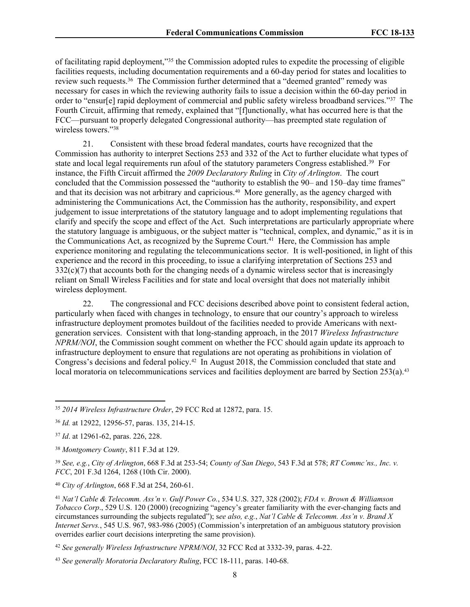of facilitating rapid deployment,"<sup>35</sup> the Commission adopted rules to expedite the processing of eligible facilities requests, including documentation requirements and a 60-day period for states and localities to review such requests.<sup>36</sup> The Commission further determined that a "deemed granted" remedy was necessary for cases in which the reviewing authority fails to issue a decision within the 60-day period in order to "ensur[e] rapid deployment of commercial and public safety wireless broadband services."37 The Fourth Circuit, affirming that remedy, explained that "[f]unctionally, what has occurred here is that the FCC—pursuant to properly delegated Congressional authority—has preempted state regulation of wireless towers."<sup>38</sup>

21. Consistent with these broad federal mandates, courts have recognized that the Commission has authority to interpret Sections 253 and 332 of the Act to further elucidate what types of state and local legal requirements run afoul of the statutory parameters Congress established.<sup>39</sup> For instance, the Fifth Circuit affirmed the *2009 Declaratory Ruling* in *City of Arlington*. The court concluded that the Commission possessed the "authority to establish the 90– and 150–day time frames" and that its decision was not arbitrary and capricious.<sup>40</sup> More generally, as the agency charged with administering the Communications Act, the Commission has the authority, responsibility, and expert judgement to issue interpretations of the statutory language and to adopt implementing regulations that clarify and specify the scope and effect of the Act. Such interpretations are particularly appropriate where the statutory language is ambiguous, or the subject matter is "technical, complex, and dynamic," as it is in the Communications Act, as recognized by the Supreme Court.<sup>41</sup> Here, the Commission has ample experience monitoring and regulating the telecommunications sector. It is well-positioned, in light of this experience and the record in this proceeding, to issue a clarifying interpretation of Sections 253 and  $332(c)(7)$  that accounts both for the changing needs of a dynamic wireless sector that is increasingly reliant on Small Wireless Facilities and for state and local oversight that does not materially inhibit wireless deployment.

22. The congressional and FCC decisions described above point to consistent federal action, particularly when faced with changes in technology, to ensure that our country's approach to wireless infrastructure deployment promotes buildout of the facilities needed to provide Americans with nextgeneration services. Consistent with that long-standing approach, in the 2017 *Wireless Infrastructure NPRM/NOI*, the Commission sought comment on whether the FCC should again update its approach to infrastructure deployment to ensure that regulations are not operating as prohibitions in violation of Congress's decisions and federal policy.<sup>42</sup> In August 2018, the Commission concluded that state and local moratoria on telecommunications services and facilities deployment are barred by Section 253(a).<sup>43</sup>

<sup>40</sup> *City of Arlington*, 668 F.3d at 254, 260-61.

<sup>35</sup> *2014 Wireless Infrastructure Order*, 29 FCC Rcd at 12872, para. 15.

<sup>36</sup> *Id.* at 12922, 12956-57, paras. 135, 214-15.

<sup>37</sup> *Id*. at 12961-62, paras. 226, 228.

<sup>38</sup> *Montgomery County*, 811 F.3d at 129.

<sup>39</sup> *See, e.g.*, *City of Arlington*, 668 F.3d at 253-54; *County of San Diego*, 543 F.3d at 578; *RT Commc'ns., Inc. v. FCC*, 201 F.3d 1264, 1268 (10th Cir. 2000).

<sup>41</sup> *Nat'l Cable & Telecomm. Ass'n v. Gulf Power Co.*, 534 U.S. 327, 328 (2002); *FDA v. Brown & Williamson Tobacco Corp*., 529 U.S. 120 (2000) (recognizing "agency's greater familiarity with the ever-changing facts and circumstances surrounding the subjects regulated"); s*ee also, e.g.*, *Nat'l Cable & Telecomm. Ass'n v. Brand X Internet Servs.*, 545 U.S. 967, 983-986 (2005) (Commission's interpretation of an ambiguous statutory provision overrides earlier court decisions interpreting the same provision).

<sup>42</sup> *See generally Wireless Infrastructure NPRM/NOI*, 32 FCC Rcd at 3332-39, paras. 4-22.

<sup>43</sup> *See generally Moratoria Declaratory Ruling*, FCC 18-111, paras. 140-68.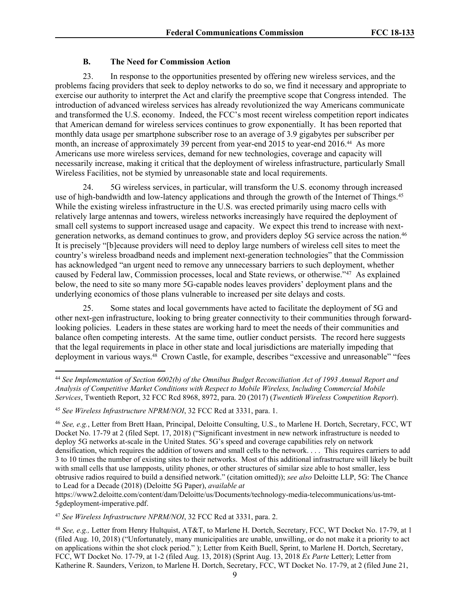# **B. The Need for Commission Action**

23. In response to the opportunities presented by offering new wireless services, and the problems facing providers that seek to deploy networks to do so, we find it necessary and appropriate to exercise our authority to interpret the Act and clarify the preemptive scope that Congress intended. The introduction of advanced wireless services has already revolutionized the way Americans communicate and transformed the U.S. economy. Indeed, the FCC's most recent wireless competition report indicates that American demand for wireless services continues to grow exponentially. It has been reported that monthly data usage per smartphone subscriber rose to an average of 3.9 gigabytes per subscriber per month, an increase of approximately 39 percent from year-end 2015 to year-end 2016.<sup>44</sup> As more Americans use more wireless services, demand for new technologies, coverage and capacity will necessarily increase, making it critical that the deployment of wireless infrastructure, particularly Small Wireless Facilities, not be stymied by unreasonable state and local requirements.

24. 5G wireless services, in particular, will transform the U.S. economy through increased use of high-bandwidth and low-latency applications and through the growth of the Internet of Things.<sup>45</sup> While the existing wireless infrastructure in the U.S. was erected primarily using macro cells with relatively large antennas and towers, wireless networks increasingly have required the deployment of small cell systems to support increased usage and capacity. We expect this trend to increase with nextgeneration networks, as demand continues to grow, and providers deploy 5G service across the nation.<sup>46</sup> It is precisely "[b]ecause providers will need to deploy large numbers of wireless cell sites to meet the country's wireless broadband needs and implement next-generation technologies" that the Commission has acknowledged "an urgent need to remove any unnecessary barriers to such deployment, whether caused by Federal law, Commission processes, local and State reviews, or otherwise."<sup>47</sup> As explained below, the need to site so many more 5G-capable nodes leaves providers' deployment plans and the underlying economics of those plans vulnerable to increased per site delays and costs.

25. Some states and local governments have acted to facilitate the deployment of 5G and other next-gen infrastructure, looking to bring greater connectivity to their communities through forwardlooking policies. Leaders in these states are working hard to meet the needs of their communities and balance often competing interests. At the same time, outlier conduct persists. The record here suggests that the legal requirements in place in other state and local jurisdictions are materially impeding that deployment in various ways.<sup>48</sup> Crown Castle, for example, describes "excessive and unreasonable" "fees

<sup>46</sup> *See, e.g.*, Letter from Brett Haan, Principal, Deloitte Consulting, U.S., to Marlene H. Dortch, Secretary, FCC, WT Docket No. 17-79 at 2 (filed Sept. 17, 2018) ("Significant investment in new network infrastructure is needed to deploy 5G networks at-scale in the United States. 5G's speed and coverage capabilities rely on network densification, which requires the addition of towers and small cells to the network. . . . This requires carriers to add 3 to 10 times the number of existing sites to their networks. Most of this additional infrastructure will likely be built with small cells that use lampposts, utility phones, or other structures of similar size able to host smaller, less obtrusive radios required to build a densified network." (citation omitted)); *see also* Deloitte LLP, 5G: The Chance to Lead for a Decade (2018) (Deloitte 5G Paper), *available at*

<sup>44</sup> *See Implementation of Section 6002(b) of the Omnibus Budget Reconciliation Act of 1993 Annual Report and Analysis of Competitive Market Conditions with Respect to Mobile Wireless, Including Commercial Mobile Services*, Twentieth Report, 32 FCC Rcd 8968, 8972, para. 20 (2017) (*Twentieth Wireless Competition Report*).

<sup>45</sup> *See Wireless Infrastructure NPRM/NOI*, 32 FCC Rcd at 3331, para. 1.

https://www2.deloitte.com/content/dam/Deloitte/us/Documents/technology-media-telecommunications/us-tmt-5gdeployment-imperative.pdf.

<sup>47</sup> *See Wireless Infrastructure NPRM/NOI*, 32 FCC Rcd at 3331, para. 2.

<sup>48</sup> *See, e.g.,* Letter from Henry Hultquist, AT&T, to Marlene H. Dortch, Secretary, FCC, WT Docket No. 17-79, at 1 (filed Aug. 10, 2018) ("Unfortunately, many municipalities are unable, unwilling, or do not make it a priority to act on applications within the shot clock period." ); Letter from Keith Buell, Sprint, to Marlene H. Dortch, Secretary, FCC, WT Docket No. 17-79, at 1-2 (filed Aug. 13, 2018) (Sprint Aug. 13, 2018 *Ex Parte* Letter); Letter from Katherine R. Saunders, Verizon, to Marlene H. Dortch, Secretary, FCC, WT Docket No. 17-79, at 2 (filed June 21,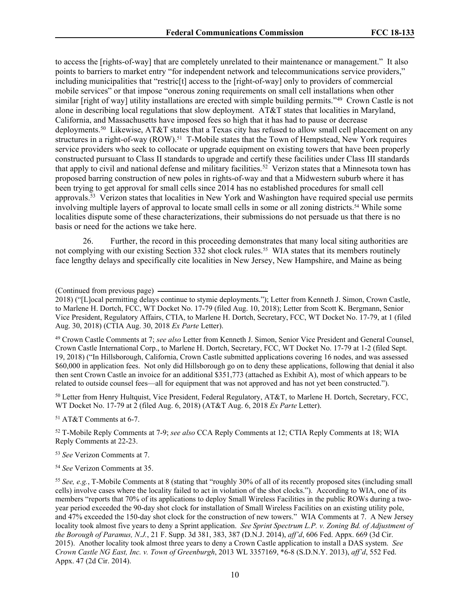to access the [rights-of-way] that are completely unrelated to their maintenance or management." It also points to barriers to market entry "for independent network and telecommunications service providers," including municipalities that "restric[t] access to the [right-of-way] only to providers of commercial mobile services" or that impose "onerous zoning requirements on small cell installations when other similar [right of way] utility installations are erected with simple building permits."<sup>49</sup> Crown Castle is not alone in describing local regulations that slow deployment. AT&T states that localities in Maryland, California, and Massachusetts have imposed fees so high that it has had to pause or decrease deployments.<sup>50</sup> Likewise, AT&T states that a Texas city has refused to allow small cell placement on any structures in a right-of-way (ROW).<sup>51</sup> T-Mobile states that the Town of Hempstead, New York requires service providers who seek to collocate or upgrade equipment on existing towers that have been properly constructed pursuant to Class II standards to upgrade and certify these facilities under Class III standards that apply to civil and national defense and military facilities.<sup>52</sup> Verizon states that a Minnesota town has proposed barring construction of new poles in rights-of-way and that a Midwestern suburb where it has been trying to get approval for small cells since 2014 has no established procedures for small cell approvals.<sup>53</sup> Verizon states that localities in New York and Washington have required special use permits involving multiple layers of approval to locate small cells in some or all zoning districts.<sup>54</sup> While some localities dispute some of these characterizations, their submissions do not persuade us that there is no basis or need for the actions we take here.

26. Further, the record in this proceeding demonstrates that many local siting authorities are not complying with our existing Section 332 shot clock rules.<sup>55</sup> WIA states that its members routinely face lengthy delays and specifically cite localities in New Jersey, New Hampshire, and Maine as being

<sup>49</sup> Crown Castle Comments at 7; *see also* Letter from Kenneth J. Simon, Senior Vice President and General Counsel, Crown Castle International Corp., to Marlene H. Dortch, Secretary, FCC, WT Docket No. 17-79 at 1-2 (filed Sept. 19, 2018) ("In Hillsborough, California, Crown Castle submitted applications covering 16 nodes, and was assessed \$60,000 in application fees. Not only did Hillsborough go on to deny these applications, following that denial it also then sent Crown Castle an invoice for an additional \$351,773 (attached as Exhibit A), most of which appears to be related to outside counsel fees—all for equipment that was not approved and has not yet been constructed.").

<sup>50</sup> Letter from Henry Hultquist, Vice President, Federal Regulatory, AT&T, to Marlene H. Dortch, Secretary, FCC, WT Docket No. 17-79 at 2 (filed Aug. 6, 2018) (AT&T Aug. 6, 2018 *Ex Parte* Letter).

<sup>51</sup> AT&T Comments at 6-7.

<sup>52</sup> T-Mobile Reply Comments at 7-9; *see also* CCA Reply Comments at 12; CTIA Reply Comments at 18; WIA Reply Comments at 22-23.

<sup>53</sup> *See* Verizon Comments at 7.

<sup>54</sup> *See* Verizon Comments at 35.

<sup>(</sup>Continued from previous page)

<sup>2018)</sup> ("[L]ocal permitting delays continue to stymie deployments."); Letter from Kenneth J. Simon, Crown Castle, to Marlene H. Dortch, FCC, WT Docket No. 17-79 (filed Aug. 10, 2018); Letter from Scott K. Bergmann, Senior Vice President, Regulatory Affairs, CTIA, to Marlene H. Dortch, Secretary, FCC, WT Docket No. 17-79, at 1 (filed Aug. 30, 2018) (CTIA Aug. 30, 2018 *Ex Parte* Letter).

<sup>55</sup> *See, e.g.*, T-Mobile Comments at 8 (stating that "roughly 30% of all of its recently proposed sites (including small cells) involve cases where the locality failed to act in violation of the shot clocks."). According to WIA, one of its members "reports that 70% of its applications to deploy Small Wireless Facilities in the public ROWs during a twoyear period exceeded the 90-day shot clock for installation of Small Wireless Facilities on an existing utility pole, and 47% exceeded the 150-day shot clock for the construction of new towers." WIA Comments at 7. A New Jersey locality took almost five years to deny a Sprint application. *See Sprint Spectrum L.P. v. Zoning Bd. of Adjustment of the Borough of Paramus, N.J.*, 21 F. Supp. 3d 381, 383, 387 (D.N.J. 2014), *aff'd*, 606 Fed. Appx. 669 (3d Cir. 2015). Another locality took almost three years to deny a Crown Castle application to install a DAS system. *See Crown Castle NG East, Inc. v. Town of Greenburgh*, 2013 WL 3357169, \*6-8 (S.D.N.Y. 2013), *aff'd*, 552 Fed. Appx. 47 (2d Cir. 2014).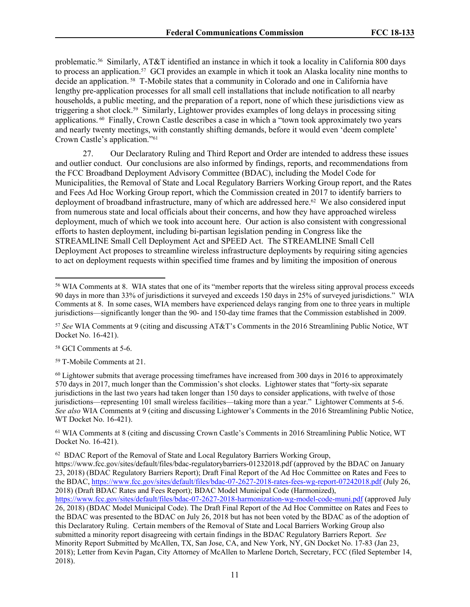problematic.<sup>56</sup> Similarly, AT&T identified an instance in which it took a locality in California 800 days to process an application.<sup>57</sup> GCI provides an example in which it took an Alaska locality nine months to decide an application. <sup>58</sup> T-Mobile states that a community in Colorado and one in California have lengthy pre-application processes for all small cell installations that include notification to all nearby households, a public meeting, and the preparation of a report, none of which these jurisdictions view as triggering a shot clock.<sup>59</sup> Similarly, Lightower provides examples of long delays in processing siting applications. <sup>60</sup> Finally, Crown Castle describes a case in which a "town took approximately two years and nearly twenty meetings, with constantly shifting demands, before it would even 'deem complete' Crown Castle's application."<sup>61</sup>

27. Our Declaratory Ruling and Third Report and Order are intended to address these issues and outlier conduct. Our conclusions are also informed by findings, reports, and recommendations from the FCC Broadband Deployment Advisory Committee (BDAC), including the Model Code for Municipalities, the Removal of State and Local Regulatory Barriers Working Group report, and the Rates and Fees Ad Hoc Working Group report, which the Commission created in 2017 to identify barriers to deployment of broadband infrastructure, many of which are addressed here.<sup>62</sup> We also considered input from numerous state and local officials about their concerns, and how they have approached wireless deployment, much of which we took into account here. Our action is also consistent with congressional efforts to hasten deployment, including bi-partisan legislation pending in Congress like the STREAMLINE Small Cell Deployment Act and SPEED Act. The STREAMLINE Small Cell Deployment Act proposes to streamline wireless infrastructure deployments by requiring siting agencies to act on deployment requests within specified time frames and by limiting the imposition of onerous

<sup>58</sup> GCI Comments at 5-6.

<sup>59</sup> T-Mobile Comments at 21.

<sup>60</sup> Lightower submits that average processing timeframes have increased from 300 days in 2016 to approximately 570 days in 2017, much longer than the Commission's shot clocks. Lightower states that "forty-six separate jurisdictions in the last two years had taken longer than 150 days to consider applications, with twelve of those jurisdictions—representing 101 small wireless facilities—taking more than a year." Lightower Comments at 5-6. *See also* WIA Comments at 9 (citing and discussing Lightower's Comments in the 2016 Streamlining Public Notice, WT Docket No. 16-421).

<sup>61</sup> WIA Comments at 8 (citing and discussing Crown Castle's Comments in 2016 Streamlining Public Notice, WT Docket No. 16-421).

 $62$  BDAC Report of the Removal of State and Local Regulatory Barriers Working Group,

<sup>56</sup> WIA Comments at 8. WIA states that one of its "member reports that the wireless siting approval process exceeds 90 days in more than 33% of jurisdictions it surveyed and exceeds 150 days in 25% of surveyed jurisdictions." WIA Comments at 8. In some cases, WIA members have experienced delays ranging from one to three years in multiple jurisdictions—significantly longer than the 90- and 150-day time frames that the Commission established in 2009.

<sup>57</sup> *See* WIA Comments at 9 (citing and discussing AT&T's Comments in the 2016 Streamlining Public Notice, WT Docket No. 16-421).

https://www.fcc.gov/sites/default/files/bdac-regulatorybarriers-01232018.pdf (approved by the BDAC on January 23, 2018) (BDAC Regulatory Barriers Report); Draft Final Report of the Ad Hoc Committee on Rates and Fees to the BDAC, <https://www.fcc.gov/sites/default/files/bdac-07-2627-2018-rates-fees-wg-report-07242018.pdf> (July 26, 2018) (Draft BDAC Rates and Fees Report); BDAC Model Municipal Code (Harmonized),

<https://www.fcc.gov/sites/default/files/bdac-07-2627-2018-harmonization-wg-model-code-muni.pdf> (approved July 26, 2018) (BDAC Model Municipal Code). The Draft Final Report of the Ad Hoc Committee on Rates and Fees to the BDAC was presented to the BDAC on July 26, 2018 but has not been voted by the BDAC as of the adoption of this Declaratory Ruling. Certain members of the Removal of State and Local Barriers Working Group also submitted a minority report disagreeing with certain findings in the BDAC Regulatory Barriers Report. *See* Minority Report Submitted by McAllen, TX, San Jose, CA, and New York, NY, GN Docket No. 17-83 (Jan 23, 2018); Letter from Kevin Pagan, City Attorney of McAllen to Marlene Dortch, Secretary, FCC (filed September 14, 2018).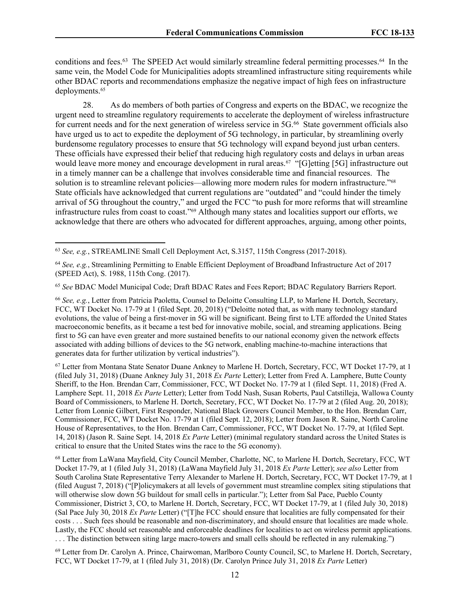conditions and fees.<sup>63</sup> The SPEED Act would similarly streamline federal permitting processes.<sup>64</sup> In the same vein, the Model Code for Municipalities adopts streamlined infrastructure siting requirements while other BDAC reports and recommendations emphasize the negative impact of high fees on infrastructure deployments.<sup>65</sup>

28. As do members of both parties of Congress and experts on the BDAC, we recognize the urgent need to streamline regulatory requirements to accelerate the deployment of wireless infrastructure for current needs and for the next generation of wireless service in 5G.<sup>66</sup> State government officials also have urged us to act to expedite the deployment of 5G technology, in particular, by streamlining overly burdensome regulatory processes to ensure that 5G technology will expand beyond just urban centers. These officials have expressed their belief that reducing high regulatory costs and delays in urban areas would leave more money and encourage development in rural areas.<sup>67</sup> "[G]etting [5G] infrastructure out in a timely manner can be a challenge that involves considerable time and financial resources. The solution is to streamline relevant policies—allowing more modern rules for modern infrastructure."<sup>68</sup> State officials have acknowledged that current regulations are "outdated" and "could hinder the timely arrival of 5G throughout the country," and urged the FCC "to push for more reforms that will streamline infrastructure rules from coast to coast."<sup>69</sup> Although many states and localities support our efforts, we acknowledge that there are others who advocated for different approaches, arguing, among other points,

<sup>65</sup> *See* BDAC Model Municipal Code; Draft BDAC Rates and Fees Report; BDAC Regulatory Barriers Report.

<sup>66</sup> *See, e.g.*, Letter from Patricia Paoletta, Counsel to Deloitte Consulting LLP, to Marlene H. Dortch, Secretary, FCC, WT Docket No. 17-79 at 1 (filed Sept. 20, 2018) ("Deloitte noted that, as with many technology standard evolutions, the value of being a first-mover in 5G will be significant. Being first to LTE afforded the United States macroeconomic benefits, as it became a test bed for innovative mobile, social, and streaming applications. Being first to 5G can have even greater and more sustained benefits to our national economy given the network effects associated with adding billions of devices to the 5G network, enabling machine-to-machine interactions that generates data for further utilization by vertical industries").

<sup>67</sup> Letter from Montana State Senator Duane Ankney to Marlene H. Dortch, Secretary, FCC, WT Docket 17-79, at 1 (filed July 31, 2018) (Duane Ankney July 31, 2018 *Ex Parte* Letter); Letter from Fred A. Lamphere, Butte County Sheriff, to the Hon. Brendan Carr, Commissioner, FCC, WT Docket No. 17-79 at 1 (filed Sept. 11, 2018) (Fred A. Lamphere Sept. 11, 2018 *Ex Parte* Letter); Letter from Todd Nash, Susan Roberts, Paul Catstilleja, Wallowa County Board of Commissioners, to Marlene H. Dortch, Secretary, FCC, WT Docket No. 17-79 at 2 (filed Aug. 20, 2018); Letter from Lonnie Gilbert, First Responder, National Black Growers Council Member, to the Hon. Brendan Carr, Commissioner, FCC, WT Docket No. 17-79 at 1 (filed Sept. 12, 2018); Letter from Jason R. Saine, North Caroline House of Representatives, to the Hon. Brendan Carr, Commissioner, FCC, WT Docket No. 17-79, at 1(filed Sept. 14, 2018) (Jason R. Saine Sept. 14, 2018 *Ex Parte* Letter) (minimal regulatory standard across the United States is critical to ensure that the United States wins the race to the 5G economy).

<sup>68</sup> Letter from LaWana Mayfield, City Council Member, Charlotte, NC, to Marlene H. Dortch, Secretary, FCC, WT Docket 17-79, at 1 (filed July 31, 2018) (LaWana Mayfield July 31, 2018 *Ex Parte* Letter); *see also* Letter from South Carolina State Representative Terry Alexander to Marlene H. Dortch, Secretary, FCC, WT Docket 17-79, at 1 (filed August 7, 2018) ("[P]olicymakers at all levels of government must streamline complex siting stipulations that will otherwise slow down 5G buildout for small cells in particular."); Letter from Sal Pace, Pueblo County Commissioner, District 3, CO, to Marlene H. Dortch, Secretary, FCC, WT Docket 17-79, at 1 (filed July 30, 2018) (Sal Pace July 30, 2018 *Ex Parte* Letter) ("[T]he FCC should ensure that localities are fully compensated for their costs . . . Such fees should be reasonable and non-discriminatory, and should ensure that localities are made whole. Lastly, the FCC should set reasonable and enforceable deadlines for localities to act on wireless permit applications. . . . The distinction between siting large macro-towers and small cells should be reflected in any rulemaking.")

<sup>69</sup> Letter from Dr. Carolyn A. Prince, Chairwoman, Marlboro County Council, SC, to Marlene H. Dortch, Secretary, FCC, WT Docket 17-79, at 1 (filed July 31, 2018) (Dr. Carolyn Prince July 31, 2018 *Ex Parte* Letter)

<sup>63</sup> *See, e.g.*, STREAMLINE Small Cell Deployment Act, S.3157, 115th Congress (2017-2018).

<sup>64</sup> *See, e.g.*, Streamlining Permitting to Enable Efficient Deployment of Broadband Infrastructure Act of 2017 (SPEED Act), S. 1988, 115th Cong. (2017).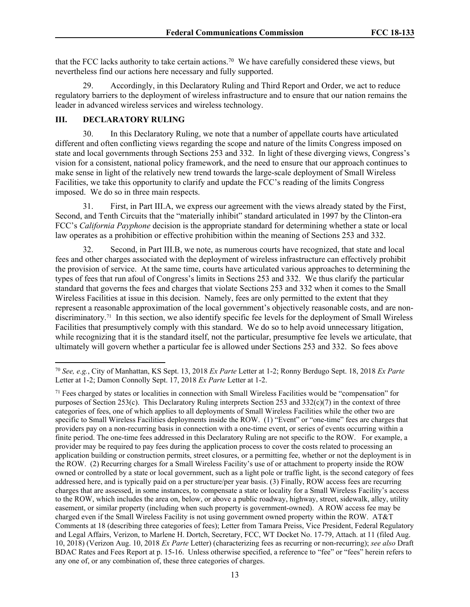that the FCC lacks authority to take certain actions.<sup>70</sup> We have carefully considered these views, but nevertheless find our actions here necessary and fully supported.

29. Accordingly, in this Declaratory Ruling and Third Report and Order, we act to reduce regulatory barriers to the deployment of wireless infrastructure and to ensure that our nation remains the leader in advanced wireless services and wireless technology.

# **III. DECLARATORY RULING**

30. In this Declaratory Ruling, we note that a number of appellate courts have articulated different and often conflicting views regarding the scope and nature of the limits Congress imposed on state and local governments through Sections 253 and 332. In light of these diverging views, Congress's vision for a consistent, national policy framework, and the need to ensure that our approach continues to make sense in light of the relatively new trend towards the large-scale deployment of Small Wireless Facilities, we take this opportunity to clarify and update the FCC's reading of the limits Congress imposed. We do so in three main respects.

31. First, in Part III.A, we express our agreement with the views already stated by the First, Second, and Tenth Circuits that the "materially inhibit" standard articulated in 1997 by the Clinton-era FCC's *California Payphone* decision is the appropriate standard for determining whether a state or local law operates as a prohibition or effective prohibition within the meaning of Sections 253 and 332.

32. Second, in Part III.B, we note, as numerous courts have recognized, that state and local fees and other charges associated with the deployment of wireless infrastructure can effectively prohibit the provision of service. At the same time, courts have articulated various approaches to determining the types of fees that run afoul of Congress's limits in Sections 253 and 332. We thus clarify the particular standard that governs the fees and charges that violate Sections 253 and 332 when it comes to the Small Wireless Facilities at issue in this decision. Namely, fees are only permitted to the extent that they represent a reasonable approximation of the local government's objectively reasonable costs, and are nondiscriminatory.<sup>71</sup> In this section, we also identify specific fee levels for the deployment of Small Wireless Facilities that presumptively comply with this standard. We do so to help avoid unnecessary litigation, while recognizing that it is the standard itself, not the particular, presumptive fee levels we articulate, that ultimately will govern whether a particular fee is allowed under Sections 253 and 332. So fees above

<sup>70</sup> *See, e.g.*, City of Manhattan, KS Sept. 13, 2018 *Ex Parte* Letter at 1-2; Ronny Berdugo Sept. 18, 2018 *Ex Parte* Letter at 1-2; Damon Connolly Sept. 17, 2018 *Ex Parte* Letter at 1-2.

<sup>71</sup> Fees charged by states or localities in connection with Small Wireless Facilities would be "compensation" for purposes of Section 253(c). This Declaratory Ruling interprets Section 253 and  $332(c)(7)$  in the context of three categories of fees, one of which applies to all deployments of Small Wireless Facilities while the other two are specific to Small Wireless Facilities deployments inside the ROW. (1) "Event" or "one-time" fees are charges that providers pay on a non-recurring basis in connection with a one-time event, or series of events occurring within a finite period. The one-time fees addressed in this Declaratory Ruling are not specific to the ROW. For example, a provider may be required to pay fees during the application process to cover the costs related to processing an application building or construction permits, street closures, or a permitting fee, whether or not the deployment is in the ROW. (2) Recurring charges for a Small Wireless Facility's use of or attachment to property inside the ROW owned or controlled by a state or local government, such as a light pole or traffic light, is the second category of fees addressed here, and is typically paid on a per structure/per year basis. (3) Finally, ROW access fees are recurring charges that are assessed, in some instances, to compensate a state or locality for a Small Wireless Facility's access to the ROW, which includes the area on, below, or above a public roadway, highway, street, sidewalk, alley, utility easement, or similar property (including when such property is government-owned). A ROW access fee may be charged even if the Small Wireless Facility is not using government owned property within the ROW. AT&T Comments at 18 (describing three categories of fees); Letter from Tamara Preiss, Vice President, Federal Regulatory and Legal Affairs, Verizon, to Marlene H. Dortch, Secretary, FCC, WT Docket No. 17-79, Attach. at 11 (filed Aug. 10, 2018) (Verizon Aug. 10, 2018 *Ex Parte* Letter) (characterizing fees as recurring or non-recurring); *see also* Draft BDAC Rates and Fees Report at p. 15-16. Unless otherwise specified, a reference to "fee" or "fees" herein refers to any one of, or any combination of, these three categories of charges.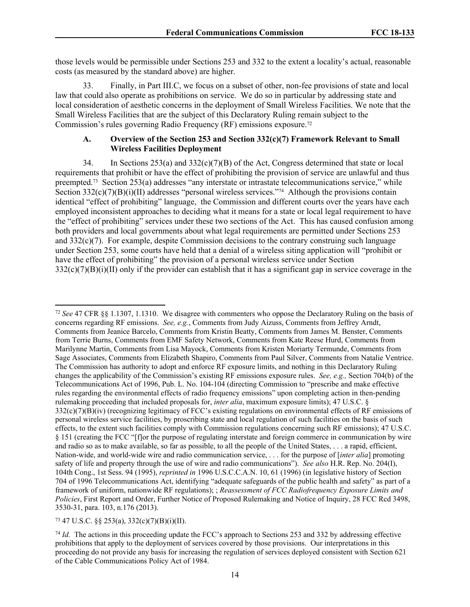those levels would be permissible under Sections 253 and 332 to the extent a locality's actual, reasonable costs (as measured by the standard above) are higher.

33. Finally, in Part III.C, we focus on a subset of other, non-fee provisions of state and local law that could also operate as prohibitions on service. We do so in particular by addressing state and local consideration of aesthetic concerns in the deployment of Small Wireless Facilities. We note that the Small Wireless Facilities that are the subject of this Declaratory Ruling remain subject to the Commission's rules governing Radio Frequency (RF) emissions exposure.<sup>72</sup>

## **A. Overview of the Section 253 and Section 332(c)(7) Framework Relevant to Small Wireless Facilities Deployment**

34. In Sections 253(a) and 332(c)(7)(B) of the Act, Congress determined that state or local requirements that prohibit or have the effect of prohibiting the provision of service are unlawful and thus preempted.<sup>73</sup> Section 253(a) addresses "any interstate or intrastate telecommunications service," while Section 332(c)(7)(B)(i)(II) addresses "personal wireless services."<sup>74</sup> Although the provisions contain identical "effect of prohibiting" language, the Commission and different courts over the years have each employed inconsistent approaches to deciding what it means for a state or local legal requirement to have the "effect of prohibiting" services under these two sections of the Act. This has caused confusion among both providers and local governments about what legal requirements are permitted under Sections 253 and 332(c)(7). For example, despite Commission decisions to the contrary construing such language under Section 253, some courts have held that a denial of a wireless siting application will "prohibit or have the effect of prohibiting" the provision of a personal wireless service under Section  $332(c)(7)(B)(i)(II)$  only if the provider can establish that it has a significant gap in service coverage in the

<sup>72</sup> *See* 47 CFR §§ 1.1307, 1.1310. We disagree with commenters who oppose the Declaratory Ruling on the basis of concerns regarding RF emissions. *See, e.g.*, Comments from Judy Aizuss, Comments from Jeffrey Arndt, Comments from Jeanice Barcelo, Comments from Kristin Beatty, Comments from James M. Benster, Comments from Terrie Burns, Comments from EMF Safety Network, Comments from Kate Reese Hurd, Comments from Marilynne Martin, Comments from Lisa Mayock, Comments from Kristen Moriarty Termunde, Comments from Sage Associates, Comments from Elizabeth Shapiro, Comments from Paul Silver, Comments from Natalie Ventrice. The Commission has authority to adopt and enforce RF exposure limits, and nothing in this Declaratory Ruling changes the applicability of the Commission's existing RF emissions exposure rules. *See, e.g.,* Section 704(b) of the Telecommunications Act of 1996, Pub. L. No. 104-104 (directing Commission to "prescribe and make effective rules regarding the environmental effects of radio frequency emissions" upon completing action in then-pending rulemaking proceeding that included proposals for, *inter alia*, maximum exposure limits); 47 U.S.C. § 332(c)(7)(B)(iv) (recognizing legitimacy of FCC's existing regulations on environmental effects of RF emissions of personal wireless service facilities, by proscribing state and local regulation of such facilities on the basis of such effects, to the extent such facilities comply with Commission regulations concerning such RF emissions); 47 U.S.C. § 151 (creating the FCC "[f]or the purpose of regulating interstate and foreign commerce in communication by wire and radio so as to make available, so far as possible, to all the people of the United States, . . . a rapid, efficient, Nation-wide, and world-wide wire and radio communication service, . . . for the purpose of [*inter alia*] promoting safety of life and property through the use of wire and radio communications"). *See also* H.R. Rep. No. 204(I), 104th Cong., 1st Sess. 94 (1995), *reprinted in* 1996 U.S.C.C.A.N. 10, 61 (1996) (in legislative history of Section 704 of 1996 Telecommunications Act, identifying "adequate safeguards of the public health and safety" as part of a framework of uniform, nationwide RF regulations); ; *Reassessment of FCC Radiofrequency Exposure Limits and Policies*, First Report and Order, Further Notice of Proposed Rulemaking and Notice of Inquiry, 28 FCC Rcd 3498, 3530-31, para. 103, n.176 (2013).

<sup>73</sup> 47 U.S.C. §§ 253(a), 332(c)(7)(B)(i)(II).

<sup>&</sup>lt;sup>74</sup> *Id.* The actions in this proceeding update the FCC's approach to Sections 253 and 332 by addressing effective prohibitions that apply to the deployment of services covered by those provisions. Our interpretations in this proceeding do not provide any basis for increasing the regulation of services deployed consistent with Section 621 of the Cable Communications Policy Act of 1984.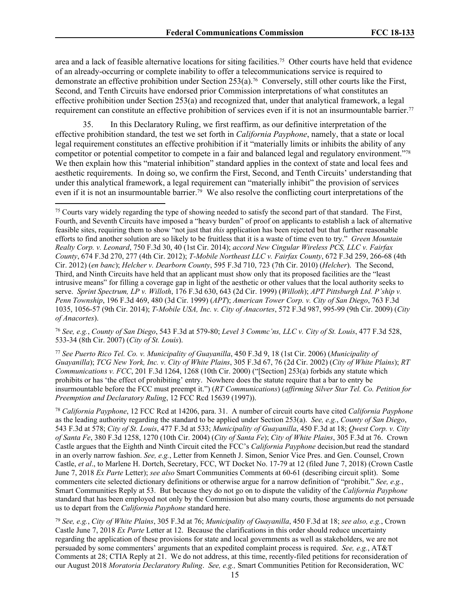area and a lack of feasible alternative locations for siting facilities.<sup>75</sup> Other courts have held that evidence of an already-occurring or complete inability to offer a telecommunications service is required to demonstrate an effective prohibition under Section 253(a).<sup>76</sup> Conversely, still other courts like the First, Second, and Tenth Circuits have endorsed prior Commission interpretations of what constitutes an effective prohibition under Section 253(a) and recognized that, under that analytical framework, a legal requirement can constitute an effective prohibition of services even if it is not an insurmountable barrier.<sup>77</sup>

35. In this Declaratory Ruling, we first reaffirm, as our definitive interpretation of the effective prohibition standard, the test we set forth in *California Payphone*, namely, that a state or local legal requirement constitutes an effective prohibition if it "materially limits or inhibits the ability of any competitor or potential competitor to compete in a fair and balanced legal and regulatory environment."<sup>78</sup> We then explain how this "material inhibition" standard applies in the context of state and local fees and aesthetic requirements. In doing so, we confirm the First, Second, and Tenth Circuits' understanding that under this analytical framework, a legal requirement can "materially inhibit" the provision of services even if it is not an insurmountable barrier.<sup>79</sup> We also resolve the conflicting court interpretations of the

<sup>76</sup> *See, e.g.*, *County of San Diego*, 543 F.3d at 579-80; *Level 3 Commc'ns, LLC v. City of St. Louis*, 477 F.3d 528, 533-34 (8th Cir. 2007) (*City of St. Louis*).

<sup>77</sup> *See Puerto Rico Tel. Co. v. Municipality of Guayanilla*, 450 F.3d 9, 18 (1st Cir. 2006) (*Municipality of Guayanilla*); *TCG New York, Inc. v. City of White Plains*, 305 F.3d 67, 76 (2d Cir. 2002) (*City of White Plains*); *RT Communications v. FCC*, 201 F.3d 1264, 1268 (10th Cir. 2000) ("[Section] 253(a) forbids any statute which prohibits or has 'the effect of prohibiting' entry. Nowhere does the statute require that a bar to entry be insurmountable before the FCC must preempt it.") (*RT Communications*) (*affirming Silver Star Tel. Co. Petition for Preemption and Declaratory Ruling*, 12 FCC Rcd 15639 (1997)).

<sup>78</sup> *California Payphone*, 12 FCC Rcd at 14206, para. 31. A number of circuit courts have cited *California Payphone* as the leading authority regarding the standard to be applied under Section 253(a). *See, e.g.*, *County of San Diego*, 543 F.3d at 578; *City of St. Louis*, 477 F.3d at 533; *Municipality of Guayanilla*, 450 F.3d at 18; *Qwest Corp. v. City of Santa Fe*, 380 F.3d 1258, 1270 (10th Cir. 2004) (*City of Santa Fe*); *City of White Plains*, 305 F.3d at 76. Crown Castle argues that the Eighth and Ninth Circuit cited the FCC's *California Payphone* decision,but read the standard in an overly narrow fashion. *See, e.g.*, Letter from Kenneth J. Simon, Senior Vice Pres. and Gen. Counsel, Crown Castle, *et al*., to Marlene H. Dortch, Secretary, FCC, WT Docket No. 17-79 at 12 (filed June 7, 2018) (Crown Castle June 7, 2018 *Ex Parte* Letter); *see also* Smart Communities Comments at 60-61 (describing circuit split). Some commenters cite selected dictionary definitions or otherwise argue for a narrow definition of "prohibit." *See, e.g.*, Smart Communities Reply at 53. But because they do not go on to dispute the validity of the *California Payphone* standard that has been employed not only by the Commission but also many courts, those arguments do not persuade us to depart from the *California Payphone* standard here.

<sup>79</sup> *See, e.g.*, *City of White Plains*, 305 F.3d at 76; *Municipality of Guayanilla*, 450 F.3d at 18; *see also, e.g.*, Crown Castle June 7, 2018 *Ex Parte* Letter at 12. Because the clarifications in this order should reduce uncertainty regarding the application of these provisions for state and local governments as well as stakeholders, we are not persuaded by some commenters' arguments that an expedited complaint process is required. *See, e.g.*, AT&T Comments at 28; CTIA Reply at 21. We do not address, at this time, recently-filed petitions for reconsideration of our August 2018 *Moratoria Declaratory Ruling*. *See, e.g.,* Smart Communities Petition for Reconsideration, WC

<sup>75</sup> Courts vary widely regarding the type of showing needed to satisfy the second part of that standard. The First, Fourth, and Seventh Circuits have imposed a "heavy burden" of proof on applicants to establish a lack of alternative feasible sites, requiring them to show "not just that *this* application has been rejected but that further reasonable efforts to find another solution are so likely to be fruitless that it is a waste of time even to try." *Green Mountain Realty Corp. v. Leonard*, 750 F.3d 30, 40 (1st Cir. 2014); *accord New Cingular Wireless PCS, LLC v. Fairfax County*, 674 F.3d 270, 277 (4th Cir. 2012); *T-Mobile Northeast LLC v. Fairfax County*, 672 F.3d 259, 266-68 (4th Cir. 2012) (*en banc*); *Helcher v. Dearborn County*, 595 F.3d 710, 723 (7th Cir. 2010) (*Helcher*). The Second, Third, and Ninth Circuits have held that an applicant must show only that its proposed facilities are the "least intrusive means" for filling a coverage gap in light of the aesthetic or other values that the local authority seeks to serve. *Sprint Spectrum, LP v. Willoth*, 176 F.3d 630, 643 (2d Cir. 1999) (*Willoth*); *APT Pittsburgh Ltd. P'ship v. Penn Township*, 196 F.3d 469, 480 (3d Cir. 1999) (*APT*); *American Tower Corp. v. City of San Diego*, 763 F.3d 1035, 1056-57 (9th Cir. 2014); *T-Mobile USA, Inc. v. City of Anacortes*, 572 F.3d 987, 995-99 (9th Cir. 2009) (*City of Anacortes*).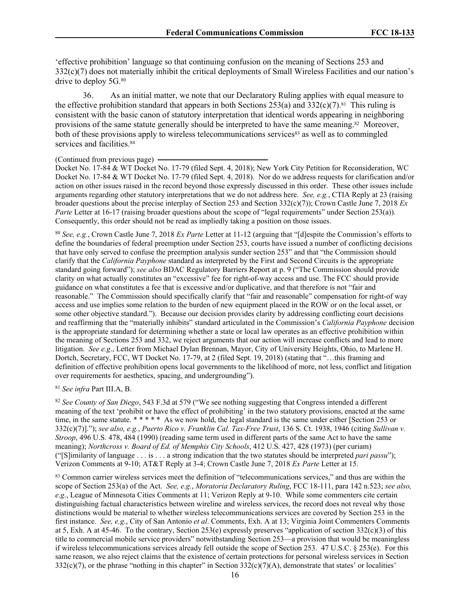'effective prohibition' language so that continuing confusion on the meaning of Sections 253 and 332(c)(7) does not materially inhibit the critical deployments of Small Wireless Facilities and our nation's drive to deploy 5G.<sup>80</sup>

36. As an initial matter, we note that our Declaratory Ruling applies with equal measure to the effective prohibition standard that appears in both Sections  $253(a)$  and  $332(c)(7)$ .<sup>81</sup> This ruling is consistent with the basic canon of statutory interpretation that identical words appearing in neighboring provisions of the same statute generally should be interpreted to have the same meaning.<sup>82</sup> Moreover, both of these provisions apply to wireless telecommunications services<sup>83</sup> as well as to commingled services and facilities.<sup>84</sup>

#### (Continued from previous page)

Docket No. 17-84 & WT Docket No. 17-79 (filed Sept. 4, 2018); New York City Petition for Reconsideration, WC Docket No. 17-84 & WT Docket No. 17-79 (filed Sept. 4, 2018). Nor do we address requests for clarification and/or action on other issues raised in the record beyond those expressly discussed in this order. These other issues include arguments regarding other statutory interpretations that we do not address here. *See, e.g.*, CTIA Reply at 23 (raising broader questions about the precise interplay of Section 253 and Section 332(c)(7)); Crown Castle June 7, 2018 *Ex Parte* Letter at 16-17 (raising broader questions about the scope of "legal requirements" under Section 253(a)). Consequently, this order should not be read as impliedly taking a position on those issues.

<sup>80</sup> *See, e.g.*, Crown Castle June 7, 2018 *Ex Parte* Letter at 11-12 (arguing that "[d]espite the Commission's efforts to define the boundaries of federal preemption under Section 253, courts have issued a number of conflicting decisions that have only served to confuse the preemption analysis sunder section 253" and that "the Commission should clarify that the *California Payphone* standard as interpreted by the First and Second Circuits is the appropriate standard going forward"); *see also* BDAC Regulatory Barriers Report at p. 9 ("The Commission should provide clarity on what actually constitutes an "excessive" fee for right-of-way access and use. The FCC should provide guidance on what constitutes a fee that is excessive and/or duplicative, and that therefore is not "fair and reasonable." The Commission should specifically clarify that "fair and reasonable" compensation for right-of way access and use implies some relation to the burden of new equipment placed in the ROW or on the local asset, or some other objective standard."). Because our decision provides clarity by addressing conflicting court decisions and reaffirming that the "materially inhibits" standard articulated in the Commission's *California Payphone* decision is the appropriate standard for determining whether a state or local law operates as an effective prohibition within the meaning of Sections 253 and 332, we reject arguments that our action will increase conflicts and lead to more litigation. *See e.g*., Letter from Michael Dylan Brennan, Mayor, City of University Heights, Ohio, to Marlene H. Dortch, Secretary, FCC, WT Docket No. 17-79, at 2 (filed Sept. 19, 2018) (stating that "…this framing and definition of effective prohibition opens local governments to the likelihood of more, not less, conflict and litigation over requirements for aesthetics, spacing, and undergrounding").

<sup>81</sup> *See infra* Part III.A, B.

<sup>82</sup> *See County of San Diego*, 543 F.3d at 579 ("We see nothing suggesting that Congress intended a different meaning of the text 'prohibit or have the effect of prohibiting' in the two statutory provisions, enacted at the same time, in the same statute. \* \* \* \* \* As we now hold, the legal standard is the same under either [Section 253 or 332(c)(7)]."); *see also, e.g.*, *Puerto Rico v. Franklin Cal. Tax-Free Trust*, 136 S. Ct. 1938, 1946 (citing *Sullivan v. Stroop*, 496 U.S. 478, 484 (1990) (reading same term used in different parts of the same Act to have the same meaning); *Northcross v. Board of Ed. of Memphis City Schools*, 412 U.S. 427, 428 (1973) (per curiam) ("[S]imilarity of language . . . is . . . a strong indication that the two statutes should be interpreted *pari passu*"); Verizon Comments at 9-10; AT&T Reply at 3-4; Crown Castle June 7, 2018 *Ex Parte* Letter at 15.

83 Common carrier wireless services meet the definition of "telecommunications services," and thus are within the scope of Section 253(a) of the Act. *See, e.g.*, *Moratoria Declaratory Ruling*, FCC 18-111, para 142 n.523; *see also, e.g.*, League of Minnesota Cities Comments at 11; Verizon Reply at 9-10. While some commenters cite certain distinguishing factual characteristics between wireline and wireless services, the record does not reveal why those distinctions would be material to whether wireless telecommunications services are covered by Section 253 in the first instance. *See, e.g.*, City of San Antonio *et al*. Comments, Exh. A at 13; Virginia Joint Commenters Comments at 5, Exh. A at 45-46. To the contrary, Section 253(e) expressly preserves "application of section 332(c)(3) of this title to commercial mobile service providers" notwithstanding Section 253—a provision that would be meaningless if wireless telecommunications services already fell outside the scope of Section 253. 47 U.S.C. § 253(e). For this same reason, we also reject claims that the existence of certain protections for personal wireless services in Section  $332(c)(7)$ , or the phrase "nothing in this chapter" in Section  $332(c)(7)(A)$ , demonstrate that states' or localities'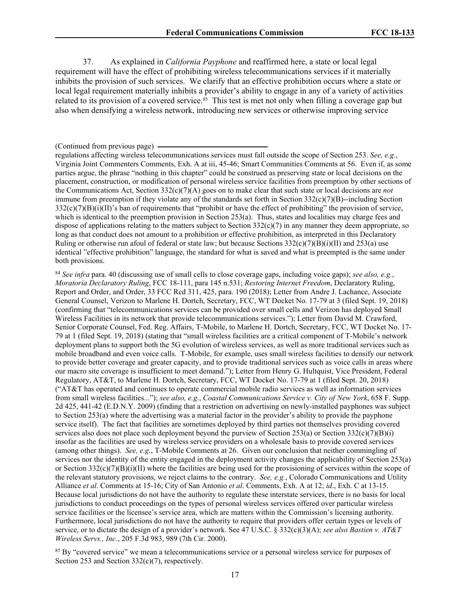37. As explained in *California Payphone* and reaffirmed here, a state or local legal requirement will have the effect of prohibiting wireless telecommunications services if it materially inhibits the provision of such services. We clarify that an effective prohibition occurs where a state or local legal requirement materially inhibits a provider's ability to engage in any of a variety of activities related to its provision of a covered service.<sup>85</sup> This test is met not only when filling a coverage gap but also when densifying a wireless network, introducing new services or otherwise improving service

regulations affecting wireless telecommunications services must fall outside the scope of Section 253. *See, e.g.*, Virginia Joint Commenters Comments, Exh. A at iii, 45-46; Smart Communities Comments at 56. Even if, as some parties argue, the phrase "nothing in this chapter" could be construed as preserving state or local decisions on the placement, construction, or modification of personal wireless service facilities from preemption by other sections of the Communications Act, Section 332(c)(7)(A) goes on to make clear that such state or local decisions are *not* immune from preemption if they violate any of the standards set forth in Section  $332(c)(7)(B)$ -including Section  $332(c)(7)(B)(i)(II)'$ s ban of requirements that "prohibit or have the effect of prohibiting" the provision of service, which is identical to the preemption provision in Section 253(a). Thus, states and localities may charge fees and dispose of applications relating to the matters subject to Section  $332(c)(7)$  in any manner they deem appropriate, so long as that conduct does not amount to a prohibition or effective prohibition, as interpreted in this Declaratory Ruling or otherwise run afoul of federal or state law; but because Sections  $332(c)(7)(B)(i)(II)$  and  $253(a)$  use identical "effective prohibition" language, the standard for what is saved and what is preempted is the same under both provisions.

<sup>84</sup> *See infra* para. 40 (discussing use of small cells to close coverage gaps, including voice gaps); *see also, e.g.*, *Moratoria Declaratory Ruling*, FCC 18-111, para 145 n.531; *Restoring Internet Freedom*, Declaratory Ruling, Report and Order, and Order, 33 FCC Rcd 311, 425, para. 190 (2018); Letter from Andre J. Lachance, Associate General Counsel, Verizon to Marlene H. Dortch, Secretary, FCC, WT Docket No. 17-79 at 3 (filed Sept. 19, 2018) (confirming that "telecommunications services can be provided over small cells and Verizon has deployed Small Wireless Facilities in its network that provide telecommunications services."); Letter from David M. Crawford, Senior Corporate Counsel, Fed. Reg. Affairs, T-Mobile, to Marlene H. Dortch, Secretary, FCC, WT Docket No. 17- 79 at 1 (filed Sept. 19, 2018) (stating that "small wireless facilities are a critical component of T-Mobile's network deployment plans to support both the 5G evolution of wireless services, as well as more traditional services such as mobile broadband and even voice calls. T-Mobile, for example, uses small wireless facilities to densify our network to provide better coverage and greater capacity, and to provide traditional services such as voice calls in areas where our macro site coverage is insufficient to meet demand."); Letter from Henry G. Hultquist, Vice President, Federal Regulatory, AT&T, to Marlene H. Dortch, Secretary, FCC, WT Docket No. 17-79 at 1 (filed Sept. 20, 2018) ("AT&T has operated and continues to operate commercial mobile radio services as well as information services from small wireless facilities..."); *see also, e.g.*, *Coastal Communications Service v. City of New York*, 658 F. Supp. 2d 425, 441-42 (E.D.N.Y. 2009) (finding that a restriction on advertising on newly-installed payphones was subject to Section 253(a) where the advertising was a material factor in the provider's ability to provide the payphone service itself). The fact that facilities are sometimes deployed by third parties not themselves providing covered services also does not place such deployment beyond the purview of Section 253(a) or Section 332(c)(7)(B)(i) insofar as the facilities are used by wireless service providers on a wholesale basis to provide covered services (among other things). *See, e.g.*, T-Mobile Comments at 26. Given our conclusion that neither commingling of services nor the identity of the entity engaged in the deployment activity changes the applicability of Section 253(a) or Section  $332(c)(7)(B)(i)(II)$  where the facilities are being used for the provisioning of services within the scope of the relevant statutory provisions, we reject claims to the contrary. *See, e.g.*, Colorado Communications and Utility Alliance *et al*. Comments at 15-16; City of San Antonio *et al*. Comments, Exh. A at 12; *id*., Exh. C at 13-15. Because local jurisdictions do not have the authority to regulate these interstate services, there is no basis for local jurisdictions to conduct proceedings on the types of personal wireless services offered over particular wireless service facilities or the licensee's service area, which are matters within the Commission's licensing authority. Furthermore, local jurisdictions do not have the authority to require that providers offer certain types or levels of service, or to dictate the design of a provider's network. See 47 U.S.C. § 332(c)(3)(A); *see also Bastien v. AT&T Wireless Servs., Inc.*, 205 F.3d 983, 989 (7th Cir. 2000).

<sup>85</sup> By "covered service" we mean a telecommunications service or a personal wireless service for purposes of Section 253 and Section 332(c)(7), respectively.

<sup>(</sup>Continued from previous page)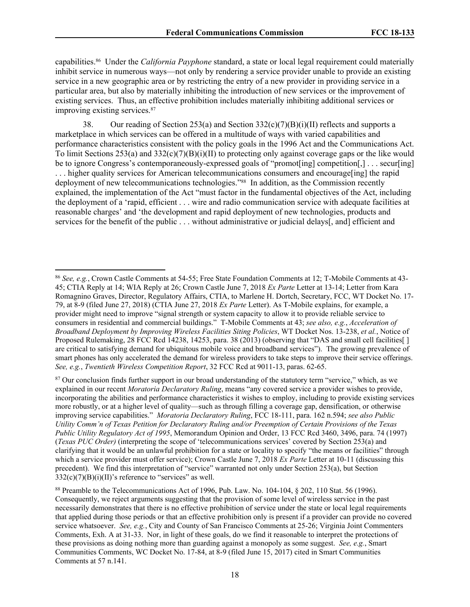capabilities.<sup>86</sup> Under the *California Payphone* standard, a state or local legal requirement could materially inhibit service in numerous ways—not only by rendering a service provider unable to provide an existing service in a new geographic area or by restricting the entry of a new provider in providing service in a particular area, but also by materially inhibiting the introduction of new services or the improvement of existing services. Thus, an effective prohibition includes materially inhibiting additional services or improving existing services.<sup>87</sup>

38. Our reading of Section 253(a) and Section  $332(c)(7)(B)(i)(II)$  reflects and supports a marketplace in which services can be offered in a multitude of ways with varied capabilities and performance characteristics consistent with the policy goals in the 1996 Act and the Communications Act. To limit Sections 253(a) and  $332(c)(7)(B)(i)(II)$  to protecting only against coverage gaps or the like would be to ignore Congress's contemporaneously-expressed goals of "promot [ing] competition [, ] . . . secur[ing] . . . higher quality services for American telecommunications consumers and encourage[ing] the rapid deployment of new telecommunications technologies."<sup>88</sup> In addition, as the Commission recently explained, the implementation of the Act "must factor in the fundamental objectives of the Act, including the deployment of a 'rapid, efficient . . . wire and radio communication service with adequate facilities at reasonable charges' and 'the development and rapid deployment of new technologies, products and services for the benefit of the public . . . without administrative or judicial delays[, and] efficient and

<sup>86</sup> *See, e.g.*, Crown Castle Comments at 54-55; Free State Foundation Comments at 12; T-Mobile Comments at 43- 45; CTIA Reply at 14; WIA Reply at 26; Crown Castle June 7, 2018 *Ex Parte* Letter at 13-14; Letter from Kara Romagnino Graves, Director, Regulatory Affairs, CTIA, to Marlene H. Dortch, Secretary, FCC, WT Docket No. 17- 79, at 8-9 (filed June 27, 2018) (CTIA June 27, 2018 *Ex Parte* Letter). As T-Mobile explains, for example, a provider might need to improve "signal strength or system capacity to allow it to provide reliable service to consumers in residential and commercial buildings." T-Mobile Comments at 43; *see also, e.g.*, *Acceleration of Broadband Deployment by Improving Wireless Facilities Siting Policies*, WT Docket Nos. 13-238, *et al.*, Notice of Proposed Rulemaking, 28 FCC Rcd 14238, 14253, para. 38 (2013) (observing that "DAS and small cell facilities[ ] are critical to satisfying demand for ubiquitous mobile voice and broadband services"). The growing prevalence of smart phones has only accelerated the demand for wireless providers to take steps to improve their service offerings. *See, e.g.*, *Twentieth Wireless Competition Report*, 32 FCC Rcd at 9011-13, paras. 62-65.

<sup>&</sup>lt;sup>87</sup> Our conclusion finds further support in our broad understanding of the statutory term "service," which, as we explained in our recent *Moratoria Declaratory Ruling*, means "any covered service a provider wishes to provide, incorporating the abilities and performance characteristics it wishes to employ, including to provide existing services more robustly, or at a higher level of quality—such as through filling a coverage gap, densification, or otherwise improving service capabilities." *Moratoria Declaratory Ruling*, FCC 18-111, para. 162 n.594; *see also Public Utility Comm'n of Texas Petition for Declaratory Ruling and/or Preemption of Certain Provisions of the Texas Public Utility Regulatory Act of 1995*, Memorandum Opinion and Order, 13 FCC Rcd 3460, 3496, para. 74 (1997) (*Texas PUC Order)* (interpreting the scope of 'telecommunications services' covered by Section 253(a) and clarifying that it would be an unlawful prohibition for a state or locality to specify "the means or facilities" through which a service provider must offer service); Crown Castle June 7, 2018 *Ex Parte* Letter at 10-11 (discussing this precedent). We find this interpretation of "service" warranted not only under Section 253(a), but Section  $332(c)(7)(B)(i)(II)$ 's reference to "services" as well.

<sup>88</sup> Preamble to the Telecommunications Act of 1996, Pub. Law. No. 104-104, § 202, 110 Stat. 56 (1996). Consequently, we reject arguments suggesting that the provision of some level of wireless service in the past necessarily demonstrates that there is no effective prohibition of service under the state or local legal requirements that applied during those periods or that an effective prohibition only is present if a provider can provide no covered service whatsoever. *See, e.g.*, City and County of San Francisco Comments at 25-26; Virginia Joint Commenters Comments, Exh. A at 31-33. Nor, in light of these goals, do we find it reasonable to interpret the protections of these provisions as doing nothing more than guarding against a monopoly as some suggest. *See, e.g.*, Smart Communities Comments, WC Docket No. 17-84, at 8-9 (filed June 15, 2017) cited in Smart Communities Comments at 57 n.141.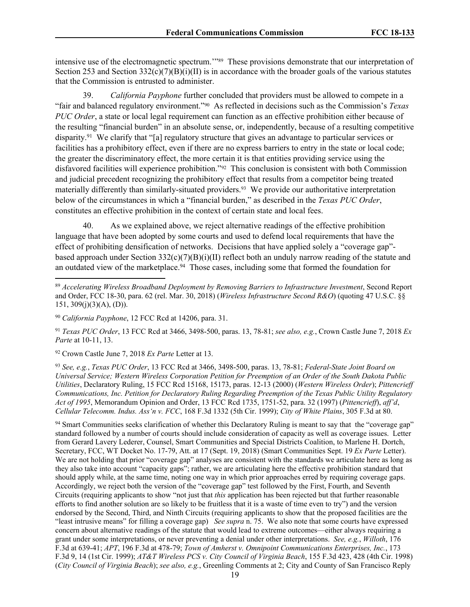intensive use of the electromagnetic spectrum.'"<sup>89</sup> These provisions demonstrate that our interpretation of Section 253 and Section 332(c)(7)(B)(i)(II) is in accordance with the broader goals of the various statutes that the Commission is entrusted to administer.

39. *California Payphone* further concluded that providers must be allowed to compete in a "fair and balanced regulatory environment."<sup>90</sup> As reflected in decisions such as the Commission's *Texas PUC Order*, a state or local legal requirement can function as an effective prohibition either because of the resulting "financial burden" in an absolute sense, or, independently, because of a resulting competitive disparity.<sup>91</sup> We clarify that "[a] regulatory structure that gives an advantage to particular services or facilities has a prohibitory effect, even if there are no express barriers to entry in the state or local code; the greater the discriminatory effect, the more certain it is that entities providing service using the disfavored facilities will experience prohibition."<sup>92</sup> This conclusion is consistent with both Commission and judicial precedent recognizing the prohibitory effect that results from a competitor being treated materially differently than similarly-situated providers.<sup>93</sup> We provide our authoritative interpretation below of the circumstances in which a "financial burden," as described in the *Texas PUC Order*, constitutes an effective prohibition in the context of certain state and local fees.

40. As we explained above, we reject alternative readings of the effective prohibition language that have been adopted by some courts and used to defend local requirements that have the effect of prohibiting densification of networks. Decisions that have applied solely a "coverage gap" based approach under Section 332(c)(7)(B)(i)(II) reflect both an unduly narrow reading of the statute and an outdated view of the marketplace.<sup>94</sup> Those cases, including some that formed the foundation for

<sup>92</sup> Crown Castle June 7, 2018 *Ex Parte* Letter at 13.

<sup>93</sup> *See, e.g.*, *Texas PUC Order*, 13 FCC Rcd at 3466, 3498-500, paras. 13, 78-81; *Federal-State Joint Board on Universal Service; Western Wireless Corporation Petition for Preemption of an Order of the South Dakota Public Utilities*, Declaratory Ruling, 15 FCC Rcd 15168, 15173, paras. 12-13 (2000) (*Western Wireless Order*); *Pittencrieff Communications, Inc. Petition for Declaratory Ruling Regarding Preemption of the Texas Public Utility Regulatory Act of 1995*, Memorandum Opinion and Order, 13 FCC Rcd 1735, 1751-52, para. 32 (1997) (*Pittencrieff*), *aff'd*, *Cellular Telecomm. Indus. Ass'n v. FCC*, 168 F.3d 1332 (5th Cir. 1999); *City of White Plains*, 305 F.3d at 80.

<sup>94</sup> Smart Communities seeks clarification of whether this Declaratory Ruling is meant to say that the "coverage gap" standard followed by a number of courts should include consideration of capacity as well as coverage issues. Letter from Gerard Lavery Lederer, Counsel, Smart Communities and Special Districts Coalition, to Marlene H. Dortch, Secretary, FCC, WT Docket No. 17-79, Att. at 17 (Sept. 19, 2018) (Smart Communities Sept. 19 *Ex Parte* Letter). We are not holding that prior "coverage gap" analyses are consistent with the standards we articulate here as long as they also take into account "capacity gaps"; rather, we are articulating here the effective prohibition standard that should apply while, at the same time, noting one way in which prior approaches erred by requiring coverage gaps. Accordingly, we reject both the version of the "coverage gap" test followed by the First, Fourth, and Seventh Circuits (requiring applicants to show "not just that *this* application has been rejected but that further reasonable efforts to find another solution are so likely to be fruitless that it is a waste of time even to try") and the version endorsed by the Second, Third, and Ninth Circuits (requiring applicants to show that the proposed facilities are the "least intrusive means" for filling a coverage gap) *See supra* n. 75. We also note that some courts have expressed concern about alternative readings of the statute that would lead to extreme outcomes—either always requiring a grant under some interpretations, or never preventing a denial under other interpretations. *See, e.g.*, *Willoth*, 176 F.3d at 639-41; *APT*, 196 F.3d at 478-79; *Town of Amherst v. Omnipoint Communications Enterprises, Inc.*, 173 F.3d 9, 14 (1st Cir. 1999); *AT&T Wireless PCS v. City Council of Virginia Beach*, 155 F.3d 423, 428 (4th Cir. 1998) (*City Council of Virginia Beach*); *see also, e.g.*, Greenling Comments at 2; City and County of San Francisco Reply

<sup>89</sup> *Accelerating Wireless Broadband Deployment by Removing Barriers to Infrastructure Investment*, Second Report and Order, FCC 18-30, para. 62 (rel. Mar. 30, 2018) (*Wireless Infrastructure Second R&O*) (quoting 47 U.S.C. §§  $151, 309(j)(3)(A), (D)$ ).

<sup>90</sup> *California Payphone*, 12 FCC Rcd at 14206, para. 31.

<sup>91</sup> *Texas PUC Order*, 13 FCC Rcd at 3466, 3498-500, paras. 13, 78-81; *see also, e.g.*, Crown Castle June 7, 2018 *Ex Parte* at 10-11, 13.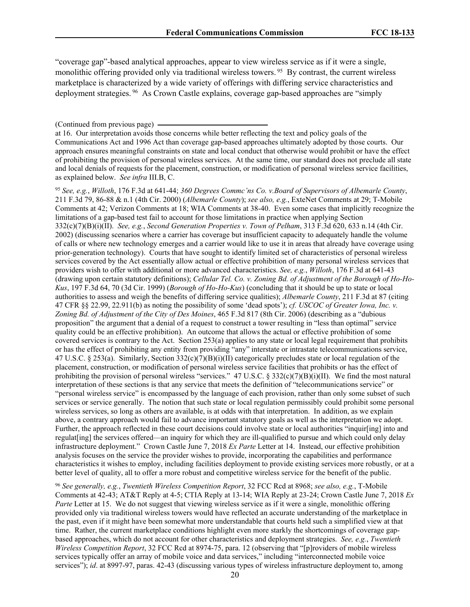"coverage gap"-based analytical approaches, appear to view wireless service as if it were a single, monolithic offering provided only via traditional wireless towers. <sup>95</sup> By contrast, the current wireless marketplace is characterized by a wide variety of offerings with differing service characteristics and deployment strategies. <sup>96</sup> As Crown Castle explains, coverage gap-based approaches are "simply

<sup>95</sup> *See, e.g.*, *Willoth*, 176 F.3d at 641-44; *360 Degrees Commc'ns Co. v.Board of Supervisors of Albemarle County*, 211 F.3d 79, 86-88 & n.1 (4th Cir. 2000) (*Albemarle County*); *see also, e.g.*, ExteNet Comments at 29; T-Mobile Comments at 42; Verizon Comments at 18; WIA Comments at 38-40. Even some cases that implicitly recognize the limitations of a gap-based test fail to account for those limitations in practice when applying Section 332(c)(7)(B)(i)(II). *See, e.g.*, *Second Generation Properties v. Town of Pelham*, 313 F.3d 620, 633 n.14 (4th Cir. 2002) (discussing scenarios where a carrier has coverage but insufficient capacity to adequately handle the volume of calls or where new technology emerges and a carrier would like to use it in areas that already have coverage using prior-generation technology). Courts that have sought to identify limited set of characteristics of personal wireless services covered by the Act essentially allow actual or effective prohibition of many personal wireless services that providers wish to offer with additional or more advanced characteristics. *See, e.g.*, *Willoth*, 176 F.3d at 641-43 (drawing upon certain statutory definitions); *Cellular Tel. Co. v. Zoning Bd. of Adjustment of the Borough of Ho-Ho-Kus*, 197 F.3d 64, 70 (3d Cir. 1999) (*Borough of Ho-Ho-Kus*) (concluding that it should be up to state or local authorities to assess and weigh the benefits of differing service qualities); *Albemarle County*, 211 F.3d at 87 (citing 47 CFR §§ 22.99, 22.911(b) as noting the possibility of some 'dead spots'); *cf. USCOC of Greater Iowa, Inc. v. Zoning Bd. of Adjustment of the City of Des Moines*, 465 F.3d 817 (8th Cir. 2006) (describing as a "dubious proposition" the argument that a denial of a request to construct a tower resulting in "less than optimal" service quality could be an effective prohibition). An outcome that allows the actual or effective prohibition of some covered services is contrary to the Act. Section 253(a) applies to any state or local legal requirement that prohibits or has the effect of prohibiting any entity from providing "any" interstate or intrastate telecommunications service, 47 U.S.C. § 253(a). Similarly, Section  $332(c)(7)(B)(i)(II)$  categorically precludes state or local regulation of the placement, construction, or modification of personal wireless service facilities that prohibits or has the effect of prohibiting the provision of personal wireless "services." 47 U.S.C. § 332(c)(7)(B)(i)(II). We find the most natural interpretation of these sections is that any service that meets the definition of "telecommunications service" or "personal wireless service" is encompassed by the language of each provision, rather than only some subset of such services or service generally. The notion that such state or local regulation permissibly could prohibit some personal wireless services, so long as others are available, is at odds with that interpretation. In addition, as we explain above, a contrary approach would fail to advance important statutory goals as well as the interpretation we adopt. Further, the approach reflected in these court decisions could involve state or local authorities "inquir[ing] into and regulat[ing] the services offered—an inquiry for which they are ill-qualified to pursue and which could only delay infrastructure deployment." Crown Castle June 7, 2018 *Ex Parte* Letter at 14. Instead, our effective prohibition analysis focuses on the service the provider wishes to provide, incorporating the capabilities and performance characteristics it wishes to employ, including facilities deployment to provide existing services more robustly, or at a better level of quality, all to offer a more robust and competitive wireless service for the benefit of the public.

<sup>96</sup> *See generally, e.g.*, *Twentieth Wireless Competition Report*, 32 FCC Rcd at 8968; *see also, e.g.*, T-Mobile Comments at 42-43; AT&T Reply at 4-5; CTIA Reply at 13-14; WIA Reply at 23-24; Crown Castle June 7, 2018 *Ex Parte* Letter at 15. We do not suggest that viewing wireless service as if it were a single, monolithic offering provided only via traditional wireless towers would have reflected an accurate understanding of the marketplace in the past, even if it might have been somewhat more understandable that courts held such a simplified view at that time. Rather, the current marketplace conditions highlight even more starkly the shortcomings of coverage gapbased approaches, which do not account for other characteristics and deployment strategies. *See, e.g.*, *Twentieth Wireless Competition Report*, 32 FCC Rcd at 8974-75, para. 12 (observing that "[p]roviders of mobile wireless services typically offer an array of mobile voice and data services," including "interconnected mobile voice services"); *id.* at 8997-97, paras. 42-43 (discussing various types of wireless infrastructure deployment to, among

<sup>(</sup>Continued from previous page)

at 16. Our interpretation avoids those concerns while better reflecting the text and policy goals of the Communications Act and 1996 Act than coverage gap-based approaches ultimately adopted by those courts. Our approach ensures meaningful constraints on state and local conduct that otherwise would prohibit or have the effect of prohibiting the provision of personal wireless services. At the same time, our standard does not preclude all state and local denials of requests for the placement, construction, or modification of personal wireless service facilities, as explained below. *See infra* III.B, C.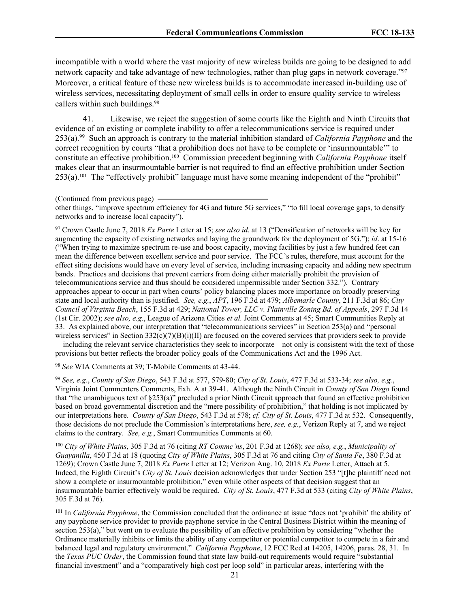incompatible with a world where the vast majority of new wireless builds are going to be designed to add network capacity and take advantage of new technologies, rather than plug gaps in network coverage."<sup>97</sup> Moreover, a critical feature of these new wireless builds is to accommodate increased in-building use of wireless services, necessitating deployment of small cells in order to ensure quality service to wireless callers within such buildings.<sup>98</sup>

41. Likewise, we reject the suggestion of some courts like the Eighth and Ninth Circuits that evidence of an existing or complete inability to offer a telecommunications service is required under 253(a).<sup>99</sup> Such an approach is contrary to the material inhibition standard of *California Payphone* and the correct recognition by courts "that a prohibition does not have to be complete or 'insurmountable'" to constitute an effective prohibition.<sup>100</sup> Commission precedent beginning with *California Payphone* itself makes clear that an insurmountable barrier is not required to find an effective prohibition under Section 253(a).<sup>101</sup> The "effectively prohibit" language must have some meaning independent of the "prohibit"

<sup>97</sup> Crown Castle June 7, 2018 *Ex Parte* Letter at 15; *see also id*. at 13 ("Densification of networks will be key for augmenting the capacity of existing networks and laying the groundwork for the deployment of 5G."); *id*. at 15-16 ("When trying to maximize spectrum re-use and boost capacity, moving facilities by just a few hundred feet can mean the difference between excellent service and poor service. The FCC's rules, therefore, must account for the effect siting decisions would have on every level of service, including increasing capacity and adding new spectrum bands. Practices and decisions that prevent carriers from doing either materially prohibit the provision of telecommunications service and thus should be considered impermissible under Section 332."). Contrary approaches appear to occur in part when courts' policy balancing places more importance on broadly preserving state and local authority than is justified. *See, e.g.*, *APT*, 196 F.3d at 479; *Albemarle County*, 211 F.3d at 86; *City Council of Virginia Beach*, 155 F.3d at 429; *National Tower, LLC v. Plainville Zoning Bd. of Appeals*, 297 F.3d 14 (1st Cir. 2002); *see also, e.g.*, League of Arizona Cities *et al.* Joint Comments at 45; Smart Communities Reply at 33. As explained above, our interpretation that "telecommunications services" in Section 253(a) and "personal wireless services" in Section  $332(c)(7)(B)(i)(II)$  are focused on the covered services that providers seek to provide —including the relevant service characteristics they seek to incorporate—not only is consistent with the text of those provisions but better reflects the broader policy goals of the Communications Act and the 1996 Act.

<sup>98</sup> *See* WIA Comments at 39; T-Mobile Comments at 43-44.

<sup>99</sup> *See, e.g.*, *County of San Diego*, 543 F.3d at 577, 579-80; *City of St. Louis*, 477 F.3d at 533-34; *see also, e.g.*, Virginia Joint Commenters Comments, Exh. A at 39-41. Although the Ninth Circuit in *County of San Diego* found that "the unambiguous text of §253(a)" precluded a prior Ninth Circuit approach that found an effective prohibition based on broad governmental discretion and the "mere possibility of prohibition," that holding is not implicated by our interpretations here. *County of San Diego*, 543 F.3d at 578; *cf. City of St. Louis*, 477 F.3d at 532. Consequently, those decisions do not preclude the Commission's interpretations here, *see, e.g.*, Verizon Reply at 7, and we reject claims to the contrary. *See, e.g.*, Smart Communities Comments at 60.

<sup>100</sup> *City of White Plains*, 305 F.3d at 76 (citing *RT Commc'ns*, 201 F.3d at 1268); *see also, e.g.*, *Municipality of Guayanilla*, 450 F.3d at 18 (quoting *City of White Plains*, 305 F.3d at 76 and citing *City of Santa Fe*, 380 F.3d at 1269); Crown Castle June 7, 2018 *Ex Parte* Letter at 12; Verizon Aug. 10, 2018 *Ex Parte* Letter, Attach at 5. Indeed, the Eighth Circuit's *City of St. Louis* decision acknowledges that under Section 253 "[t]he plaintiff need not show a complete or insurmountable prohibition," even while other aspects of that decision suggest that an insurmountable barrier effectively would be required. *City of St. Louis*, 477 F.3d at 533 (citing *City of White Plains*, 305 F.3d at 76).

<sup>101</sup> In *California Payphone*, the Commission concluded that the ordinance at issue "does not 'prohibit' the ability of any payphone service provider to provide payphone service in the Central Business District within the meaning of section 253(a)," but went on to evaluate the possibility of an effective prohibition by considering "whether the Ordinance materially inhibits or limits the ability of any competitor or potential competitor to compete in a fair and balanced legal and regulatory environment." *California Payphone*, 12 FCC Rcd at 14205, 14206, paras. 28, 31. In the *Texas PUC Order*, the Commission found that state law build-out requirements would require "substantial financial investment" and a "comparatively high cost per loop sold" in particular areas, interfering with the

<sup>(</sup>Continued from previous page)

other things, "improve spectrum efficiency for 4G and future 5G services," "to fill local coverage gaps, to densify networks and to increase local capacity").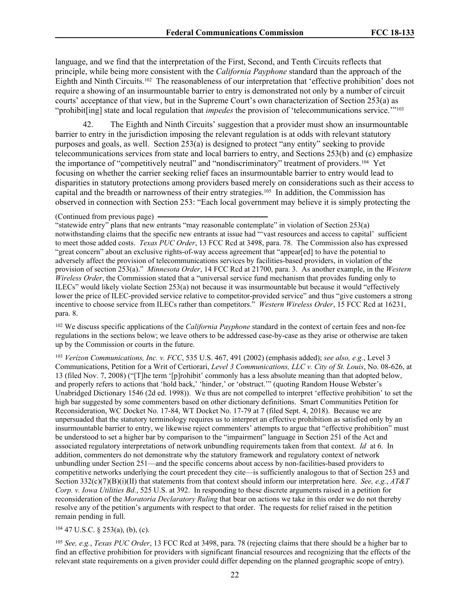language, and we find that the interpretation of the First, Second, and Tenth Circuits reflects that principle, while being more consistent with the *California Payphone* standard than the approach of the Eighth and Ninth Circuits.<sup>102</sup> The reasonableness of our interpretation that 'effective prohibition' does not require a showing of an insurmountable barrier to entry is demonstrated not only by a number of circuit courts' acceptance of that view, but in the Supreme Court's own characterization of Section 253(a) as "prohibit[ing] state and local regulation that *impedes* the provision of 'telecommunications service.'"<sup>103</sup>

42. The Eighth and Ninth Circuits' suggestion that a provider must show an insurmountable barrier to entry in the jurisdiction imposing the relevant regulation is at odds with relevant statutory purposes and goals, as well. Section 253(a) is designed to protect "any entity" seeking to provide telecommunications services from state and local barriers to entry, and Sections 253(b) and (c) emphasize the importance of "competitively neutral" and "nondiscriminatory" treatment of providers.<sup>104</sup> Yet focusing on whether the carrier seeking relief faces an insurmountable barrier to entry would lead to disparities in statutory protections among providers based merely on considerations such as their access to capital and the breadth or narrowness of their entry strategies.<sup>105</sup> In addition, the Commission has observed in connection with Section 253: "Each local government may believe it is simply protecting the

"statewide entry" plans that new entrants "may reasonable contemplate" in violation of Section 253(a) notwithstanding claims that the specific new entrants at issue had "'vast resources and access to capital' sufficient to meet those added costs. *Texas PUC Order*, 13 FCC Rcd at 3498, para. 78. The Commission also has expressed "great concern" about an exclusive rights-of-way access agreement that "appear[ed] to have the potential to adversely affect the provision of telecommunications services by facilities-based providers, in violation of the provision of section 253(a)." *Minnesota Order*, 14 FCC Rcd at 21700, para. 3. As another example, in the *Western Wireless Order*, the Commission stated that a "universal service fund mechanism that provides funding only to ILECs" would likely violate Section 253(a) not because it was insurmountable but because it would "effectively lower the price of ILEC-provided service relative to competitor-provided service" and thus "give customers a strong incentive to choose service from ILECs rather than competitors." *Western Wireless Order*, 15 FCC Rcd at 16231, para. 8.

<sup>102</sup> We discuss specific applications of the *California Payphone* standard in the context of certain fees and non-fee regulations in the sections below; we leave others to be addressed case-by-case as they arise or otherwise are taken up by the Commission or courts in the future.

<sup>103</sup> *Verizon Communications, Inc. v. FCC*, 535 U.S. 467, 491 (2002) (emphasis added); *see also, e.g.*, Level 3 Communications, Petition for a Writ of Certiorari, *Level 3 Communications, LLC v. City of St. Louis*, No. 08-626, at 13 (filed Nov. 7, 2008) ("[T]he term '[p]rohibit' commonly has a less absolute meaning than that adopted below, and properly refers to actions that 'hold back,' 'hinder,' or 'obstruct.'" (quoting Random House Webster's Unabridged Dictionary 1546 (2d ed. 1998)). We thus are not compelled to interpret 'effective prohibition' to set the high bar suggested by some commenters based on other dictionary definitions. Smart Communities Petition for Reconsideration, WC Docket No. 17-84, WT Docket No. 17-79 at 7 (filed Sept. 4, 2018). Because we are unpersuaded that the statutory terminology requires us to interpret an effective prohibition as satisfied only by an insurmountable barrier to entry, we likewise reject commenters' attempts to argue that "effective prohibition" must be understood to set a higher bar by comparison to the "impairment" language in Section 251 of the Act and associated regulatory interpretations of network unbundling requirements taken from that context. *Id* at 6. In addition, commenters do not demonstrate why the statutory framework and regulatory context of network unbundling under Section 251—and the specific concerns about access by non-facilities-based providers to competitive networks underlying the court precedent they cite—is sufficiently analogous to that of Section 253 and Section 332(c)(7)(B)(i)(II) that statements from that context should inform our interpretation here. *See, e.g.*, *AT&T Corp. v. Iowa Utilities Bd.*, 525 U.S. at 392. In responding to these discrete arguments raised in a petition for reconsideration of the *Moratoria Declaratory Ruling* that bear on actions we take in this order we do not thereby resolve any of the petition's arguments with respect to that order. The requests for relief raised in the petition remain pending in full.

# $104$  47 U.S.C. § 253(a), (b), (c).

<sup>105</sup> *See, e.g.*, *Texas PUC Order*, 13 FCC Rcd at 3498, para. 78 (rejecting claims that there should be a higher bar to find an effective prohibition for providers with significant financial resources and recognizing that the effects of the relevant state requirements on a given provider could differ depending on the planned geographic scope of entry).

<sup>(</sup>Continued from previous page)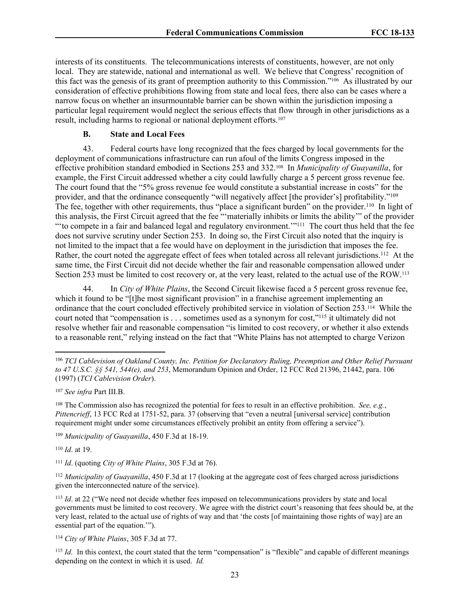interests of its constituents. The telecommunications interests of constituents, however, are not only local. They are statewide, national and international as well. We believe that Congress' recognition of this fact was the genesis of its grant of preemption authority to this Commission."<sup>106</sup> As illustrated by our consideration of effective prohibitions flowing from state and local fees, there also can be cases where a narrow focus on whether an insurmountable barrier can be shown within the jurisdiction imposing a particular legal requirement would neglect the serious effects that flow through in other jurisdictions as a result, including harms to regional or national deployment efforts.<sup>107</sup>

### **B. State and Local Fees**

43. Federal courts have long recognized that the fees charged by local governments for the deployment of communications infrastructure can run afoul of the limits Congress imposed in the effective prohibition standard embodied in Sections 253 and 332.<sup>108</sup> In *Municipality of Guayanilla*, for example, the First Circuit addressed whether a city could lawfully charge a 5 percent gross revenue fee. The court found that the "5% gross revenue fee would constitute a substantial increase in costs" for the provider, and that the ordinance consequently "will negatively affect [the provider's] profitability."<sup>109</sup> The fee, together with other requirements, thus "place a significant burden" on the provider.<sup>110</sup> In light of this analysis, the First Circuit agreed that the fee "'materially inhibits or limits the ability'" of the provider "to compete in a fair and balanced legal and regulatory environment."<sup>111</sup> The court thus held that the fee does not survive scrutiny under Section 253. In doing so, the First Circuit also noted that the inquiry is not limited to the impact that a fee would have on deployment in the jurisdiction that imposes the fee. Rather, the court noted the aggregate effect of fees when totaled across all relevant jurisdictions.<sup>112</sup> At the same time, the First Circuit did not decide whether the fair and reasonable compensation allowed under Section 253 must be limited to cost recovery or, at the very least, related to the actual use of the ROW.<sup>113</sup>

44. In *City of White Plains*, the Second Circuit likewise faced a 5 percent gross revenue fee, which it found to be "[t]he most significant provision" in a franchise agreement implementing an ordinance that the court concluded effectively prohibited service in violation of Section 253.<sup>114</sup> While the court noted that "compensation is . . . sometimes used as a synonym for cost,"<sup>115</sup> it ultimately did not resolve whether fair and reasonable compensation "is limited to cost recovery, or whether it also extends to a reasonable rent," relying instead on the fact that "White Plains has not attempted to charge Verizon

<sup>110</sup> *Id*. at 19.

<sup>112</sup> *Municipality of Guayanilla*, 450 F.3d at 17 (looking at the aggregate cost of fees charged across jurisdictions given the interconnected nature of the service).

<sup>113</sup> *Id*. at 22 ("We need not decide whether fees imposed on telecommunications providers by state and local governments must be limited to cost recovery. We agree with the district court's reasoning that fees should be, at the very least, related to the actual use of rights of way and that 'the costs [of maintaining those rights of way] are an essential part of the equation.'").

<sup>114</sup> *City of White Plains*, 305 F.3d at 77.

<sup>115</sup> *Id.* In this context, the court stated that the term "compensation" is "flexible" and capable of different meanings depending on the context in which it is used. *Id.*

<sup>106</sup> *TCI Cablevision of Oakland County, Inc. Petition for Declaratory Ruling, Preemption and Other Relief Pursuant to 47 U.S.C. §§ 541, 544(e), and 253*, Memorandum Opinion and Order, 12 FCC Rcd 21396, 21442, para. 106 (1997) (*TCI Cablevision Order*).

<sup>107</sup> *See infra* Part III.B.

<sup>108</sup> The Commission also has recognized the potential for fees to result in an effective prohibition. *See, e.g.*, *Pittencrieff*, 13 FCC Rcd at 1751-52, para. 37 (observing that "even a neutral [universal service] contribution requirement might under some circumstances effectively prohibit an entity from offering a service").

<sup>109</sup> *Municipality of Guayanilla*, 450 F.3d at 18-19.

<sup>111</sup> *Id*. (quoting *City of White Plains*, 305 F.3d at 76).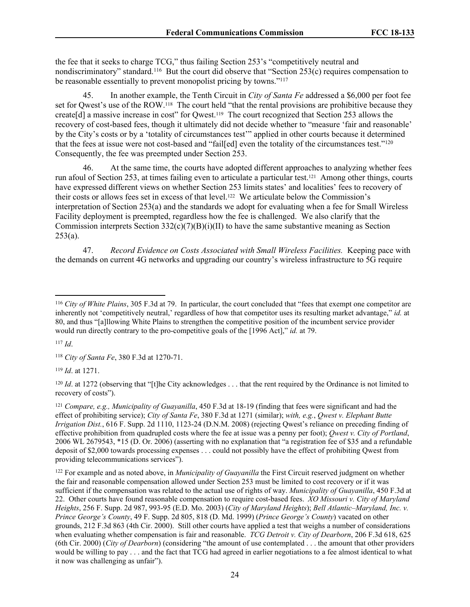the fee that it seeks to charge TCG," thus failing Section 253's "competitively neutral and nondiscriminatory" standard.<sup>116</sup> But the court did observe that "Section 253(c) requires compensation to be reasonable essentially to prevent monopolist pricing by towns."<sup>117</sup>

45. In another example, the Tenth Circuit in *City of Santa Fe* addressed a \$6,000 per foot fee set for Qwest's use of the ROW.<sup>118</sup> The court held "that the rental provisions are prohibitive because they create<sup>[d]</sup> a massive increase in cost" for Qwest.<sup>119</sup> The court recognized that Section 253 allows the recovery of cost-based fees, though it ultimately did not decide whether to "measure 'fair and reasonable' by the City's costs or by a 'totality of circumstances test'" applied in other courts because it determined that the fees at issue were not cost-based and "fail[ed] even the totality of the circumstances test."<sup>120</sup> Consequently, the fee was preempted under Section 253.

46. At the same time, the courts have adopted different approaches to analyzing whether fees run afoul of Section 253, at times failing even to articulate a particular test.<sup>121</sup> Among other things, courts have expressed different views on whether Section 253 limits states' and localities' fees to recovery of their costs or allows fees set in excess of that level.<sup>122</sup> We articulate below the Commission's interpretation of Section 253(a) and the standards we adopt for evaluating when a fee for Small Wireless Facility deployment is preempted, regardless how the fee is challenged. We also clarify that the Commission interprets Section  $332(c)(7)(B)(i)(II)$  to have the same substantive meaning as Section  $253(a)$ .

47. *Record Evidence on Costs Associated with Small Wireless Facilities.* Keeping pace with the demands on current 4G networks and upgrading our country's wireless infrastructure to 5G require

<sup>117</sup> *Id*.

<sup>118</sup> *City of Santa Fe*, 380 F.3d at 1270-71.

<sup>119</sup> *Id*. at 1271.

<sup>120</sup> *Id.* at 1272 (observing that "[t]he City acknowledges . . . that the rent required by the Ordinance is not limited to recovery of costs").

<sup>121</sup> *Compare, e.g., Municipality of Guayanilla*, 450 F.3d at 18-19 (finding that fees were significant and had the effect of prohibiting service); *City of Santa Fe*, 380 F.3d at 1271 (similar); *with, e.g.*, *Qwest v. Elephant Butte Irrigation Dist.*, 616 F. Supp. 2d 1110, 1123-24 (D.N.M. 2008) (rejecting Qwest's reliance on preceding finding of effective prohibition from quadrupled costs where the fee at issue was a penny per foot); *Qwest v. City of Portland*, 2006 WL 2679543, \*15 (D. Or. 2006) (asserting with no explanation that "a registration fee of \$35 and a refundable deposit of \$2,000 towards processing expenses . . . could not possibly have the effect of prohibiting Qwest from providing telecommunications services").

<sup>122</sup> For example and as noted above, in *Municipality of Guayanilla* the First Circuit reserved judgment on whether the fair and reasonable compensation allowed under Section 253 must be limited to cost recovery or if it was sufficient if the compensation was related to the actual use of rights of way. *Municipality of Guayanilla*, 450 F.3d at 22. Other courts have found reasonable compensation to require cost-based fees. *XO Missouri v. City of Maryland Heights*, 256 F. Supp. 2d 987, 993-95 (E.D. Mo. 2003) (*City of Maryland Heights*); *Bell Atlantic–Maryland, Inc. v. Prince George's County*, 49 F. Supp. 2d 805, 818 (D. Md. 1999) (*Prince George's County*) vacated on other grounds, 212 F.3d 863 (4th Cir. 2000). Still other courts have applied a test that weighs a number of considerations when evaluating whether compensation is fair and reasonable. *TCG Detroit v. City of Dearborn*, 206 F.3d 618, 625 (6th Cir. 2000) (*City of Dearborn*) (considering "the amount of use contemplated . . . the amount that other providers would be willing to pay . . . and the fact that TCG had agreed in earlier negotiations to a fee almost identical to what it now was challenging as unfair").

<sup>116</sup> *City of White Plains*, 305 F.3d at 79. In particular, the court concluded that "fees that exempt one competitor are inherently not 'competitively neutral,' regardless of how that competitor uses its resulting market advantage," *id.* at 80, and thus "[a]llowing White Plains to strengthen the competitive position of the incumbent service provider would run directly contrary to the pro-competitive goals of the [1996 Act]," *id.* at 79.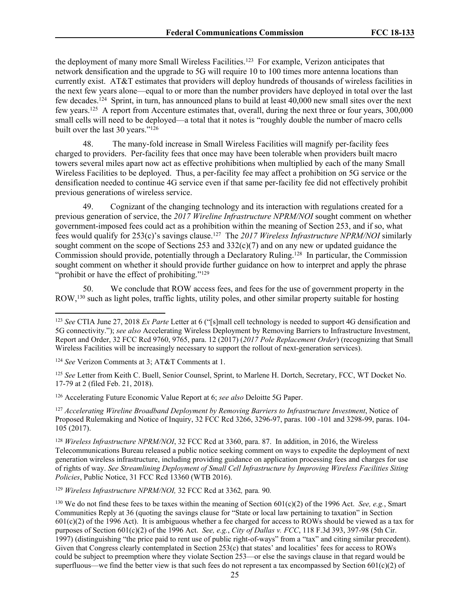the deployment of many more Small Wireless Facilities.<sup>123</sup> For example, Verizon anticipates that network densification and the upgrade to 5G will require 10 to 100 times more antenna locations than currently exist. AT&T estimates that providers will deploy hundreds of thousands of wireless facilities in the next few years alone—equal to or more than the number providers have deployed in total over the last few decades.<sup>124</sup> Sprint, in turn, has announced plans to build at least 40,000 new small sites over the next few years.<sup>125</sup> A report from Accenture estimates that, overall, during the next three or four years, 300,000 small cells will need to be deployed—a total that it notes is "roughly double the number of macro cells built over the last 30 years."<sup>126</sup>

48. The many-fold increase in Small Wireless Facilities will magnify per-facility fees charged to providers. Per-facility fees that once may have been tolerable when providers built macro towers several miles apart now act as effective prohibitions when multiplied by each of the many Small Wireless Facilities to be deployed. Thus, a per-facility fee may affect a prohibition on 5G service or the densification needed to continue 4G service even if that same per-facility fee did not effectively prohibit previous generations of wireless service.

49. Cognizant of the changing technology and its interaction with regulations created for a previous generation of service, the *2017 Wireline Infrastructure NPRM/NOI* sought comment on whether government-imposed fees could act as a prohibition within the meaning of Section 253, and if so, what fees would qualify for 253(c)'s savings clause.<sup>127</sup> The *2017 Wireless Infrastructure NPRM/NOI* similarly sought comment on the scope of Sections 253 and  $332(c)(7)$  and on any new or updated guidance the Commission should provide, potentially through a Declaratory Ruling.<sup>128</sup> In particular, the Commission sought comment on whether it should provide further guidance on how to interpret and apply the phrase "prohibit or have the effect of prohibiting."<sup>129</sup>

50. We conclude that ROW access fees, and fees for the use of government property in the ROW,<sup>130</sup> such as light poles, traffic lights, utility poles, and other similar property suitable for hosting

<sup>126</sup> Accelerating Future Economic Value Report at 6; *see also* Deloitte 5G Paper.

<sup>127</sup> *Accelerating Wireline Broadband Deployment by Removing Barriers to Infrastructure Investment*, Notice of Proposed Rulemaking and Notice of Inquiry, 32 FCC Rcd 3266, 3296-97, paras. 100 -101 and 3298-99, paras. 104- 105 (2017).

<sup>128</sup> *Wireless Infrastructure NPRM/NOI*, 32 FCC Rcd at 3360, para. 87. In addition, in 2016, the Wireless Telecommunications Bureau released a public notice seeking comment on ways to expedite the deployment of next generation wireless infrastructure, including providing guidance on application processing fees and charges for use of rights of way. *See Streamlining Deployment of Small Cell Infrastructure by Improving Wireless Facilities Siting Policies*, Public Notice, 31 FCC Rcd 13360 (WTB 2016).

<sup>129</sup> *Wireless Infrastructure NPRM/NOI,* 32 FCC Rcd at 3362*,* para*.* 90*.*

<sup>123</sup> *See* CTIA June 27, 2018 *Ex Parte* Letter at 6 ("[s]mall cell technology is needed to support 4G densification and 5G connectivity."); *see also* Accelerating Wireless Deployment by Removing Barriers to Infrastructure Investment, Report and Order, 32 FCC Rcd 9760, 9765, para. 12 (2017) (*2017 Pole Replacement Order*) (recognizing that Small Wireless Facilities will be increasingly necessary to support the rollout of next-generation services).

<sup>124</sup> *See* Verizon Comments at 3; AT&T Comments at 1.

<sup>&</sup>lt;sup>125</sup> See Letter from Keith C. Buell, Senior Counsel, Sprint, to Marlene H. Dortch, Secretary, FCC, WT Docket No. 17-79 at 2 (filed Feb. 21, 2018).

<sup>130</sup> We do not find these fees to be taxes within the meaning of Section 601(c)(2) of the 1996 Act. *See, e.g.*, Smart Communities Reply at 36 (quoting the savings clause for "State or local law pertaining to taxation" in Section  $601(c)(2)$  of the 1996 Act). It is ambiguous whether a fee charged for access to ROWs should be viewed as a tax for purposes of Section 601(c)(2) of the 1996 Act. *See, e.g.*, *City of Dallas v. FCC*, 118 F.3d 393, 397-98 (5th Cir. 1997) (distinguishing "the price paid to rent use of public right-of-ways" from a "tax" and citing similar precedent). Given that Congress clearly contemplated in Section 253(c) that states' and localities' fees for access to ROWs could be subject to preemption where they violate Section 253—or else the savings clause in that regard would be superfluous—we find the better view is that such fees do not represent a tax encompassed by Section  $601(c)(2)$  of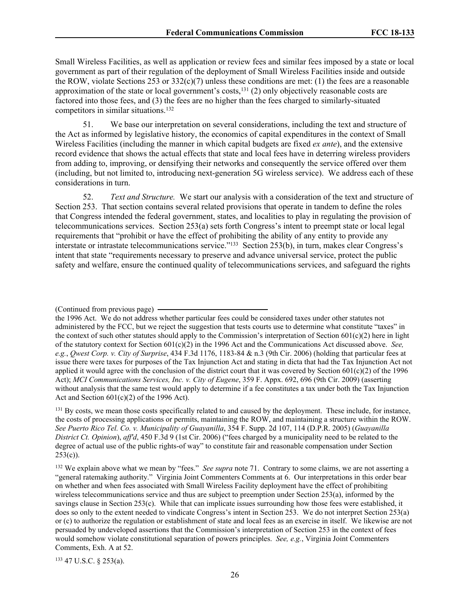Small Wireless Facilities, as well as application or review fees and similar fees imposed by a state or local government as part of their regulation of the deployment of Small Wireless Facilities inside and outside the ROW, violate Sections 253 or  $332(c)(7)$  unless these conditions are met: (1) the fees are a reasonable approximation of the state or local government's costs,<sup>131</sup> (2) only objectively reasonable costs are factored into those fees, and (3) the fees are no higher than the fees charged to similarly-situated competitors in similar situations.<sup>132</sup>

51. We base our interpretation on several considerations, including the text and structure of the Act as informed by legislative history, the economics of capital expenditures in the context of Small Wireless Facilities (including the manner in which capital budgets are fixed *ex ante*), and the extensive record evidence that shows the actual effects that state and local fees have in deterring wireless providers from adding to, improving, or densifying their networks and consequently the service offered over them (including, but not limited to, introducing next-generation 5G wireless service). We address each of these considerations in turn.

52. *Text and Structure.* We start our analysis with a consideration of the text and structure of Section 253. That section contains several related provisions that operate in tandem to define the roles that Congress intended the federal government, states, and localities to play in regulating the provision of telecommunications services. Section 253(a) sets forth Congress's intent to preempt state or local legal requirements that "prohibit or have the effect of prohibiting the ability of any entity to provide any interstate or intrastate telecommunications service."<sup>133</sup> Section 253(b), in turn, makes clear Congress's intent that state "requirements necessary to preserve and advance universal service, protect the public safety and welfare, ensure the continued quality of telecommunications services, and safeguard the rights

<sup>131</sup> By costs, we mean those costs specifically related to and caused by the deployment. These include, for instance, the costs of processing applications or permits, maintaining the ROW, and maintaining a structure within the ROW. *See Puerto Rico Tel. Co. v. Municipality of Guayanilla*, 354 F. Supp. 2d 107, 114 (D.P.R. 2005) (*Guayanilla District Ct. Opinion*), *aff'd*, 450 F.3d 9 (1st Cir. 2006) ("fees charged by a municipality need to be related to the degree of actual use of the public rights-of way" to constitute fair and reasonable compensation under Section  $253(c)$ ).

<sup>133</sup> 47 U.S.C. § 253(a).

<sup>(</sup>Continued from previous page)

the 1996 Act. We do not address whether particular fees could be considered taxes under other statutes not administered by the FCC, but we reject the suggestion that tests courts use to determine what constitute "taxes" in the context of such other statutes should apply to the Commission's interpretation of Section  $601(c)(2)$  here in light of the statutory context for Section 601(c)(2) in the 1996 Act and the Communications Act discussed above. *See, e.g.*, *Qwest Corp. v. City of Surprise*, 434 F.3d 1176, 1183-84 & n.3 (9th Cir. 2006) (holding that particular fees at issue there were taxes for purposes of the Tax Injunction Act and stating in dicta that had the Tax Injunction Act not applied it would agree with the conclusion of the district court that it was covered by Section  $601(c)(2)$  of the 1996 Act); *MCI Communications Services, Inc. v. City of Eugene*, 359 F. Appx. 692, 696 (9th Cir. 2009) (asserting without analysis that the same test would apply to determine if a fee constitutes a tax under both the Tax Injunction Act and Section  $601(c)(2)$  of the 1996 Act).

<sup>132</sup> We explain above what we mean by "fees." *See supra* note 71. Contrary to some claims, we are not asserting a "general ratemaking authority." Virginia Joint Commenters Comments at 6. Our interpretations in this order bear on whether and when fees associated with Small Wireless Facility deployment have the effect of prohibiting wireless telecommunications service and thus are subject to preemption under Section 253(a), informed by the savings clause in Section 253(c). While that can implicate issues surrounding how those fees were established, it does so only to the extent needed to vindicate Congress's intent in Section 253. We do not interpret Section 253(a) or (c) to authorize the regulation or establishment of state and local fees as an exercise in itself. We likewise are not persuaded by undeveloped assertions that the Commission's interpretation of Section 253 in the context of fees would somehow violate constitutional separation of powers principles. *See, e.g.*, Virginia Joint Commenters Comments, Exh. A at 52.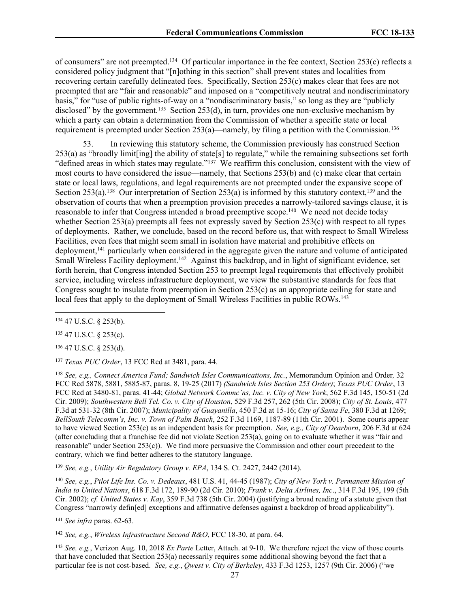of consumers" are not preempted.<sup>134</sup> Of particular importance in the fee context, Section 253(c) reflects a considered policy judgment that "[n]othing in this section" shall prevent states and localities from recovering certain carefully delineated fees. Specifically, Section 253(c) makes clear that fees are not preempted that are "fair and reasonable" and imposed on a "competitively neutral and nondiscriminatory basis," for "use of public rights-of-way on a "nondiscriminatory basis," so long as they are "publicly disclosed" by the government.<sup>135</sup> Section 253(d), in turn, provides one non-exclusive mechanism by which a party can obtain a determination from the Commission of whether a specific state or local requirement is preempted under Section 253(a)—namely, by filing a petition with the Commission.<sup>136</sup>

In reviewing this statutory scheme, the Commission previously has construed Section 253(a) as "broadly limit[ing] the ability of state[s] to regulate," while the remaining subsections set forth "defined areas in which states may regulate."<sup>137</sup> We reaffirm this conclusion, consistent with the view of most courts to have considered the issue—namely, that Sections 253(b) and (c) make clear that certain state or local laws, regulations, and legal requirements are not preempted under the expansive scope of Section 253(a).<sup>138</sup> Our interpretation of Section 253(a) is informed by this statutory context,<sup>139</sup> and the observation of courts that when a preemption provision precedes a narrowly-tailored savings clause, it is reasonable to infer that Congress intended a broad preemptive scope.<sup>140</sup> We need not decide today whether Section 253(a) preempts all fees not expressly saved by Section 253(c) with respect to all types of deployments. Rather, we conclude, based on the record before us, that with respect to Small Wireless Facilities, even fees that might seem small in isolation have material and prohibitive effects on deployment,<sup>141</sup> particularly when considered in the aggregate given the nature and volume of anticipated Small Wireless Facility deployment.<sup>142</sup> Against this backdrop, and in light of significant evidence, set forth herein, that Congress intended Section 253 to preempt legal requirements that effectively prohibit service, including wireless infrastructure deployment, we view the substantive standards for fees that Congress sought to insulate from preemption in Section 253(c) as an appropriate ceiling for state and local fees that apply to the deployment of Small Wireless Facilities in public ROWs.<sup>143</sup>

<sup>135</sup> 47 U.S.C. § 253(c).

<sup>136</sup> 47 U.S.C. § 253(d).

<sup>137</sup> *Texas PUC Order*, 13 FCC Rcd at 3481, para. 44.

<sup>138</sup> *See, e.g., Connect America Fund; Sandwich Isles Communications, Inc.*, Memorandum Opinion and Order*,* 32 FCC Rcd 5878, 5881, 5885-87, paras. 8, 19-25 (2017) *(Sandwich Isles Section 253 Order)*; *Texas PUC Order*, 13 FCC Rcd at 3480-81, paras. 41-44; *Global Network Commc'ns, Inc. v. City of New York*, 562 F.3d 145, 150-51 (2d Cir. 2009); *Southwestern Bell Tel. Co. v. City of Houston*, 529 F.3d 257, 262 (5th Cir. 2008); *City of St. Louis*, 477 F.3d at 531-32 (8th Cir. 2007); *Municipality of Guayanilla*, 450 F.3d at 15-16; *City of Santa Fe*, 380 F.3d at 1269; *BellSouth Telecomm's, Inc. v. Town of Palm Beach*, 252 F.3d 1169, 1187-89 (11th Cir. 2001). Some courts appear to have viewed Section 253(c) as an independent basis for preemption. *See, e.g., City of Dearborn*, 206 F.3d at 624 (after concluding that a franchise fee did not violate Section 253(a), going on to evaluate whether it was "fair and reasonable" under Section  $253(c)$ ). We find more persuasive the Commission and other court precedent to the contrary, which we find better adheres to the statutory language.

<sup>139</sup> *See, e.g.*, *Utility Air Regulatory Group v. EPA*, 134 S. Ct. 2427, 2442 (2014).

<sup>140</sup> See, e.g., Pilot Life Ins. Co. v. Dedeaux, 481 U.S. 41, 44-45 (1987); City of New York v. Permanent Mission of *India to United Nations*, 618 F.3d 172, 189-90 (2d Cir. 2010); *Frank v. Delta Airlines, Inc*., 314 F.3d 195, 199 (5th Cir. 2002); *cf. United States v. Kay*, 359 F.3d 738 (5th Cir. 2004) (justifying a broad reading of a statute given that Congress "narrowly defin[ed] exceptions and affirmative defenses against a backdrop of broad applicability").

<sup>141</sup> *See infra* paras. 62-63.

<sup>142</sup> *See, e.g.*, *Wireless Infrastructure Second R&O*, FCC 18-30, at para. 64.

<sup>143</sup> *See, e.g.*, Verizon Aug. 10, 2018 *Ex Parte* Letter, Attach. at 9-10. We therefore reject the view of those courts that have concluded that Section 253(a) necessarily requires some additional showing beyond the fact that a particular fee is not cost-based. *See, e.g.*, *Qwest v. City of Berkeley*, 433 F.3d 1253, 1257 (9th Cir. 2006) ("we

<sup>134</sup> 47 U.S.C. § 253(b).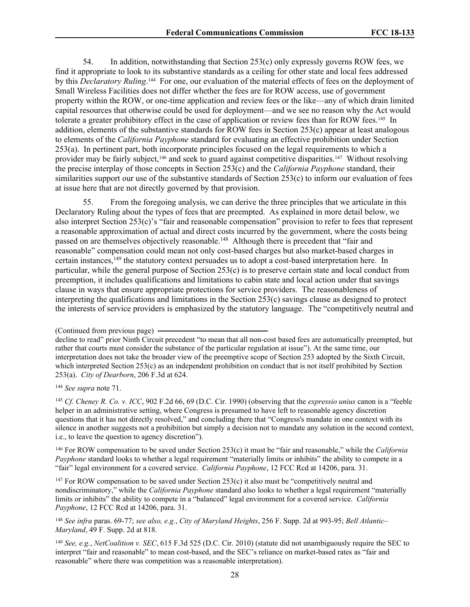54. In addition, notwithstanding that Section 253(c) only expressly governs ROW fees, we find it appropriate to look to its substantive standards as a ceiling for other state and local fees addressed by this *Declaratory Ruling*.<sup>144</sup> For one, our evaluation of the material effects of fees on the deployment of Small Wireless Facilities does not differ whether the fees are for ROW access, use of government property within the ROW, or one-time application and review fees or the like—any of which drain limited capital resources that otherwise could be used for deployment—and we see no reason why the Act would tolerate a greater prohibitory effect in the case of application or review fees than for ROW fees.<sup>145</sup> In addition, elements of the substantive standards for ROW fees in Section 253(c) appear at least analogous to elements of the *California Payphone* standard for evaluating an effective prohibition under Section 253(a). In pertinent part, both incorporate principles focused on the legal requirements to which a provider may be fairly subject,<sup>146</sup> and seek to guard against competitive disparities.<sup>147</sup> Without resolving the precise interplay of those concepts in Section 253(c) and the *California Payphone* standard, their similarities support our use of the substantive standards of Section 253(c) to inform our evaluation of fees at issue here that are not directly governed by that provision.

55. From the foregoing analysis, we can derive the three principles that we articulate in this Declaratory Ruling about the types of fees that are preempted. As explained in more detail below, we also interpret Section 253(c)'s "fair and reasonable compensation" provision to refer to fees that represent a reasonable approximation of actual and direct costs incurred by the government, where the costs being passed on are themselves objectively reasonable.<sup>148</sup> Although there is precedent that "fair and reasonable" compensation could mean not only cost-based charges but also market-based charges in certain instances,<sup>149</sup> the statutory context persuades us to adopt a cost-based interpretation here. In particular, while the general purpose of Section 253(c) is to preserve certain state and local conduct from preemption, it includes qualifications and limitations to cabin state and local action under that savings clause in ways that ensure appropriate protections for service providers. The reasonableness of interpreting the qualifications and limitations in the Section 253(c) savings clause as designed to protect the interests of service providers is emphasized by the statutory language. The "competitively neutral and

<sup>144</sup> *See supra* note 71.

<sup>145</sup> *Cf. Cheney R. Co. v. ICC*, 902 F.2d 66, 69 (D.C. Cir. 1990) (observing that the *expressio unius* canon is a "feeble helper in an administrative setting, where Congress is presumed to have left to reasonable agency discretion questions that it has not directly resolved," and concluding there that "Congress's mandate in one context with its silence in another suggests not a prohibition but simply a decision not to mandate any solution in the second context, i.e., to leave the question to agency discretion").

<sup>146</sup> For ROW compensation to be saved under Section 253(c) it must be "fair and reasonable," while the *California Payphone* standard looks to whether a legal requirement "materially limits or inhibits" the ability to compete in a "fair" legal environment for a covered service. *California Payphone*, 12 FCC Rcd at 14206, para. 31.

<sup>147</sup> For ROW compensation to be saved under Section 253(c) it also must be "competitively neutral and nondiscriminatory," while the *California Payphone* standard also looks to whether a legal requirement "materially limits or inhibits" the ability to compete in a "balanced" legal environment for a covered service. *California Payphone*, 12 FCC Rcd at 14206, para. 31.

<sup>148</sup> *See infra* paras. 69-77; *see also, e.g.*, *City of Maryland Heights*, 256 F. Supp. 2d at 993-95; *Bell Atlantic– Maryland*, 49 F. Supp. 2d at 818.

<sup>149</sup> *See, e.g.*, *NetCoalition v. SEC*, 615 F.3d 525 (D.C. Cir. 2010) (statute did not unambiguously require the SEC to interpret "fair and reasonable" to mean cost-based, and the SEC's reliance on market-based rates as "fair and reasonable" where there was competition was a reasonable interpretation).

<sup>(</sup>Continued from previous page)

decline to read" prior Ninth Circuit precedent "to mean that all non-cost based fees are automatically preempted, but rather that courts must consider the substance of the particular regulation at issue"). At the same time, our interpretation does not take the broader view of the preemptive scope of Section 253 adopted by the Sixth Circuit, which interpreted Section 253(c) as an independent prohibition on conduct that is not itself prohibited by Section 253(a). *City of Dearborn*, 206 F.3d at 624.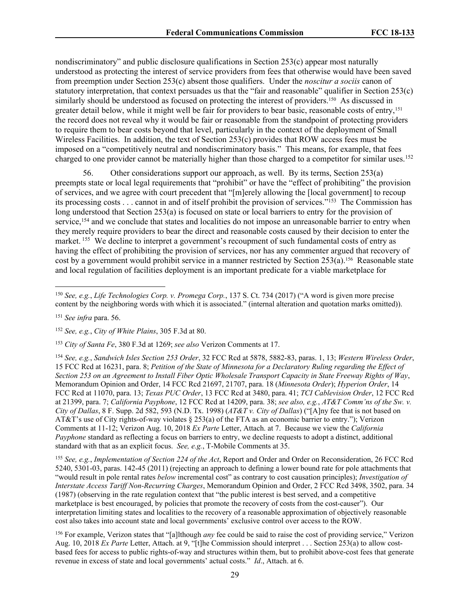nondiscriminatory" and public disclosure qualifications in Section 253(c) appear most naturally understood as protecting the interest of service providers from fees that otherwise would have been saved from preemption under Section 253(c) absent those qualifiers. Under the *noscitur a sociis* canon of statutory interpretation, that context persuades us that the "fair and reasonable" qualifier in Section 253(c) similarly should be understood as focused on protecting the interest of providers.<sup>150</sup> As discussed in greater detail below, while it might well be fair for providers to bear basic, reasonable costs of entry,<sup>151</sup> the record does not reveal why it would be fair or reasonable from the standpoint of protecting providers to require them to bear costs beyond that level, particularly in the context of the deployment of Small Wireless Facilities. In addition, the text of Section 253(c) provides that ROW access fees must be imposed on a "competitively neutral and nondiscriminatory basis." This means, for example, that fees charged to one provider cannot be materially higher than those charged to a competitor for similar uses.<sup>152</sup>

56. Other considerations support our approach, as well. By its terms, Section 253(a) preempts state or local legal requirements that "prohibit" or have the "effect of prohibiting" the provision of services, and we agree with court precedent that "[m]erely allowing the [local government] to recoup its processing costs . . . cannot in and of itself prohibit the provision of services."<sup>153</sup> The Commission has long understood that Section 253(a) is focused on state or local barriers to entry for the provision of service,<sup>154</sup> and we conclude that states and localities do not impose an unreasonable barrier to entry when they merely require providers to bear the direct and reasonable costs caused by their decision to enter the market. <sup>155</sup> We decline to interpret a government's recoupment of such fundamental costs of entry as having the effect of prohibiting the provision of services, nor has any commenter argued that recovery of cost by a government would prohibit service in a manner restricted by Section 253(a).<sup>156</sup> Reasonable state and local regulation of facilities deployment is an important predicate for a viable marketplace for

<sup>154</sup> *See, e.g.*, *Sandwich Isles Section 253 Order*, 32 FCC Rcd at 5878, 5882-83, paras. 1, 13; *Western Wireless Order*, 15 FCC Rcd at 16231, para. 8; *Petition of the State of Minnesota for a Declaratory Ruling regarding the Effect of* Section 253 on an Agreement to Install Fiber Optic Wholesale Transport Capacity in State Freeway Rights of Way, Memorandum Opinion and Order, 14 FCC Rcd 21697, 21707, para. 18 (*Minnesota Order*); *Hyperion Order*, 14 FCC Rcd at 11070, para. 13; *Texas PUC Order*, 13 FCC Rcd at 3480, para. 41; *TCI Cablevision Order*, 12 FCC Rcd at 21399, para. 7; *California Payphone*, 12 FCC Rcd at 14209, para. 38; *see also, e.g.*, *AT&T Comm'ns of the Sw. v. City of Dallas*, 8 F. Supp. 2d 582, 593 (N.D. Tx. 1998) (*AT&T v. City of Dallas*) ("[A]ny fee that is not based on AT&T's use of City rights-of-way violates § 253(a) of the FTA as an economic barrier to entry."); Verizon Comments at 11-12; Verizon Aug. 10, 2018 *Ex Parte* Letter, Attach. at 7. Because we view the *California Payphone* standard as reflecting a focus on barriers to entry, we decline requests to adopt a distinct, additional standard with that as an explicit focus. *See, e.g.*, T-Mobile Comments at 35.

<sup>155</sup> *See, e.g.*, *Implementation of Section 224 of the Act*, Report and Order and Order on Reconsideration, 26 FCC Rcd 5240, 5301-03, paras. 142-45 (2011) (rejecting an approach to defining a lower bound rate for pole attachments that "would result in pole rental rates *below* incremental cost" as contrary to cost causation principles); *Investigation of Interstate Access Tariff Non-Recurring Charges*, Memorandum Opinion and Order, 2 FCC Rcd 3498, 3502, para. 34 (1987) (observing in the rate regulation context that "the public interest is best served, and a competitive marketplace is best encouraged, by policies that promote the recovery of costs from the cost-causer"). Our interpretation limiting states and localities to the recovery of a reasonable approximation of objectively reasonable cost also takes into account state and local governments' exclusive control over access to the ROW.

<sup>156</sup> For example, Verizon states that "[a]lthough *any* fee could be said to raise the cost of providing service," Verizon Aug. 10, 2018 *Ex Parte* Letter, Attach. at 9, "[t]he Commission should interpret . . . Section 253(a) to allow costbased fees for access to public rights-of-way and structures within them, but to prohibit above-cost fees that generate revenue in excess of state and local governments' actual costs." *Id*., Attach. at 6.

<sup>150</sup> *See, e.g.*, *Life Technologies Corp. v. Promega Corp.*, 137 S. Ct. 734 (2017) ("A word is given more precise content by the neighboring words with which it is associated." (internal alteration and quotation marks omitted)).

<sup>151</sup> *See infra* para. 56.

<sup>152</sup> *See, e.g.*, *City of White Plains*, 305 F.3d at 80.

<sup>153</sup> *City of Santa Fe*, 380 F.3d at 1269; *see also* Verizon Comments at 17.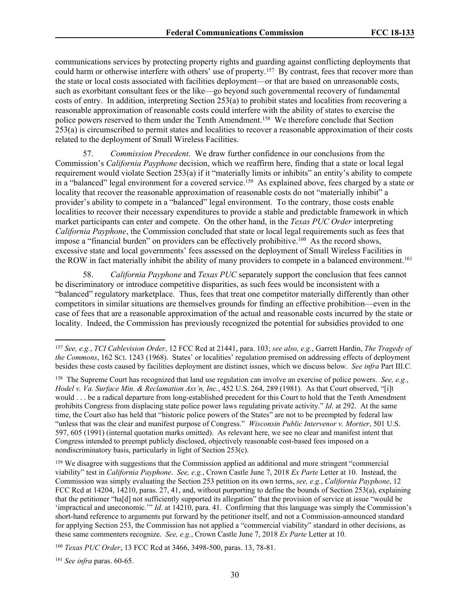communications services by protecting property rights and guarding against conflicting deployments that could harm or otherwise interfere with others' use of property.<sup>157</sup> By contrast, fees that recover more than the state or local costs associated with facilities deployment—or that are based on unreasonable costs, such as exorbitant consultant fees or the like—go beyond such governmental recovery of fundamental costs of entry. In addition, interpreting Section 253(a) to prohibit states and localities from recovering a reasonable approximation of reasonable costs could interfere with the ability of states to exercise the police powers reserved to them under the Tenth Amendment.<sup>158</sup> We therefore conclude that Section 253(a) is circumscribed to permit states and localities to recover a reasonable approximation of their costs related to the deployment of Small Wireless Facilities.

57. *Commission Precedent*. We draw further confidence in our conclusions from the Commission's *California Payphone* decision, which we reaffirm here, finding that a state or local legal requirement would violate Section 253(a) if it "materially limits or inhibits" an entity's ability to compete in a "balanced" legal environment for a covered service.<sup>159</sup> As explained above, fees charged by a state or locality that recover the reasonable approximation of reasonable costs do not "materially inhibit" a provider's ability to compete in a "balanced" legal environment. To the contrary, those costs enable localities to recover their necessary expenditures to provide a stable and predictable framework in which market participants can enter and compete. On the other hand, in the *Texas PUC Order* interpreting *California Payphone*, the Commission concluded that state or local legal requirements such as fees that impose a "financial burden" on providers can be effectively prohibitive.<sup>160</sup> As the record shows, excessive state and local governments' fees assessed on the deployment of Small Wireless Facilities in the ROW in fact materially inhibit the ability of many providers to compete in a balanced environment.<sup>161</sup>

58. *California Payphone* and *Texas PUC* separately support the conclusion that fees cannot be discriminatory or introduce competitive disparities, as such fees would be inconsistent with a "balanced" regulatory marketplace. Thus, fees that treat one competitor materially differently than other competitors in similar situations are themselves grounds for finding an effective prohibition—even in the case of fees that are a reasonable approximation of the actual and reasonable costs incurred by the state or locality. Indeed, the Commission has previously recognized the potential for subsidies provided to one

<sup>157</sup> *See, e.g.*, *TCI Cablevision Order*, 12 FCC Rcd at 21441, para. 103; *see also, e.g.*, Garrett Hardin, *The Tragedy of the Commons*, 162 SCI. 1243 (1968). States' or localities' regulation premised on addressing effects of deployment besides these costs caused by facilities deployment are distinct issues, which we discuss below. *See infra* Part III.C*.*

<sup>158</sup> The Supreme Court has recognized that land use regulation can involve an exercise of police powers. *See, e.g.*, *Hodel v. Va. Surface Min. & Reclamation Ass'n, Inc.*, 452 U.S. 264, 289 (1981). As that Court observed, "[i]t would . . . be a radical departure from long-established precedent for this Court to hold that the Tenth Amendment prohibits Congress from displacing state police power laws regulating private activity." *Id*. at 292. At the same time, the Court also has held that "historic police powers of the States" are not to be preempted by federal law "unless that was the clear and manifest purpose of Congress." *Wisconsin Public Intervenor v. Mortier*, 501 U.S. 597, 605 (1991) (internal quotation marks omitted). As relevant here, we see no clear and manifest intent that Congress intended to preempt publicly disclosed, objectively reasonable cost-based fees imposed on a nondiscriminatory basis, particularly in light of Section 253(c).

<sup>159</sup> We disagree with suggestions that the Commission applied an additional and more stringent "commercial viability" test in *California Payphone*. *See, e.g.*, Crown Castle June 7, 2018 *Ex Parte* Letter at 10. Instead, the Commission was simply evaluating the Section 253 petition on its own terms, *see, e.g.*, *California Payphone*, 12 FCC Rcd at 14204, 14210, paras. 27, 41, and, without purporting to define the bounds of Section 253(a), explaining that the petitioner "ha[d] not sufficiently supported its allegation" that the provision of service at issue "would be 'impractical and uneconomic.'" *Id*. at 14210, para. 41. Confirming that this language was simply the Commission's short-hand reference to arguments put forward by the petitioner itself, and not a Commission-announced standard for applying Section 253, the Commission has not applied a "commercial viability" standard in other decisions, as these same commenters recognize. *See, e.g.*, Crown Castle June 7, 2018 *Ex Parte* Letter at 10.

<sup>160</sup> *Texas PUC Order*, 13 FCC Rcd at 3466, 3498-500, paras. 13, 78-81.

<sup>161</sup> *See infra* paras. 60-65.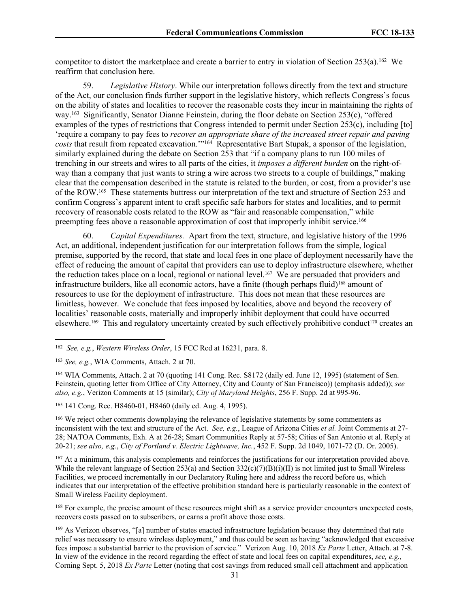competitor to distort the marketplace and create a barrier to entry in violation of Section 253(a).<sup>162</sup> We reaffirm that conclusion here.

59. *Legislative History*. While our interpretation follows directly from the text and structure of the Act, our conclusion finds further support in the legislative history, which reflects Congress's focus on the ability of states and localities to recover the reasonable costs they incur in maintaining the rights of way.<sup>163</sup> Significantly, Senator Dianne Feinstein, during the floor debate on Section 253(c), "offered examples of the types of restrictions that Congress intended to permit under Section 253(c), including [to] 'require a company to pay fees to *recover an appropriate share of the increased street repair and paving costs* that result from repeated excavation.'"<sup>164</sup> Representative Bart Stupak, a sponsor of the legislation, similarly explained during the debate on Section 253 that "if a company plans to run 100 miles of trenching in our streets and wires to all parts of the cities, it *imposes a different burden* on the right-ofway than a company that just wants to string a wire across two streets to a couple of buildings," making clear that the compensation described in the statute is related to the burden, or cost, from a provider's use of the ROW.<sup>165</sup> These statements buttress our interpretation of the text and structure of Section 253 and confirm Congress's apparent intent to craft specific safe harbors for states and localities, and to permit recovery of reasonable costs related to the ROW as "fair and reasonable compensation," while preempting fees above a reasonable approximation of cost that improperly inhibit service.<sup>166</sup>

60. *Capital Expenditures.* Apart from the text, structure, and legislative history of the 1996 Act, an additional, independent justification for our interpretation follows from the simple, logical premise, supported by the record, that state and local fees in one place of deployment necessarily have the effect of reducing the amount of capital that providers can use to deploy infrastructure elsewhere, whether the reduction takes place on a local, regional or national level.<sup>167</sup> We are persuaded that providers and infrastructure builders, like all economic actors, have a finite (though perhaps fluid)<sup>168</sup> amount of resources to use for the deployment of infrastructure. This does not mean that these resources are limitless, however. We conclude that fees imposed by localities, above and beyond the recovery of localities' reasonable costs, materially and improperly inhibit deployment that could have occurred elsewhere.<sup>169</sup> This and regulatory uncertainty created by such effectively prohibitive conduct<sup>170</sup> creates an

<sup>164</sup> WIA Comments, Attach. 2 at 70 (quoting 141 Cong. Rec. S8172 (daily ed. June 12, 1995) (statement of Sen. Feinstein, quoting letter from Office of City Attorney, City and County of San Francisco)) (emphasis added)); *see also, e.g.*, Verizon Comments at 15 (similar); *City of Maryland Heights*, 256 F. Supp. 2d at 995-96.

<sup>165</sup> 141 Cong. Rec. H8460-01, H8460 (daily ed. Aug. 4, 1995).

<sup>166</sup> We reject other comments downplaying the relevance of legislative statements by some commenters as inconsistent with the text and structure of the Act. *See, e.g.*, League of Arizona Cities *et al.* Joint Comments at 27- 28; NATOA Comments, Exh. A at 26-28; Smart Communities Reply at 57-58; Cities of San Antonio et al. Reply at 20-21; *see also, e.g.*, *City of Portland v. Electric Lightwave, Inc.*, 452 F. Supp. 2d 1049, 1071-72 (D. Or. 2005).

<sup>167</sup> At a minimum, this analysis complements and reinforces the justifications for our interpretation provided above. While the relevant language of Section 253(a) and Section 332(c)(7)(B)(i)(II) is not limited just to Small Wireless Facilities, we proceed incrementally in our Declaratory Ruling here and address the record before us, which indicates that our interpretation of the effective prohibition standard here is particularly reasonable in the context of Small Wireless Facility deployment.

<sup>168</sup> For example, the precise amount of these resources might shift as a service provider encounters unexpected costs, recovers costs passed on to subscribers, or earns a profit above those costs.

<sup>169</sup> As Verizon observes, "[a] number of states enacted infrastructure legislation because they determined that rate relief was necessary to ensure wireless deployment," and thus could be seen as having "acknowledged that excessive fees impose a substantial barrier to the provision of service." Verizon Aug. 10, 2018 *Ex Parte* Letter, Attach. at 7-8. In view of the evidence in the record regarding the effect of state and local fees on capital expenditures, *see, e.g.,* Corning Sept. 5, 2018 *Ex Parte* Letter (noting that cost savings from reduced small cell attachment and application

<sup>162</sup> *See, e.g.*, *Western Wireless Order*, 15 FCC Rcd at 16231, para. 8.

<sup>163</sup> *See, e.g.*, WIA Comments, Attach. 2 at 70.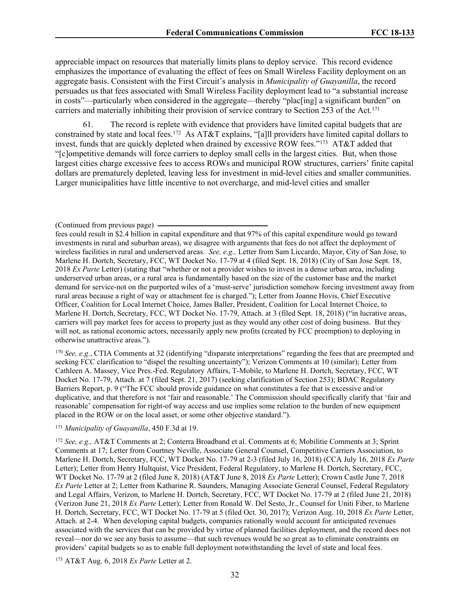appreciable impact on resources that materially limits plans to deploy service. This record evidence emphasizes the importance of evaluating the effect of fees on Small Wireless Facility deployment on an aggregate basis. Consistent with the First Circuit's analysis in *Municipality of Guayanilla*, the record persuades us that fees associated with Small Wireless Facility deployment lead to "a substantial increase in costs"—particularly when considered in the aggregate—thereby "plac[ing] a significant burden" on carriers and materially inhibiting their provision of service contrary to Section 253 of the Act.<sup>171</sup>

61. The record is replete with evidence that providers have limited capital budgets that are constrained by state and local fees.<sup>172</sup> As AT&T explains, "[a]ll providers have limited capital dollars to invest, funds that are quickly depleted when drained by excessive ROW fees."<sup>173</sup> AT&T added that "[c]ompetitive demands will force carriers to deploy small cells in the largest cities. But, when those largest cities charge excessive fees to access ROWs and municipal ROW structures, carriers' finite capital dollars are prematurely depleted, leaving less for investment in mid-level cities and smaller communities. Larger municipalities have little incentive to not overcharge, and mid-level cities and smaller

<sup>170</sup> *See, e.g.*, CTIA Comments at 32 (identifying "disparate interpretations" regarding the fees that are preempted and seeking FCC clarification to "dispel the resulting uncertainty"); Verizon Comments at 10 (similar); Letter from Cathleen A. Massey, Vice Pres.-Fed. Regulatory Affairs, T-Mobile, to Marlene H. Dortch, Secretary, FCC, WT Docket No. 17-79, Attach. at 7 (filed Sept. 21, 2017) (seeking clarification of Section 253); BDAC Regulatory Barriers Report, p. 9 ("The FCC should provide guidance on what constitutes a fee that is excessive and/or duplicative, and that therefore is not 'fair and reasonable.' The Commission should specifically clarify that 'fair and reasonable' compensation for right-of way access and use implies some relation to the burden of new equipment placed in the ROW or on the local asset, or some other objective standard.").

#### <sup>171</sup> *Municipality of Guayanilla*, 450 F.3d at 19.

<sup>173</sup> AT&T Aug. 6, 2018 *Ex Parte* Letter at 2.

<sup>(</sup>Continued from previous page)

fees could result in \$2.4 billion in capital expenditure and that 97% of this capital expenditure would go toward investments in rural and suburban areas), we disagree with arguments that fees do not affect the deployment of wireless facilities in rural and underserved areas. *See, e.g.,* Letter from Sam Liccardo, Mayor, City of San Jose, to Marlene H. Dortch, Secretary, FCC, WT Docket No. 17-79 at 4 (filed Sept. 18, 2018) (City of San Jose Sept. 18, 2018 *Ex Parte* Letter) (stating that "whether or not a provider wishes to invest in a dense urban area, including underserved urban areas, or a rural area is fundamentally based on the size of the customer base and the market demand for service-not on the purported wiles of a 'must-serve' jurisdiction somehow forcing investment away from rural areas because a right of way or attachment fee is charged."); Letter from Joanne Hovis, Chief Executive Officer, Coalition for Local Internet Choice, James Baller, President, Coalition for Local Internet Choice, to Marlene H. Dortch, Secretary, FCC, WT Docket No. 17-79, Attach. at 3 (filed Sept. 18, 2018) ("in lucrative areas, carriers will pay market fees for access to property just as they would any other cost of doing business. But they will not, as rational economic actors, necessarily apply new profits (created by FCC preemption) to deploying in otherwise unattractive areas.").

<sup>172</sup> *See, e.g.,* AT&T Comments at 2; Conterra Broadband et al. Comments at 6; Mobilitie Comments at 3; Sprint Comments at 17; Letter from Courtney Neville, Associate General Counsel, Competitive Carriers Association, to Marlene H. Dortch, Secretary, FCC, WT Docket No. 17-79 at 2-3 (filed July 16, 2018) (CCA July 16, 2018 *Ex Parte* Letter); Letter from Henry Hultquist, Vice President, Federal Regulatory, to Marlene H. Dortch, Secretary, FCC, WT Docket No. 17-79 at 2 (filed June 8, 2018) (AT&T June 8, 2018 *Ex Parte* Letter); Crown Castle June 7, 2018 *Ex Parte* Letter at 2; Letter from Katharine R. Saunders, Managing Associate General Counsel, Federal Regulatory and Legal Affairs, Verizon, to Marlene H. Dortch, Secretary, FCC, WT Docket No. 17-79 at 2 (filed June 21, 2018) (Verizon June 21, 2018 *Ex Parte* Letter); Letter from Ronald W. Del Sesto, Jr., Counsel for Uniti Fiber, to Marlene H. Dortch, Secretary, FCC, WT Docket No. 17-79 at 5 (filed Oct. 30, 2017); Verizon Aug. 10, 2018 *Ex Parte* Letter, Attach. at 2-4. When developing capital budgets, companies rationally would account for anticipated revenues associated with the services that can be provided by virtue of planned facilities deployment, and the record does not reveal—nor do we see any basis to assume—that such revenues would be so great as to eliminate constraints on providers' capital budgets so as to enable full deployment notwithstanding the level of state and local fees.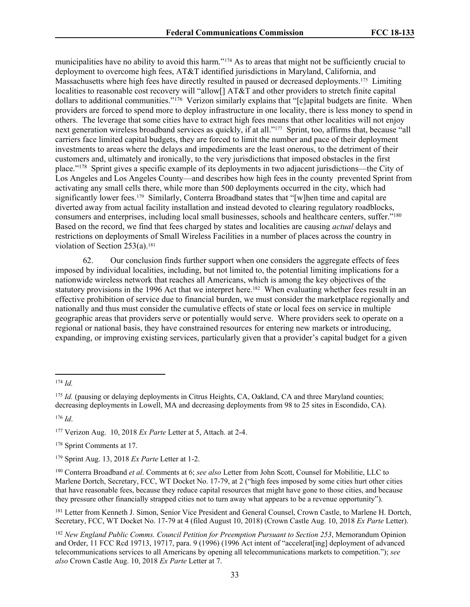municipalities have no ability to avoid this harm."<sup>174</sup> As to areas that might not be sufficiently crucial to deployment to overcome high fees, AT&T identified jurisdictions in Maryland, California, and Massachusetts where high fees have directly resulted in paused or decreased deployments.<sup>175</sup> Limiting localities to reasonable cost recovery will "allow[] AT&T and other providers to stretch finite capital dollars to additional communities."<sup>176</sup> Verizon similarly explains that "[c]apital budgets are finite. When providers are forced to spend more to deploy infrastructure in one locality, there is less money to spend in others. The leverage that some cities have to extract high fees means that other localities will not enjoy next generation wireless broadband services as quickly, if at all."<sup>177</sup> Sprint, too, affirms that, because "all carriers face limited capital budgets, they are forced to limit the number and pace of their deployment investments to areas where the delays and impediments are the least onerous, to the detriment of their customers and, ultimately and ironically, to the very jurisdictions that imposed obstacles in the first place."<sup>178</sup> Sprint gives a specific example of its deployments in two adjacent jurisdictions—the City of Los Angeles and Los Angeles County—and describes how high fees in the county prevented Sprint from activating any small cells there, while more than 500 deployments occurred in the city, which had significantly lower fees.<sup>179</sup> Similarly, Conterra Broadband states that "[w]hen time and capital are diverted away from actual facility installation and instead devoted to clearing regulatory roadblocks, consumers and enterprises, including local small businesses, schools and healthcare centers, suffer."<sup>180</sup> Based on the record, we find that fees charged by states and localities are causing *actual* delays and restrictions on deployments of Small Wireless Facilities in a number of places across the country in violation of Section  $253(a)$ .<sup>181</sup>

62. Our conclusion finds further support when one considers the aggregate effects of fees imposed by individual localities, including, but not limited to, the potential limiting implications for a nationwide wireless network that reaches all Americans, which is among the key objectives of the statutory provisions in the 1996 Act that we interpret here.<sup>182</sup> When evaluating whether fees result in an effective prohibition of service due to financial burden, we must consider the marketplace regionally and nationally and thus must consider the cumulative effects of state or local fees on service in multiple geographic areas that providers serve or potentially would serve. Where providers seek to operate on a regional or national basis, they have constrained resources for entering new markets or introducing, expanding, or improving existing services, particularly given that a provider's capital budget for a given

<sup>174</sup> *Id.*

<sup>&</sup>lt;sup>175</sup> *Id.* (pausing or delaying deployments in Citrus Heights, CA, Oakland, CA and three Maryland counties; decreasing deployments in Lowell, MA and decreasing deployments from 98 to 25 sites in Escondido, CA).

<sup>176</sup> *Id*.

<sup>177</sup> Verizon Aug. 10, 2018 *Ex Parte* Letter at 5, Attach. at 2-4.

<sup>178</sup> Sprint Comments at 17.

<sup>179</sup> Sprint Aug. 13, 2018 *Ex Parte* Letter at 1-2.

<sup>180</sup> Conterra Broadband *et al*. Comments at 6; *see also* Letter from John Scott, Counsel for Mobilitie, LLC to Marlene Dortch, Secretary, FCC, WT Docket No. 17-79, at 2 ("high fees imposed by some cities hurt other cities that have reasonable fees, because they reduce capital resources that might have gone to those cities, and because they pressure other financially strapped cities not to turn away what appears to be a revenue opportunity").

<sup>181</sup> Letter from Kenneth J. Simon, Senior Vice President and General Counsel, Crown Castle, to Marlene H. Dortch, Secretary, FCC, WT Docket No. 17-79 at 4 (filed August 10, 2018) (Crown Castle Aug. 10, 2018 *Ex Parte* Letter).

<sup>182</sup> *New England Public Comms. Council Petition for Preemption Pursuant to Section 253*, Memorandum Opinion and Order, 11 FCC Rcd 19713, 19717, para. 9 (1996) (1996 Act intent of "accelerat[ing] deployment of advanced telecommunications services to all Americans by opening all telecommunications markets to competition."); *see also* Crown Castle Aug. 10, 2018 *Ex Parte* Letter at 7.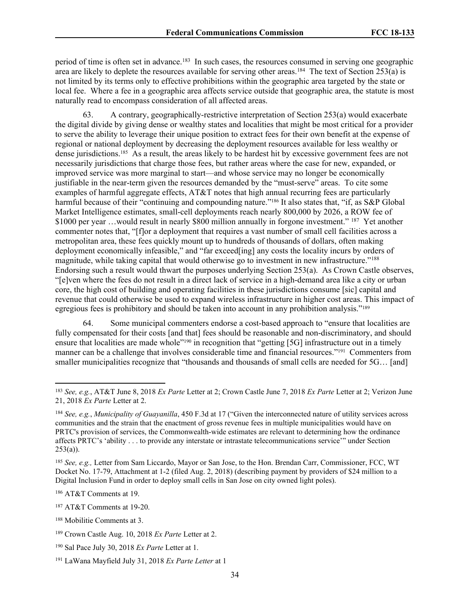period of time is often set in advance.<sup>183</sup> In such cases, the resources consumed in serving one geographic area are likely to deplete the resources available for serving other areas.<sup>184</sup> The text of Section 253(a) is not limited by its terms only to effective prohibitions within the geographic area targeted by the state or local fee. Where a fee in a geographic area affects service outside that geographic area, the statute is most naturally read to encompass consideration of all affected areas.

63. A contrary, geographically-restrictive interpretation of Section 253(a) would exacerbate the digital divide by giving dense or wealthy states and localities that might be most critical for a provider to serve the ability to leverage their unique position to extract fees for their own benefit at the expense of regional or national deployment by decreasing the deployment resources available for less wealthy or dense jurisdictions.<sup>185</sup> As a result, the areas likely to be hardest hit by excessive government fees are not necessarily jurisdictions that charge those fees, but rather areas where the case for new, expanded, or improved service was more marginal to start—and whose service may no longer be economically justifiable in the near-term given the resources demanded by the "must-serve" areas. To cite some examples of harmful aggregate effects, AT&T notes that high annual recurring fees are particularly harmful because of their "continuing and compounding nature."<sup>186</sup> It also states that, "if, as S&P Global Market Intelligence estimates, small-cell deployments reach nearly 800,000 by 2026, a ROW fee of \$1000 per year ... would result in nearly \$800 million annually in forgone investment." <sup>187</sup> Yet another commenter notes that, "[f]or a deployment that requires a vast number of small cell facilities across a metropolitan area, these fees quickly mount up to hundreds of thousands of dollars, often making deployment economically infeasible," and "far exceed[ing] any costs the locality incurs by orders of magnitude, while taking capital that would otherwise go to investment in new infrastructure."<sup>188</sup> Endorsing such a result would thwart the purposes underlying Section 253(a). As Crown Castle observes, "[e]ven where the fees do not result in a direct lack of service in a high-demand area like a city or urban core, the high cost of building and operating facilities in these jurisdictions consume [sic] capital and revenue that could otherwise be used to expand wireless infrastructure in higher cost areas. This impact of egregious fees is prohibitory and should be taken into account in any prohibition analysis."<sup>189</sup>

64. Some municipal commenters endorse a cost-based approach to "ensure that localities are fully compensated for their costs [and that] fees should be reasonable and non-discriminatory, and should ensure that localities are made whole"<sup>190</sup> in recognition that "getting [5G] infrastructure out in a timely manner can be a challenge that involves considerable time and financial resources."<sup>191</sup> Commenters from smaller municipalities recognize that "thousands and thousands of small cells are needed for 5G… [and]

<sup>186</sup> AT&T Comments at 19.

<sup>183</sup> *See, e.g.*, AT&T June 8, 2018 *Ex Parte* Letter at 2; Crown Castle June 7, 2018 *Ex Parte* Letter at 2; Verizon June 21, 2018 *Ex Parte* Letter at 2.

<sup>184</sup> *See, e.g.*, *Municipality of Guayanilla*, 450 F.3d at 17 ("Given the interconnected nature of utility services across communities and the strain that the enactment of gross revenue fees in multiple municipalities would have on PRTC's provision of services, the Commonwealth-wide estimates are relevant to determining how the ordinance affects PRTC's 'ability . . . to provide any interstate or intrastate telecommunications service'" under Section  $253(a)$ ).

<sup>185</sup> *See, e.g.,* Letter from Sam Liccardo, Mayor or San Jose, to the Hon. Brendan Carr, Commissioner, FCC, WT Docket No. 17-79, Attachment at 1-2 (filed Aug. 2, 2018) (describing payment by providers of \$24 million to a Digital Inclusion Fund in order to deploy small cells in San Jose on city owned light poles).

<sup>187</sup> AT&T Comments at 19-20.

<sup>188</sup> Mobilitie Comments at 3.

<sup>189</sup> Crown Castle Aug. 10, 2018 *Ex Parte* Letter at 2.

<sup>190</sup> Sal Pace July 30, 2018 *Ex Parte* Letter at 1.

<sup>191</sup> LaWana Mayfield July 31, 2018 *Ex Parte Letter* at 1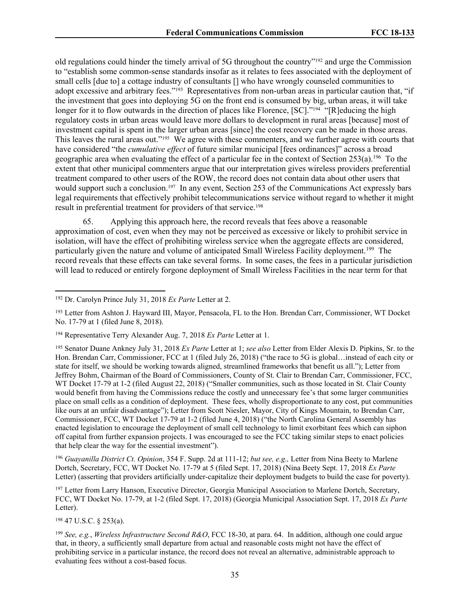old regulations could hinder the timely arrival of 5G throughout the country"<sup>192</sup> and urge the Commission to "establish some common-sense standards insofar as it relates to fees associated with the deployment of small cells [due to] a cottage industry of consultants [] who have wrongly counseled communities to adopt excessive and arbitrary fees."<sup>193</sup> Representatives from non-urban areas in particular caution that, "if the investment that goes into deploying 5G on the front end is consumed by big, urban areas, it will take longer for it to flow outwards in the direction of places like Florence, [SC]."<sup>194</sup> "[R]educing the high regulatory costs in urban areas would leave more dollars to development in rural areas [because] most of investment capital is spent in the larger urban areas [since] the cost recovery can be made in those areas. This leaves the rural areas out."<sup>195</sup> We agree with these commenters, and we further agree with courts that have considered "the *cumulative effect* of future similar municipal [fees ordinances]" across a broad geographic area when evaluating the effect of a particular fee in the context of Section 253(a).<sup>196</sup> To the extent that other municipal commenters argue that our interpretation gives wireless providers preferential treatment compared to other users of the ROW, the record does not contain data about other users that would support such a conclusion.<sup>197</sup> In any event, Section 253 of the Communications Act expressly bars legal requirements that effectively prohibit telecommunications service without regard to whether it might result in preferential treatment for providers of that service.<sup>198</sup>

65. Applying this approach here, the record reveals that fees above a reasonable approximation of cost, even when they may not be perceived as excessive or likely to prohibit service in isolation, will have the effect of prohibiting wireless service when the aggregate effects are considered, particularly given the nature and volume of anticipated Small Wireless Facility deployment.<sup>199</sup> The record reveals that these effects can take several forms. In some cases, the fees in a particular jurisdiction will lead to reduced or entirely forgone deployment of Small Wireless Facilities in the near term for that

<sup>195</sup> Senator Duane Ankney July 31, 2018 *Ex Parte* Letter at 1; *see also* Letter from Elder Alexis D. Pipkins, Sr. to the Hon. Brendan Carr, Commissioner, FCC at 1 (filed July 26, 2018) ("the race to 5G is global... instead of each city or state for itself, we should be working towards aligned, streamlined frameworks that benefit us all."); Letter from Jeffrey Bohm, Chairman of the Board of Commissioners, County of St. Clair to Brendan Carr, Commissioner, FCC, WT Docket 17-79 at 1-2 (filed August 22, 2018) ("Smaller communities, such as those located in St. Clair County would benefit from having the Commissions reduce the costly and unnecessary fee's that some larger communities place on small cells as a condition of deployment. These fees, wholly disproportionate to any cost, put communities like ours at an unfair disadvantage"); Letter from Scott Niesler, Mayor, City of Kings Mountain, to Brendan Carr, Commissioner, FCC, WT Docket 17-79 at 1-2 (filed June 4, 2018) ("the North Carolina General Assembly has enacted legislation to encourage the deployment of small cell technology to limit exorbitant fees which can siphon off capital from further expansion projects. I was encouraged to see the FCC taking similar steps to enact policies that help clear the way for the essential investment").

<sup>196</sup> *Guayanilla District Ct. Opinion*, 354 F. Supp. 2d at 111-12; *but see, e.g.,* Letter from Nina Beety to Marlene Dortch, Secretary, FCC, WT Docket No. 17-79 at 5 (filed Sept. 17, 2018) (Nina Beety Sept. 17, 2018 *Ex Parte* Letter) (asserting that providers artificially under-capitalize their deployment budgets to build the case for poverty).

<sup>197</sup> Letter from Larry Hanson, Executive Director, Georgia Municipal Association to Marlene Dortch, Secretary, FCC, WT Docket No. 17-79, at 1-2 (filed Sept. 17, 2018) (Georgia Municipal Association Sept. 17, 2018 *Ex Parte* Letter).

<sup>198</sup> 47 U.S.C. § 253(a).

<sup>199</sup> *See, e.g.*, *Wireless Infrastructure Second R&O*, FCC 18-30, at para. 64. In addition, although one could argue that, in theory, a sufficiently small departure from actual and reasonable costs might not have the effect of prohibiting service in a particular instance, the record does not reveal an alternative, administrable approach to evaluating fees without a cost-based focus.

<sup>192</sup> Dr. Carolyn Prince July 31, 2018 *Ex Parte* Letter at 2.

<sup>193</sup> Letter from Ashton J. Hayward III, Mayor, Pensacola, FL to the Hon. Brendan Carr, Commissioner, WT Docket No. 17-79 at 1 (filed June 8, 2018).

<sup>194</sup> Representative Terry Alexander Aug. 7, 2018 *Ex Parte* Letter at 1.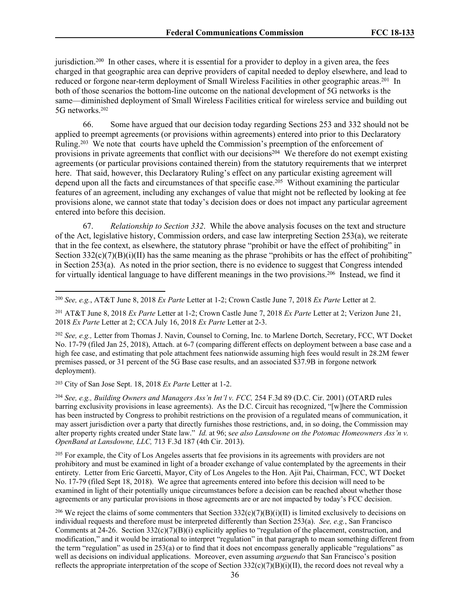jurisdiction.<sup>200</sup> In other cases, where it is essential for a provider to deploy in a given area, the fees charged in that geographic area can deprive providers of capital needed to deploy elsewhere, and lead to reduced or forgone near-term deployment of Small Wireless Facilities in other geographic areas.<sup>201</sup> In both of those scenarios the bottom-line outcome on the national development of 5G networks is the same—diminished deployment of Small Wireless Facilities critical for wireless service and building out 5G networks.<sup>202</sup>

66. Some have argued that our decision today regarding Sections 253 and 332 should not be applied to preempt agreements (or provisions within agreements) entered into prior to this Declaratory Ruling.<sup>203</sup> We note that courts have upheld the Commission's preemption of the enforcement of provisions in private agreements that conflict with our decisions<sup>204</sup> We therefore do not exempt existing agreements (or particular provisions contained therein) from the statutory requirements that we interpret here. That said, however, this Declaratory Ruling's effect on any particular existing agreement will depend upon all the facts and circumstances of that specific case.<sup>205</sup> Without examining the particular features of an agreement, including any exchanges of value that might not be reflected by looking at fee provisions alone, we cannot state that today's decision does or does not impact any particular agreement entered into before this decision.

67. *Relationship to Section 332*. While the above analysis focuses on the text and structure of the Act, legislative history, Commission orders, and case law interpreting Section 253(a), we reiterate that in the fee context, as elsewhere, the statutory phrase "prohibit or have the effect of prohibiting" in Section  $332(c)(7)(B)(i)(II)$  has the same meaning as the phrase "prohibits or has the effect of prohibiting" in Section  $253(a)$ . As noted in the prior section, there is no evidence to suggest that Congress intended for virtually identical language to have different meanings in the two provisions.<sup>206</sup> Instead, we find it

<sup>201</sup> AT&T June 8, 2018 *Ex Parte* Letter at 1-2; Crown Castle June 7, 2018 *Ex Parte* Letter at 2; Verizon June 21, 2018 *Ex Parte* Letter at 2; CCA July 16, 2018 *Ex Parte* Letter at 2-3.

<sup>202</sup> *See, e.g.,* Letter from Thomas J. Navin, Counsel to Corning, Inc. to Marlene Dortch, Secretary, FCC, WT Docket No. 17-79 (filed Jan 25, 2018), Attach. at 6-7 (comparing different effects on deployment between a base case and a high fee case, and estimating that pole attachment fees nationwide assuming high fees would result in 28.2M fewer premises passed, or 31 percent of the 5G Base case results, and an associated \$37.9B in forgone network deployment).

<sup>203</sup> City of San Jose Sept. 18, 2018 *Ex Parte* Letter at 1-2.

<sup>204</sup> *See, e.g., Building Owners and Managers Ass'n Int'l v. FCC,* 254 F.3d 89 (D.C. Cir. 2001) (OTARD rules barring exclusivity provisions in lease agreements). As the D.C. Circuit has recognized, "[w]here the Commission has been instructed by Congress to prohibit restrictions on the provision of a regulated means of communication, it may assert jurisdiction over a party that directly furnishes those restrictions, and, in so doing, the Commission may alter property rights created under State law." *Id.* at 96; s*ee also Lansdowne on the Potomac Homeowners Ass'n v. OpenBand at Lansdowne, LLC,* 713 F.3d 187 (4th Cir. 2013).

<sup>205</sup> For example, the City of Los Angeles asserts that fee provisions in its agreements with providers are not prohibitory and must be examined in light of a broader exchange of value contemplated by the agreements in their entirety. Letter from Eric Garcetti, Mayor, City of Los Angeles to the Hon. Ajit Pai, Chairman, FCC, WT Docket No. 17-79 (filed Sept 18, 2018). We agree that agreements entered into before this decision will need to be examined in light of their potentially unique circumstances before a decision can be reached about whether those agreements or any particular provisions in those agreements are or are not impacted by today's FCC decision.

<sup>206</sup> We reject the claims of some commenters that Section  $332(c)(7)(B)(i)(II)$  is limited exclusively to decisions on individual requests and therefore must be interpreted differently than Section 253(a). *See, e.g.*, San Francisco Comments at 24-26. Section  $332(c)(7)(B)(i)$  explicitly applies to "regulation of the placement, construction, and modification," and it would be irrational to interpret "regulation" in that paragraph to mean something different from the term "regulation" as used in 253(a) or to find that it does not encompass generally applicable "regulations" as well as decisions on individual applications. Moreover, even assuming *arguendo* that San Francisco's position reflects the appropriate interpretation of the scope of Section  $332(c)(7)(B)(i)(II)$ , the record does not reveal why a

<sup>200</sup> *See, e.g.*, AT&T June 8, 2018 *Ex Parte* Letter at 1-2; Crown Castle June 7, 2018 *Ex Parte* Letter at 2.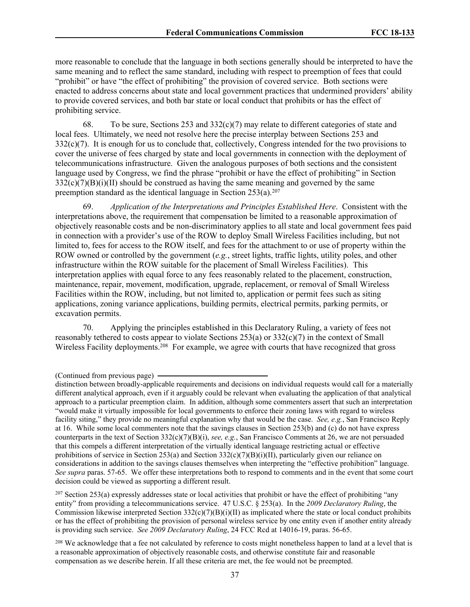more reasonable to conclude that the language in both sections generally should be interpreted to have the same meaning and to reflect the same standard, including with respect to preemption of fees that could "prohibit" or have "the effect of prohibiting" the provision of covered service. Both sections were enacted to address concerns about state and local government practices that undermined providers' ability to provide covered services, and both bar state or local conduct that prohibits or has the effect of prohibiting service.

68. To be sure, Sections 253 and  $332(c)(7)$  may relate to different categories of state and local fees. Ultimately, we need not resolve here the precise interplay between Sections 253 and 332(c)(7). It is enough for us to conclude that, collectively, Congress intended for the two provisions to cover the universe of fees charged by state and local governments in connection with the deployment of telecommunications infrastructure. Given the analogous purposes of both sections and the consistent language used by Congress, we find the phrase "prohibit or have the effect of prohibiting" in Section  $332(c)(7)(B)(i)(II)$  should be construed as having the same meaning and governed by the same preemption standard as the identical language in Section  $253(a).^{207}$ 

69. *Application of the Interpretations and Principles Established Here*. Consistent with the interpretations above, the requirement that compensation be limited to a reasonable approximation of objectively reasonable costs and be non-discriminatory applies to all state and local government fees paid in connection with a provider's use of the ROW to deploy Small Wireless Facilities including, but not limited to, fees for access to the ROW itself, and fees for the attachment to or use of property within the ROW owned or controlled by the government (*e.g.*, street lights, traffic lights, utility poles, and other infrastructure within the ROW suitable for the placement of Small Wireless Facilities). This interpretation applies with equal force to any fees reasonably related to the placement, construction, maintenance, repair, movement, modification, upgrade, replacement, or removal of Small Wireless Facilities within the ROW, including, but not limited to, application or permit fees such as siting applications, zoning variance applications, building permits, electrical permits, parking permits, or excavation permits.

70. Applying the principles established in this Declaratory Ruling, a variety of fees not reasonably tethered to costs appear to violate Sections 253(a) or 332(c)(7) in the context of Small Wireless Facility deployments.<sup>208</sup> For example, we agree with courts that have recognized that gross

 $^{207}$  Section 253(a) expressly addresses state or local activities that prohibit or have the effect of prohibiting "any entity" from providing a telecommunications service. 47 U.S.C. § 253(a). In the *2009 Declaratory Ruling*, the Commission likewise interpreted Section  $332(c)(7)(B)(i)(II)$  as implicated where the state or local conduct prohibits or has the effect of prohibiting the provision of personal wireless service by one entity even if another entity already is providing such service. *See 2009 Declaratory Ruling*, 24 FCC Rcd at 14016-19, paras. 56-65.

<sup>(</sup>Continued from previous page)

distinction between broadly-applicable requirements and decisions on individual requests would call for a materially different analytical approach, even if it arguably could be relevant when evaluating the application of that analytical approach to a particular preemption claim. In addition, although some commenters assert that such an interpretation "would make it virtually impossible for local governments to enforce their zoning laws with regard to wireless facility siting," they provide no meaningful explanation why that would be the case. *See, e.g.*, San Francisco Reply at 16. While some local commenters note that the savings clauses in Section 253(b) and (c) do not have express counterparts in the text of Section 332(c)(7)(B)(i), *see, e.g.*, San Francisco Comments at 26, we are not persuaded that this compels a different interpretation of the virtually identical language restricting actual or effective prohibitions of service in Section 253(a) and Section  $332(c)(7)(B)(i)(II)$ , particularly given our reliance on considerations in addition to the savings clauses themselves when interpreting the "effective prohibition" language. *See supra* paras. 57-65. We offer these interpretations both to respond to comments and in the event that some court decision could be viewed as supporting a different result.

<sup>&</sup>lt;sup>208</sup> We acknowledge that a fee not calculated by reference to costs might nonetheless happen to land at a level that is a reasonable approximation of objectively reasonable costs, and otherwise constitute fair and reasonable compensation as we describe herein. If all these criteria are met, the fee would not be preempted.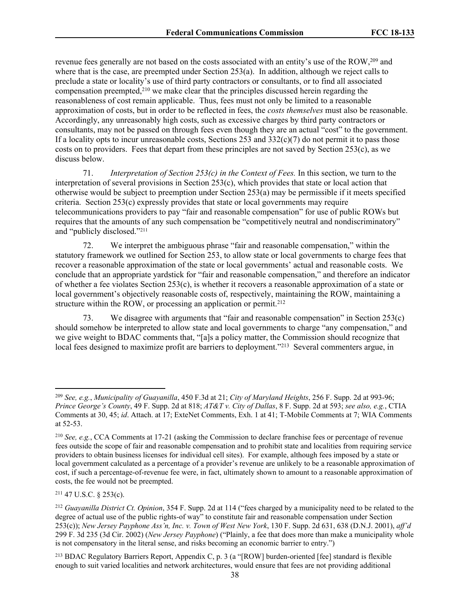revenue fees generally are not based on the costs associated with an entity's use of the ROW,<sup>209</sup> and where that is the case, are preempted under Section 253(a). In addition, although we reject calls to preclude a state or locality's use of third party contractors or consultants, or to find all associated compensation preempted,<sup>210</sup> we make clear that the principles discussed herein regarding the reasonableness of cost remain applicable. Thus, fees must not only be limited to a reasonable approximation of costs, but in order to be reflected in fees, the *costs themselves* must also be reasonable. Accordingly, any unreasonably high costs, such as excessive charges by third party contractors or consultants, may not be passed on through fees even though they are an actual "cost" to the government. If a locality opts to incur unreasonable costs, Sections 253 and  $332(c)(7)$  do not permit it to pass those costs on to providers. Fees that depart from these principles are not saved by Section 253(c), as we discuss below.

71. *Interpretation of Section 253(c) in the Context of Fees.* In this section, we turn to the interpretation of several provisions in Section 253(c), which provides that state or local action that otherwise would be subject to preemption under Section 253(a) may be permissible if it meets specified criteria. Section 253(c) expressly provides that state or local governments may require telecommunications providers to pay "fair and reasonable compensation" for use of public ROWs but requires that the amounts of any such compensation be "competitively neutral and nondiscriminatory" and "publicly disclosed."<sup>211</sup>

72. We interpret the ambiguous phrase "fair and reasonable compensation," within the statutory framework we outlined for Section 253, to allow state or local governments to charge fees that recover a reasonable approximation of the state or local governments' actual and reasonable costs. We conclude that an appropriate yardstick for "fair and reasonable compensation," and therefore an indicator of whether a fee violates Section 253(c), is whether it recovers a reasonable approximation of a state or local government's objectively reasonable costs of, respectively, maintaining the ROW, maintaining a structure within the ROW, or processing an application or permit.<sup>212</sup>

73. We disagree with arguments that "fair and reasonable compensation" in Section 253(c) should somehow be interpreted to allow state and local governments to charge "any compensation," and we give weight to BDAC comments that, "[a]s a policy matter, the Commission should recognize that local fees designed to maximize profit are barriers to deployment."<sup>213</sup> Several commenters argue, in

<sup>209</sup> *See, e.g.*, *Municipality of Guayanilla*, 450 F.3d at 21; *City of Maryland Heights*, 256 F. Supp. 2d at 993-96; *Prince George's County*, 49 F. Supp. 2d at 818; *AT&T v. City of Dallas*, 8 F. Supp. 2d at 593; *see also, e.g.*, CTIA Comments at 30, 45; *id*. Attach. at 17; ExteNet Comments, Exh. 1 at 41; T-Mobile Comments at 7; WIA Comments at 52-53.

<sup>210</sup> *See, e.g.*, CCA Comments at 17-21 (asking the Commission to declare franchise fees or percentage of revenue fees outside the scope of fair and reasonable compensation and to prohibit state and localities from requiring service providers to obtain business licenses for individual cell sites). For example, although fees imposed by a state or local government calculated as a percentage of a provider's revenue are unlikely to be a reasonable approximation of cost, if such a percentage-of-revenue fee were, in fact, ultimately shown to amount to a reasonable approximation of costs, the fee would not be preempted.

<sup>211</sup> 47 U.S.C. § 253(c).

<sup>212</sup> *Guayanilla District Ct. Opinion*, 354 F. Supp. 2d at 114 ("fees charged by a municipality need to be related to the degree of actual use of the public rights-of way" to constitute fair and reasonable compensation under Section 253(c)); *New Jersey Payphone Ass'n, Inc. v. Town of West New York*, 130 F. Supp. 2d 631, 638 (D.N.J. 2001), *aff'd* 299 F. 3d 235 (3d Cir. 2002) (*New Jersey Payphone*) ("Plainly, a fee that does more than make a municipality whole is not compensatory in the literal sense, and risks becoming an economic barrier to entry.")

<sup>213</sup> BDAC Regulatory Barriers Report, Appendix C, p. 3 (a "[ROW] burden-oriented [fee] standard is flexible enough to suit varied localities and network architectures, would ensure that fees are not providing additional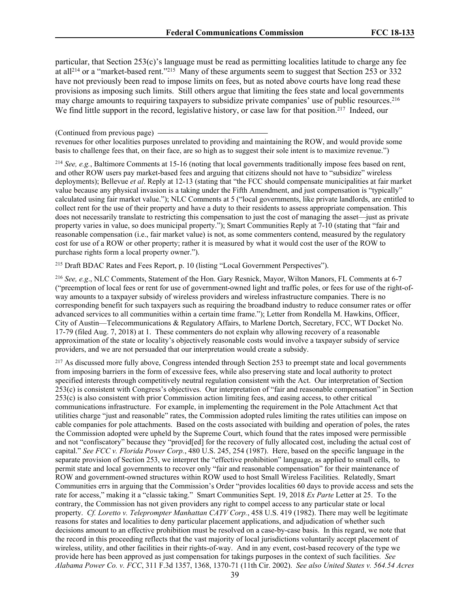particular, that Section 253(c)'s language must be read as permitting localities latitude to charge any fee at all<sup>214</sup> or a "market-based rent."<sup>215</sup> Many of these arguments seem to suggest that Section 253 or 332 have not previously been read to impose limits on fees, but as noted above courts have long read these provisions as imposing such limits. Still others argue that limiting the fees state and local governments may charge amounts to requiring taxpayers to subsidize private companies' use of public resources.<sup>216</sup> We find little support in the record, legislative history, or case law for that position.<sup>217</sup> Indeed, our

revenues for other localities purposes unrelated to providing and maintaining the ROW, and would provide some basis to challenge fees that, on their face, are so high as to suggest their sole intent is to maximize revenue.")

<sup>214</sup> *See, e.g.*, Baltimore Comments at 15-16 (noting that local governments traditionally impose fees based on rent, and other ROW users pay market-based fees and arguing that citizens should not have to "subsidize" wireless deployments); Bellevue *et al*. Reply at 12-13 (stating that "the FCC should compensate municipalities at fair market value because any physical invasion is a taking under the Fifth Amendment, and just compensation is "typically" calculated using fair market value."); NLC Comments at 5 ("local governments, like private landlords, are entitled to collect rent for the use of their property and have a duty to their residents to assess appropriate compensation. This does not necessarily translate to restricting this compensation to just the cost of managing the asset—just as private property varies in value, so does municipal property."); Smart Communities Reply at 7-10 (stating that "fair and reasonable compensation (i.e., fair market value) is not, as some commenters contend, measured by the regulatory cost for use of a ROW or other property; rather it is measured by what it would cost the user of the ROW to purchase rights form a local property owner.").

<sup>215</sup> Draft BDAC Rates and Fees Report, p. 10 (listing "Local Government Perspectives").

<sup>216</sup> *See, e.g*., NLC Comments, Statement of the Hon. Gary Resnick, Mayor, Wilton Manors, FL Comments at 6-7 ("preemption of local fees or rent for use of government-owned light and traffic poles, or fees for use of the right-ofway amounts to a taxpayer subsidy of wireless providers and wireless infrastructure companies. There is no corresponding benefit for such taxpayers such as requiring the broadband industry to reduce consumer rates or offer advanced services to all communities within a certain time frame."); Letter from Rondella M. Hawkins, Officer, City of Austin—Telecommunications & Regulatory Affairs, to Marlene Dortch, Secretary, FCC, WT Docket No. 17-79 (filed Aug. 7, 2018) at 1. These commenters do not explain why allowing recovery of a reasonable approximation of the state or locality's objectively reasonable costs would involve a taxpayer subsidy of service providers, and we are not persuaded that our interpretation would create a subsidy.

<sup>217</sup> As discussed more fully above, Congress intended through Section 253 to preempt state and local governments from imposing barriers in the form of excessive fees, while also preserving state and local authority to protect specified interests through competitively neutral regulation consistent with the Act. Our interpretation of Section 253(c) is consistent with Congress's objectives. Our interpretation of "fair and reasonable compensation" in Section 253(c) is also consistent with prior Commission action limiting fees, and easing access, to other critical communications infrastructure. For example, in implementing the requirement in the Pole Attachment Act that utilities charge "just and reasonable" rates, the Commission adopted rules limiting the rates utilities can impose on cable companies for pole attachments. Based on the costs associated with building and operation of poles, the rates the Commission adopted were upheld by the Supreme Court, which found that the rates imposed were permissible and not "confiscatory" because they "provid[ed] for the recovery of fully allocated cost, including the actual cost of capital." *See FCC v. Florida Power Corp.*, 480 U.S. 245, 254 (1987). Here, based on the specific language in the separate provision of Section 253, we interpret the "effective prohibition" language, as applied to small cells, to permit state and local governments to recover only "fair and reasonable compensation" for their maintenance of ROW and government-owned structures within ROW used to host Small Wireless Facilities. Relatedly, Smart Communities errs in arguing that the Commission's Order "provides localities 60 days to provide access and sets the rate for access," making it a "classic taking." Smart Communities Sept. 19, 2018 *Ex Parte* Letter at 25. To the contrary, the Commission has not given providers any right to compel access to any particular state or local property. *Cf. Loretto v. Teleprompter Manhattan CATV Corp.*, 458 U.S. 419 (1982). There may well be legitimate reasons for states and localities to deny particular placement applications, and adjudication of whether such decisions amount to an effective prohibition must be resolved on a case-by-case basis. In this regard, we note that the record in this proceeding reflects that the vast majority of local jurisdictions voluntarily accept placement of wireless, utility, and other facilities in their rights-of-way. And in any event, cost-based recovery of the type we provide here has been approved as just compensation for takings purposes in the context of such facilities. *See Alabama Power Co. v. FCC*, 311 F.3d 1357, 1368, 1370-71 (11th Cir. 2002). *See also United States v. 564.54 Acres*

<sup>(</sup>Continued from previous page)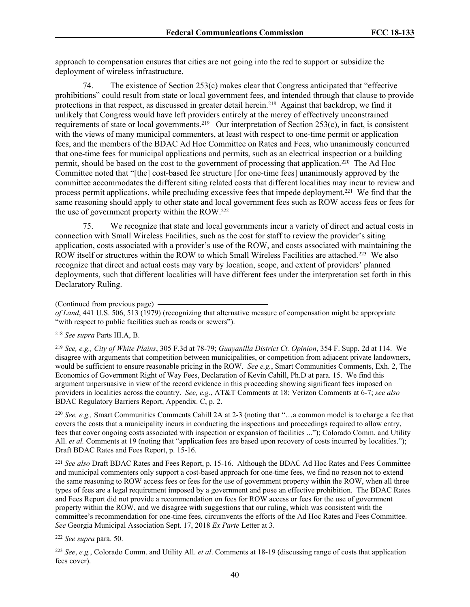approach to compensation ensures that cities are not going into the red to support or subsidize the deployment of wireless infrastructure.

74. The existence of Section 253(c) makes clear that Congress anticipated that "effective prohibitions" could result from state or local government fees, and intended through that clause to provide protections in that respect, as discussed in greater detail herein.<sup>218</sup> Against that backdrop, we find it unlikely that Congress would have left providers entirely at the mercy of effectively unconstrained requirements of state or local governments.<sup>219</sup> Our interpretation of Section 253(c), in fact, is consistent with the views of many municipal commenters, at least with respect to one-time permit or application fees, and the members of the BDAC Ad Hoc Committee on Rates and Fees, who unanimously concurred that one-time fees for municipal applications and permits, such as an electrical inspection or a building permit, should be based on the cost to the government of processing that application.<sup>220</sup> The Ad Hoc Committee noted that "[the] cost-based fee structure [for one-time fees] unanimously approved by the committee accommodates the different siting related costs that different localities may incur to review and process permit applications, while precluding excessive fees that impede deployment.<sup>221</sup> We find that the same reasoning should apply to other state and local government fees such as ROW access fees or fees for the use of government property within the ROW.<sup>222</sup>

75. We recognize that state and local governments incur a variety of direct and actual costs in connection with Small Wireless Facilities, such as the cost for staff to review the provider's siting application, costs associated with a provider's use of the ROW, and costs associated with maintaining the ROW itself or structures within the ROW to which Small Wireless Facilities are attached.<sup>223</sup> We also recognize that direct and actual costs may vary by location, scope, and extent of providers' planned deployments, such that different localities will have different fees under the interpretation set forth in this Declaratory Ruling.

(Continued from previous page)

<sup>218</sup> *See supra* Parts III.A, B.

<sup>219</sup> *See, e.g., City of White Plains*, 305 F.3d at 78-79; *Guayanilla District Ct. Opinion*, 354 F. Supp. 2d at 114. We disagree with arguments that competition between municipalities, or competition from adjacent private landowners, would be sufficient to ensure reasonable pricing in the ROW. *See e.g.*, Smart Communities Comments, Exh. 2, The Economics of Government Right of Way Fees, Declaration of Kevin Cahill, Ph.D at para. 15. We find this argument unpersuasive in view of the record evidence in this proceeding showing significant fees imposed on providers in localities across the country. *See, e.g.*, AT&T Comments at 18; Verizon Comments at 6-7; *see also* BDAC Regulatory Barriers Report, Appendix. C, p. 2.

<sup>220</sup> *See, e.g.,* Smart Communities Comments Cahill 2A at 2-3 (noting that "…a common model is to charge a fee that covers the costs that a municipality incurs in conducting the inspections and proceedings required to allow entry, fees that cover ongoing costs associated with inspection or expansion of facilities ..."); Colorado Comm. and Utility All. *et al.* Comments at 19 (noting that "application fees are based upon recovery of costs incurred by localities."); Draft BDAC Rates and Fees Report, p. 15-16.

<sup>221</sup> *See also* Draft BDAC Rates and Fees Report, p. 15-16. Although the BDAC Ad Hoc Rates and Fees Committee and municipal commenters only support a cost-based approach for one-time fees, we find no reason not to extend the same reasoning to ROW access fees or fees for the use of government property within the ROW, when all three types of fees are a legal requirement imposed by a government and pose an effective prohibition. The BDAC Rates and Fees Report did not provide a recommendation on fees for ROW access or fees for the use of government property within the ROW, and we disagree with suggestions that our ruling, which was consistent with the committee's recommendation for one-time fees, circumvents the efforts of the Ad Hoc Rates and Fees Committee. *See* Georgia Municipal Association Sept. 17, 2018 *Ex Parte* Letter at 3.

<sup>222</sup> *See supra* para. 50.

<sup>223</sup> *See*, *e.g.*, Colorado Comm. and Utility All. *et al*. Comments at 18-19 (discussing range of costs that application fees cover).

*of Land*, 441 U.S. 506, 513 (1979) (recognizing that alternative measure of compensation might be appropriate "with respect to public facilities such as roads or sewers").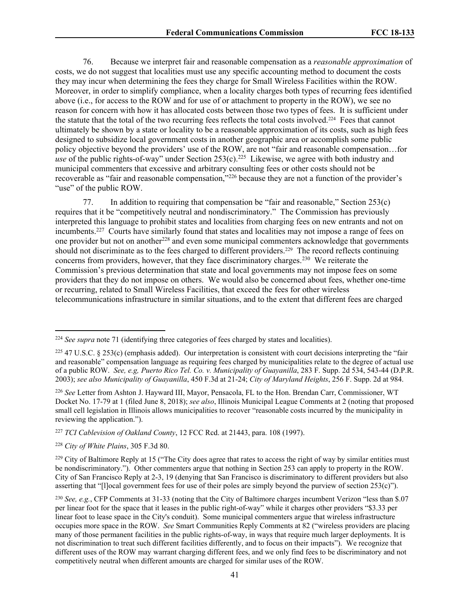76. Because we interpret fair and reasonable compensation as a *reasonable approximation* of costs, we do not suggest that localities must use any specific accounting method to document the costs they may incur when determining the fees they charge for Small Wireless Facilities within the ROW. Moreover, in order to simplify compliance, when a locality charges both types of recurring fees identified above (i.e., for access to the ROW and for use of or attachment to property in the ROW), we see no reason for concern with how it has allocated costs between those two types of fees. It is sufficient under the statute that the total of the two recurring fees reflects the total costs involved.<sup>224</sup> Fees that cannot ultimately be shown by a state or locality to be a reasonable approximation of its costs, such as high fees designed to subsidize local government costs in another geographic area or accomplish some public policy objective beyond the providers' use of the ROW, are not "fair and reasonable compensation…for use of the public rights-of-way" under Section 253(c).<sup>225</sup> Likewise, we agree with both industry and municipal commenters that excessive and arbitrary consulting fees or other costs should not be recoverable as "fair and reasonable compensation,"<sup>226</sup> because they are not a function of the provider's "use" of the public ROW.

77. In addition to requiring that compensation be "fair and reasonable," Section 253(c) requires that it be "competitively neutral and nondiscriminatory." The Commission has previously interpreted this language to prohibit states and localities from charging fees on new entrants and not on incumbents.<sup>227</sup> Courts have similarly found that states and localities may not impose a range of fees on one provider but not on another<sup>228</sup> and even some municipal commenters acknowledge that governments should not discriminate as to the fees charged to different providers.<sup>229</sup> The record reflects continuing concerns from providers, however, that they face discriminatory charges.<sup>230</sup> We reiterate the Commission's previous determination that state and local governments may not impose fees on some providers that they do not impose on others. We would also be concerned about fees, whether one-time or recurring, related to Small Wireless Facilities, that exceed the fees for other wireless telecommunications infrastructure in similar situations, and to the extent that different fees are charged

<sup>227</sup> *TCI Cablevision of Oakland County*, 12 FCC Rcd. at 21443, para. 108 (1997).

<sup>228</sup> *City of White Plains*, 305 F.3d 80.

<sup>224</sup> *See supra* note 71 (identifying three categories of fees charged by states and localities).

<sup>&</sup>lt;sup>225</sup> 47 U.S.C. § 253(c) (emphasis added). Our interpretation is consistent with court decisions interpreting the "fair and reasonable" compensation language as requiring fees charged by municipalities relate to the degree of actual use of a public ROW. *See, e.g, Puerto Rico Tel. Co. v. Municipality of Guayanilla*, 283 F. Supp. 2d 534, 543-44 (D.P.R. 2003); *see also Municipality of Guayanilla*, 450 F.3d at 21-24; *City of Maryland Heights*, 256 F. Supp. 2d at 984.

<sup>226</sup> *See* Letter from Ashton J. Hayward III, Mayor, Pensacola, FL to the Hon. Brendan Carr, Commissioner, WT Docket No. 17-79 at 1 (filed June 8, 2018); *see also*, Illinois Municipal League Comments at 2 (noting that proposed small cell legislation in Illinois allows municipalities to recover "reasonable costs incurred by the municipality in reviewing the application.").

<sup>&</sup>lt;sup>229</sup> City of Baltimore Reply at 15 ("The City does agree that rates to access the right of way by similar entities must be nondiscriminatory."). Other commenters argue that nothing in Section 253 can apply to property in the ROW. City of San Francisco Reply at 2-3, 19 (denying that San Francisco is discriminatory to different providers but also asserting that "[l]ocal government fees for use of their poles are simply beyond the purview of section 253(c)").

<sup>230</sup> *See, e.g.*, CFP Comments at 31-33 (noting that the City of Baltimore charges incumbent Verizon "less than \$.07 per linear foot for the space that it leases in the public right-of-way" while it charges other providers "\$3.33 per linear foot to lease space in the City's conduit). Some municipal commenters argue that wireless infrastructure occupies more space in the ROW. *See* Smart Communities Reply Comments at 82 ("wireless providers are placing many of those permanent facilities in the public rights-of-way, in ways that require much larger deployments. It is not discrimination to treat such different facilities differently, and to focus on their impacts"). We recognize that different uses of the ROW may warrant charging different fees, and we only find fees to be discriminatory and not competitively neutral when different amounts are charged for similar uses of the ROW.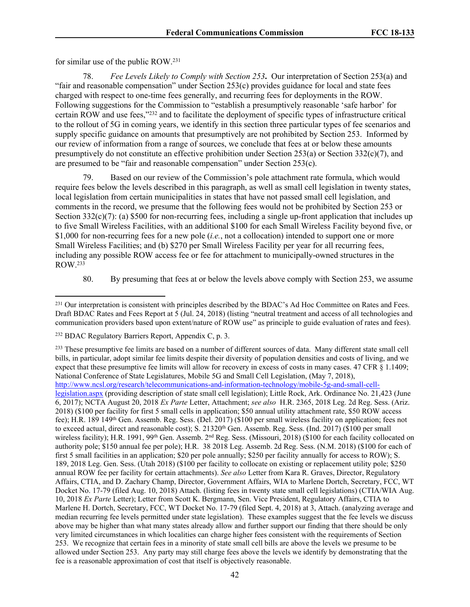for similar use of the public ROW.<sup>231</sup>

78. *Fee Levels Likely to Comply with Section 253***.** Our interpretation of Section 253(a) and "fair and reasonable compensation" under Section 253(c) provides guidance for local and state fees charged with respect to one-time fees generally, and recurring fees for deployments in the ROW. Following suggestions for the Commission to "establish a presumptively reasonable 'safe harbor' for certain ROW and use fees,"<sup>232</sup> and to facilitate the deployment of specific types of infrastructure critical to the rollout of 5G in coming years, we identify in this section three particular types of fee scenarios and supply specific guidance on amounts that presumptively are not prohibited by Section 253. Informed by our review of information from a range of sources, we conclude that fees at or below these amounts presumptively do not constitute an effective prohibition under Section 253(a) or Section 332(c)(7), and are presumed to be "fair and reasonable compensation" under Section 253(c).

79. Based on our review of the Commission's pole attachment rate formula, which would require fees below the levels described in this paragraph, as well as small cell legislation in twenty states, local legislation from certain municipalities in states that have not passed small cell legislation, and comments in the record, we presume that the following fees would not be prohibited by Section 253 or Section  $332(c)(7)$ : (a) \$500 for non-recurring fees, including a single up-front application that includes up to five Small Wireless Facilities, with an additional \$100 for each Small Wireless Facility beyond five, or \$1,000 for non-recurring fees for a new pole (*i.e.*, not a collocation) intended to support one or more Small Wireless Facilities; and (b) \$270 per Small Wireless Facility per year for all recurring fees, including any possible ROW access fee or fee for attachment to municipally-owned structures in the ROW.<sup>233</sup>

80. By presuming that fees at or below the levels above comply with Section 253, we assume

<sup>&</sup>lt;sup>231</sup> Our interpretation is consistent with principles described by the BDAC's Ad Hoc Committee on Rates and Fees. Draft BDAC Rates and Fees Report at 5 (Jul. 24, 2018) (listing "neutral treatment and access of all technologies and communication providers based upon extent/nature of ROW use" as principle to guide evaluation of rates and fees).

<sup>232</sup> BDAC Regulatory Barriers Report, Appendix C, p. 3.

<sup>&</sup>lt;sup>233</sup> These presumptive fee limits are based on a number of different sources of data. Many different state small cell bills, in particular, adopt similar fee limits despite their diversity of population densities and costs of living, and we expect that these presumptive fee limits will allow for recovery in excess of costs in many cases. 47 CFR § 1.1409; National Conference of State Legislatures, Mobile 5G and Small Cell Legislation, (May 7, 2018), [http://www.ncsl.org/research/telecommunications-and-information-technology/mobile-5g-and-small-cell](http://www.ncsl.org/research/telecommunications-and-information-technology/mobile-5g-and-small-cell-legislation.aspx)[legislation.aspx](http://www.ncsl.org/research/telecommunications-and-information-technology/mobile-5g-and-small-cell-legislation.aspx) (providing description of state small cell legislation); Little Rock, Ark. Ordinance No. 21,423 (June 6, 2017); NCTA August 20, 2018 *Ex Parte* Letter, Attachment; *see also* H.R. 2365, 2018 Leg. 2d Reg. Sess. (Ariz. 2018) (\$100 per facility for first 5 small cells in application; \$50 annual utility attachment rate, \$50 ROW access fee); H.R. 189 149th Gen. Assemb. Reg. Sess. (Del. 2017) (\$100 per small wireless facility on application; fees not to exceed actual, direct and reasonable cost); S. 21320<sup>th</sup> Gen. Assemb. Reg. Sess. (Ind. 2017) (\$100 per small wireless facility); H.R. 1991, 99<sup>th</sup> Gen. Assemb. 2<sup>nd</sup> Reg. Sess. (Missouri, 2018) (\$100 for each facility collocated on authority pole; \$150 annual fee per pole); H.R. 38 2018 Leg. Assemb. 2d Reg. Sess. (N.M. 2018) (\$100 for each of first 5 small facilities in an application; \$20 per pole annually; \$250 per facility annually for access to ROW); S. 189, 2018 Leg. Gen. Sess. (Utah 2018) (\$100 per facility to collocate on existing or replacement utility pole; \$250 annual ROW fee per facility for certain attachments). *See also* Letter from Kara R. Graves, Director, Regulatory Affairs, CTIA, and D. Zachary Champ, Director, Government Affairs, WIA to Marlene Dortch, Secretary, FCC, WT Docket No. 17-79 (filed Aug. 10, 2018) Attach. (listing fees in twenty state small cell legislations) (CTIA/WIA Aug. 10, 2018 *Ex Parte* Letter); Letter from Scott K. Bergmann, Sen. Vice President, Regulatory Affairs, CTIA to Marlene H. Dortch, Secretary, FCC, WT Docket No. 17-79 (filed Sept. 4, 2018) at 3, Attach. (analyzing average and median recurring fee levels permitted under state legislation). These examples suggest that the fee levels we discuss above may be higher than what many states already allow and further support our finding that there should be only very limited circumstances in which localities can charge higher fees consistent with the requirements of Section 253. We recognize that certain fees in a minority of state small cell bills are above the levels we presume to be allowed under Section 253. Any party may still charge fees above the levels we identify by demonstrating that the fee is a reasonable approximation of cost that itself is objectively reasonable.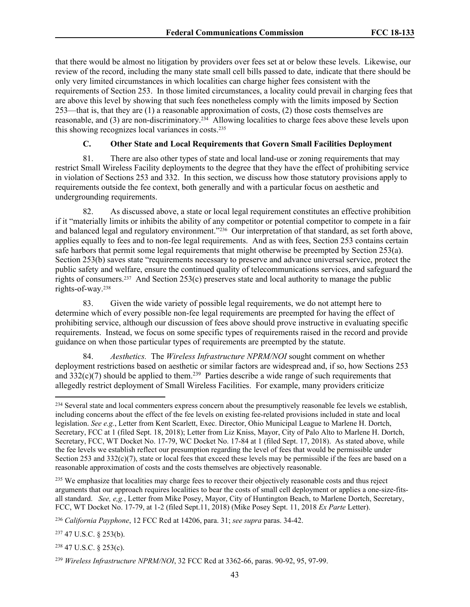that there would be almost no litigation by providers over fees set at or below these levels. Likewise, our review of the record, including the many state small cell bills passed to date, indicate that there should be only very limited circumstances in which localities can charge higher fees consistent with the requirements of Section 253. In those limited circumstances, a locality could prevail in charging fees that are above this level by showing that such fees nonetheless comply with the limits imposed by Section 253—that is, that they are (1) a reasonable approximation of costs, (2) those costs themselves are reasonable, and (3) are non-discriminatory.<sup>234</sup> Allowing localities to charge fees above these levels upon this showing recognizes local variances in costs.<sup>235</sup>

# **C. Other State and Local Requirements that Govern Small Facilities Deployment**

81. There are also other types of state and local land-use or zoning requirements that may restrict Small Wireless Facility deployments to the degree that they have the effect of prohibiting service in violation of Sections 253 and 332. In this section, we discuss how those statutory provisions apply to requirements outside the fee context, both generally and with a particular focus on aesthetic and undergrounding requirements.

82. As discussed above, a state or local legal requirement constitutes an effective prohibition if it "materially limits or inhibits the ability of any competitor or potential competitor to compete in a fair and balanced legal and regulatory environment."<sup>236</sup> Our interpretation of that standard, as set forth above, applies equally to fees and to non-fee legal requirements. And as with fees, Section 253 contains certain safe harbors that permit some legal requirements that might otherwise be preempted by Section 253(a). Section 253(b) saves state "requirements necessary to preserve and advance universal service, protect the public safety and welfare, ensure the continued quality of telecommunications services, and safeguard the rights of consumers.<sup>237</sup> And Section 253(c) preserves state and local authority to manage the public rights-of-way.<sup>238</sup>

83. Given the wide variety of possible legal requirements, we do not attempt here to determine which of every possible non-fee legal requirements are preempted for having the effect of prohibiting service, although our discussion of fees above should prove instructive in evaluating specific requirements. Instead, we focus on some specific types of requirements raised in the record and provide guidance on when those particular types of requirements are preempted by the statute.

84. *Aesthetics.* The *Wireless Infrastructure NPRM/NOI* sought comment on whether deployment restrictions based on aesthetic or similar factors are widespread and, if so, how Sections 253 and  $332(c)(7)$  should be applied to them.<sup>239</sup> Parties describe a wide range of such requirements that allegedly restrict deployment of Small Wireless Facilities. For example, many providers criticize

<sup>235</sup> We emphasize that localities may charge fees to recover their objectively reasonable costs and thus reject arguments that our approach requires localities to bear the costs of small cell deployment or applies a one-size-fitsall standard. *See, e,g.*, Letter from Mike Posey, Mayor, City of Huntington Beach, to Marlene Dortch, Secretary, FCC, WT Docket No. 17-79, at 1-2 (filed Sept.11, 2018) (Mike Posey Sept. 11, 2018 *Ex Parte* Letter).

<sup>&</sup>lt;sup>234</sup> Several state and local commenters express concern about the presumptively reasonable fee levels we establish, including concerns about the effect of the fee levels on existing fee-related provisions included in state and local legislation. *See e.g.*, Letter from Kent Scarlett, Exec. Director, Ohio Municipal League to Marlene H. Dortch, Secretary, FCC at 1 (filed Sept. 18, 2018); Letter from Liz Kniss, Mayor, City of Palo Alto to Marlene H. Dortch, Secretary, FCC, WT Docket No. 17-79, WC Docket No. 17-84 at 1 (filed Sept. 17, 2018). As stated above, while the fee levels we establish reflect our presumption regarding the level of fees that would be permissible under Section 253 and  $332(c)(7)$ , state or local fees that exceed these levels may be permissible if the fees are based on a reasonable approximation of costs and the costs themselves are objectively reasonable.

<sup>236</sup> *California Payphone*, 12 FCC Rcd at 14206, para. 31; *see supra* paras. 34-42.

<sup>237</sup> 47 U.S.C. § 253(b).

<sup>238</sup> 47 U.S.C. § 253(c).

<sup>239</sup> *Wireless Infrastructure NPRM/NOI*, 32 FCC Rcd at 3362-66, paras. 90-92, 95, 97-99.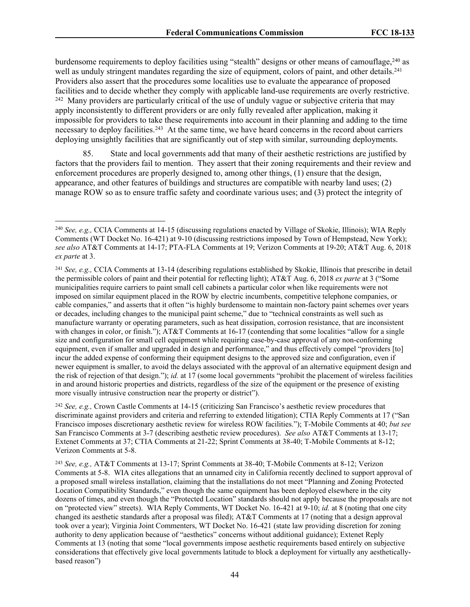burdensome requirements to deploy facilities using "stealth" designs or other means of camouflage, <sup>240</sup> as well as unduly stringent mandates regarding the size of equipment, colors of paint, and other details.<sup>241</sup> Providers also assert that the procedures some localities use to evaluate the appearance of proposed facilities and to decide whether they comply with applicable land-use requirements are overly restrictive.

<sup>242</sup> Many providers are particularly critical of the use of unduly vague or subjective criteria that may apply inconsistently to different providers or are only fully revealed after application, making it impossible for providers to take these requirements into account in their planning and adding to the time necessary to deploy facilities.<sup>243</sup> At the same time, we have heard concerns in the record about carriers deploying unsightly facilities that are significantly out of step with similar, surrounding deployments.

85. State and local governments add that many of their aesthetic restrictions are justified by factors that the providers fail to mention. They assert that their zoning requirements and their review and enforcement procedures are properly designed to, among other things, (1) ensure that the design, appearance, and other features of buildings and structures are compatible with nearby land uses; (2) manage ROW so as to ensure traffic safety and coordinate various uses; and (3) protect the integrity of

<sup>242</sup> *See, e.g.,* Crown Castle Comments at 14-15 (criticizing San Francisco's aesthetic review procedures that discriminate against providers and criteria and referring to extended litigation); CTIA Reply Comments at 17 ("San Francisco imposes discretionary aesthetic review for wireless ROW facilities."); T-Mobile Comments at 40; *but see* San Francisco Comments at 3-7 (describing aesthetic review procedures). *See also* AT&T Comments at 13-17; Extenet Comments at 37; CTIA Comments at 21-22; Sprint Comments at 38-40; T-Mobile Comments at 8-12; Verizon Comments at 5-8.

<sup>243</sup> *See, e.g.,* AT&T Comments at 13-17; Sprint Comments at 38-40; T-Mobile Comments at 8-12; Verizon Comments at 5-8. WIA cites allegations that an unnamed city in California recently declined to support approval of a proposed small wireless installation, claiming that the installations do not meet "Planning and Zoning Protected Location Compatibility Standards," even though the same equipment has been deployed elsewhere in the city dozens of times, and even though the "Protected Location" standards should not apply because the proposals are not on "protected view" streets). WIA Reply Comments, WT Docket No. 16-421 at 9-10; *id.* at 8 (noting that one city changed its aesthetic standards after a proposal was filed); AT&T Comments at 17 (noting that a design approval took over a year); Virginia Joint Commenters, WT Docket No. 16-421 (state law providing discretion for zoning authority to deny application because of "aesthetics" concerns without additional guidance); Extenet Reply Comments at 13 (noting that some "local governments impose aesthetic requirements based entirely on subjective considerations that effectively give local governments latitude to block a deployment for virtually any aestheticallybased reason")

<sup>240</sup> *See, e.g.,* CCIA Comments at 14-15 (discussing regulations enacted by Village of Skokie, Illinois); WIA Reply Comments (WT Docket No. 16-421) at 9-10 (discussing restrictions imposed by Town of Hempstead, New York); *see also* AT&T Comments at 14-17; PTA-FLA Comments at 19; Verizon Comments at 19-20; AT&T Aug. 6, 2018 *ex parte* at 3.

<sup>241</sup> *See, e.g.,* CCIA Comments at 13-14 (describing regulations established by Skokie, Illinois that prescribe in detail the permissible colors of paint and their potential for reflecting light); AT&T Aug. 6, 2018 *ex parte* at 3 ("Some municipalities require carriers to paint small cell cabinets a particular color when like requirements were not imposed on similar equipment placed in the ROW by electric incumbents, competitive telephone companies, or cable companies," and asserts that it often "is highly burdensome to maintain non-factory paint schemes over years or decades, including changes to the municipal paint scheme," due to "technical constraints as well such as manufacture warranty or operating parameters, such as heat dissipation, corrosion resistance, that are inconsistent with changes in color, or finish."); AT&T Comments at 16-17 (contending that some localities "allow for a single size and configuration for small cell equipment while requiring case-by-case approval of any non-conforming equipment, even if smaller and upgraded in design and performance," and thus effectively compel "providers [to] incur the added expense of conforming their equipment designs to the approved size and configuration, even if newer equipment is smaller, to avoid the delays associated with the approval of an alternative equipment design and the risk of rejection of that design."); *id.* at 17 (some local governments "prohibit the placement of wireless facilities in and around historic properties and districts, regardless of the size of the equipment or the presence of existing more visually intrusive construction near the property or district").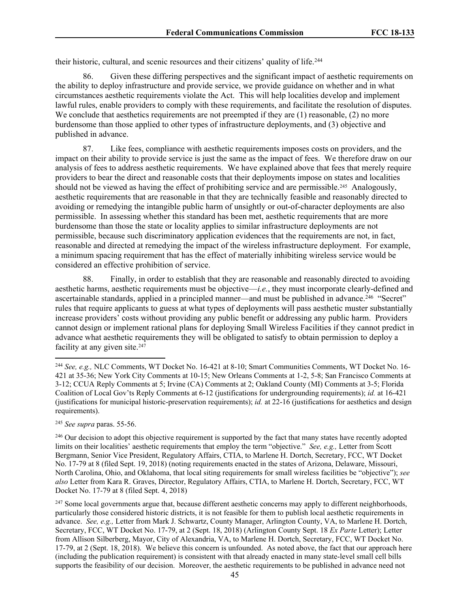their historic, cultural, and scenic resources and their citizens' quality of life.<sup>244</sup>

86. Given these differing perspectives and the significant impact of aesthetic requirements on the ability to deploy infrastructure and provide service, we provide guidance on whether and in what circumstances aesthetic requirements violate the Act. This will help localities develop and implement lawful rules, enable providers to comply with these requirements, and facilitate the resolution of disputes. We conclude that aesthetics requirements are not preempted if they are (1) reasonable, (2) no more burdensome than those applied to other types of infrastructure deployments, and (3) objective and published in advance.

87. Like fees, compliance with aesthetic requirements imposes costs on providers, and the impact on their ability to provide service is just the same as the impact of fees. We therefore draw on our analysis of fees to address aesthetic requirements. We have explained above that fees that merely require providers to bear the direct and reasonable costs that their deployments impose on states and localities should not be viewed as having the effect of prohibiting service and are permissible.<sup>245</sup> Analogously, aesthetic requirements that are reasonable in that they are technically feasible and reasonably directed to avoiding or remedying the intangible public harm of unsightly or out-of-character deployments are also permissible. In assessing whether this standard has been met, aesthetic requirements that are more burdensome than those the state or locality applies to similar infrastructure deployments are not permissible, because such discriminatory application evidences that the requirements are not, in fact, reasonable and directed at remedying the impact of the wireless infrastructure deployment. For example, a minimum spacing requirement that has the effect of materially inhibiting wireless service would be considered an effective prohibition of service.

88. Finally, in order to establish that they are reasonable and reasonably directed to avoiding aesthetic harms, aesthetic requirements must be objective—*i.e.*, they must incorporate clearly-defined and ascertainable standards, applied in a principled manner—and must be published in advance.<sup>246</sup> "Secret" rules that require applicants to guess at what types of deployments will pass aesthetic muster substantially increase providers' costs without providing any public benefit or addressing any public harm. Providers cannot design or implement rational plans for deploying Small Wireless Facilities if they cannot predict in advance what aesthetic requirements they will be obligated to satisfy to obtain permission to deploy a facility at any given site.<sup>247</sup>

<sup>245</sup> *See supra* paras. 55-56.

<sup>246</sup> Our decision to adopt this objective requirement is supported by the fact that many states have recently adopted limits on their localities' aesthetic requirements that employ the term "objective." *See, e.g.,* Letter from Scott Bergmann, Senior Vice President, Regulatory Affairs, CTIA, to Marlene H. Dortch, Secretary, FCC, WT Docket No. 17-79 at 8 (filed Sept. 19, 2018) (noting requirements enacted in the states of Arizona, Delaware, Missouri, North Carolina, Ohio, and Oklahoma, that local siting requirements for small wireless facilities be "objective"); *see also* Letter from Kara R. Graves, Director, Regulatory Affairs, CTIA, to Marlene H. Dortch, Secretary, FCC, WT Docket No. 17-79 at 8 (filed Sept. 4, 2018)

<sup>247</sup> Some local governments argue that, because different aesthetic concerns may apply to different neighborhoods, particularly those considered historic districts, it is not feasible for them to publish local aesthetic requirements in advance. *See, e.g.,* Letter from Mark J. Schwartz, County Manager, Arlington County, VA, to Marlene H. Dortch, Secretary, FCC, WT Docket No. 17-79, at 2 (Sept. 18, 2018) (Arlington County Sept. 18 *Ex Parte* Letter); Letter from Allison Silberberg, Mayor, City of Alexandria, VA, to Marlene H. Dortch, Secretary, FCC, WT Docket No. 17-79, at 2 (Sept. 18, 2018). We believe this concern is unfounded. As noted above, the fact that our approach here (including the publication requirement) is consistent with that already enacted in many state-level small cell bills supports the feasibility of our decision. Moreover, the aesthetic requirements to be published in advance need not

<sup>244</sup> *See, e.g.,* NLC Comments, WT Docket No. 16-421 at 8-10; Smart Communities Comments, WT Docket No. 16- 421 at 35-36; New York City Comments at 10-15; New Orleans Comments at 1-2, 5-8; San Francisco Comments at 3-12; CCUA Reply Comments at 5; Irvine (CA) Comments at 2; Oakland County (MI) Comments at 3-5; Florida Coalition of Local Gov'ts Reply Comments at 6-12 (justifications for undergrounding requirements); *id.* at 16-421 (justifications for municipal historic-preservation requirements); *id.* at 22-16 (justifications for aesthetics and design requirements).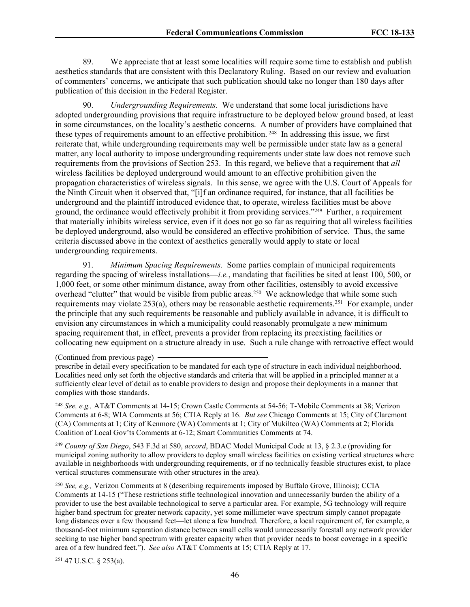89. We appreciate that at least some localities will require some time to establish and publish aesthetics standards that are consistent with this Declaratory Ruling. Based on our review and evaluation of commenters' concerns, we anticipate that such publication should take no longer than 180 days after publication of this decision in the Federal Register.

90. *Undergrounding Requirements.* We understand that some local jurisdictions have adopted undergrounding provisions that require infrastructure to be deployed below ground based, at least in some circumstances, on the locality's aesthetic concerns. A number of providers have complained that these types of requirements amount to an effective prohibition.<sup>248</sup> In addressing this issue, we first reiterate that, while undergrounding requirements may well be permissible under state law as a general matter, any local authority to impose undergrounding requirements under state law does not remove such requirements from the provisions of Section 253. In this regard, we believe that a requirement that *all* wireless facilities be deployed underground would amount to an effective prohibition given the propagation characteristics of wireless signals. In this sense, we agree with the U.S. Court of Appeals for the Ninth Circuit when it observed that, "[i]f an ordinance required, for instance, that all facilities be underground and the plaintiff introduced evidence that, to operate, wireless facilities must be above ground, the ordinance would effectively prohibit it from providing services."<sup>249</sup> Further, a requirement that materially inhibits wireless service, even if it does not go so far as requiring that all wireless facilities be deployed underground, also would be considered an effective prohibition of service. Thus, the same criteria discussed above in the context of aesthetics generally would apply to state or local undergrounding requirements.

91. *Minimum Spacing Requirements.* Some parties complain of municipal requirements regarding the spacing of wireless installations—*i.e.*, mandating that facilities be sited at least 100, 500, or 1,000 feet, or some other minimum distance, away from other facilities, ostensibly to avoid excessive overhead "clutter" that would be visible from public areas.<sup>250</sup> We acknowledge that while some such requirements may violate 253(a), others may be reasonable aesthetic requirements.<sup>251</sup> For example, under the principle that any such requirements be reasonable and publicly available in advance, it is difficult to envision any circumstances in which a municipality could reasonably promulgate a new minimum spacing requirement that, in effect, prevents a provider from replacing its preexisting facilities or collocating new equipment on a structure already in use. Such a rule change with retroactive effect would

<sup>249</sup> *County of San Diego*, 543 F.3d at 580, *accord*, BDAC Model Municipal Code at 13, § 2.3.e (providing for municipal zoning authority to allow providers to deploy small wireless facilities on existing vertical structures where available in neighborhoods with undergrounding requirements, or if no technically feasible structures exist, to place vertical structures commensurate with other structures in the area).

<sup>250</sup> *See, e.g.,* Verizon Comments at 8 (describing requirements imposed by Buffalo Grove, Illinois); CCIA Comments at 14-15 ("These restrictions stifle technological innovation and unnecessarily burden the ability of a provider to use the best available technological to serve a particular area. For example, 5G technology will require higher band spectrum for greater network capacity, yet some millimeter wave spectrum simply cannot propagate long distances over a few thousand feet—let alone a few hundred. Therefore, a local requirement of, for example, a thousand-foot minimum separation distance between small cells would unnecessarily forestall any network provider seeking to use higher band spectrum with greater capacity when that provider needs to boost coverage in a specific area of a few hundred feet."). *See also* AT&T Comments at 15; CTIA Reply at 17.

<sup>251</sup> 47 U.S.C. § 253(a).

<sup>(</sup>Continued from previous page)

prescribe in detail every specification to be mandated for each type of structure in each individual neighborhood. Localities need only set forth the objective standards and criteria that will be applied in a principled manner at a sufficiently clear level of detail as to enable providers to design and propose their deployments in a manner that complies with those standards.

<sup>248</sup> *See, e.g.,* AT&T Comments at 14-15; Crown Castle Comments at 54-56; T-Mobile Comments at 38; Verizon Comments at 6-8; WIA Comments at 56; CTIA Reply at 16. *But see* Chicago Comments at 15; City of Claremont (CA) Comments at 1; City of Kenmore (WA) Comments at 1; City of Mukilteo (WA) Comments at 2; Florida Coalition of Local Gov'ts Comments at 6-12; Smart Communities Comments at 74.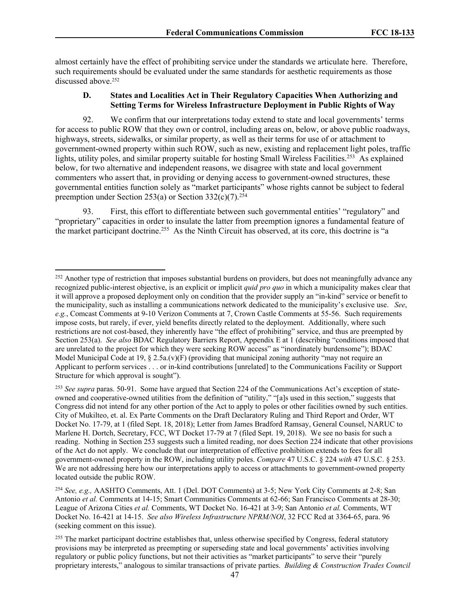almost certainly have the effect of prohibiting service under the standards we articulate here. Therefore, such requirements should be evaluated under the same standards for aesthetic requirements as those discussed above.<sup>252</sup>

### **D. States and Localities Act in Their Regulatory Capacities When Authorizing and Setting Terms for Wireless Infrastructure Deployment in Public Rights of Way**

92. We confirm that our interpretations today extend to state and local governments' terms for access to public ROW that they own or control, including areas on, below, or above public roadways, highways, streets, sidewalks, or similar property, as well as their terms for use of or attachment to government-owned property within such ROW, such as new, existing and replacement light poles, traffic lights, utility poles, and similar property suitable for hosting Small Wireless Facilities.<sup>253</sup> As explained below, for two alternative and independent reasons, we disagree with state and local government commenters who assert that, in providing or denying access to government-owned structures, these governmental entities function solely as "market participants" whose rights cannot be subject to federal preemption under Section 253(a) or Section 332(c)(7).<sup>254</sup>

93. First, this effort to differentiate between such governmental entities' "regulatory" and "proprietary" capacities in order to insulate the latter from preemption ignores a fundamental feature of the market participant doctrine.<sup>255</sup> As the Ninth Circuit has observed, at its core, this doctrine is "a

<sup>&</sup>lt;sup>252</sup> Another type of restriction that imposes substantial burdens on providers, but does not meaningfully advance any recognized public-interest objective, is an explicit or implicit *quid pro quo* in which a municipality makes clear that it will approve a proposed deployment only on condition that the provider supply an "in-kind" service or benefit to the municipality, such as installing a communications network dedicated to the municipality's exclusive use. *See*, *e.g.*, Comcast Comments at 9-10 Verizon Comments at 7, Crown Castle Comments at 55-56. Such requirements impose costs, but rarely, if ever, yield benefits directly related to the deployment. Additionally, where such restrictions are not cost-based, they inherently have "the effect of prohibiting" service, and thus are preempted by Section 253(a). *See also* BDAC Regulatory Barriers Report, Appendix E at 1 (describing "conditions imposed that are unrelated to the project for which they were seeking ROW access" as "inordinately burdensome"); BDAC Model Municipal Code at 19,  $\S 2.5a(v)(F)$  (providing that municipal zoning authority "may not require an Applicant to perform services . . . or in-kind contributions [unrelated] to the Communications Facility or Support Structure for which approval is sought").

<sup>253</sup> *See supra* paras. 50-91. Some have argued that Section 224 of the Communications Act's exception of stateowned and cooperative-owned utilities from the definition of "utility," "[a]s used in this section," suggests that Congress did not intend for any other portion of the Act to apply to poles or other facilities owned by such entities. City of Mukilteo, et. al. Ex Parte Comments on the Draft Declaratory Ruling and Third Report and Order, WT Docket No. 17-79, at 1 (filed Sept. 18, 2018); Letter from James Bradford Ramsay, General Counsel, NARUC to Marlene H. Dortch, Secretary, FCC, WT Docket 17-79 at 7 (filed Sept. 19, 2018). We see no basis for such a reading. Nothing in Section 253 suggests such a limited reading, nor does Section 224 indicate that other provisions of the Act do not apply. We conclude that our interpretation of effective prohibition extends to fees for all government-owned property in the ROW, including utility poles. *Compare* 47 U.S.C. § 224 *with* 47 U.S.C. § 253. We are not addressing here how our interpretations apply to access or attachments to government-owned property located outside the public ROW.

<sup>254</sup> *See, e.g.,* AASHTO Comments, Att. 1 (Del. DOT Comments) at 3-5; New York City Comments at 2-8; San Antonio *et al.* Comments at 14-15; Smart Communities Comments at 62-66; San Francisco Comments at 28-30; League of Arizona Cities *et al.* Comments, WT Docket No. 16-421 at 3-9; San Antonio *et al.* Comments, WT Docket No. 16-421 at 14-15. *See also Wireless Infrastructure NPRM/NOI*, 32 FCC Rcd at 3364-65, para. 96 (seeking comment on this issue).

<sup>&</sup>lt;sup>255</sup> The market participant doctrine establishes that, unless otherwise specified by Congress, federal statutory provisions may be interpreted as preempting or superseding state and local governments' activities involving regulatory or public policy functions, but not their activities as "market participants" to serve their "purely proprietary interests," analogous to similar transactions of private parties. *Building & Construction Trades Council*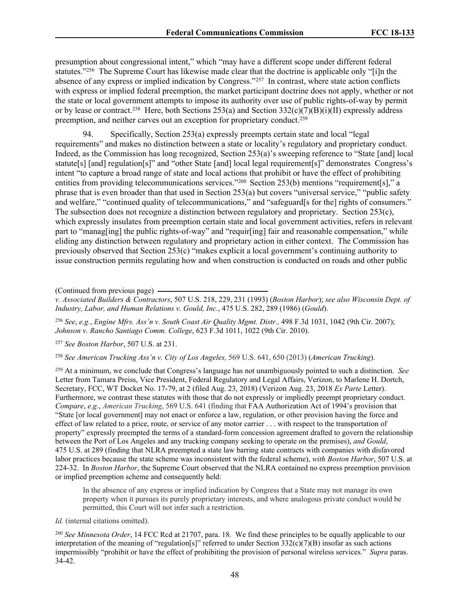presumption about congressional intent," which "may have a different scope under different federal statutes."<sup>256</sup> The Supreme Court has likewise made clear that the doctrine is applicable only "[i]n the absence of any express or implied indication by Congress."<sup>257</sup> In contrast, where state action conflicts with express or implied federal preemption, the market participant doctrine does not apply, whether or not the state or local government attempts to impose its authority over use of public rights-of-way by permit or by lease or contract.<sup>258</sup> Here, both Sections 253(a) and Section 332(c)(7)(B)(i)(II) expressly address preemption, and neither carves out an exception for proprietary conduct.<sup>259</sup>

94. Specifically, Section 253(a) expressly preempts certain state and local "legal requirements" and makes no distinction between a state or locality's regulatory and proprietary conduct. Indeed, as the Commission has long recognized, Section 253(a)'s sweeping reference to "State [and] local statute[s] [and] regulation[s]" and "other State [and] local legal requirement[s]" demonstrates Congress's intent "to capture a broad range of state and local actions that prohibit or have the effect of prohibiting entities from providing telecommunications services."<sup>260</sup> Section 253(b) mentions "requirement[s]," a phrase that is even broader than that used in Section 253(a) but covers "universal service," "public safety and welfare," "continued quality of telecommunications," and "safeguard[s for the] rights of consumers." The subsection does not recognize a distinction between regulatory and proprietary. Section 253(c), which expressly insulates from preemption certain state and local government activities, refers in relevant part to "manag[ing] the public rights-of-way" and "requir[ing] fair and reasonable compensation," while eliding any distinction between regulatory and proprietary action in either context. The Commission has previously observed that Section 253(c) "makes explicit a local government's continuing authority to issue construction permits regulating how and when construction is conducted on roads and other public

(Continued from previous page)

*v. Associated Builders & Contractors*, 507 U.S. 218, 229, 231 (1993) (*Boston Harbor*); *see also Wisconsin Dept. of Industry, Labor, and Human Relations v. Gould, Inc.*, 475 U.S. 282, 289 (1986) (*Gould*).

<sup>256</sup> *See*, *e.g.*, *Engine Mfrs. Ass'n v. South Coast Air Quality Mgmt. Distr.,* 498 F.3d 1031, 1042 (9th Cir. 2007); *Johnson v. Rancho Santiago Comm. College*, 623 F.3d 1011, 1022 (9th Cir. 2010).

<sup>257</sup> *See Boston Harbor*, 507 U.S. at 231.

<sup>258</sup> *See American Trucking Ass'n v. City of Los Angeles,* 569 U.S. 641, 650 (2013) (*American Trucking*).

<sup>259</sup> At a minimum, we conclude that Congress's language has not unambiguously pointed to such a distinction. *See* Letter from Tamara Preiss, Vice President, Federal Regulatory and Legal Affairs, Verizon, to Marlene H. Dortch, Secretary, FCC, WT Docket No. 17-79, at 2 (filed Aug. 23, 2018) (Verizon Aug. 23, 2018 *Ex Parte* Letter). Furthermore, we contrast these statutes with those that do not expressly or impliedly preempt proprietary conduct. *Compare*, *e.g.*, *American Trucking*, 569 U.S. 641 (finding that FAA Authorization Act of 1994's provision that "State [or local government] may not enact or enforce a law, regulation, or other provision having the force and effect of law related to a price, route, or service of any motor carrier . . . with respect to the transportation of property" expressly preempted the terms of a standard-form concession agreement drafted to govern the relationship between the Port of Los Angeles and any trucking company seeking to operate on the premises), *and Gould*, 475 U.S. at 289 (finding that NLRA preempted a state law barring state contracts with companies with disfavored labor practices because the state scheme was inconsistent with the federal scheme), *with Boston Harbor*, 507 U.S. at 224-32. In *Boston Harbor*, the Supreme Court observed that the NLRA contained no express preemption provision or implied preemption scheme and consequently held:

In the absence of any express or implied indication by Congress that a State may not manage its own property when it pursues its purely proprietary interests, and where analogous private conduct would be permitted, this Court will not infer such a restriction.

*Id.* (internal citations omitted).

<sup>260</sup> *See Minnesota Order*, 14 FCC Rcd at 21707, para. 18. We find these principles to be equally applicable to our interpretation of the meaning of "regulation[s]" referred to under Section  $332(c)(7)(B)$  insofar as such actions impermissibly "prohibit or have the effect of prohibiting the provision of personal wireless services." *Supra* paras. 34-42.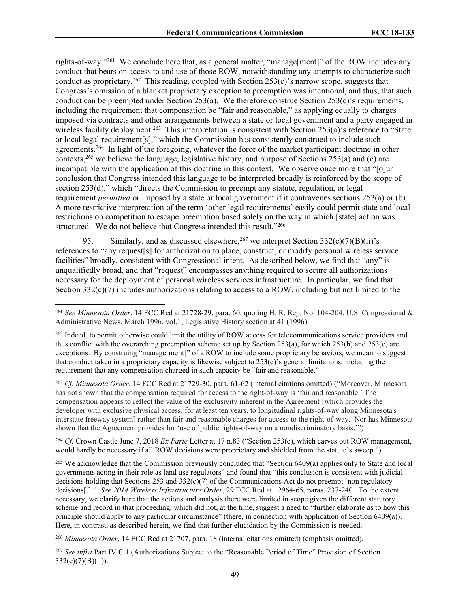rights-of-way."<sup>261</sup> We conclude here that, as a general matter, "manage[ment]" of the ROW includes any conduct that bears on access to and use of those ROW, notwithstanding any attempts to characterize such conduct as proprietary.<sup>262</sup> This reading, coupled with Section 253(c)'s narrow scope, suggests that Congress's omission of a blanket proprietary exception to preemption was intentional, and thus, that such conduct can be preempted under Section 253(a). We therefore construe Section 253(c)'s requirements, including the requirement that compensation be "fair and reasonable," as applying equally to charges imposed via contracts and other arrangements between a state or local government and a party engaged in wireless facility deployment.<sup>263</sup> This interpretation is consistent with Section 253(a)'s reference to "State or local legal requirement[s]," which the Commission has consistently construed to include such agreements.<sup>264</sup> In light of the foregoing, whatever the force of the market participant doctrine in other contexts,<sup>265</sup> we believe the language, legislative history, and purpose of Sections 253(a) and (c) are incompatible with the application of this doctrine in this context. We observe once more that "[o]ur conclusion that Congress intended this language to be interpreted broadly is reinforced by the scope of section 253(d)," which "directs the Commission to preempt any statute, regulation, or legal requirement *permitted* or imposed by a state or local government if it contravenes sections 253(a) or (b). A more restrictive interpretation of the term 'other legal requirements' easily could permit state and local restrictions on competition to escape preemption based solely on the way in which [state] action was structured. We do not believe that Congress intended this result."<sup>266</sup>

Similarly, and as discussed elsewhere,<sup>267</sup> we interpret Section  $332(c)(7)(B)(ii)$ 's references to "any request[s] for authorization to place, construct, or modify personal wireless service facilities" broadly, consistent with Congressional intent. As described below, we find that "any" is unqualifiedly broad, and that "request" encompasses anything required to secure all authorizations necessary for the deployment of personal wireless services infrastructure. In particular, we find that Section  $332(c)(7)$  includes authorizations relating to access to a ROW, including but not limited to the

<sup>263</sup> *Cf. Minnesota Order*, 14 FCC Rcd at 21729-30, para. 61-62 (internal citations omitted) ("Moreover, Minnesota has not shown that the compensation required for access to the right-of-way is 'fair and reasonable.' The compensation appears to reflect the value of the exclusivity inherent in the Agreement [which provides the developer with exclusive physical access, for at least ten years, to longitudinal rights-of-way along Minnesota's interstate freeway system] rather than fair and reasonable charges for access to the right-of-way. Nor has Minnesota shown that the Agreement provides for 'use of public rights-of-way on a nondiscriminatory basis.'")

<sup>264</sup> *Cf.* Crown Castle June 7, 2018 *Ex Parte* Letter at 17 n.83 ("Section 253(c), which carves out ROW management, would hardly be necessary if all ROW decisions were proprietary and shielded from the statute's sweep.").

<sup>265</sup> We acknowledge that the Commission previously concluded that "Section 6409(a) applies only to State and local governments acting in their role as land use regulators" and found that "this conclusion is consistent with judicial decisions holding that Sections 253 and  $332(c)(7)$  of the Communications Act do not preempt 'non regulatory decisions[.]'" *See 2014 Wireless Infrastructure Order*, 29 FCC Rcd at 12964-65, paras. 237-240. To the extent necessary, we clarify here that the actions and analysis there were limited in scope given the different statutory scheme and record in that proceeding, which did not, at the time, suggest a need to "further elaborate as to how this principle should apply to any particular circumstance" (there, in connection with application of Section 6409(a)). Here, in contrast, as described herein, we find that further elucidation by the Commission is needed.

<sup>266</sup> *Minnesota Order*, 14 FCC Rcd at 21707, para. 18 (internal citations omitted) (emphasis omitted).

<sup>267</sup> *See infra* Part IV.C.1 (Authorizations Subject to the "Reasonable Period of Time" Provision of Section  $332(c)(7)(B)(ii)$ ).

<sup>261</sup> *See Minnesota Order*, 14 FCC Rcd at 21728-29, para. 60, quoting H. R. Rep. No. 104-204, U.S. Congressional & Administrative News, March 1996, vol.1, Legislative History section at 41 (1996).

<sup>262</sup> Indeed, to permit otherwise could limit the utility of ROW access for telecommunications service providers and thus conflict with the overarching preemption scheme set up by Section 253(a), for which 253(b) and 253(c) are exceptions. By construing "manage[ment]" of a ROW to include some proprietary behaviors, we mean to suggest that conduct taken in a proprietary capacity is likewise subject to  $253(c)$ 's general limitations, including the requirement that any compensation charged in such capacity be "fair and reasonable."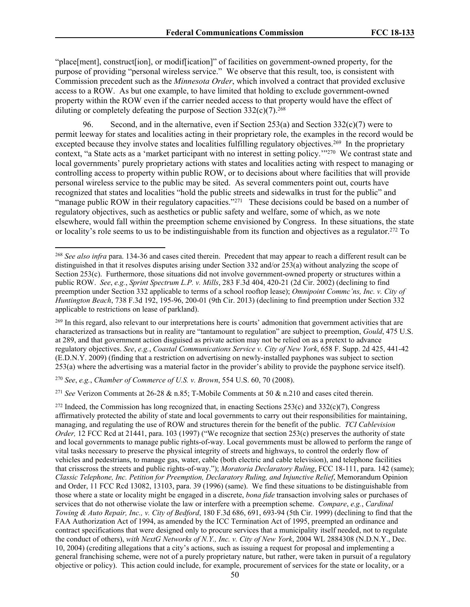"place[ment], construct[ion], or modif[ication]" of facilities on government-owned property, for the purpose of providing "personal wireless service." We observe that this result, too, is consistent with Commission precedent such as the *Minnesota Order*, which involved a contract that provided exclusive access to a ROW. As but one example, to have limited that holding to exclude government-owned property within the ROW even if the carrier needed access to that property would have the effect of diluting or completely defeating the purpose of Section  $332(c)(7)$ .<sup>268</sup>

96. Second, and in the alternative, even if Section 253(a) and Section 332(c)(7) were to permit leeway for states and localities acting in their proprietary role, the examples in the record would be excepted because they involve states and localities fulfilling regulatory objectives.<sup>269</sup> In the proprietary context, "a State acts as a 'market participant with no interest in setting policy."<sup>270</sup> We contrast state and local governments' purely proprietary actions with states and localities acting with respect to managing or controlling access to property within public ROW, or to decisions about where facilities that will provide personal wireless service to the public may be sited. As several commenters point out, courts have recognized that states and localities "hold the public streets and sidewalks in trust for the public" and "manage public ROW in their regulatory capacities."<sup>271</sup> These decisions could be based on a number of regulatory objectives, such as aesthetics or public safety and welfare, some of which, as we note elsewhere, would fall within the preemption scheme envisioned by Congress. In these situations, the state or locality's role seems to us to be indistinguishable from its function and objectives as a regulator.<sup>272</sup> To

<sup>270</sup> *See*, *e.g.*, *Chamber of Commerce of U.S. v. Brown*, 554 U.S. 60, 70 (2008).

<sup>271</sup> *See* Verizon Comments at 26-28 & n.85; T-Mobile Comments at 50 & n.210 and cases cited therein.

<sup>268</sup> *See also infra* para. 134-36 and cases cited therein. Precedent that may appear to reach a different result can be distinguished in that it resolves disputes arising under Section 332 and/or 253(a) without analyzing the scope of Section 253(c). Furthermore, those situations did not involve government-owned property or structures within a public ROW. *See*, *e.g.*, *Sprint Spectrum L.P. v. Mills*, 283 F.3d 404, 420-21 (2d Cir. 2002) (declining to find preemption under Section 332 applicable to terms of a school rooftop lease); *Omnipoint Commc'ns, Inc. v. City of Huntington Beach*, 738 F.3d 192, 195-96, 200-01 (9th Cir. 2013) (declining to find preemption under Section 332 applicable to restrictions on lease of parkland).

<sup>269</sup> In this regard, also relevant to our interpretations here is courts' admonition that government activities that are characterized as transactions but in reality are "tantamount to regulation" are subject to preemption, *Gould*, 475 U.S. at 289, and that government action disguised as private action may not be relied on as a pretext to advance regulatory objectives. *See*, *e.g.*, *Coastal Communications Service v. City of New York*, 658 F. Supp. 2d 425, 441-42 (E.D.N.Y. 2009) (finding that a restriction on advertising on newly-installed payphones was subject to section 253(a) where the advertising was a material factor in the provider's ability to provide the payphone service itself).

<sup>&</sup>lt;sup>272</sup> Indeed, the Commission has long recognized that, in enacting Sections 253(c) and  $332(c)(7)$ , Congress affirmatively protected the ability of state and local governments to carry out their responsibilities for maintaining, managing, and regulating the use of ROW and structures therein for the benefit of the public. *TCI Cablevision Order,* 12 FCC Rcd at 21441, para. 103 (1997) ("We recognize that section 253(c) preserves the authority of state and local governments to manage public rights-of-way. Local governments must be allowed to perform the range of vital tasks necessary to preserve the physical integrity of streets and highways, to control the orderly flow of vehicles and pedestrians, to manage gas, water, cable (both electric and cable television), and telephone facilities that crisscross the streets and public rights-of-way."); *Moratoria Declaratory Ruling*, FCC 18-111, para. 142 (same); *Classic Telephone, Inc. Petition for Preemption, Declaratory Ruling, and Injunctive Relief*, Memorandum Opinion and Order, 11 FCC Rcd 13082, 13103, para. 39 (1996) (same). We find these situations to be distinguishable from those where a state or locality might be engaged in a discrete, *bona fide* transaction involving sales or purchases of services that do not otherwise violate the law or interfere with a preemption scheme. *Compare*, *e.g.*, *Cardinal Towing & Auto Repair, Inc., v. City of Bedford*, 180 F.3d 686, 691, 693-94 (5th Cir. 1999) (declining to find that the FAA Authorization Act of 1994, as amended by the ICC Termination Act of 1995, preempted an ordinance and contract specifications that were designed only to procure services that a municipality itself needed, not to regulate the conduct of others), *with NextG Networks of N.Y., Inc. v. City of New York*, 2004 WL 2884308 (N.D.N.Y., Dec. 10, 2004) (crediting allegations that a city's actions, such as issuing a request for proposal and implementing a general franchising scheme, were not of a purely proprietary nature, but rather, were taken in pursuit of a regulatory objective or policy). This action could include, for example, procurement of services for the state or locality, or a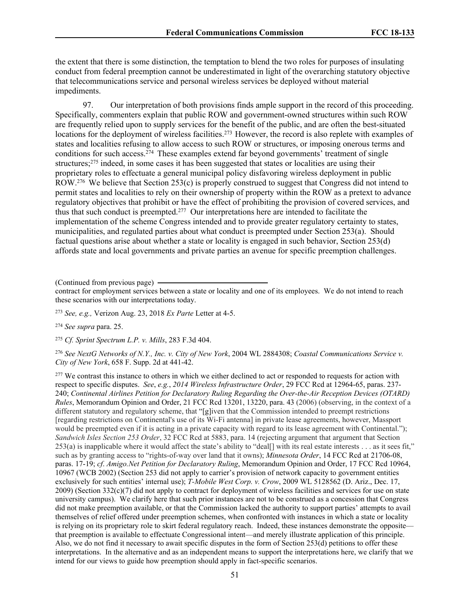the extent that there is some distinction, the temptation to blend the two roles for purposes of insulating conduct from federal preemption cannot be underestimated in light of the overarching statutory objective that telecommunications service and personal wireless services be deployed without material impediments.

97. Our interpretation of both provisions finds ample support in the record of this proceeding. Specifically, commenters explain that public ROW and government-owned structures within such ROW are frequently relied upon to supply services for the benefit of the public, and are often the best-situated locations for the deployment of wireless facilities.<sup>273</sup> However, the record is also replete with examples of states and localities refusing to allow access to such ROW or structures, or imposing onerous terms and conditions for such access.<sup>274</sup> These examples extend far beyond governments' treatment of single structures;<sup>275</sup> indeed, in some cases it has been suggested that states or localities are using their proprietary roles to effectuate a general municipal policy disfavoring wireless deployment in public ROW.<sup>276</sup> We believe that Section 253(c) is properly construed to suggest that Congress did not intend to permit states and localities to rely on their ownership of property within the ROW as a pretext to advance regulatory objectives that prohibit or have the effect of prohibiting the provision of covered services, and thus that such conduct is preempted.<sup>277</sup> Our interpretations here are intended to facilitate the implementation of the scheme Congress intended and to provide greater regulatory certainty to states, municipalities, and regulated parties about what conduct is preempted under Section 253(a). Should factual questions arise about whether a state or locality is engaged in such behavior, Section 253(d) affords state and local governments and private parties an avenue for specific preemption challenges.

(Continued from previous page)

contract for employment services between a state or locality and one of its employees. We do not intend to reach these scenarios with our interpretations today.

<sup>273</sup> *See, e.g.,* Verizon Aug. 23, 2018 *Ex Parte* Letter at 4-5.

<sup>274</sup> *See supra* para. 25.

<sup>275</sup> *Cf. Sprint Spectrum L.P. v. Mills*, 283 F.3d 404.

<sup>276</sup> *See NextG Networks of N.Y., Inc. v. City of New York*, 2004 WL 2884308; *Coastal Communications Service v. City of New York*, 658 F. Supp. 2d at 441-42.

<sup>277</sup> We contrast this instance to others in which we either declined to act or responded to requests for action with respect to specific disputes. *See*, *e.g.*, *2014 Wireless Infrastructure Order*, 29 FCC Rcd at 12964-65, paras. 237- 240; *Continental Airlines Petition for Declaratory Ruling Regarding the Over-the-Air Reception Devices (OTARD) Rules*, Memorandum Opinion and Order, 21 FCC Rcd 13201, 13220, para. 43 (2006) (observing, in the context of a different statutory and regulatory scheme, that "[g]iven that the Commission intended to preempt restrictions [regarding restrictions on Continental's use of its Wi-Fi antenna] in private lease agreements, however, Massport would be preempted even if it is acting in a private capacity with regard to its lease agreement with Continental."); *Sandwich Isles Section 253 Order*, 32 FCC Rcd at 5883, para. 14 (rejecting argument that argument that Section 253(a) is inapplicable where it would affect the state's ability to "deal[] with its real estate interests . . . as it sees fit," such as by granting access to "rights-of-way over land that it owns); *Minnesota Order*, 14 FCC Rcd at 21706-08, paras. 17-19; *cf*. *Amigo.Net Petition for Declaratory Ruling*, Memorandum Opinion and Order, 17 FCC Rcd 10964, 10967 (WCB 2002) (Section 253 did not apply to carrier's provision of network capacity to government entities exclusively for such entities' internal use); *T-Mobile West Corp. v. Crow*, 2009 WL 5128562 (D. Ariz., Dec. 17,  $2009$ ) (Section 332(c)(7) did not apply to contract for deployment of wireless facilities and services for use on state university campus). We clarify here that such prior instances are not to be construed as a concession that Congress did not make preemption available, or that the Commission lacked the authority to support parties' attempts to avail themselves of relief offered under preemption schemes, when confronted with instances in which a state or locality is relying on its proprietary role to skirt federal regulatory reach. Indeed, these instances demonstrate the opposite that preemption is available to effectuate Congressional intent—and merely illustrate application of this principle. Also, we do not find it necessary to await specific disputes in the form of Section 253(d) petitions to offer these interpretations. In the alternative and as an independent means to support the interpretations here, we clarify that we intend for our views to guide how preemption should apply in fact-specific scenarios.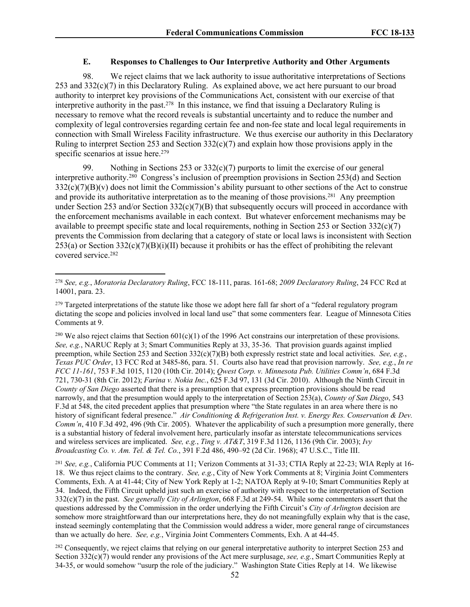## **E. Responses to Challenges to Our Interpretive Authority and Other Arguments**

98. We reject claims that we lack authority to issue authoritative interpretations of Sections 253 and 332(c)(7) in this Declaratory Ruling. As explained above, we act here pursuant to our broad authority to interpret key provisions of the Communications Act, consistent with our exercise of that interpretive authority in the past.<sup>278</sup> In this instance, we find that issuing a Declaratory Ruling is necessary to remove what the record reveals is substantial uncertainty and to reduce the number and complexity of legal controversies regarding certain fee and non-fee state and local legal requirements in connection with Small Wireless Facility infrastructure. We thus exercise our authority in this Declaratory Ruling to interpret Section 253 and Section  $332(c)(7)$  and explain how those provisions apply in the specific scenarios at issue here.<sup>279</sup>

99. Nothing in Sections 253 or 332(c)(7) purports to limit the exercise of our general interpretive authority.<sup>280</sup> Congress's inclusion of preemption provisions in Section 253(d) and Section  $332(c)(7)(B)(v)$  does not limit the Commission's ability pursuant to other sections of the Act to construe and provide its authoritative interpretation as to the meaning of those provisions.<sup>281</sup> Any preemption under Section 253 and/or Section 332(c)(7)(B) that subsequently occurs will proceed in accordance with the enforcement mechanisms available in each context. But whatever enforcement mechanisms may be available to preempt specific state and local requirements, nothing in Section 253 or Section 332(c)(7) prevents the Commission from declaring that a category of state or local laws is inconsistent with Section 253(a) or Section 332(c)(7)(B)(i)(II) because it prohibits or has the effect of prohibiting the relevant covered service.<sup>282</sup>

<sup>280</sup> We also reject claims that Section  $601(c)(1)$  of the 1996 Act constrains our interpretation of these provisions. *See, e.g.*, NARUC Reply at 3; Smart Communities Reply at 33, 35-36. That provision guards against implied preemption, while Section 253 and Section 332(c)(7)(B) both expressly restrict state and local activities. *See, e.g.*, *Texas PUC Order*, 13 FCC Rcd at 3485-86, para. 51. Courts also have read that provision narrowly. *See, e.g.*, *In re FCC 11-161*, 753 F.3d 1015, 1120 (10th Cir. 2014); *Qwest Corp. v. Minnesota Pub. Utilities Comm'n*, 684 F.3d 721, 730-31 (8th Cir. 2012); *Farina v. Nokia Inc.*, 625 F.3d 97, 131 (3d Cir. 2010). Although the Ninth Circuit in *County of San Diego* asserted that there is a presumption that express preemption provisions should be read narrowly, and that the presumption would apply to the interpretation of Section 253(a), *County of San Diego*, 543 F.3d at 548, the cited precedent applies that presumption where "the State regulates in an area where there is no history of significant federal presence." *Air Conditioning & Refrigeration Inst. v. Energy Res. Conservation & Dev. Comm'n*, 410 F.3d 492, 496 (9th Cir. 2005). Whatever the applicability of such a presumption more generally, there is a substantial history of federal involvement here, particularly insofar as interstate telecommunications services and wireless services are implicated. *See, e.g.*, *Ting v. AT&T*, 319 F.3d 1126, 1136 (9th Cir. 2003); *Ivy Broadcasting Co. v. Am. Tel. & Tel. Co.*, 391 F.2d 486, 490–92 (2d Cir. 1968); 47 U.S.C., Title III.

<sup>281</sup> *See, e.g.*, California PUC Comments at 11; Verizon Comments at 31-33; CTIA Reply at 22-23; WIA Reply at 16- 18. We thus reject claims to the contrary. *See, e.g.*, City of New York Comments at 8; Virginia Joint Commenters Comments, Exh. A at 41-44; City of New York Reply at 1-2; NATOA Reply at 9-10; Smart Communities Reply at 34. Indeed, the Fifth Circuit upheld just such an exercise of authority with respect to the interpretation of Section 332(c)(7) in the past. *See generally City of Arlington*, 668 F.3d at 249-54. While some commenters assert that the questions addressed by the Commission in the order underlying the Fifth Circuit's *City of Arlington* decision are somehow more straightforward than our interpretations here, they do not meaningfully explain why that is the case, instead seemingly contemplating that the Commission would address a wider, more general range of circumstances than we actually do here. *See, e.g.*, Virginia Joint Commenters Comments, Exh. A at 44-45.

<sup>282</sup> Consequently, we reject claims that relying on our general interpretative authority to interpret Section 253 and Section 332(c)(7) would render any provisions of the Act mere surplusage, *see, e.g.*, Smart Communities Reply at 34-35, or would somehow "usurp the role of the judiciary." Washington State Cities Reply at 14. We likewise

<sup>278</sup> *See, e.g.*, *Moratoria Declaratory Ruling*, FCC 18-111, paras. 161-68; *2009 Declaratory Ruling*, 24 FCC Rcd at 14001, para. 23.

<sup>&</sup>lt;sup>279</sup> Targeted interpretations of the statute like those we adopt here fall far short of a "federal regulatory program dictating the scope and policies involved in local land use" that some commenters fear. League of Minnesota Cities Comments at 9.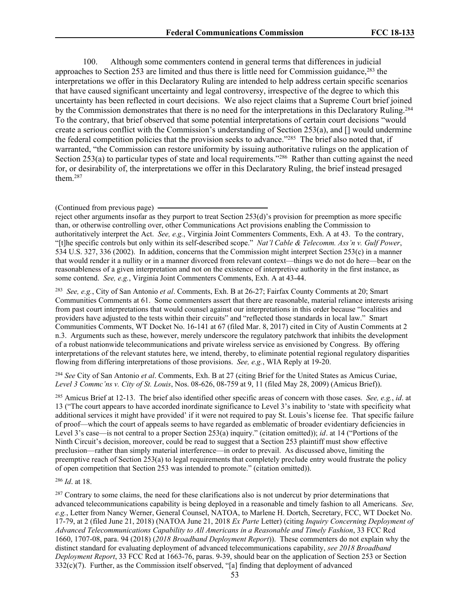100. Although some commenters contend in general terms that differences in judicial approaches to Section 253 are limited and thus there is little need for Commission guidance.<sup>283</sup> the interpretations we offer in this Declaratory Ruling are intended to help address certain specific scenarios that have caused significant uncertainty and legal controversy, irrespective of the degree to which this uncertainty has been reflected in court decisions. We also reject claims that a Supreme Court brief joined by the Commission demonstrates that there is no need for the interpretations in this Declaratory Ruling.<sup>284</sup> To the contrary, that brief observed that some potential interpretations of certain court decisions "would create a serious conflict with the Commission's understanding of Section 253(a), and [] would undermine the federal competition policies that the provision seeks to advance."<sup>285</sup> The brief also noted that, if warranted, "the Commission can restore uniformity by issuing authoritative rulings on the application of Section 253(a) to particular types of state and local requirements."<sup>286</sup> Rather than cutting against the need for, or desirability of, the interpretations we offer in this Declaratory Ruling, the brief instead presaged them.<sup>287</sup>

(Continued from previous page)

reject other arguments insofar as they purport to treat Section 253(d)'s provision for preemption as more specific than, or otherwise controlling over, other Communications Act provisions enabling the Commission to authoritatively interpret the Act. *See, e.g.*, Virginia Joint Commenters Comments, Exh. A at 43. To the contrary, "[t]he specific controls but only within its self-described scope." *Nat'l Cable & Telecomm. Ass'n v. Gulf Power*, 534 U.S. 327, 336 (2002). In addition, concerns that the Commission might interpret Section 253(c) in a manner that would render it a nullity or in a manner divorced from relevant context—things we do not do here—bear on the reasonableness of a given interpretation and not on the existence of interpretive authority in the first instance, as some contend. *See, e.g.*, Virginia Joint Commenters Comments, Exh. A at 43-44.

283 *See, e.g.*, City of San Antonio *et al*. Comments, Exh. B at 26-27; Fairfax County Comments at 20; Smart Communities Comments at 61. Some commenters assert that there are reasonable, material reliance interests arising from past court interpretations that would counsel against our interpretations in this order because "localities and providers have adjusted to the tests within their circuits" and "reflected those standards in local law." Smart Communities Comments, WT Docket No. 16-141 at 67 (filed Mar. 8, 2017) cited in City of Austin Comments at 2 n.3. Arguments such as these, however, merely underscore the regulatory patchwork that inhibits the development of a robust nationwide telecommunications and private wireless service as envisioned by Congress. By offering interpretations of the relevant statutes here, we intend, thereby, to eliminate potential regional regulatory disparities flowing from differing interpretations of those provisions. *See, e.g.*, WIA Reply at 19-20.

<sup>284</sup> *See* City of San Antonio *et al*. Comments, Exh. B at 27 (citing Brief for the United States as Amicus Curiae, *Level 3 Commc'ns v. City of St. Louis*, Nos. 08-626, 08-759 at 9, 11 (filed May 28, 2009) (Amicus Brief)).

<sup>285</sup> Amicus Brief at 12-13. The brief also identified other specific areas of concern with those cases. *See, e.g.*, *id*. at 13 ("The court appears to have accorded inordinate significance to Level 3's inability to 'state with specificity what additional services it might have provided' if it were not required to pay St. Louis's license fee. That specific failure of proof—which the court of appeals seems to have regarded as emblematic of broader evidentiary deficiencies in Level 3's case—is not central to a proper Section 253(a) inquiry." (citation omitted)); *id*. at 14 ("Portions of the Ninth Circuit's decision, moreover, could be read to suggest that a Section 253 plaintiff must show effective preclusion—rather than simply material interference—in order to prevail. As discussed above, limiting the preemptive reach of Section 253(a) to legal requirements that completely preclude entry would frustrate the policy of open competition that Section 253 was intended to promote." (citation omitted)).

<sup>286</sup> *Id*. at 18.

<sup>287</sup> Contrary to some claims, the need for these clarifications also is not undercut by prior determinations that advanced telecommunications capability is being deployed in a reasonable and timely fashion to all Americans. *See, e.g.*, Letter from Nancy Werner, General Counsel, NATOA, to Marlene H. Dortch, Secretary, FCC, WT Docket No. 17-79, at 2 (filed June 21, 2018) (NATOA June 21, 2018 *Ex Parte* Letter) (citing *Inquiry Concerning Deployment of Advanced Telecommunications Capability to All Americans in a Reasonable and Timely Fashion*, 33 FCC Rcd 1660, 1707-08, para. 94 (2018) (*2018 Broadband Deployment Report*)). These commenters do not explain why the distinct standard for evaluating deployment of advanced telecommunications capability, *see 2018 Broadband Deployment Report*, 33 FCC Rcd at 1663-76, paras. 9-39, should bear on the application of Section 253 or Section 332(c)(7). Further, as the Commission itself observed, "[a] finding that deployment of advanced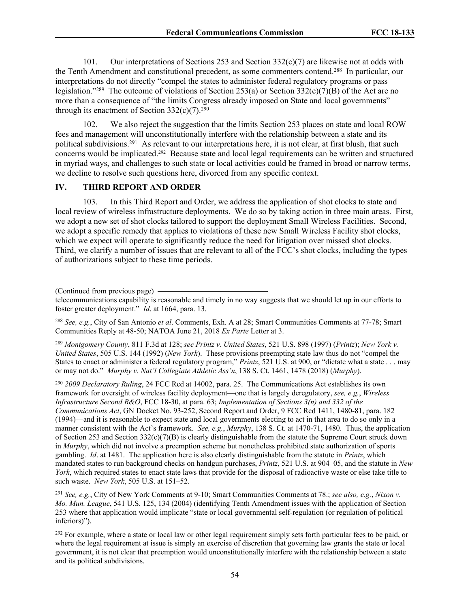101. Our interpretations of Sections 253 and Section  $332(c)(7)$  are likewise not at odds with the Tenth Amendment and constitutional precedent, as some commenters contend.<sup>288</sup> In particular, our interpretations do not directly "compel the states to administer federal regulatory programs or pass legislation."<sup>289</sup> The outcome of violations of Section 253(a) or Section 332(c)(7)(B) of the Act are no more than a consequence of "the limits Congress already imposed on State and local governments" through its enactment of Section  $332(c)(7)$ .<sup>290</sup>

102. We also reject the suggestion that the limits Section 253 places on state and local ROW fees and management will unconstitutionally interfere with the relationship between a state and its political subdivisions.<sup>291</sup> As relevant to our interpretations here, it is not clear, at first blush, that such concerns would be implicated.<sup>292</sup> Because state and local legal requirements can be written and structured in myriad ways, and challenges to such state or local activities could be framed in broad or narrow terms, we decline to resolve such questions here, divorced from any specific context.

### **IV. THIRD REPORT AND ORDER**

103. In this Third Report and Order, we address the application of shot clocks to state and local review of wireless infrastructure deployments. We do so by taking action in three main areas. First, we adopt a new set of shot clocks tailored to support the deployment Small Wireless Facilities. Second, we adopt a specific remedy that applies to violations of these new Small Wireless Facility shot clocks, which we expect will operate to significantly reduce the need for litigation over missed shot clocks. Third, we clarify a number of issues that are relevant to all of the FCC's shot clocks, including the types of authorizations subject to these time periods.

<sup>288</sup> *See, e.g.*, City of San Antonio *et al*. Comments, Exh. A at 28; Smart Communities Comments at 77-78; Smart Communities Reply at 48-50; NATOA June 21, 2018 *Ex Parte* Letter at 3.

<sup>289</sup> *Montgomery County*, 811 F.3d at 128; *see Printz v. United States*, 521 U.S. 898 (1997) (*Printz*); *New York v. United States*, 505 U.S. 144 (1992) (*New York*). These provisions preempting state law thus do not "compel the States to enact or administer a federal regulatory program," *Printz*, 521 U.S. at 900, or "dictate what a state . . . may or may not do." *Murphy v. Nat'l Collegiate Athletic Ass'n*, 138 S. Ct. 1461, 1478 (2018) (*Murphy*).

<sup>290</sup> *2009 Declaratory Ruling*, 24 FCC Rcd at 14002, para. 25. The Communications Act establishes its own framework for oversight of wireless facility deployment—one that is largely deregulatory, *see, e.g.*, *Wireless Infrastructure Second R&O*, FCC 18-30, at para. 63; *Implementation of Sections 3(n) and 332 of the Communications Act*, GN Docket No. 93-252, Second Report and Order, 9 FCC Rcd 1411, 1480-81, para. 182 (1994)—and it is reasonable to expect state and local governments electing to act in that area to do so only in a manner consistent with the Act's framework. *See, e.g.*, *Murphy*, 138 S. Ct. at 1470-71, 1480. Thus, the application of Section 253 and Section  $332(c)(7)(B)$  is clearly distinguishable from the statute the Supreme Court struck down in *Murphy*, which did not involve a preemption scheme but nonetheless prohibited state authorization of sports gambling. *Id*. at 1481. The application here is also clearly distinguishable from the statute in *Printz*, which mandated states to run background checks on handgun purchases, *Printz*, 521 U.S. at 904–05, and the statute in *New York*, which required states to enact state laws that provide for the disposal of radioactive waste or else take title to such waste. *New York*, 505 U.S. at 151–52.

<sup>291</sup> *See, e.g.*, City of New York Comments at 9-10; Smart Communities Comments at 78.; *see also, e.g.*, *Nixon v. Mo. Mun. League*, 541 U.S. 125, 134 (2004) (identifying Tenth Amendment issues with the application of Section 253 where that application would implicate "state or local governmental self-regulation (or regulation of political inferiors)").

 $292$  For example, where a state or local law or other legal requirement simply sets forth particular fees to be paid, or where the legal requirement at issue is simply an exercise of discretion that governing law grants the state or local government, it is not clear that preemption would unconstitutionally interfere with the relationship between a state and its political subdivisions.

<sup>(</sup>Continued from previous page)

telecommunications capability is reasonable and timely in no way suggests that we should let up in our efforts to foster greater deployment." *Id*. at 1664, para. 13.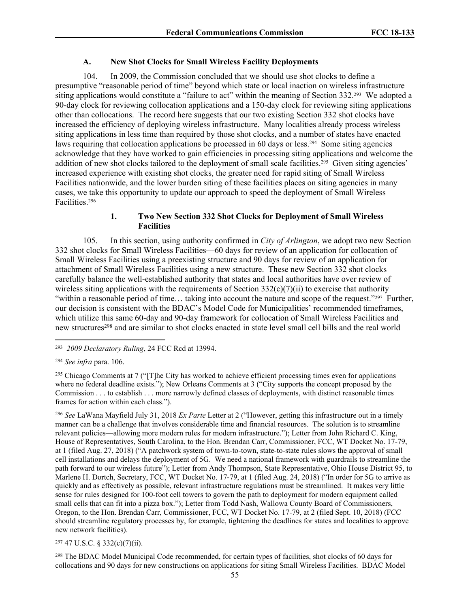### **A. New Shot Clocks for Small Wireless Facility Deployments**

104. In 2009, the Commission concluded that we should use shot clocks to define a presumptive "reasonable period of time" beyond which state or local inaction on wireless infrastructure siting applications would constitute a "failure to act" within the meaning of Section 332.<sup>293</sup> We adopted a 90-day clock for reviewing collocation applications and a 150-day clock for reviewing siting applications other than collocations. The record here suggests that our two existing Section 332 shot clocks have increased the efficiency of deploying wireless infrastructure. Many localities already process wireless siting applications in less time than required by those shot clocks, and a number of states have enacted laws requiring that collocation applications be processed in 60 days or less.<sup>294</sup> Some siting agencies acknowledge that they have worked to gain efficiencies in processing siting applications and welcome the addition of new shot clocks tailored to the deployment of small scale facilities.<sup>295</sup> Given siting agencies' increased experience with existing shot clocks, the greater need for rapid siting of Small Wireless Facilities nationwide, and the lower burden siting of these facilities places on siting agencies in many cases, we take this opportunity to update our approach to speed the deployment of Small Wireless Facilities.<sup>296</sup>

## **1. Two New Section 332 Shot Clocks for Deployment of Small Wireless Facilities**

105. In this section, using authority confirmed in *City of Arlington*, we adopt two new Section 332 shot clocks for Small Wireless Facilities—60 days for review of an application for collocation of Small Wireless Facilities using a preexisting structure and 90 days for review of an application for attachment of Small Wireless Facilities using a new structure. These new Section 332 shot clocks carefully balance the well-established authority that states and local authorities have over review of wireless siting applications with the requirements of Section  $332(c)(7)(ii)$  to exercise that authority "within a reasonable period of time... taking into account the nature and scope of the request."<sup>297</sup> Further, our decision is consistent with the BDAC's Model Code for Municipalities' recommended timeframes, which utilize this same 60-day and 90-day framework for collocation of Small Wireless Facilities and new structures<sup>298</sup> and are similar to shot clocks enacted in state level small cell bills and the real world

<sup>295</sup> Chicago Comments at 7 ("[T]he City has worked to achieve efficient processing times even for applications where no federal deadline exists."); New Orleans Comments at 3 ("City supports the concept proposed by the Commission . . . to establish . . . more narrowly defined classes of deployments, with distinct reasonable times frames for action within each class.").

<sup>296</sup> *See* LaWana Mayfield July 31, 2018 *Ex Parte* Letter at 2 ("However, getting this infrastructure out in a timely manner can be a challenge that involves considerable time and financial resources. The solution is to streamline relevant policies—allowing more modern rules for modern infrastructure."); Letter from John Richard C. King, House of Representatives, South Carolina, to the Hon. Brendan Carr, Commissioner, FCC, WT Docket No. 17-79, at 1 (filed Aug. 27, 2018) ("A patchwork system of town-to-town, state-to-state rules slows the approval of small cell installations and delays the deployment of 5G. We need a national framework with guardrails to streamline the path forward to our wireless future"); Letter from Andy Thompson, State Representative, Ohio House District 95, to Marlene H. Dortch, Secretary, FCC, WT Docket No. 17-79, at 1 (filed Aug. 24, 2018) ("In order for 5G to arrive as quickly and as effectively as possible, relevant infrastructure regulations must be streamlined. It makes very little sense for rules designed for 100-foot cell towers to govern the path to deployment for modern equipment called small cells that can fit into a pizza box."); Letter from Todd Nash, Wallowa County Board of Commissioners, Oregon, to the Hon. Brendan Carr, Commissioner, FCC, WT Docket No. 17-79, at 2 (filed Sept. 10, 2018) (FCC should streamline regulatory processes by, for example, tightening the deadlines for states and localities to approve new network facilities).

<sup>297</sup> 47 U.S.C. § 332(c)(7)(ii).

<sup>298</sup> The BDAC Model Municipal Code recommended, for certain types of facilities, shot clocks of 60 days for collocations and 90 days for new constructions on applications for siting Small Wireless Facilities. BDAC Model

<sup>293</sup> *2009 Declaratory Ruling*, 24 FCC Rcd at 13994.

<sup>294</sup> *See infra* para. 106.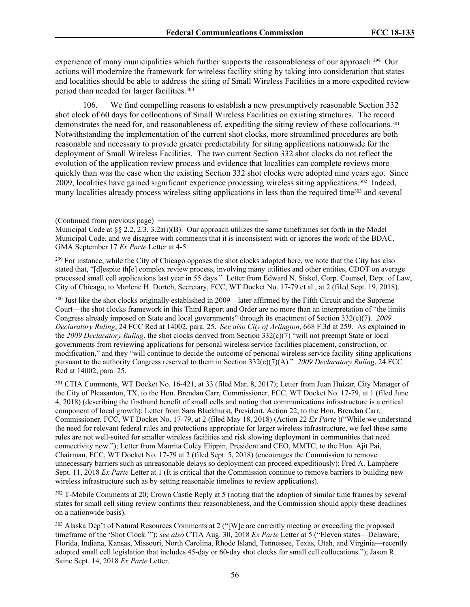experience of many municipalities which further supports the reasonableness of our approach.<sup>299</sup> Our actions will modernize the framework for wireless facility siting by taking into consideration that states and localities should be able to address the siting of Small Wireless Facilities in a more expedited review period than needed for larger facilities.<sup>300</sup>

106. We find compelling reasons to establish a new presumptively reasonable Section 332 shot clock of 60 days for collocations of Small Wireless Facilities on existing structures. The record demonstrates the need for, and reasonableness of, expediting the siting review of these collocations.<sup>301</sup> Notwithstanding the implementation of the current shot clocks, more streamlined procedures are both reasonable and necessary to provide greater predictability for siting applications nationwide for the deployment of Small Wireless Facilities. The two current Section 332 shot clocks do not reflect the evolution of the application review process and evidence that localities can complete reviews more quickly than was the case when the existing Section 332 shot clocks were adopted nine years ago. Since 2009, localities have gained significant experience processing wireless siting applications.<sup>302</sup> Indeed, many localities already process wireless siting applications in less than the required time<sup>303</sup> and several

<sup>299</sup> For instance, while the City of Chicago opposes the shot clocks adopted here, we note that the City has also stated that, "[d]espite th[e] complex review process, involving many utilities and other entities, CDOT on average processed small cell applications last year in 55 days." Letter from Edward N. Siskel, Corp. Counsel, Dept. of Law, City of Chicago, to Marlene H. Dortch, Secretary, FCC, WT Docket No. 17-79 et al., at 2 (filed Sept. 19, 2018).

<sup>300</sup> Just like the shot clocks originally established in 2009—later affirmed by the Fifth Circuit and the Supreme Court—the shot clocks framework in this Third Report and Order are no more than an interpretation of "the limits Congress already imposed on State and local governments" through its enactment of Section 332(c)(7). *2009 Declaratory Ruling*, 24 FCC Rcd at 14002, para. 25. *See also City of Arlington*, 668 F.3d at 259. As explained in the *2009 Declaratory Ruling*, the shot clocks derived from Section 332(c)(7) "will not preempt State or local governments from reviewing applications for personal wireless service facilities placement, construction, or modification," and they "will continue to decide the outcome of personal wireless service facility siting applications pursuant to the authority Congress reserved to them in Section 332(c)(7)(A)." *2009 Declaratory Ruling*, 24 FCC Rcd at 14002, para. 25.

<sup>301</sup> CTIA Comments, WT Docket No. 16-421, at 33 (filed Mar. 8, 2017); Letter from Juan Huizar, City Manager of the City of Pleasanton, TX, to the Hon. Brendan Carr, Commissioner, FCC, WT Docket No. 17-79, at 1 (filed June 4, 2018) (describing the firsthand benefit of small cells and noting that communications infrastructure is a critical component of local growth); Letter from Sara Blackhurst, President, Action 22, to the Hon. Brendan Carr, Commissioner, FCC, WT Docket No. 17-79, at 2 (filed May 18, 2018) (Action 22 *Ex Parte* )("While we understand the need for relevant federal rules and protections appropriate for larger wireless infrastructure, we feel these same rules are not well-suited for smaller wireless facilities and risk slowing deployment in communities that need connectivity now."); Letter from Maurita Coley Flippin, President and CEO, MMTC, to the Hon. Ajit Pai, Chairman, FCC, WT Docket No. 17-79 at 2 (filed Sept. 5, 2018) (encourages the Commission to remove unnecessary barriers such as unreasonable delays so deployment can proceed expeditiously); Fred A. Lamphere Sept. 11, 2018 *Ex Parte* Letter at 1 (It is critical that the Commission continue to remove barriers to building new wireless infrastructure such as by setting reasonable timelines to review applications).

<sup>302</sup> T-Mobile Comments at 20; Crown Castle Reply at 5 (noting that the adoption of similar time frames by several states for small cell siting review confirms their reasonableness, and the Commission should apply these deadlines on a nationwide basis).

<sup>303</sup> Alaska Dep't of Natural Resources Comments at 2 ("[W]e are currently meeting or exceeding the proposed timeframe of the 'Shot Clock.'"); *see also* CTIA Aug. 30, 2018 *Ex Parte* Letter at 5 ("Eleven states—Delaware, Florida, Indiana, Kansas, Missouri, North Carolina, Rhode Island, Tennessee, Texas, Utah, and Virginia—recently adopted small cell legislation that includes 45-day or 60-day shot clocks for small cell collocations."); Jason R. Saine Sept. 14, 2018 *Ex Parte* Letter.

<sup>(</sup>Continued from previous page)

Municipal Code at  $\S$  2.2, 2.3, 3.2a(i)(B). Our approach utilizes the same timeframes set forth in the Model Municipal Code, and we disagree with comments that it is inconsistent with or ignores the work of the BDAC. GMA September 17 *Ex Parte* Letter at 4-5.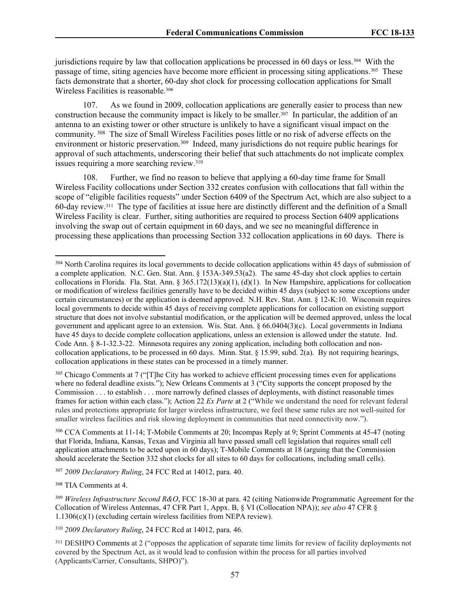jurisdictions require by law that collocation applications be processed in 60 days or less.<sup>304</sup> With the passage of time, siting agencies have become more efficient in processing siting applications.<sup>305</sup> These facts demonstrate that a shorter, 60-day shot clock for processing collocation applications for Small Wireless Facilities is reasonable.<sup>306</sup>

107. As we found in 2009, collocation applications are generally easier to process than new construction because the community impact is likely to be smaller.<sup>307</sup> In particular, the addition of an antenna to an existing tower or other structure is unlikely to have a significant visual impact on the community. <sup>308</sup> The size of Small Wireless Facilities poses little or no risk of adverse effects on the environment or historic preservation.<sup>309</sup> Indeed, many jurisdictions do not require public hearings for approval of such attachments, underscoring their belief that such attachments do not implicate complex issues requiring a more searching review.<sup>310</sup>

108. Further, we find no reason to believe that applying a 60-day time frame for Small Wireless Facility collocations under Section 332 creates confusion with collocations that fall within the scope of "eligible facilities requests" under Section 6409 of the Spectrum Act, which are also subject to a 60-day review.<sup>311</sup> The type of facilities at issue here are distinctly different and the definition of a Small Wireless Facility is clear. Further, siting authorities are required to process Section 6409 applications involving the swap out of certain equipment in 60 days, and we see no meaningful difference in processing these applications than processing Section 332 collocation applications in 60 days. There is

<sup>305</sup> Chicago Comments at 7 ("[T]he City has worked to achieve efficient processing times even for applications where no federal deadline exists."); New Orleans Comments at 3 ("City supports the concept proposed by the Commission . . . to establish . . . more narrowly defined classes of deployments, with distinct reasonable times frames for action within each class."); Action 22 *Ex Parte* at 2 ("While we understand the need for relevant federal rules and protections appropriate for larger wireless infrastructure, we feel these same rules are not well-suited for smaller wireless facilities and risk slowing deployment in communities that need connectivity now.").

<sup>306</sup> CCA Comments at 11-14; T-Mobile Comments at 20; Incompas Reply at 9; Sprint Comments at 45-47 (noting that Florida, Indiana, Kansas, Texas and Virginia all have passed small cell legislation that requires small cell application attachments to be acted upon in 60 days); T-Mobile Comments at 18 (arguing that the Commission should accelerate the Section 332 shot clocks for all sites to 60 days for collocations, including small cells).

<sup>307</sup> *2009 Declaratory Ruling*, 24 FCC Rcd at 14012, para. 40.

<sup>308</sup> TIA Comments at 4.

<sup>309</sup> *Wireless Infrastructure Second R&O*, FCC 18-30 at para. 42 (citing Nationwide Programmatic Agreement for the Collocation of Wireless Antennas, 47 CFR Part 1, Appx. B, § VI (Collocation NPA)); *see also* 47 CFR § 1.1306(c)(1) (excluding certain wireless facilities from NEPA review).

<sup>310</sup> *2009 Declaratory Ruling*, 24 FCC Rcd at 14012, para. 46.

<sup>311</sup> DESHPO Comments at 2 ("opposes the application of separate time limits for review of facility deployments not covered by the Spectrum Act, as it would lead to confusion within the process for all parties involved (Applicants/Carrier, Consultants, SHPO)").

<sup>&</sup>lt;sup>304</sup> North Carolina requires its local governments to decide collocation applications within 45 days of submission of a complete application. N.C. Gen. Stat. Ann. § 153A-349.53(a2). The same 45-day shot clock applies to certain collocations in Florida. Fla. Stat. Ann. § 365.172(13)(a)(1), (d)(1). In New Hampshire, applications for collocation or modification of wireless facilities generally have to be decided within 45 days (subject to some exceptions under certain circumstances) or the application is deemed approved. N.H. Rev. Stat. Ann. § 12-K:10. Wisconsin requires local governments to decide within 45 days of receiving complete applications for collocation on existing support structure that does not involve substantial modification, or the application will be deemed approved, unless the local government and applicant agree to an extension. Wis. Stat. Ann. § 66.0404(3)(c). Local governments in Indiana have 45 days to decide complete collocation applications, unless an extension is allowed under the statute. Ind. Code Ann. § 8-1-32.3-22. Minnesota requires any zoning application, including both collocation and noncollocation applications, to be processed in 60 days. Minn. Stat. § 15.99, subd. 2(a). By not requiring hearings, collocation applications in these states can be processed in a timely manner.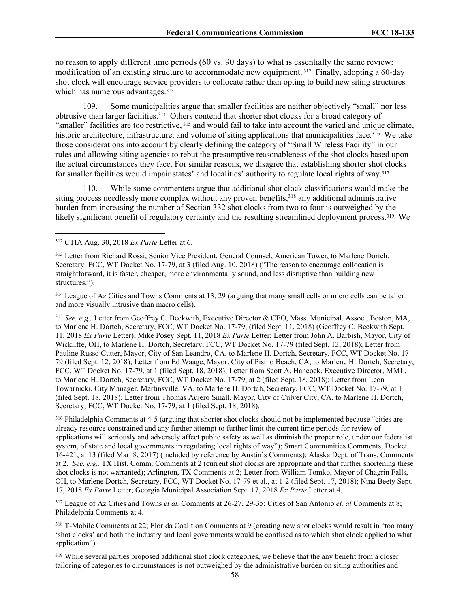no reason to apply different time periods (60 vs. 90 days) to what is essentially the same review: modification of an existing structure to accommodate new equipment. <sup>312</sup> Finally, adopting a 60-day shot clock will encourage service providers to collocate rather than opting to build new siting structures which has numerous advantages.<sup>313</sup>

109. Some municipalities argue that smaller facilities are neither objectively "small" nor less obtrusive than larger facilities.<sup>314</sup> Others contend that shorter shot clocks for a broad category of "smaller" facilities are too restrictive, <sup>315</sup> and would fail to take into account the varied and unique climate, historic architecture, infrastructure, and volume of siting applications that municipalities face.<sup>316</sup> We take those considerations into account by clearly defining the category of "Small Wireless Facility" in our rules and allowing siting agencies to rebut the presumptive reasonableness of the shot clocks based upon the actual circumstances they face. For similar reasons, we disagree that establishing shorter shot clocks for smaller facilities would impair states' and localities' authority to regulate local rights of way.<sup>317</sup>

110. While some commenters argue that additional shot clock classifications would make the siting process needlessly more complex without any proven benefits,<sup>318</sup> any additional administrative burden from increasing the number of Section 332 shot clocks from two to four is outweighed by the likely significant benefit of regulatory certainty and the resulting streamlined deployment process.<sup>319</sup> We

<sup>315</sup> *See, e.g.,* Letter from Geoffrey C. Beckwith, Executive Director & CEO, Mass. Municipal. Assoc., Boston, MA, to Marlene H. Dortch, Secretary, FCC, WT Docket No. 17-79, (filed Sept. 11, 2018) (Geoffrey C. Beckwith Sept. 11, 2018 *Ex Parte* Letter); Mike Posey Sept. 11, 2018 *Ex Parte* Letter; Letter from John A. Barbish, Mayor, City of Wickliffe, OH, to Marlene H. Dortch, Secretary, FCC, WT Docket No. 17-79 (filed Sept. 13, 2018); Letter from Pauline Russo Cutter, Mayor, City of San Leandro, CA, to Marlene H. Dortch, Secretary, FCC, WT Docket No. 17- 79 (filed Sept. 12, 2018); Letter from Ed Waage, Mayor, City of Pismo Beach, CA, to Marlene H. Dortch, Secretary, FCC, WT Docket No. 17-79, at 1 (filed Sept. 18, 2018); Letter from Scott A. Hancock, Executive Director, MML, to Marlene H. Dortch, Secretary, FCC, WT Docket No. 17-79, at 2 (filed Sept. 18, 2018); Letter from Leon Towarnicki, City Manager, Martinsville, VA, to Marlene H. Dortch, Secretary, FCC, WT Docket No. 17-79, at 1 (filed Sept. 18, 2018); Letter from Thomas Aujero Small, Mayor, City of Culver City, CA, to Marlene H. Dortch, Secretary, FCC, WT Docket No. 17-79, at 1 (filed Sept. 18, 2018).

<sup>316</sup> Philadelphia Comments at 4-5 (arguing that shorter shot clocks should not be implemented because "cities are already resource constrained and any further attempt to further limit the current time periods for review of applications will seriously and adversely affect public safety as well as diminish the proper role, under our federalist system, of state and local governments in regulating local rights of way"); Smart Communities Comments, Docket 16-421, at 13 (filed Mar. 8, 2017) (included by reference by Austin's Comments); Alaska Dept. of Trans. Comments at 2. *See, e.g.,* TX Hist. Comm. Comments at 2 (current shot clocks are appropriate and that further shortening these shot clocks is not warranted); Arlington, TX Comments at 2; Letter from William Tomko, Mayor of Chagrin Falls, OH, to Marlene Dortch, Secretary, FCC, WT Docket No. 17-79 et al., at 1-2 (filed Sept. 17, 2018); Nina Beety Sept. 17, 2018 *Ex Parte* Letter; Georgia Municipal Association Sept. 17, 2018 *Ex Parte* Letter at 4.

<sup>317</sup> League of Az Cities and Towns *et al.* Comments at 26-27, 29-35; Cities of San Antonio *et. al* Comments at 8; Philadelphia Comments at 4.

<sup>318</sup> T-Mobile Comments at 22; Florida Coalition Comments at 9 (creating new shot clocks would result in "too many 'shot clocks' and both the industry and local governments would be confused as to which shot clock applied to what application").

<sup>319</sup> While several parties proposed additional shot clock categories, we believe that the any benefit from a closer tailoring of categories to circumstances is not outweighed by the administrative burden on siting authorities and

<sup>312</sup> CTIA Aug. 30, 2018 *Ex Parte* Letter at 6.

<sup>313</sup> Letter from Richard Rossi, Senior Vice President, General Counsel, American Tower, to Marlene Dortch, Secretary, FCC, WT Docket No. 17-79, at 3 (filed Aug. 10, 2018) ("The reason to encourage collocation is straightforward, it is faster, cheaper, more environmentally sound, and less disruptive than building new structures.").

<sup>&</sup>lt;sup>314</sup> League of Az Cities and Towns Comments at 13, 29 (arguing that many small cells or micro cells can be taller and more visually intrusive than macro cells).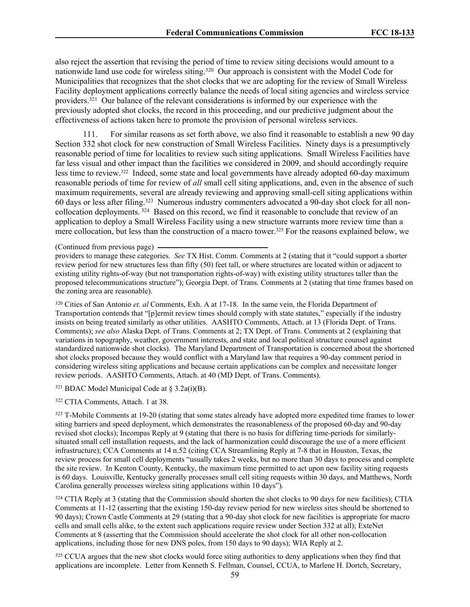also reject the assertion that revising the period of time to review siting decisions would amount to a nationwide land use code for wireless siting.<sup>320</sup> Our approach is consistent with the Model Code for Municipalities that recognizes that the shot clocks that we are adopting for the review of Small Wireless Facility deployment applications correctly balance the needs of local siting agencies and wireless service providers.<sup>321</sup> Our balance of the relevant considerations is informed by our experience with the previously adopted shot clocks, the record in this proceeding, and our predictive judgment about the effectiveness of actions taken here to promote the provision of personal wireless services.

111. For similar reasons as set forth above, we also find it reasonable to establish a new 90 day Section 332 shot clock for new construction of Small Wireless Facilities. Ninety days is a presumptively reasonable period of time for localities to review such siting applications. Small Wireless Facilities have far less visual and other impact than the facilities we considered in 2009, and should accordingly require less time to review.<sup>322</sup> Indeed, some state and local governments have already adopted 60-day maximum reasonable periods of time for review of *all* small cell siting applications, and, even in the absence of such maximum requirements, several are already reviewing and approving small-cell siting applications within 60 days or less after filing.<sup>323</sup> Numerous industry commenters advocated a 90-day shot clock for all noncollocation deployments.<sup>324</sup> Based on this record, we find it reasonable to conclude that review of an application to deploy a Small Wireless Facility using a new structure warrants more review time than a mere collocation, but less than the construction of a macro tower.<sup>325</sup> For the reasons explained below, we

#### (Continued from previous page)

providers to manage these categories. *See* TX Hist. Comm. Comments at 2 (stating that it "could support a shorter review period for new structures less than fifty (50) feet tall, or where structures are located within or adjacent to existing utility rights-of-way (but not transportation rights-of-way) with existing utility structures taller than the proposed telecommunications structure"); Georgia Dept. of Trans. Comments at 2 (stating that time frames based on the zoning area are reasonable).

<sup>320</sup> Cities of San Antonio *et. al* Comments, Exh. A at 17-18. In the same vein, the Florida Department of Transportation contends that "[p]ermit review times should comply with state statutes," especially if the industry insists on being treated similarly as other utilities. AASHTO Comments, Attach. at 13 (Florida Dept. of Trans. Comments); *see also* Alaska Dept. of Trans. Comments at 2; TX Dept. of Trans. Comments at 2 (explaining that variations in topography, weather, government interests, and state and local political structure counsel against standardized nationwide shot clocks). The Maryland Department of Transportation is concerned about the shortened shot clocks proposed because they would conflict with a Maryland law that requires a 90-day comment period in considering wireless siting applications and because certain applications can be complex and necessitate longer review periods. AASHTO Comments, Attach. at 40 (MD Dept. of Trans. Comments).

 $321$  BDAC Model Municipal Code at § 3.2a(i)(B).

<sup>322</sup> CTIA Comments, Attach. 1 at 38.

<sup>323</sup> T-Mobile Comments at 19-20 (stating that some states already have adopted more expedited time frames to lower siting barriers and speed deployment, which demonstrates the reasonableness of the proposed 60-day and 90-day revised shot clocks); Incompas Reply at 9 (stating that there is no basis for differing time-periods for similarlysituated small cell installation requests, and the lack of harmonization could discourage the use of a more efficient infrastructure); CCA Comments at 14 n.52 (citing CCA Streamlining Reply at 7-8 that in Houston, Texas, the review process for small cell deployments "usually takes 2 weeks, but no more than 30 days to process and complete the site review. In Kenton County, Kentucky, the maximum time permitted to act upon new facility siting requests is 60 days. Louisville, Kentucky generally processes small cell siting requests within 30 days, and Matthews, North Carolina generally processes wireless siting applications within 10 days").

<sup>324</sup> CTIA Reply at 3 (stating that the Commission should shorten the shot clocks to 90 days for new facilities); CTIA Comments at 11-12 (asserting that the existing 150-day review period for new wireless sites should be shortened to 90 days); Crown Castle Comments at 29 (stating that a 90-day shot clock for new facilities is appropriate for macro cells and small cells alike, to the extent such applications require review under Section 332 at all); ExteNet Comments at 8 (asserting that the Commission should accelerate the shot clock for all other non-collocation applications, including those for new DNS poles, from 150 days to 90 days); WIA Reply at 2.

<sup>325</sup> CCUA argues that the new shot clocks would force siting authorities to deny applications when they find that applications are incomplete. Letter from Kenneth S. Fellman, Counsel, CCUA, to Marlene H. Dortch, Secretary,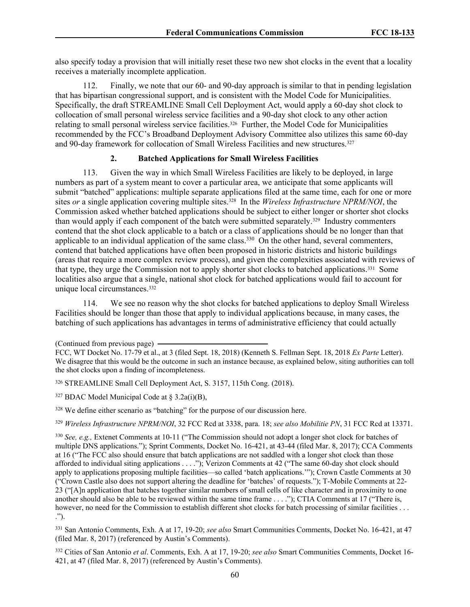also specify today a provision that will initially reset these two new shot clocks in the event that a locality receives a materially incomplete application.

112. Finally, we note that our 60- and 90-day approach is similar to that in pending legislation that has bipartisan congressional support, and is consistent with the Model Code for Municipalities. Specifically, the draft STREAMLINE Small Cell Deployment Act, would apply a 60-day shot clock to collocation of small personal wireless service facilities and a 90-day shot clock to any other action relating to small personal wireless service facilities.<sup>326</sup> Further, the Model Code for Municipalities recommended by the FCC's Broadband Deployment Advisory Committee also utilizes this same 60-day and 90-day framework for collocation of Small Wireless Facilities and new structures.<sup>327</sup>

# **2. Batched Applications for Small Wireless Facilities**

113. Given the way in which Small Wireless Facilities are likely to be deployed, in large numbers as part of a system meant to cover a particular area, we anticipate that some applicants will submit "batched" applications: multiple separate applications filed at the same time, each for one or more sites *or* a single application covering multiple sites.<sup>328</sup> In the *Wireless Infrastructure NPRM/NOI*, the Commission asked whether batched applications should be subject to either longer or shorter shot clocks than would apply if each component of the batch were submitted separately.<sup>329</sup> Industry commenters contend that the shot clock applicable to a batch or a class of applications should be no longer than that applicable to an individual application of the same class.<sup>330</sup> On the other hand, several commenters, contend that batched applications have often been proposed in historic districts and historic buildings (areas that require a more complex review process), and given the complexities associated with reviews of that type, they urge the Commission not to apply shorter shot clocks to batched applications.<sup>331</sup> Some localities also argue that a single, national shot clock for batched applications would fail to account for unique local circumstances.<sup>332</sup>

114. We see no reason why the shot clocks for batched applications to deploy Small Wireless Facilities should be longer than those that apply to individual applications because, in many cases, the batching of such applications has advantages in terms of administrative efficiency that could actually

 $327$  BDAC Model Municipal Code at § 3.2a(i)(B),

<sup>328</sup> We define either scenario as "batching" for the purpose of our discussion here.

<sup>329</sup> *Wireless Infrastructure NPRM/NOI*, 32 FCC Rcd at 3338, para. 18; *see also Mobilitie PN*, 31 FCC Rcd at 13371.

<sup>332</sup> Cities of San Antonio *et al*. Comments, Exh. A at 17, 19-20; *see also* Smart Communities Comments, Docket 16- 421, at 47 (filed Mar. 8, 2017) (referenced by Austin's Comments).

<sup>(</sup>Continued from previous page)

FCC, WT Docket No. 17-79 et al., at 3 (filed Sept. 18, 2018) (Kenneth S. Fellman Sept. 18, 2018 *Ex Parte* Letter). We disagree that this would be the outcome in such an instance because, as explained below, siting authorities can toll the shot clocks upon a finding of incompleteness.

<sup>326</sup> STREAMLINE Small Cell Deployment Act, S. 3157, 115th Cong. (2018).

<sup>330</sup> *See, e.g.,* Extenet Comments at 10-11 ("The Commission should not adopt a longer shot clock for batches of multiple DNS applications."); Sprint Comments, Docket No. 16-421, at 43-44 (filed Mar. 8, 2017); CCA Comments at 16 ("The FCC also should ensure that batch applications are not saddled with a longer shot clock than those afforded to individual siting applications . . . ."); Verizon Comments at 42 ("The same 60-day shot clock should apply to applications proposing multiple facilities—so called 'batch applications.'"); Crown Castle Comments at 30 ("Crown Castle also does not support altering the deadline for 'batches' of requests."); T-Mobile Comments at 22- 23 ("[A]n application that batches together similar numbers of small cells of like character and in proximity to one another should also be able to be reviewed within the same time frame . . . ."); CTIA Comments at 17 ("There is, however, no need for the Commission to establish different shot clocks for batch processing of similar facilities . . . .").

<sup>331</sup> San Antonio Comments, Exh. A at 17, 19-20; *see also* Smart Communities Comments, Docket No. 16-421, at 47 (filed Mar. 8, 2017) (referenced by Austin's Comments).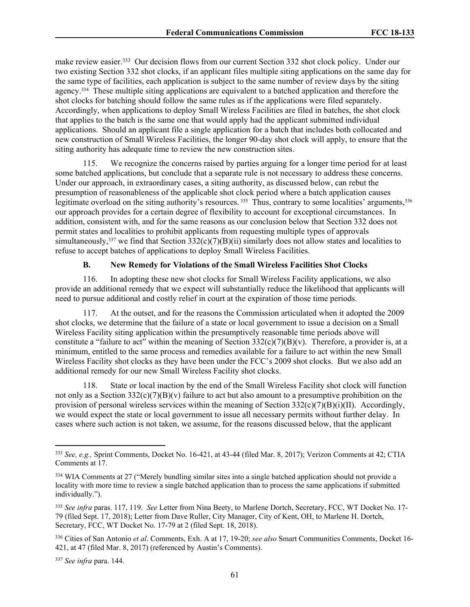make review easier.<sup>333</sup> Our decision flows from our current Section 332 shot clock policy. Under our two existing Section 332 shot clocks, if an applicant files multiple siting applications on the same day for the same type of facilities, each application is subject to the same number of review days by the siting agency.<sup>334</sup> These multiple siting applications are equivalent to a batched application and therefore the shot clocks for batching should follow the same rules as if the applications were filed separately. Accordingly, when applications to deploy Small Wireless Facilities are filed in batches, the shot clock that applies to the batch is the same one that would apply had the applicant submitted individual applications. Should an applicant file a single application for a batch that includes both collocated and new construction of Small Wireless Facilities, the longer 90-day shot clock will apply, to ensure that the siting authority has adequate time to review the new construction sites.

115. We recognize the concerns raised by parties arguing for a longer time period for at least some batched applications, but conclude that a separate rule is not necessary to address these concerns. Under our approach, in extraordinary cases, a siting authority, as discussed below, can rebut the presumption of reasonableness of the applicable shot clock period where a batch application causes legitimate overload on the siting authority's resources.<sup>335</sup> Thus, contrary to some localities' arguments,<sup>336</sup> our approach provides for a certain degree of flexibility to account for exceptional circumstances. In addition, consistent with, and for the same reasons as our conclusion below that Section 332 does not permit states and localities to prohibit applicants from requesting multiple types of approvals simultaneously,<sup>337</sup> we find that Section  $332(c)(7)(B)(ii)$  similarly does not allow states and localities to refuse to accept batches of applications to deploy Small Wireless Facilities.

## **B. New Remedy for Violations of the Small Wireless Facilities Shot Clocks**

116. In adopting these new shot clocks for Small Wireless Facility applications, we also provide an additional remedy that we expect will substantially reduce the likelihood that applicants will need to pursue additional and costly relief in court at the expiration of those time periods.

117. At the outset, and for the reasons the Commission articulated when it adopted the 2009 shot clocks, we determine that the failure of a state or local government to issue a decision on a Small Wireless Facility siting application within the presumptively reasonable time periods above will constitute a "failure to act" within the meaning of Section  $332(c)(7)(B)(v)$ . Therefore, a provider is, at a minimum, entitled to the same process and remedies available for a failure to act within the new Small Wireless Facility shot clocks as they have been under the FCC's 2009 shot clocks. But we also add an additional remedy for our new Small Wireless Facility shot clocks.

118. State or local inaction by the end of the Small Wireless Facility shot clock will function not only as a Section  $332(c)(7)(B)(v)$  failure to act but also amount to a presumptive prohibition on the provision of personal wireless services within the meaning of Section  $332(c)(7)(B)(i)(II)$ . Accordingly, we would expect the state or local government to issue all necessary permits without further delay. In cases where such action is not taken, we assume, for the reasons discussed below, that the applicant

<sup>337</sup> *See infra* para. 144.

<sup>333</sup> *See, e.g.,* Sprint Comments, Docket No. 16-421, at 43-44 (filed Mar. 8, 2017); Verizon Comments at 42; CTIA Comments at 17.

<sup>334</sup> WIA Comments at 27 ("Merely bundling similar sites into a single batched application should not provide a locality with more time to review a single batched application than to process the same applications if submitted individually.").

<sup>335</sup> *See infra* paras. 117, 119. *See* Letter from Nina Beety, to Marlene Dortch, Secretary, FCC, WT Docket No. 17- 79 (filed Sept. 17, 2018); Letter from Dave Ruller, City Manager, City of Kent, OH, to Marlene H. Dortch, Secretary, FCC, WT Docket No. 17-79 at 2 (filed Sept. 18, 2018).

<sup>336</sup> Cities of San Antonio *et al*. Comments, Exh. A at 17, 19-20; *see also* Smart Communities Comments, Docket 16- 421, at 47 (filed Mar. 8, 2017) (referenced by Austin's Comments).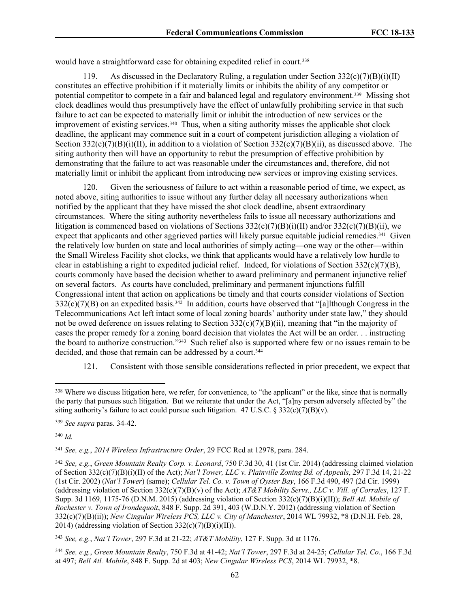would have a straightforward case for obtaining expedited relief in court.<sup>338</sup>

119. As discussed in the Declaratory Ruling, a regulation under Section  $332(c)(7)(B)(i)(II)$ constitutes an effective prohibition if it materially limits or inhibits the ability of any competitor or potential competitor to compete in a fair and balanced legal and regulatory environment.<sup>339</sup> Missing shot clock deadlines would thus presumptively have the effect of unlawfully prohibiting service in that such failure to act can be expected to materially limit or inhibit the introduction of new services or the improvement of existing services.<sup>340</sup> Thus, when a siting authority misses the applicable shot clock deadline, the applicant may commence suit in a court of competent jurisdiction alleging a violation of Section  $332(c)(7)(B)(i)(II)$ , in addition to a violation of Section  $332(c)(7)(B)(ii)$ , as discussed above. The siting authority then will have an opportunity to rebut the presumption of effective prohibition by demonstrating that the failure to act was reasonable under the circumstances and, therefore, did not materially limit or inhibit the applicant from introducing new services or improving existing services.

120. Given the seriousness of failure to act within a reasonable period of time, we expect, as noted above, siting authorities to issue without any further delay all necessary authorizations when notified by the applicant that they have missed the shot clock deadline, absent extraordinary circumstances. Where the siting authority nevertheless fails to issue all necessary authorizations and litigation is commenced based on violations of Sections  $332(c)(7)(B)(i)(II)$  and/or  $332(c)(7)(B)(ii)$ , we expect that applicants and other aggrieved parties will likely pursue equitable judicial remedies.<sup>341</sup> Given the relatively low burden on state and local authorities of simply acting—one way or the other—within the Small Wireless Facility shot clocks, we think that applicants would have a relatively low hurdle to clear in establishing a right to expedited judicial relief. Indeed, for violations of Section  $332(c)(7)(B)$ , courts commonly have based the decision whether to award preliminary and permanent injunctive relief on several factors. As courts have concluded, preliminary and permanent injunctions fulfill Congressional intent that action on applications be timely and that courts consider violations of Section  $332(c)(7)(B)$  on an expedited basis.<sup>342</sup> In addition, courts have observed that "[a]lthough Congress in the Telecommunications Act left intact some of local zoning boards' authority under state law," they should not be owed deference on issues relating to Section  $332(c)(7)(B)(ii)$ , meaning that "in the majority of cases the proper remedy for a zoning board decision that violates the Act will be an order. . . instructing the board to authorize construction."<sup>343</sup> Such relief also is supported where few or no issues remain to be decided, and those that remain can be addressed by a court.<sup>344</sup>

121. Consistent with those sensible considerations reflected in prior precedent, we expect that

<sup>340</sup> *Id.*

<sup>&</sup>lt;sup>338</sup> Where we discuss litigation here, we refer, for convenience, to "the applicant" or the like, since that is normally the party that pursues such litigation. But we reiterate that under the Act, "[a]ny person adversely affected by" the siting authority's failure to act could pursue such litigation. 47 U.S.C. §  $332(c)(7)(B)(v)$ .

<sup>339</sup> *See supra* paras. 34-42.

<sup>341</sup> *See, e.g.*, *2014 Wireless Infrastructure Order*, 29 FCC Rcd at 12978, para. 284.

<sup>342</sup> *See, e.g.*, *Green Mountain Realty Corp. v. Leonard*, 750 F.3d 30, 41 (1st Cir. 2014) (addressing claimed violation of Section 332(c)(7)(B)(i)(II) of the Act); *Nat'l Tower, LLC v. Plainville Zoning Bd. of Appeals*, 297 F.3d 14, 21-22 (1st Cir. 2002) (*Nat'l Tower*) (same); *Cellular Tel. Co. v. Town of Oyster Bay*, 166 F.3d 490, 497 (2d Cir. 1999) (addressing violation of Section 332(c)(7)(B)(v) of the Act); *AT&T Mobility Servs., LLC v. Vill. of Corrales*, 127 F. Supp. 3d 1169, 1175-76 (D.N.M. 2015) (addressing violation of Section 332(c)(7)(B)(i)(II)); *Bell Atl. Mobile of Rochester v. Town of Irondequoit*, 848 F. Supp. 2d 391, 403 (W.D.N.Y. 2012) (addressing violation of Section 332(c)(7)(B)(ii)); *New Cingular Wireless PCS, LLC v. City of Manchester*, 2014 WL 79932, \*8 (D.N.H. Feb. 28, 2014) (addressing violation of Section  $332(c)(7)(B)(i)(II)$ ).

<sup>343</sup> *See, e.g.*, *Nat'l Tower*, 297 F.3d at 21-22; *AT&T Mobility*, 127 F. Supp. 3d at 1176.

<sup>344</sup> *See, e.g.*, *Green Mountain Realty*, 750 F.3d at 41-42; *Nat'l Tower*, 297 F.3d at 24-25; *Cellular Tel. Co.*, 166 F.3d at 497; *Bell Atl. Mobile*, 848 F. Supp. 2d at 403; *New Cingular Wireless PCS*, 2014 WL 79932, \*8.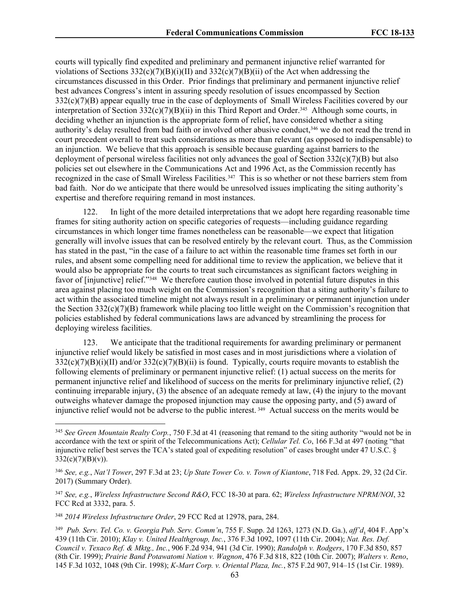courts will typically find expedited and preliminary and permanent injunctive relief warranted for violations of Sections  $332(c)(7)(B)(i)(II)$  and  $332(c)(7)(B)(ii)$  of the Act when addressing the circumstances discussed in this Order. Prior findings that preliminary and permanent injunctive relief best advances Congress's intent in assuring speedy resolution of issues encompassed by Section 332(c)(7)(B) appear equally true in the case of deployments of Small Wireless Facilities covered by our interpretation of Section 332(c)(7)(B)(ii) in this Third Report and Order.<sup>345</sup> Although some courts, in deciding whether an injunction is the appropriate form of relief, have considered whether a siting authority's delay resulted from bad faith or involved other abusive conduct,<sup>346</sup> we do not read the trend in court precedent overall to treat such considerations as more than relevant (as opposed to indispensable) to an injunction. We believe that this approach is sensible because guarding against barriers to the deployment of personal wireless facilities not only advances the goal of Section  $332(c)(7)(B)$  but also policies set out elsewhere in the Communications Act and 1996 Act, as the Commission recently has recognized in the case of Small Wireless Facilities.<sup>347</sup> This is so whether or not these barriers stem from bad faith. Nor do we anticipate that there would be unresolved issues implicating the siting authority's expertise and therefore requiring remand in most instances.

122. In light of the more detailed interpretations that we adopt here regarding reasonable time frames for siting authority action on specific categories of requests—including guidance regarding circumstances in which longer time frames nonetheless can be reasonable—we expect that litigation generally will involve issues that can be resolved entirely by the relevant court. Thus, as the Commission has stated in the past, "in the case of a failure to act within the reasonable time frames set forth in our rules, and absent some compelling need for additional time to review the application, we believe that it would also be appropriate for the courts to treat such circumstances as significant factors weighing in favor of [injunctive] relief."<sup>348</sup> We therefore caution those involved in potential future disputes in this area against placing too much weight on the Commission's recognition that a siting authority's failure to act within the associated timeline might not always result in a preliminary or permanent injunction under the Section  $332(c)(7)(B)$  framework while placing too little weight on the Commission's recognition that policies established by federal communications laws are advanced by streamlining the process for deploying wireless facilities.

123. We anticipate that the traditional requirements for awarding preliminary or permanent injunctive relief would likely be satisfied in most cases and in most jurisdictions where a violation of  $332(c)(7)(B)(i)(II)$  and/or  $332(c)(7)(B)(ii)$  is found. Typically, courts require movants to establish the following elements of preliminary or permanent injunctive relief: (1) actual success on the merits for permanent injunctive relief and likelihood of success on the merits for preliminary injunctive relief, (2) continuing irreparable injury, (3) the absence of an adequate remedy at law, (4) the injury to the movant outweighs whatever damage the proposed injunction may cause the opposing party, and (5) award of injunctive relief would not be adverse to the public interest. <sup>349</sup> Actual success on the merits would be

<sup>348</sup> *2014 Wireless Infrastructure Order*, 29 FCC Rcd at 12978, para, 284.

<sup>345</sup> *See Green Mountain Realty Corp.*, 750 F.3d at 41 (reasoning that remand to the siting authority "would not be in accordance with the text or spirit of the Telecommunications Act); *Cellular Tel. Co*, 166 F.3d at 497 (noting "that injunctive relief best serves the TCA's stated goal of expediting resolution" of cases brought under 47 U.S.C. §  $332(c)(7)(B)(v)$ .

<sup>346</sup> *See, e.g.*, *Nat'l Tower*, 297 F.3d at 23; *Up State Tower Co. v. Town of Kiantone*, 718 Fed. Appx. 29, 32 (2d Cir. 2017) (Summary Order).

<sup>347</sup> *See, e.g.*, *Wireless Infrastructure Second R&O*, FCC 18-30 at para. 62; *Wireless Infrastructure NPRM/NOI*, 32 FCC Rcd at 3332, para. 5.

<sup>349</sup> *Pub. Serv. Tel. Co. v. Georgia Pub. Serv. Comm'n*, 755 F. Supp. 2d 1263, 1273 (N.D. Ga.), *aff'd*, 404 F. App'x 439 (11th Cir. 2010); *Klay v. United Healthgroup, Inc.*, 376 F.3d 1092, 1097 (11th Cir. 2004); *Nat. Res. Def. Council v. Texaco Ref. & Mktg., Inc.*, 906 F.2d 934, 941 (3d Cir. 1990); *Randolph v. Rodgers*, 170 F.3d 850, 857 (8th Cir. 1999); *Prairie Band Potawatomi Nation v. Wagnon*, 476 F.3d 818, 822 (10th Cir. 2007); *Walters v. Reno*, 145 F.3d 1032, 1048 (9th Cir. 1998); *K-Mart Corp. v. Oriental Plaza, Inc.*, 875 F.2d 907, 914–15 (1st Cir. 1989).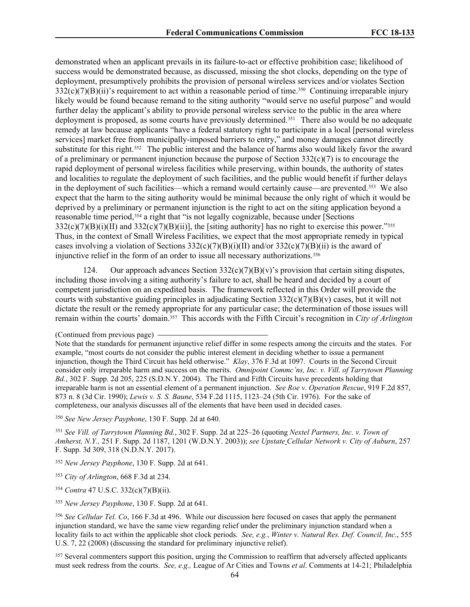demonstrated when an applicant prevails in its failure-to-act or effective prohibition case; likelihood of success would be demonstrated because, as discussed, missing the shot clocks, depending on the type of deployment, presumptively prohibits the provision of personal wireless services and/or violates Section  $332(c)(7)(B)(ii)$ 's requirement to act within a reasonable period of time.<sup>350</sup> Continuing irreparable injury likely would be found because remand to the siting authority "would serve no useful purpose" and would further delay the applicant's ability to provide personal wireless service to the public in the area where deployment is proposed, as some courts have previously determined.<sup>351</sup> There also would be no adequate remedy at law because applicants "have a federal statutory right to participate in a local [personal wireless services] market free from municipally-imposed barriers to entry," and money damages cannot directly substitute for this right.<sup>352</sup> The public interest and the balance of harms also would likely favor the award of a preliminary or permanent injunction because the purpose of Section  $332(c)(7)$  is to encourage the rapid deployment of personal wireless facilities while preserving, within bounds, the authority of states and localities to regulate the deployment of such facilities, and the public would benefit if further delays in the deployment of such facilities—which a remand would certainly cause—are prevented.<sup>353</sup> We also expect that the harm to the siting authority would be minimal because the only right of which it would be deprived by a preliminary or permanent injunction is the right to act on the siting application beyond a reasonable time period,<sup>354</sup> a right that "is not legally cognizable, because under [Sections  $332(c)(7)(B)(i)(II)$  and  $332(c)(7)(B)(ii)$ , the [siting authority] has no right to exercise this power."<sup>355</sup> Thus, in the context of Small Wireless Facilities, we expect that the most appropriate remedy in typical cases involving a violation of Sections  $332(c)(7)(B)(i)(II)$  and/or  $332(c)(7)(B)(ii)$  is the award of injunctive relief in the form of an order to issue all necessary authorizations.<sup>356</sup>

124. Our approach advances Section  $332(c)(7)(B)(v)$ 's provision that certain siting disputes, including those involving a siting authority's failure to act, shall be heard and decided by a court of competent jurisdiction on an expedited basis. The framework reflected in this Order will provide the courts with substantive guiding principles in adjudicating Section  $332(c)(7)(B)(v)$  cases, but it will not dictate the result or the remedy appropriate for any particular case; the determination of those issues will remain within the courts' domain.<sup>357</sup> This accords with the Fifth Circuit's recognition in *City of Arlington*

<sup>357</sup> Several commenters support this position, urging the Commission to reaffirm that adversely affected applicants must seek redress from the courts. *See, e.g.,* League of Ar Cities and Towns *et al*. Comments at 14-21; Philadelphia

<sup>(</sup>Continued from previous page)

Note that the standards for permanent injunctive relief differ in some respects among the circuits and the states. For example, "most courts do not consider the public interest element in deciding whether to issue a permanent injunction, though the Third Circuit has held otherwise." *Klay*, 376 F.3d at 1097. Courts in the Second Circuit consider only irreparable harm and success on the merits. *Omnipoint Commc'ns, Inc. v. Vill. of Tarrytown Planning Bd.*, 302 F. Supp. 2d 205, 225 (S.D.N.Y. 2004). The Third and Fifth Circuits have precedents holding that irreparable harm is not an essential element of a permanent injunction. *See Roe v. Operation Rescue*, 919 F.2d 857, 873 n. 8 (3d Cir. 1990); *Lewis v. S. S. Baune*, 534 F.2d 1115, 1123–24 (5th Cir. 1976). For the sake of completeness, our analysis discusses all of the elements that have been used in decided cases.

<sup>350</sup> *See New Jersey Payphone*, 130 F. Supp. 2d at 640.

<sup>351</sup> *See Vill. of Tarrytown Planning Bd.*, 302 F. Supp. 2d at 225–26 (quoting *Nextel Partners, Inc. v. Town of Amherst, N.Y.,* 251 F. Supp. 2d 1187, 1201 (W.D.N.Y. 2003)); *see Upstate Cellular Network v. City of Auburn*, 257 F. Supp. 3d 309, 318 (N.D.N.Y. 2017).

<sup>352</sup> *New Jersey Payphone*, 130 F. Supp. 2d at 641.

<sup>353</sup> *City of Arlington*, 668 F.3d at 234.

<sup>354</sup> *Contra* 47 U.S.C. 332(c)(7)(B)(ii).

<sup>355</sup> *New Jersey Payphone*, 130 F. Supp. 2d at 641.

<sup>356</sup> *See Cellular Tel. Co*, 166 F.3d at 496. While our discussion here focused on cases that apply the permanent injunction standard, we have the same view regarding relief under the preliminary injunction standard when a locality fails to act within the applicable shot clock periods. *See, e.g.*, *Winter v. Natural Res. Def. Council, Inc*., 555 U.S. 7, 22 (2008) (discussing the standard for preliminary injunctive relief).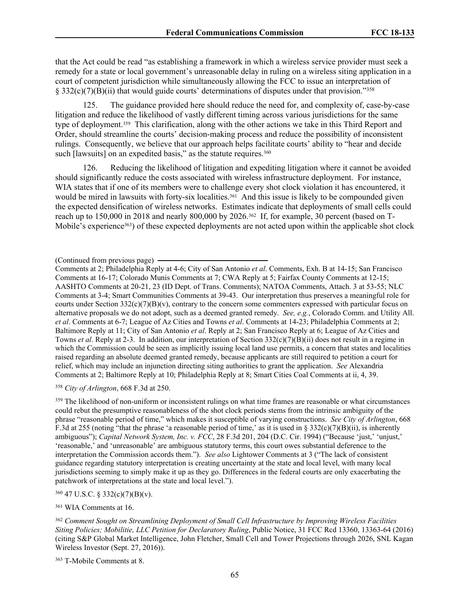that the Act could be read "as establishing a framework in which a wireless service provider must seek a remedy for a state or local government's unreasonable delay in ruling on a wireless siting application in a court of competent jurisdiction while simultaneously allowing the FCC to issue an interpretation of § 332(c)(7)(B)(ii) that would guide courts' determinations of disputes under that provision."<sup>358</sup>

125. The guidance provided here should reduce the need for, and complexity of, case-by-case litigation and reduce the likelihood of vastly different timing across various jurisdictions for the same type of deployment.<sup>359</sup> This clarification, along with the other actions we take in this Third Report and Order, should streamline the courts' decision-making process and reduce the possibility of inconsistent rulings. Consequently, we believe that our approach helps facilitate courts' ability to "hear and decide such [lawsuits] on an expedited basis," as the statute requires.<sup>360</sup>

126. Reducing the likelihood of litigation and expediting litigation where it cannot be avoided should significantly reduce the costs associated with wireless infrastructure deployment. For instance, WIA states that if one of its members were to challenge every shot clock violation it has encountered, it would be mired in lawsuits with forty-six localities.<sup>361</sup> And this issue is likely to be compounded given the expected densification of wireless networks. Estimates indicate that deployments of small cells could reach up to 150,000 in 2018 and nearly 800,000 by 2026.<sup>362</sup> If, for example, 30 percent (based on T-Mobile's experience363) of these expected deployments are not acted upon within the applicable shot clock

<sup>358</sup> *City of Arlington*, 668 F.3d at 250.

<sup>359</sup> The likelihood of non-uniform or inconsistent rulings on what time frames are reasonable or what circumstances could rebut the presumptive reasonableness of the shot clock periods stems from the intrinsic ambiguity of the phrase "reasonable period of time," which makes it susceptible of varying constructions. *See City of Arlington*, 668 F.3d at 255 (noting "that the phrase 'a reasonable period of time,' as it is used in § 332(c)(7)(B)(ii), is inherently ambiguous"); *Capital Network System, Inc. v. FCC*, 28 F.3d 201, 204 (D.C. Cir. 1994) ("Because 'just,' 'unjust,' 'reasonable,' and 'unreasonable' are ambiguous statutory terms, this court owes substantial deference to the interpretation the Commission accords them."). *See also* Lightower Comments at 3 ("The lack of consistent guidance regarding statutory interpretation is creating uncertainty at the state and local level, with many local jurisdictions seeming to simply make it up as they go. Differences in the federal courts are only exacerbating the patchwork of interpretations at the state and local level.").

<sup>360</sup> 47 U.S.C. § 332(c)(7)(B)(v).

<sup>361</sup> WIA Comments at 16.

<sup>363</sup> T-Mobile Comments at 8.

<sup>(</sup>Continued from previous page)

Comments at 2; Philadelphia Reply at 4-6; City of San Antonio *et al*. Comments, Exh. B at 14-15; San Francisco Comments at 16-17; Colorado Munis Comments at 7; CWA Reply at 5; Fairfax County Comments at 12-15; AASHTO Comments at 20-21, 23 (ID Dept. of Trans. Comments); NATOA Comments, Attach. 3 at 53-55; NLC Comments at 3-4; Smart Communities Comments at 39-43. Our interpretation thus preserves a meaningful role for courts under Section  $332(c)(7)(B)(v)$ , contrary to the concern some commenters expressed with particular focus on alternative proposals we do not adopt, such as a deemed granted remedy. *See, e.g.*, Colorado Comm. and Utility All. *et al*. Comments at 6-7; League of Az Cities and Towns *et al*. Comments at 14-23; Philadelphia Comments at 2; Baltimore Reply at 11; City of San Antonio *et al*. Reply at 2; San Francisco Reply at 6; League of Az Cities and Towns *et al*. Reply at 2-3. In addition, our interpretation of Section 332(c)(7)(B)(ii) does not result in a regime in which the Commission could be seen as implicitly issuing local land use permits, a concern that states and localities raised regarding an absolute deemed granted remedy, because applicants are still required to petition a court for relief, which may include an injunction directing siting authorities to grant the application. *See* Alexandria Comments at 2; Baltimore Reply at 10; Philadelphia Reply at 8; Smart Cities Coal Comments at ii, 4, 39.

<sup>362</sup> *Comment Sought on Streamlining Deployment of Small Cell Infrastructure by Improving Wireless Facilities Siting Policies; Mobilitie, LLC Petition for Declaratory Ruling*, Public Notice, 31 FCC Rcd 13360, 13363-64 (2016) (citing S&P Global Market Intelligence, John Fletcher, Small Cell and Tower Projections through 2026, SNL Kagan Wireless Investor (Sept. 27, 2016)).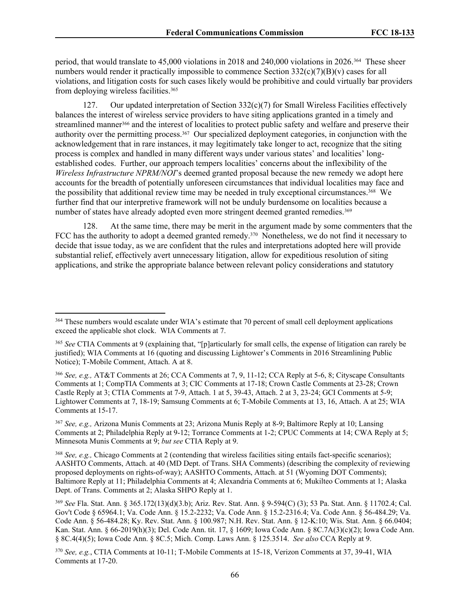period, that would translate to 45,000 violations in 2018 and 240,000 violations in 2026.<sup>364</sup> These sheer numbers would render it practically impossible to commence Section 332(c)(7)(B)(v) cases for all violations, and litigation costs for such cases likely would be prohibitive and could virtually bar providers from deploying wireless facilities.<sup>365</sup>

127. Our updated interpretation of Section 332(c)(7) for Small Wireless Facilities effectively balances the interest of wireless service providers to have siting applications granted in a timely and streamlined manner<sup>366</sup> and the interest of localities to protect public safety and welfare and preserve their authority over the permitting process.<sup>367</sup> Our specialized deployment categories, in conjunction with the acknowledgement that in rare instances, it may legitimately take longer to act, recognize that the siting process is complex and handled in many different ways under various states' and localities' longestablished codes. Further, our approach tempers localities' concerns about the inflexibility of the *Wireless Infrastructure NPRM/NOI*'s deemed granted proposal because the new remedy we adopt here accounts for the breadth of potentially unforeseen circumstances that individual localities may face and the possibility that additional review time may be needed in truly exceptional circumstances.<sup>368</sup> We further find that our interpretive framework will not be unduly burdensome on localities because a number of states have already adopted even more stringent deemed granted remedies.<sup>369</sup>

128. At the same time, there may be merit in the argument made by some commenters that the FCC has the authority to adopt a deemed granted remedy.<sup>370</sup> Nonetheless, we do not find it necessary to decide that issue today, as we are confident that the rules and interpretations adopted here will provide substantial relief, effectively avert unnecessary litigation, allow for expeditious resolution of siting applications, and strike the appropriate balance between relevant policy considerations and statutory

<sup>367</sup> *See, e.g.,* Arizona Munis Comments at 23; Arizona Munis Reply at 8-9; Baltimore Reply at 10; Lansing Comments at 2; Philadelphia Reply at 9-12; Torrance Comments at 1-2; CPUC Comments at 14; CWA Reply at 5; Minnesota Munis Comments at 9; *but see* CTIA Reply at 9.

<sup>368</sup> *See, e.g.,* Chicago Comments at 2 (contending that wireless facilities siting entails fact-specific scenarios); AASHTO Comments, Attach. at 40 (MD Dept. of Trans. SHA Comments) (describing the complexity of reviewing proposed deployments on rights-of-way); AASHTO Comments, Attach. at 51 (Wyoming DOT Comments); Baltimore Reply at 11; Philadelphia Comments at 4; Alexandria Comments at 6; Mukilteo Comments at 1; Alaska Dept. of Trans. Comments at 2; Alaska SHPO Reply at 1.

<sup>370</sup> *See, e.g.*, CTIA Comments at 10-11; T-Mobile Comments at 15-18, Verizon Comments at 37, 39-41, WIA Comments at 17-20.

<sup>&</sup>lt;sup>364</sup> These numbers would escalate under WIA's estimate that 70 percent of small cell deployment applications exceed the applicable shot clock. WIA Comments at 7.

<sup>365</sup> *See* CTIA Comments at 9 (explaining that, "[p]articularly for small cells, the expense of litigation can rarely be justified); WIA Comments at 16 (quoting and discussing Lightower's Comments in 2016 Streamlining Public Notice); T-Mobile Comment, Attach. A at 8.

<sup>366</sup> *See, e.g.,* AT&T Comments at 26; CCA Comments at 7, 9, 11-12; CCA Reply at 5-6, 8; Cityscape Consultants Comments at 1; CompTIA Comments at 3; CIC Comments at 17-18; Crown Castle Comments at 23-28; Crown Castle Reply at 3; CTIA Comments at 7-9, Attach. 1 at 5, 39-43, Attach. 2 at 3, 23-24; GCI Comments at 5-9; Lightower Comments at 7, 18-19; Samsung Comments at 6; T-Mobile Comments at 13, 16, Attach. A at 25; WIA Comments at 15-17.

<sup>369</sup> *See* Fla. Stat. Ann. § 365.172(13)(d)(3.b); Ariz. Rev. Stat. Ann. § 9-594(C) (3); 53 Pa. Stat. Ann. § 11702.4; Cal. Gov't Code § 65964.1; Va. Code Ann. § 15.2-2232; Va. Code Ann. § 15.2-2316.4; Va. Code Ann. § 56-484.29; Va. Code Ann. § 56-484.28; Ky. Rev. Stat. Ann. § 100.987; N.H. Rev. Stat. Ann. § 12-K:10; Wis. Stat. Ann. § 66.0404; Kan. Stat. Ann. § 66-2019(h)(3); Del. Code Ann. tit. 17, § 1609; Iowa Code Ann. § 8C.7A(3)(c)(2); Iowa Code Ann. § 8C.4(4)(5); Iowa Code Ann. § 8C.5; Mich. Comp. Laws Ann. § 125.3514. *See also* CCA Reply at 9.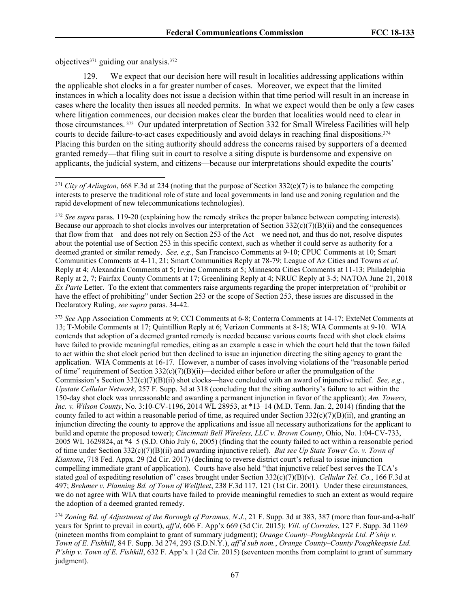objectives<sup>371</sup> guiding our analysis.<sup>372</sup>

129. We expect that our decision here will result in localities addressing applications within the applicable shot clocks in a far greater number of cases. Moreover, we expect that the limited instances in which a locality does not issue a decision within that time period will result in an increase in cases where the locality then issues all needed permits. In what we expect would then be only a few cases where litigation commences, our decision makes clear the burden that localities would need to clear in those circumstances. <sup>373</sup> Our updated interpretation of Section 332 for Small Wireless Facilities will help courts to decide failure-to-act cases expeditiously and avoid delays in reaching final dispositions.<sup>374</sup> Placing this burden on the siting authority should address the concerns raised by supporters of a deemed granted remedy—that filing suit in court to resolve a siting dispute is burdensome and expensive on applicants, the judicial system, and citizens—because our interpretations should expedite the courts'

<sup>373</sup> *See* App Association Comments at 9; CCI Comments at 6-8; Conterra Comments at 14-17; ExteNet Comments at 13; T-Mobile Comments at 17; Quintillion Reply at 6; Verizon Comments at 8-18; WIA Comments at 9-10. WIA contends that adoption of a deemed granted remedy is needed because various courts faced with shot clock claims have failed to provide meaningful remedies, citing as an example a case in which the court held that the town failed to act within the shot clock period but then declined to issue an injunction directing the siting agency to grant the application. WIA Comments at 16-17. However, a number of cases involving violations of the "reasonable period of time" requirement of Section  $332(c)(7)(B)(ii)$ —decided either before or after the promulgation of the Commission's Section 332(c)(7)(B)(ii) shot clocks—have concluded with an award of injunctive relief. *See, e.g.*, *Upstate Cellular Network*, 257 F. Supp. 3d at 318 (concluding that the siting authority's failure to act within the 150-day shot clock was unreasonable and awarding a permanent injunction in favor of the applicant); *Am. Towers, Inc. v. Wilson County*, No. 3:10-CV-1196, 2014 WL 28953, at \*13–14 (M.D. Tenn. Jan. 2, 2014) (finding that the county failed to act within a reasonable period of time, as required under Section  $332(c)(7)(B)(ii)$ , and granting an injunction directing the county to approve the applications and issue all necessary authorizations for the applicant to build and operate the proposed tower); *Cincinnati Bell Wireless, LLC v. Brown County*, Ohio, No. 1:04-CV-733, 2005 WL 1629824, at \*4–5 (S.D. Ohio July 6, 2005) (finding that the county failed to act within a reasonable period of time under Section 332(c)(7)(B)(ii) and awarding injunctive relief). *But see Up State Tower Co. v. Town of Kiantone*, 718 Fed. Appx. 29 (2d Cir. 2017) (declining to reverse district court's refusal to issue injunction compelling immediate grant of application). Courts have also held "that injunctive relief best serves the TCA's stated goal of expediting resolution of" cases brought under Section 332(c)(7)(B)(v). *Cellular Tel. Co.*, 166 F.3d at 497; *Brehmer v. Planning Bd. of Town of Wellfleet*, 238 F.3d 117, 121 (1st Cir. 2001). Under these circumstances, we do not agree with WIA that courts have failed to provide meaningful remedies to such an extent as would require the adoption of a deemed granted remedy.

<sup>374</sup> *Zoning Bd. of Adjustment of the Borough of Paramus, N.J.*, 21 F. Supp. 3d at 383, 387 (more than four-and-a-half years for Sprint to prevail in court), *aff'd*, 606 F. App'x 669 (3d Cir. 2015); *Vill. of Corrales*, 127 F. Supp. 3d 1169 (nineteen months from complaint to grant of summary judgment); *Orange County–Poughkeepsie Ltd. P'ship v. Town of E. Fishkill*, 84 F. Supp. 3d 274, 293 (S.D.N.Y.), *aff'd sub nom.*, *Orange County–County Poughkeepsie Ltd. P'ship v. Town of E. Fishkill*, 632 F. App'x 1 (2d Cir. 2015) (seventeen months from complaint to grant of summary judgment).

<sup>371</sup> *City of Arlington*, 668 F.3d at 234 (noting that the purpose of Section 332(c)(7) is to balance the competing interests to preserve the traditional role of state and local governments in land use and zoning regulation and the rapid development of new telecommunications technologies).

<sup>372</sup> *See supra* paras. 119-20 (explaining how the remedy strikes the proper balance between competing interests). Because our approach to shot clocks involves our interpretation of Section  $332(c)(7)(B)(ii)$  and the consequences that flow from that—and does not rely on Section 253 of the Act—we need not, and thus do not, resolve disputes about the potential use of Section 253 in this specific context, such as whether it could serve as authority for a deemed granted or similar remedy. *See, e.g.*, San Francisco Comments at 9-10; CPUC Comments at 10; Smart Communities Comments at 4-11, 21; Smart Communities Reply at 78-79; League of Az Cities and Towns *et al*. Reply at 4; Alexandria Comments at 5; Irvine Comments at 5; Minnesota Cities Comments at 11-13; Philadelphia Reply at 2, 7; Fairfax County Comments at 17; Greenlining Reply at 4; NRUC Reply at 3-5; NATOA June 21, 2018 *Ex Parte* Letter. To the extent that commenters raise arguments regarding the proper interpretation of "prohibit or have the effect of prohibiting" under Section 253 or the scope of Section 253, these issues are discussed in the Declaratory Ruling, *see supra* paras. [34-](#page-13-0)42.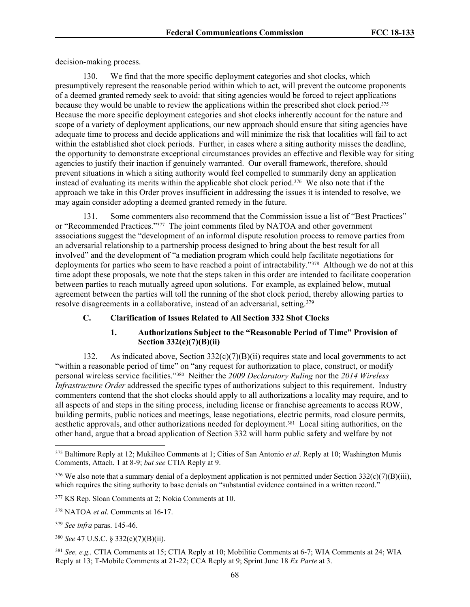decision-making process.

130. We find that the more specific deployment categories and shot clocks, which presumptively represent the reasonable period within which to act, will prevent the outcome proponents of a deemed granted remedy seek to avoid: that siting agencies would be forced to reject applications because they would be unable to review the applications within the prescribed shot clock period.<sup>375</sup> Because the more specific deployment categories and shot clocks inherently account for the nature and scope of a variety of deployment applications, our new approach should ensure that siting agencies have adequate time to process and decide applications and will minimize the risk that localities will fail to act within the established shot clock periods. Further, in cases where a siting authority misses the deadline, the opportunity to demonstrate exceptional circumstances provides an effective and flexible way for siting agencies to justify their inaction if genuinely warranted. Our overall framework, therefore, should prevent situations in which a siting authority would feel compelled to summarily deny an application instead of evaluating its merits within the applicable shot clock period.<sup>376</sup> We also note that if the approach we take in this Order proves insufficient in addressing the issues it is intended to resolve, we may again consider adopting a deemed granted remedy in the future.

131. Some commenters also recommend that the Commission issue a list of "Best Practices" or "Recommended Practices."<sup>377</sup> The joint comments filed by NATOA and other government associations suggest the "development of an informal dispute resolution process to remove parties from an adversarial relationship to a partnership process designed to bring about the best result for all involved" and the development of "a mediation program which could help facilitate negotiations for deployments for parties who seem to have reached a point of intractability."<sup>378</sup> Although we do not at this time adopt these proposals, we note that the steps taken in this order are intended to facilitate cooperation between parties to reach mutually agreed upon solutions. For example, as explained below, mutual agreement between the parties will toll the running of the shot clock period, thereby allowing parties to resolve disagreements in a collaborative, instead of an adversarial, setting.<sup>379</sup>

## **C. Clarification of Issues Related to All Section 332 Shot Clocks**

## **1. Authorizations Subject to the "Reasonable Period of Time" Provision of Section 332(c)(7)(B)(ii)**

132. As indicated above, Section  $332(c)(7)(B)(ii)$  requires state and local governments to act "within a reasonable period of time" on "any request for authorization to place, construct, or modify personal wireless service facilities."<sup>380</sup> Neither the *2009 Declaratory Ruling* nor the *2014 Wireless Infrastructure Order* addressed the specific types of authorizations subject to this requirement. Industry commenters contend that the shot clocks should apply to all authorizations a locality may require, and to all aspects of and steps in the siting process, including license or franchise agreements to access ROW, building permits, public notices and meetings, lease negotiations, electric permits, road closure permits, aesthetic approvals, and other authorizations needed for deployment.<sup>381</sup> Local siting authorities, on the other hand, argue that a broad application of Section 332 will harm public safety and welfare by not

<sup>375</sup> Baltimore Reply at 12; Mukilteo Comments at 1; Cities of San Antonio *et al*. Reply at 10; Washington Munis Comments, Attach. 1 at 8-9; *but see* CTIA Reply at 9.

 $376$  We also note that a summary denial of a deployment application is not permitted under Section  $332(c)(7)(B)(iii)$ , which requires the siting authority to base denials on "substantial evidence contained in a written record."

<sup>377</sup> KS Rep. Sloan Comments at 2; Nokia Comments at 10.

<sup>378</sup> NATOA *et al*. Comments at 16-17.

<sup>379</sup> *See infra* paras. 145-46.

<sup>380</sup> *See* 47 U.S.C. § 332(c)(7)(B)(ii).

<sup>381</sup> *See, e.g.,* CTIA Comments at 15; CTIA Reply at 10; Mobilitie Comments at 6-7; WIA Comments at 24; WIA Reply at 13; T-Mobile Comments at 21-22; CCA Reply at 9; Sprint June 18 *Ex Parte* at 3.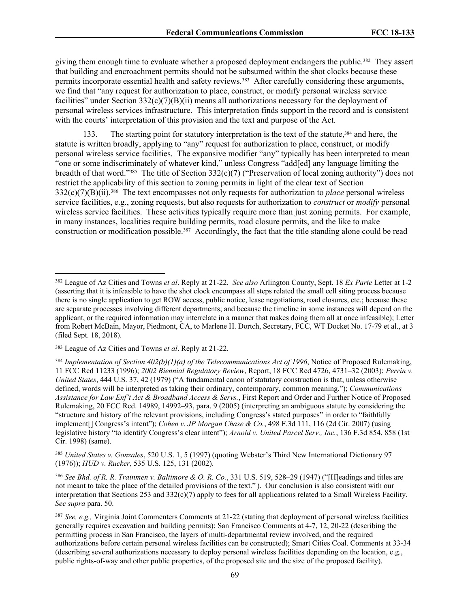giving them enough time to evaluate whether a proposed deployment endangers the public.<sup>382</sup> They assert that building and encroachment permits should not be subsumed within the shot clocks because these permits incorporate essential health and safety reviews.<sup>383</sup> After carefully considering these arguments, we find that "any request for authorization to place, construct, or modify personal wireless service facilities" under Section  $332(c)(7)(B)(ii)$  means all authorizations necessary for the deployment of personal wireless services infrastructure. This interpretation finds support in the record and is consistent with the courts' interpretation of this provision and the text and purpose of the Act.

133. The starting point for statutory interpretation is the text of the statute,<sup>384</sup> and here, the statute is written broadly, applying to "any" request for authorization to place, construct, or modify personal wireless service facilities. The expansive modifier "any" typically has been interpreted to mean "one or some indiscriminately of whatever kind," unless Congress "add[ed] any language limiting the breadth of that word."<sup>385</sup> The title of Section 332(c)(7) ("Preservation of local zoning authority") does not restrict the applicability of this section to zoning permits in light of the clear text of Section 332(c)(7)(B)(ii).<sup>386</sup> The text encompasses not only requests for authorization to *place* personal wireless service facilities, e.g., zoning requests, but also requests for authorization to *construct* or *modify* personal wireless service facilities. These activities typically require more than just zoning permits. For example, in many instances, localities require building permits, road closure permits, and the like to make construction or modification possible.<sup>387</sup> Accordingly, the fact that the title standing alone could be read

<sup>385</sup> *United States v. Gonzales*, 520 U.S. 1, 5 (1997) (quoting Webster's Third New International Dictionary 97 (1976)); *HUD v. Rucker*, 535 U.S. 125, 131 (2002).

<sup>386</sup> *See Bhd. of R. R. Trainmen v. Baltimore & O. R. Co.*, 331 U.S. 519, 528–29 (1947) ("[H]eadings and titles are not meant to take the place of the detailed provisions of the text." ). Our conclusion is also consistent with our interpretation that Sections 253 and  $332(c)(7)$  apply to fees for all applications related to a Small Wireless Facility. *See supra* para. 50.

<sup>382</sup> League of Az Cities and Towns *et al*. Reply at 21-22. *See also* Arlington County, Sept. 18 *Ex Parte* Letter at 1-2 (asserting that it is infeasible to have the shot clock encompass all steps related the small cell siting process because there is no single application to get ROW access, public notice, lease negotiations, road closures, etc.; because these are separate processes involving different departments; and because the timeline in some instances will depend on the applicant, or the required information may interrelate in a manner that makes doing them all at once infeasible); Letter from Robert McBain, Mayor, Piedmont, CA, to Marlene H. Dortch, Secretary, FCC, WT Docket No. 17-79 et al., at 3 (filed Sept. 18, 2018).

<sup>383</sup> League of Az Cities and Towns *et al*. Reply at 21-22.

<sup>384</sup> *Implementation of Section 402(b)(1)(a) of the Telecommunications Act of 1996*, Notice of Proposed Rulemaking, 11 FCC Rcd 11233 (1996); *2002 Biennial Regulatory Review*, Report, 18 FCC Rcd 4726, 4731–32 (2003); *Perrin v. United States*, 444 U.S. 37, 42 (1979) ("A fundamental canon of statutory construction is that, unless otherwise defined, words will be interpreted as taking their ordinary, contemporary, common meaning."); *Communications Assistance for Law Enf't Act & Broadband Access & Servs.*, First Report and Order and Further Notice of Proposed Rulemaking, 20 FCC Rcd. 14989, 14992–93, para. 9 (2005) (interpreting an ambiguous statute by considering the "structure and history of the relevant provisions, including Congress's stated purposes" in order to "faithfully implement[] Congress's intent"); *Cohen v. JP Morgan Chase & Co.*, 498 F.3d 111, 116 (2d Cir. 2007) (using legislative history "to identify Congress's clear intent"); *Arnold v. United Parcel Serv., Inc.*, 136 F.3d 854, 858 (1st Cir. 1998) (same).

<sup>387</sup> *See, e.g.,* Virginia Joint Commenters Comments at 21-22 (stating that deployment of personal wireless facilities generally requires excavation and building permits); San Francisco Comments at 4-7, 12, 20-22 (describing the permitting process in San Francisco, the layers of multi-departmental review involved, and the required authorizations before certain personal wireless facilities can be constructed); Smart Cities Coal. Comments at 33-34 (describing several authorizations necessary to deploy personal wireless facilities depending on the location, e.g., public rights-of-way and other public properties, of the proposed site and the size of the proposed facility).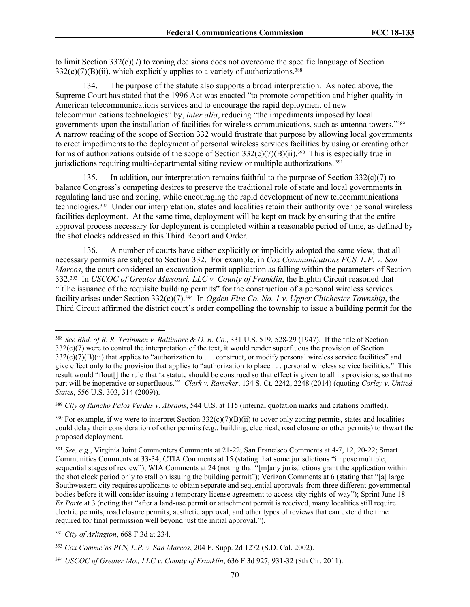to limit Section  $332(c)(7)$  to zoning decisions does not overcome the specific language of Section  $332(c)(7)(B)(ii)$ , which explicitly applies to a variety of authorizations.<sup>388</sup>

134. The purpose of the statute also supports a broad interpretation. As noted above, the Supreme Court has stated that the 1996 Act was enacted "to promote competition and higher quality in American telecommunications services and to encourage the rapid deployment of new telecommunications technologies" by, *inter alia*, reducing "the impediments imposed by local governments upon the installation of facilities for wireless communications, such as antenna towers."<sup>389</sup> A narrow reading of the scope of Section 332 would frustrate that purpose by allowing local governments to erect impediments to the deployment of personal wireless services facilities by using or creating other forms of authorizations outside of the scope of Section 332(c)(7)(B)(ii).<sup>390</sup> This is especially true in jurisdictions requiring multi-departmental siting review or multiple authorizations. <sup>391</sup>

135. In addition, our interpretation remains faithful to the purpose of Section  $332(c)(7)$  to balance Congress's competing desires to preserve the traditional role of state and local governments in regulating land use and zoning, while encouraging the rapid development of new telecommunications technologies.<sup>392</sup> Under our interpretation, states and localities retain their authority over personal wireless facilities deployment. At the same time, deployment will be kept on track by ensuring that the entire approval process necessary for deployment is completed within a reasonable period of time, as defined by the shot clocks addressed in this Third Report and Order.

136. A number of courts have either explicitly or implicitly adopted the same view, that all necessary permits are subject to Section 332. For example, in *Cox Communications PCS, L.P. v. San Marcos*, the court considered an excavation permit application as falling within the parameters of Section 332.<sup>393</sup> In *USCOC of Greater Missouri, LLC v. County of Franklin*, the Eighth Circuit reasoned that "[t]he issuance of the requisite building permits" for the construction of a personal wireless services facility arises under Section 332(c)(7).<sup>394</sup> In *Ogden Fire Co. No. 1 v. Upper Chichester Township*, the Third Circuit affirmed the district court's order compelling the township to issue a building permit for the

<sup>389</sup> *City of Rancho Palos Verdes v. Abrams*, 544 U.S. at 115 (internal quotation marks and citations omitted).

<sup>388</sup> *See Bhd. of R. R. Trainmen v. Baltimore & O. R. Co.*, 331 U.S. 519, 528-29 (1947). If the title of Section 332(c)(7) were to control the interpretation of the text, it would render superfluous the provision of Section  $332(c)(7)(B)(ii)$  that applies to "authorization to . . . construct, or modify personal wireless service facilities" and give effect only to the provision that applies to "authorization to place . . . personal wireless service facilities." This result would "flout[] the rule that 'a statute should be construed so that effect is given to all its provisions, so that no part will be inoperative or superfluous.'" *Clark v. Rameker*, 134 S. Ct. 2242, 2248 (2014) (quoting *Corley v. United States*, 556 U.S. 303, 314 (2009)).

 $390$  For example, if we were to interpret Section  $332(c)(7)(B)(ii)$  to cover only zoning permits, states and localities could delay their consideration of other permits (e.g., building, electrical, road closure or other permits) to thwart the proposed deployment.

<sup>391</sup> *See, e.g.*, Virginia Joint Commenters Comments at 21-22; San Francisco Comments at 4-7, 12, 20-22; Smart Communities Comments at 33-34; CTIA Comments at 15 (stating that some jurisdictions "impose multiple, sequential stages of review"); WIA Comments at 24 (noting that "[m]any jurisdictions grant the application within the shot clock period only to stall on issuing the building permit"); Verizon Comments at 6 (stating that "[a] large Southwestern city requires applicants to obtain separate and sequential approvals from three different governmental bodies before it will consider issuing a temporary license agreement to access city rights-of-way"); Sprint June 18 *Ex Parte* at 3 (noting that "after a land-use permit or attachment permit is received, many localities still require electric permits, road closure permits, aesthetic approval, and other types of reviews that can extend the time required for final permission well beyond just the initial approval.").

<sup>392</sup> *City of Arlington*, 668 F.3d at 234.

<sup>393</sup> *Cox Commc'ns PCS, L.P. v. San Marcos*, 204 F. Supp. 2d 1272 (S.D. Cal. 2002).

<sup>394</sup> *USCOC of Greater Mo., LLC v. County of Franklin*, 636 F.3d 927, 931-32 (8th Cir. 2011).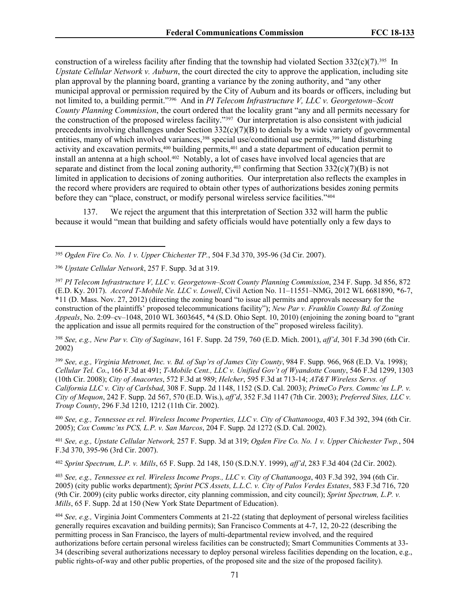construction of a wireless facility after finding that the township had violated Section  $332(c)(7)$ .<sup>395</sup> In *Upstate Cellular Network v. Auburn*, the court directed the city to approve the application, including site plan approval by the planning board, granting a variance by the zoning authority, and "any other municipal approval or permission required by the City of Auburn and its boards or officers, including but not limited to, a building permit."<sup>396</sup> And in *PI Telecom Infrastructure V, LLC v. Georgetown–Scott County Planning Commission*, the court ordered that the locality grant "any and all permits necessary for the construction of the proposed wireless facility."<sup>397</sup> Our interpretation is also consistent with judicial precedents involving challenges under Section 332(c)(7)(B) to denials by a wide variety of governmental entities, many of which involved variances,<sup>398</sup> special use/conditional use permits,<sup>399</sup> land disturbing activity and excavation permits,<sup>400</sup> building permits,<sup>401</sup> and a state department of education permit to install an antenna at a high school.<sup>402</sup> Notably, a lot of cases have involved local agencies that are separate and distinct from the local zoning authority, $403$  confirming that Section 332(c)(7)(B) is not limited in application to decisions of zoning authorities. Our interpretation also reflects the examples in the record where providers are required to obtain other types of authorizations besides zoning permits before they can "place, construct, or modify personal wireless service facilities."<sup>404</sup>

137. We reject the argument that this interpretation of Section 332 will harm the public because it would "mean that building and safety officials would have potentially only a few days to

<sup>398</sup> *See, e.g., New Par v. City of Saginaw*, 161 F. Supp. 2d 759, 760 (E.D. Mich. 2001), *aff'd*, 301 F.3d 390 (6th Cir. 2002)

<sup>399</sup> *See, e.g., Virginia Metronet, Inc. v. Bd. of Sup'rs of James City County*, 984 F. Supp. 966, 968 (E.D. Va. 1998); *Cellular Tel. Co.*, 166 F.3d at 491; *T-Mobile Cent., LLC v. Unified Gov't of Wyandotte County*, 546 F.3d 1299, 1303 (10th Cir. 2008); *City of Anacortes*, 572 F.3d at 989; *Helcher*, 595 F.3d at 713-14; *AT&T Wireless Servs. of California LLC v. City of Carlsbad*, 308 F. Supp. 2d 1148, 1152 (S.D. Cal. 2003); *PrimeCo Pers. Commc'ns L.P. v. City of Mequon*, 242 F. Supp. 2d 567, 570 (E.D. Wis.), *aff'd*, 352 F.3d 1147 (7th Cir. 2003); *Preferred Sites, LLC v. Troup County*, 296 F.3d 1210, 1212 (11th Cir. 2002).

<sup>400</sup> *See, e.g., Tennessee ex rel. Wireless Income Properties, LLC v. City of Chattanooga*, 403 F.3d 392, 394 (6th Cir. 2005); *Cox Commc'ns PCS, L.P. v. San Marcos*, 204 F. Supp. 2d 1272 (S.D. Cal. 2002).

<sup>401</sup> *See, e.g., Upstate Cellular Network,* 257 F. Supp. 3d at 319; *Ogden Fire Co. No. 1 v. Upper Chichester Twp.*, 504 F.3d 370, 395-96 (3rd Cir. 2007).

<sup>402</sup> *Sprint Spectrum, L.P. v. Mills*, 65 F. Supp. 2d 148, 150 (S.D.N.Y. 1999), *aff'd*, 283 F.3d 404 (2d Cir. 2002).

<sup>403</sup> *See, e.g., Tennessee ex rel. Wireless Income Props., LLC v. City of Chattanooga*, 403 F.3d 392, 394 (6th Cir. 2005) (city public works department); *Sprint PCS Assets, L.L.C. v. City of Palos Verdes Estates*, 583 F.3d 716, 720 (9th Cir. 2009) (city public works director, city planning commission, and city council); *Sprint Spectrum, L.P. v. Mills*, 65 F. Supp. 2d at 150 (New York State Department of Education).

<sup>404</sup> *See, e.g.,* Virginia Joint Commenters Comments at 21-22 (stating that deployment of personal wireless facilities generally requires excavation and building permits); San Francisco Comments at 4-7, 12, 20-22 (describing the permitting process in San Francisco, the layers of multi-departmental review involved, and the required authorizations before certain personal wireless facilities can be constructed); Smart Communities Comments at 33- 34 (describing several authorizations necessary to deploy personal wireless facilities depending on the location, e.g., public rights-of-way and other public properties, of the proposed site and the size of the proposed facility).

<sup>395</sup> *Ogden Fire Co. No. 1 v. Upper Chichester TP.*, 504 F.3d 370, 395-96 (3d Cir. 2007).

<sup>396</sup> *Upstate Cellular Network*, 257 F. Supp. 3d at 319.

<sup>397</sup> *PI Telecom Infrastructure V, LLC v. Georgetown–Scott County Planning Commission*, 234 F. Supp. 3d 856, 872 (E.D. Ky. 2017). *Accord T-Mobile Ne. LLC v. Lowell*, Civil Action No. 11–11551–NMG, 2012 WL 6681890, \*6-7, \*11 (D. Mass. Nov. 27, 2012) (directing the zoning board "to issue all permits and approvals necessary for the construction of the plaintiffs' proposed telecommunications facility"); *New Par v. Franklin County Bd. of Zoning Appeals*, No. 2:09–cv–1048, 2010 WL 3603645, \*4 (S.D. Ohio Sept. 10, 2010) (enjoining the zoning board to "grant the application and issue all permits required for the construction of the" proposed wireless facility).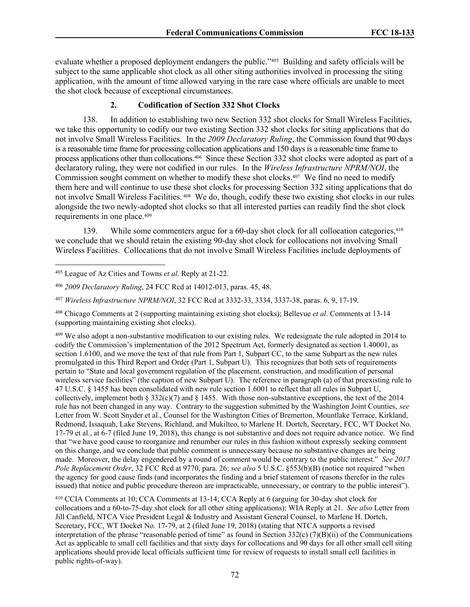evaluate whether a proposed deployment endangers the public."<sup>405</sup> Building and safety officials will be subject to the same applicable shot clock as all other siting authorities involved in processing the siting application, with the amount of time allowed varying in the rare case where officials are unable to meet the shot clock because of exceptional circumstances.

## **2. Codification of Section 332 Shot Clocks**

138. In addition to establishing two new Section 332 shot clocks for Small Wireless Facilities, we take this opportunity to codify our two existing Section 332 shot clocks for siting applications that do not involve Small Wireless Facilities. In the *2009 Declaratory Ruling*, the Commission found that 90 days is a reasonable time frame for processing collocation applications and 150 days is a reasonable time frame to process applications other than collocations. 406 Since these Section 332 shot clocks were adopted as part of a declaratory ruling, they were not codified in our rules. In the *Wireless Infrastructure NPRM/NOI*, the Commission sought comment on whether to modify these shot clocks.<sup>407</sup> We find no need to modify them here and will continue to use these shot clocks for processing Section 332 siting applications that do not involve Small Wireless Facilities. <sup>408</sup> We do, though, codify these two existing shot clocks in our rules alongside the two newly-adopted shot clocks so that all interested parties can readily find the shot clock requirements in one place.<sup>409</sup>

139. While some commenters argue for a 60-day shot clock for all collocation categories, <sup>410</sup> we conclude that we should retain the existing 90-day shot clock for collocations not involving Small Wireless Facilities. Collocations that do not involve Small Wireless Facilities include deployments of

<sup>409</sup> We also adopt a non-substantive modification to our existing rules. We redesignate the rule adopted in 2014 to codify the Commission's implementation of the 2012 Spectrum Act, formerly designated as section 1.40001, as section 1.6100, and we move the text of that rule from Part 1, Subpart CC, to the same Subpart as the new rules promulgated in this Third Report and Order (Part 1, Subpart U). This recognizes that both sets of requirements pertain to "State and local government regulation of the placement, construction, and modification of personal wireless service facilities" (the caption of new Subpart U). The reference in paragraph (a) of that preexisting rule to 47 U.S.C. § 1455 has been consolidated with new rule section 1.6001 to reflect that all rules in Subpart U, collectively, implement both § 332(c)(7) and § 1455. With those non-substantive exceptions, the text of the 2014 rule has not been changed in any way. Contrary to the suggestion submitted by the Washington Joint Counties, *see* Letter from W. Scott Snyder et al., Counsel for the Washington Cities of Bremerton, Mountlake Terrace, Kirkland, Redmond, Issaquah, Lake Stevens, Richland, and Mukilteo, to Marlene H. Dortch, Secretary, FCC, WT Docket No. 17-79 et al., at 6-7 (filed June 19, 2018), this change is not substantive and does not require advance notice. We find that "we have good cause to reorganize and renumber our rules in this fashion without expressly seeking comment on this change, and we conclude that public comment is unnecessary because no substantive changes are being made. Moreover, the delay engendered by a round of comment would be contrary to the public interest." *See 2017 Pole Replacement Order*, 32 FCC Rcd at 9770, para. 26; *see also* 5 U.S.C. §553(b)(B) (notice not required "when the agency for good cause finds (and incorporates the finding and a brief statement of reasons therefor in the rules issued) that notice and public procedure thereon are impracticable, unnecessary, or contrary to the public interest").

<sup>410</sup> CCIA Comments at 10; CCA Comments at 13-14; CCA Reply at 6 (arguing for 30-day shot clock for collocations and a 60-to-75-day shot clock for all other siting applications); WIA Reply at 21. *See also* Letter from Jill Canfield, NTCA Vice President Legal & Industry and Assistant General Counsel, to Marlene H. Dortch, Secretary, FCC, WT Docket No. 17-79, at 2 (filed June 19, 2018) (stating that NTCA supports a revised interpretation of the phrase "reasonable period of time" as found in Section 332(c) (7)(B)(ii) of the Communications Act as applicable to small cell facilities and that sixty days for collocations and 90 days for all other small cell siting applications should provide local officials sufficient time for review of requests to install small cell facilities in public rights-of-way).

<sup>405</sup> League of Az Cities and Towns *et al*. Reply at 21-22.

<sup>406</sup> *2009 Declaratory Ruling*, 24 FCC Rcd at 14012-013, paras. 45, 48.

<sup>407</sup> *Wireless Infrastructure NPRM/NOI*, 32 FCC Rcd at 3332-33, 3334, 3337-38, paras. 6, 9, 17-19.

<sup>408</sup> Chicago Comments at 2 (supporting maintaining existing shot clocks); Bellevue *et al*. Comments at 13-14 (supporting maintaining existing shot clocks).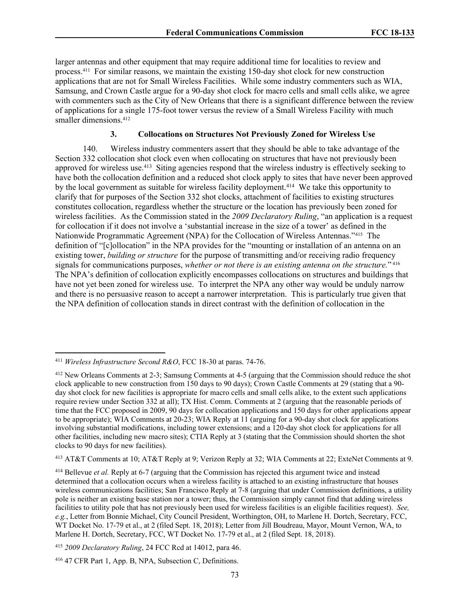larger antennas and other equipment that may require additional time for localities to review and process.<sup>411</sup> For similar reasons, we maintain the existing 150-day shot clock for new construction applications that are not for Small Wireless Facilities. While some industry commenters such as WIA, Samsung, and Crown Castle argue for a 90-day shot clock for macro cells and small cells alike, we agree with commenters such as the City of New Orleans that there is a significant difference between the review of applications for a single 175-foot tower versus the review of a Small Wireless Facility with much smaller dimensions.<sup>412</sup>

#### **3. Collocations on Structures Not Previously Zoned for Wireless Use**

140. Wireless industry commenters assert that they should be able to take advantage of the Section 332 collocation shot clock even when collocating on structures that have not previously been approved for wireless use.<sup>413</sup> Siting agencies respond that the wireless industry is effectively seeking to have both the collocation definition and a reduced shot clock apply to sites that have never been approved by the local government as suitable for wireless facility deployment.<sup>414</sup> We take this opportunity to clarify that for purposes of the Section 332 shot clocks, attachment of facilities to existing structures constitutes collocation, regardless whether the structure or the location has previously been zoned for wireless facilities. As the Commission stated in the *2009 Declaratory Ruling*, "an application is a request for collocation if it does not involve a 'substantial increase in the size of a tower' as defined in the Nationwide Programmatic Agreement (NPA) for the Collocation of Wireless Antennas."<sup>415</sup> The definition of "[c]ollocation" in the NPA provides for the "mounting or installation of an antenna on an existing tower, *building or structure* for the purpose of transmitting and/or receiving radio frequency signals for communications purposes, *whether or not there is an existing antenna on the structure.*" 416 The NPA's definition of collocation explicitly encompasses collocations on structures and buildings that have not yet been zoned for wireless use. To interpret the NPA any other way would be unduly narrow and there is no persuasive reason to accept a narrower interpretation. This is particularly true given that the NPA definition of collocation stands in direct contrast with the definition of collocation in the

<sup>411</sup> *Wireless Infrastructure Second R&O*, FCC 18-30 at paras. 74-76.

<sup>412</sup> New Orleans Comments at 2-3; Samsung Comments at 4-5 (arguing that the Commission should reduce the shot clock applicable to new construction from 150 days to 90 days); Crown Castle Comments at 29 (stating that a 90 day shot clock for new facilities is appropriate for macro cells and small cells alike, to the extent such applications require review under Section 332 at all); TX Hist. Comm. Comments at 2 (arguing that the reasonable periods of time that the FCC proposed in 2009, 90 days for collocation applications and 150 days for other applications appear to be appropriate); WIA Comments at 20-23; WIA Reply at 11 (arguing for a 90-day shot clock for applications involving substantial modifications, including tower extensions; and a 120-day shot clock for applications for all other facilities, including new macro sites); CTIA Reply at 3 (stating that the Commission should shorten the shot clocks to 90 days for new facilities).

<sup>413</sup> AT&T Comments at 10; AT&T Reply at 9; Verizon Reply at 32; WIA Comments at 22; ExteNet Comments at 9.

<sup>414</sup> Bellevue *et al.* Reply at 6-7 (arguing that the Commission has rejected this argument twice and instead determined that a collocation occurs when a wireless facility is attached to an existing infrastructure that houses wireless communications facilities; San Francisco Reply at 7-8 (arguing that under Commission definitions, a utility pole is neither an existing base station nor a tower; thus, the Commission simply cannot find that adding wireless facilities to utility pole that has not previously been used for wireless facilities is an eligible facilities request). *See, e.g.*, Letter from Bonnie Michael, City Council President, Worthington, OH, to Marlene H. Dortch, Secretary, FCC, WT Docket No. 17-79 et al., at 2 (filed Sept. 18, 2018); Letter from Jill Boudreau, Mayor, Mount Vernon, WA, to Marlene H. Dortch, Secretary, FCC, WT Docket No. 17-79 et al., at 2 (filed Sept. 18, 2018).

<sup>415</sup> *2009 Declaratory Ruling*, 24 FCC Rcd at 14012, para 46.

<sup>416</sup> 47 CFR Part 1, App. B, NPA, Subsection C, Definitions.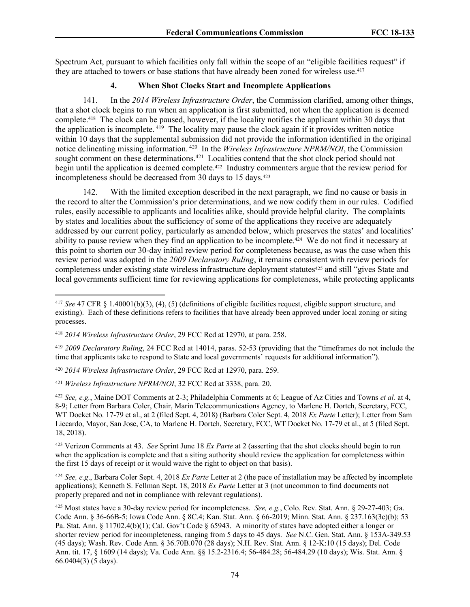Spectrum Act, pursuant to which facilities only fall within the scope of an "eligible facilities request" if they are attached to towers or base stations that have already been zoned for wireless use.<sup>417</sup>

#### **4. When Shot Clocks Start and Incomplete Applications**

141. In the *2014 Wireless Infrastructure Order*, the Commission clarified, among other things, that a shot clock begins to run when an application is first submitted, not when the application is deemed complete.<sup>418</sup> The clock can be paused, however, if the locality notifies the applicant within 30 days that the application is incomplete. <sup>419</sup> The locality may pause the clock again if it provides written notice within 10 days that the supplemental submission did not provide the information identified in the original notice delineating missing information. <sup>420</sup> In the *Wireless Infrastructure NPRM/NOI*, the Commission sought comment on these determinations.<sup>421</sup> Localities contend that the shot clock period should not begin until the application is deemed complete.<sup>422</sup> Industry commenters argue that the review period for incompleteness should be decreased from 30 days to 15 days.<sup>423</sup>

142. With the limited exception described in the next paragraph, we find no cause or basis in the record to alter the Commission's prior determinations, and we now codify them in our rules. Codified rules, easily accessible to applicants and localities alike, should provide helpful clarity. The complaints by states and localities about the sufficiency of some of the applications they receive are adequately addressed by our current policy, particularly as amended below, which preserves the states' and localities' ability to pause review when they find an application to be incomplete.<sup>424</sup> We do not find it necessary at this point to shorten our 30-day initial review period for completeness because, as was the case when this review period was adopted in the *2009 Declaratory Ruling*, it remains consistent with review periods for completeness under existing state wireless infrastructure deployment statutes<sup>425</sup> and still "gives State and local governments sufficient time for reviewing applications for completeness, while protecting applicants

<sup>419</sup> *2009 Declaratory Ruling*, 24 FCC Rcd at 14014, paras. 52-53 (providing that the "timeframes do not include the time that applicants take to respond to State and local governments' requests for additional information").

<sup>423</sup> Verizon Comments at 43. *See* Sprint June 18 *Ex Parte* at 2 (asserting that the shot clocks should begin to run when the application is complete and that a siting authority should review the application for completeness within the first 15 days of receipt or it would waive the right to object on that basis).

<sup>424</sup> *See, e.g*., Barbara Coler Sept. 4, 2018 *Ex Parte* Letter at 2 (the pace of installation may be affected by incomplete applications); Kenneth S. Fellman Sept. 18, 2018 *Ex Parte* Letter at 3 (not uncommon to find documents not properly prepared and not in compliance with relevant regulations).

<sup>425</sup> Most states have a 30-day review period for incompleteness. *See, e.g.*, Colo. Rev. Stat. Ann. § 29-27-403; Ga. Code Ann. § 36-66B-5; Iowa Code Ann. § 8C.4; Kan. Stat. Ann. § 66-2019; Minn. Stat. Ann. § 237.163(3c)(b); 53 Pa. Stat. Ann. § 11702.4(b)(1); Cal. Gov't Code § 65943. A minority of states have adopted either a longer or shorter review period for incompleteness, ranging from 5 days to 45 days. *See* N.C. Gen. Stat. Ann. § 153A-349.53 (45 days); Wash. Rev. Code Ann. § 36.70B.070 (28 days); N.H. Rev. Stat. Ann. § 12-K:10 (15 days); Del. Code Ann. tit. 17, § 1609 (14 days); Va. Code Ann. §§ 15.2-2316.4; 56-484.28; 56-484.29 (10 days); Wis. Stat. Ann. § 66.0404(3) (5 days).

<sup>417</sup> *See* 47 CFR § 1.40001(b)(3), (4), (5) (definitions of eligible facilities request, eligible support structure, and existing). Each of these definitions refers to facilities that have already been approved under local zoning or siting processes.

<sup>418</sup> *2014 Wireless Infrastructure Order*, 29 FCC Rcd at 12970, at para. 258.

<sup>420</sup> *2014 Wireless Infrastructure Order*, 29 FCC Rcd at 12970, para. 259.

<sup>421</sup> *Wireless Infrastructure NPRM/NOI*, 32 FCC Rcd at 3338, para. 20.

<sup>422</sup> *See, e.g.*, Maine DOT Comments at 2-3; Philadelphia Comments at 6; League of Az Cities and Towns *et al.* at 4, 8-9; Letter from Barbara Coler, Chair, Marin Telecommunications Agency, to Marlene H. Dortch, Secretary, FCC, WT Docket No. 17-79 et al., at 2 (filed Sept. 4, 2018) (Barbara Coler Sept. 4, 2018 *Ex Parte* Letter); Letter from Sam Liccardo, Mayor, San Jose, CA, to Marlene H. Dortch, Secretary, FCC, WT Docket No. 17-79 et al., at 5 (filed Sept. 18, 2018).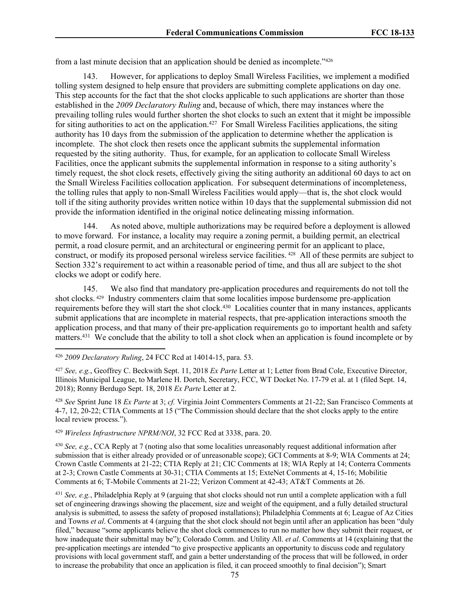from a last minute decision that an application should be denied as incomplete."<sup>426</sup>

However, for applications to deploy Small Wireless Facilities, we implement a modified tolling system designed to help ensure that providers are submitting complete applications on day one. This step accounts for the fact that the shot clocks applicable to such applications are shorter than those established in the *2009 Declaratory Ruling* and, because of which, there may instances where the prevailing tolling rules would further shorten the shot clocks to such an extent that it might be impossible for siting authorities to act on the application.<sup>427</sup> For Small Wireless Facilities applications, the siting authority has 10 days from the submission of the application to determine whether the application is incomplete. The shot clock then resets once the applicant submits the supplemental information requested by the siting authority. Thus, for example, for an application to collocate Small Wireless Facilities, once the applicant submits the supplemental information in response to a siting authority's timely request, the shot clock resets, effectively giving the siting authority an additional 60 days to act on the Small Wireless Facilities collocation application. For subsequent determinations of incompleteness, the tolling rules that apply to non-Small Wireless Facilities would apply—that is, the shot clock would toll if the siting authority provides written notice within 10 days that the supplemental submission did not provide the information identified in the original notice delineating missing information.

144. As noted above, multiple authorizations may be required before a deployment is allowed to move forward. For instance, a locality may require a zoning permit, a building permit, an electrical permit, a road closure permit, and an architectural or engineering permit for an applicant to place, construct, or modify its proposed personal wireless service facilities. <sup>428</sup> All of these permits are subject to Section 332's requirement to act within a reasonable period of time, and thus all are subject to the shot clocks we adopt or codify here.

145. We also find that mandatory pre-application procedures and requirements do not toll the shot clocks.<sup>429</sup> Industry commenters claim that some localities impose burdensome pre-application requirements before they will start the shot clock.<sup>430</sup> Localities counter that in many instances, applicants submit applications that are incomplete in material respects, that pre-application interactions smooth the application process, and that many of their pre-application requirements go to important health and safety matters.<sup>431</sup> We conclude that the ability to toll a shot clock when an application is found incomplete or by

<sup>428</sup> *See* Sprint June 18 *Ex Parte* at 3; *cf.* Virginia Joint Commenters Comments at 21-22; San Francisco Comments at 4-7, 12, 20-22; CTIA Comments at 15 ("The Commission should declare that the shot clocks apply to the entire local review process.").

<sup>429</sup> *Wireless Infrastructure NPRM/NOI*, 32 FCC Rcd at 3338, para. 20.

<sup>430</sup> *See, e.g.*, CCA Reply at 7 (noting also that some localities unreasonably request additional information after submission that is either already provided or of unreasonable scope); GCI Comments at 8-9; WIA Comments at 24; Crown Castle Comments at 21-22; CTIA Reply at 21; CIC Comments at 18; WIA Reply at 14; Conterra Comments at 2-3; Crown Castle Comments at 30-31; CTIA Comments at 15; ExteNet Comments at 4, 15-16; Mobilitie Comments at 6; T-Mobile Comments at 21-22; Verizon Comment at 42-43; AT&T Comments at 26.

<sup>431</sup> *See, e.g.*, Philadelphia Reply at 9 (arguing that shot clocks should not run until a complete application with a full set of engineering drawings showing the placement, size and weight of the equipment, and a fully detailed structural analysis is submitted, to assess the safety of proposed installations); Philadelphia Comments at 6; League of Az Cities and Towns *et al*. Comments at 4 (arguing that the shot clock should not begin until after an application has been "duly filed," because "some applicants believe the shot clock commences to run no matter how they submit their request, or how inadequate their submittal may be"); Colorado Comm. and Utility All. *et al*. Comments at 14 (explaining that the pre-application meetings are intended "to give prospective applicants an opportunity to discuss code and regulatory provisions with local government staff, and gain a better understanding of the process that will be followed, in order to increase the probability that once an application is filed, it can proceed smoothly to final decision"); Smart

<sup>426</sup> *2009 Declaratory Ruling*, 24 FCC Rcd at 14014-15, para. 53.

<sup>427</sup> *See, e.g.*, Geoffrey C. Beckwith Sept. 11, 2018 *Ex Parte* Letter at 1; Letter from Brad Cole, Executive Director, Illinois Municipal League, to Marlene H. Dortch, Secretary, FCC, WT Docket No. 17-79 et al. at 1 (filed Sept. 14, 2018); Ronny Berdugo Sept. 18, 2018 *Ex Parte* Letter at 2.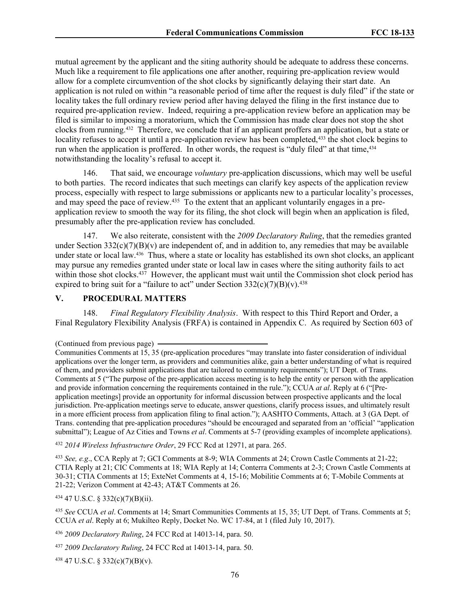mutual agreement by the applicant and the siting authority should be adequate to address these concerns. Much like a requirement to file applications one after another, requiring pre-application review would allow for a complete circumvention of the shot clocks by significantly delaying their start date. An application is not ruled on within "a reasonable period of time after the request is duly filed" if the state or locality takes the full ordinary review period after having delayed the filing in the first instance due to required pre-application review. Indeed, requiring a pre-application review before an application may be filed is similar to imposing a moratorium, which the Commission has made clear does not stop the shot clocks from running.<sup>432</sup> Therefore, we conclude that if an applicant proffers an application, but a state or locality refuses to accept it until a pre-application review has been completed,<sup>433</sup> the shot clock begins to run when the application is proffered. In other words, the request is "duly filed" at that time,<sup>434</sup> notwithstanding the locality's refusal to accept it.

146. That said, we encourage *voluntary* pre-application discussions, which may well be useful to both parties. The record indicates that such meetings can clarify key aspects of the application review process, especially with respect to large submissions or applicants new to a particular locality's processes, and may speed the pace of review.<sup>435</sup> To the extent that an applicant voluntarily engages in a preapplication review to smooth the way for its filing, the shot clock will begin when an application is filed, presumably after the pre-application review has concluded.

147. We also reiterate, consistent with the *2009 Declaratory Ruling*, that the remedies granted under Section  $332(c)(7)(B)(v)$  are independent of, and in addition to, any remedies that may be available under state or local law.<sup>436</sup> Thus, where a state or locality has established its own shot clocks, an applicant may pursue any remedies granted under state or local law in cases where the siting authority fails to act within those shot clocks.<sup>437</sup> However, the applicant must wait until the Commission shot clock period has expired to bring suit for a "failure to act" under Section  $332(c)(7)(B)(v)$ .<sup>438</sup>

#### **V. PROCEDURAL MATTERS**

148. *Final Regulatory Flexibility Analysis*. With respect to this Third Report and Order, a Final Regulatory Flexibility Analysis (FRFA) is contained in Appendix C. As required by Section 603 of

<sup>432</sup> *2014 Wireless Infrastructure Order*, 29 FCC Rcd at 12971, at para. 265.

<sup>433</sup> *See, e.g*., CCA Reply at 7; GCI Comments at 8-9; WIA Comments at 24; Crown Castle Comments at 21-22; CTIA Reply at 21; CIC Comments at 18; WIA Reply at 14; Conterra Comments at 2-3; Crown Castle Comments at 30-31; CTIA Comments at 15; ExteNet Comments at 4, 15-16; Mobilitie Comments at 6; T-Mobile Comments at 21-22; Verizon Comment at 42-43; AT&T Comments at 26.

<sup>434</sup> 47 U.S.C. § 332(c)(7)(B)(ii).

<sup>435</sup> *See* CCUA *et al*. Comments at 14; Smart Communities Comments at 15, 35; UT Dept. of Trans. Comments at 5; CCUA *et al*. Reply at 6; Mukilteo Reply, Docket No. WC 17-84, at 1 (filed July 10, 2017).

<sup>436</sup> *2009 Declaratory Ruling*, 24 FCC Rcd at 14013-14, para. 50.

<sup>437</sup> *2009 Declaratory Ruling*, 24 FCC Rcd at 14013-14, para. 50.

<sup>438</sup> 47 U.S.C. § 332(c)(7)(B)(v).

<sup>(</sup>Continued from previous page)

Communities Comments at 15, 35 (pre-application procedures "may translate into faster consideration of individual applications over the longer term, as providers and communities alike, gain a better understanding of what is required of them, and providers submit applications that are tailored to community requirements"); UT Dept. of Trans. Comments at 5 ("The purpose of the pre-application access meeting is to help the entity or person with the application and provide information concerning the requirements contained in the rule."); CCUA *at al*. Reply at 6 ("[Preapplication meetings] provide an opportunity for informal discussion between prospective applicants and the local jurisdiction. Pre-application meetings serve to educate, answer questions, clarify process issues, and ultimately result in a more efficient process from application filing to final action."); AASHTO Comments, Attach. at 3 (GA Dept. of Trans. contending that pre-application procedures "should be encouraged and separated from an 'official' "application submittal"); League of Az Cities and Towns *et al.* Comments at 5-7 (providing examples of incomplete applications).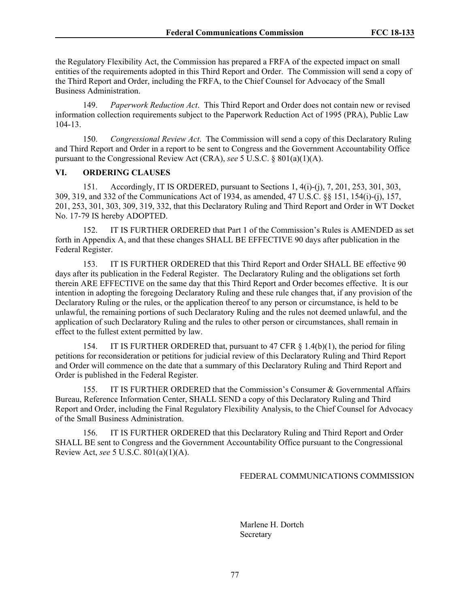the Regulatory Flexibility Act, the Commission has prepared a FRFA of the expected impact on small entities of the requirements adopted in this Third Report and Order. The Commission will send a copy of the Third Report and Order, including the FRFA, to the Chief Counsel for Advocacy of the Small Business Administration.

149. *Paperwork Reduction Act*. This Third Report and Order does not contain new or revised information collection requirements subject to the Paperwork Reduction Act of 1995 (PRA), Public Law 104-13.

150. *Congressional Review Act*. The Commission will send a copy of this Declaratory Ruling and Third Report and Order in a report to be sent to Congress and the Government Accountability Office pursuant to the Congressional Review Act (CRA), *see* 5 U.S.C. § 801(a)(1)(A).

#### **VI. ORDERING CLAUSES**

151. Accordingly, IT IS ORDERED, pursuant to Sections 1, 4(i)-(j), 7, 201, 253, 301, 303, 309, 319, and 332 of the Communications Act of 1934, as amended, 47 U.S.C. §§ 151, 154(i)-(j), 157, 201, 253, 301, 303, 309, 319, 332, that this Declaratory Ruling and Third Report and Order in WT Docket No. 17-79 IS hereby ADOPTED.

152. IT IS FURTHER ORDERED that Part 1 of the Commission's Rules is AMENDED as set forth in Appendix A, and that these changes SHALL BE EFFECTIVE 90 days after publication in the Federal Register.

153. IT IS FURTHER ORDERED that this Third Report and Order SHALL BE effective 90 days after its publication in the Federal Register. The Declaratory Ruling and the obligations set forth therein ARE EFFECTIVE on the same day that this Third Report and Order becomes effective. It is our intention in adopting the foregoing Declaratory Ruling and these rule changes that, if any provision of the Declaratory Ruling or the rules, or the application thereof to any person or circumstance, is held to be unlawful, the remaining portions of such Declaratory Ruling and the rules not deemed unlawful, and the application of such Declaratory Ruling and the rules to other person or circumstances, shall remain in effect to the fullest extent permitted by law.

154. IT IS FURTHER ORDERED that, pursuant to 47 CFR § 1.4(b)(1), the period for filing petitions for reconsideration or petitions for judicial review of this Declaratory Ruling and Third Report and Order will commence on the date that a summary of this Declaratory Ruling and Third Report and Order is published in the Federal Register.

155. IT IS FURTHER ORDERED that the Commission's Consumer & Governmental Affairs Bureau, Reference Information Center, SHALL SEND a copy of this Declaratory Ruling and Third Report and Order, including the Final Regulatory Flexibility Analysis, to the Chief Counsel for Advocacy of the Small Business Administration.

156. IT IS FURTHER ORDERED that this Declaratory Ruling and Third Report and Order SHALL BE sent to Congress and the Government Accountability Office pursuant to the Congressional Review Act, *see* 5 U.S.C. 801(a)(1)(A).

### FEDERAL COMMUNICATIONS COMMISSION

 Marlene H. Dortch Secretary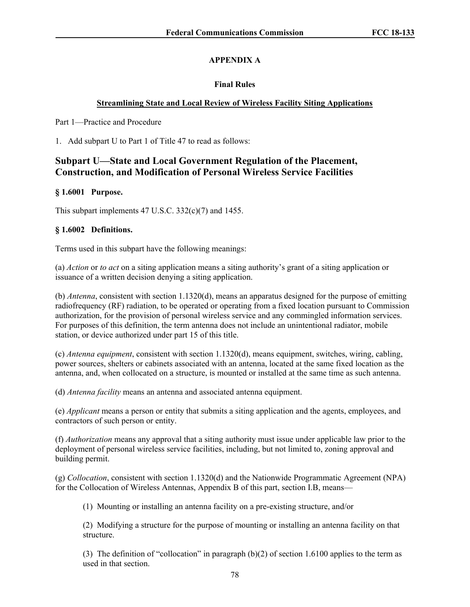# **APPENDIX A**

# **Final Rules**

# **Streamlining State and Local Review of Wireless Facility Siting Applications**

Part 1—Practice and Procedure

1. Add subpart U to Part 1 of Title 47 to read as follows:

# **Subpart U—State and Local Government Regulation of the Placement, Construction, and Modification of Personal Wireless Service Facilities**

# **§ 1.6001 Purpose.**

This subpart implements 47 U.S.C. 332(c)(7) and 1455.

# **§ 1.6002 Definitions.**

Terms used in this subpart have the following meanings:

(a) *Action* or *to act* on a siting application means a siting authority's grant of a siting application or issuance of a written decision denying a siting application.

(b) *Antenna*, consistent with section 1.1320(d), means an apparatus designed for the purpose of emitting radiofrequency (RF) radiation, to be operated or operating from a fixed location pursuant to Commission authorization, for the provision of personal wireless service and any commingled information services. For purposes of this definition, the term antenna does not include an unintentional radiator, mobile station, or device authorized under part 15 of this title.

(c) *Antenna equipment*, consistent with section 1.1320(d), means equipment, switches, wiring, cabling, power sources, shelters or cabinets associated with an antenna, located at the same fixed location as the antenna, and, when collocated on a structure, is mounted or installed at the same time as such antenna.

(d) *Antenna facility* means an antenna and associated antenna equipment.

(e) *Applicant* means a person or entity that submits a siting application and the agents, employees, and contractors of such person or entity.

(f) *Authorization* means any approval that a siting authority must issue under applicable law prior to the deployment of personal wireless service facilities, including, but not limited to, zoning approval and building permit.

(g) *Collocation*, consistent with section 1.1320(d) and the Nationwide Programmatic Agreement (NPA) for the Collocation of Wireless Antennas, Appendix B of this part, section I.B, means—

(1) Mounting or installing an antenna facility on a pre-existing structure, and/or

(2) Modifying a structure for the purpose of mounting or installing an antenna facility on that structure.

(3) The definition of "collocation" in paragraph (b)(2) of section 1.6100 applies to the term as used in that section.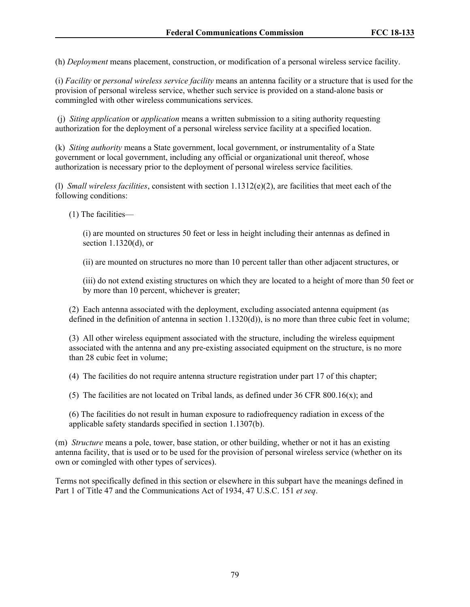(h) *Deployment* means placement, construction, or modification of a personal wireless service facility.

(i) *Facility* or *personal wireless service facility* means an antenna facility or a structure that is used for the provision of personal wireless service, whether such service is provided on a stand-alone basis or commingled with other wireless communications services.

(j) *Siting application* or *application* means a written submission to a siting authority requesting authorization for the deployment of a personal wireless service facility at a specified location.

(k) *Siting authority* means a State government, local government, or instrumentality of a State government or local government, including any official or organizational unit thereof, whose authorization is necessary prior to the deployment of personal wireless service facilities.

(l) *Small wireless facilities*, consistent with section 1.1312(e)(2), are facilities that meet each of the following conditions:

(1) The facilities—

(i) are mounted on structures 50 feet or less in height including their antennas as defined in section 1.1320(d), or

(ii) are mounted on structures no more than 10 percent taller than other adjacent structures, or

(iii) do not extend existing structures on which they are located to a height of more than 50 feet or by more than 10 percent, whichever is greater;

(2) Each antenna associated with the deployment, excluding associated antenna equipment (as defined in the definition of antenna in section 1.1320(d)), is no more than three cubic feet in volume;

(3) All other wireless equipment associated with the structure, including the wireless equipment associated with the antenna and any pre-existing associated equipment on the structure, is no more than 28 cubic feet in volume;

(4) The facilities do not require antenna structure registration under part 17 of this chapter;

(5) The facilities are not located on Tribal lands, as defined under 36 CFR 800.16(x); and

(6) The facilities do not result in human exposure to radiofrequency radiation in excess of the applicable safety standards specified in section 1.1307(b).

(m) *Structure* means a pole, tower, base station, or other building, whether or not it has an existing antenna facility, that is used or to be used for the provision of personal wireless service (whether on its own or comingled with other types of services).

Terms not specifically defined in this section or elsewhere in this subpart have the meanings defined in Part 1 of Title 47 and the Communications Act of 1934, 47 U.S.C. 151 *et seq*.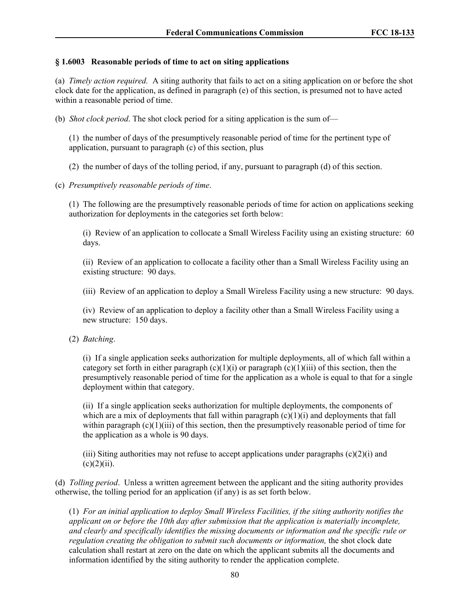# **§ 1.6003 Reasonable periods of time to act on siting applications**

(a) *Timely action required.* A siting authority that fails to act on a siting application on or before the shot clock date for the application, as defined in paragraph (e) of this section, is presumed not to have acted within a reasonable period of time.

(b) *Shot clock period*. The shot clock period for a siting application is the sum of—

(1) the number of days of the presumptively reasonable period of time for the pertinent type of application, pursuant to paragraph (c) of this section, plus

(2) the number of days of the tolling period, if any, pursuant to paragraph (d) of this section.

(c) *Presumptively reasonable periods of time*.

(1) The following are the presumptively reasonable periods of time for action on applications seeking authorization for deployments in the categories set forth below:

(i) Review of an application to collocate a Small Wireless Facility using an existing structure: 60 days.

(ii) Review of an application to collocate a facility other than a Small Wireless Facility using an existing structure: 90 days.

(iii) Review of an application to deploy a Small Wireless Facility using a new structure: 90 days.

(iv) Review of an application to deploy a facility other than a Small Wireless Facility using a new structure: 150 days.

(2) *Batching*.

(i) If a single application seeks authorization for multiple deployments, all of which fall within a category set forth in either paragraph  $(c)(1)(i)$  or paragraph  $(c)(1)(iii)$  of this section, then the presumptively reasonable period of time for the application as a whole is equal to that for a single deployment within that category.

(ii) If a single application seeks authorization for multiple deployments, the components of which are a mix of deployments that fall within paragraph  $(c)(1)(i)$  and deployments that fall within paragraph  $(c)(1)(iii)$  of this section, then the presumptively reasonable period of time for the application as a whole is 90 days.

(iii) Siting authorities may not refuse to accept applications under paragraphs  $(c)(2)(i)$  and  $(c)(2)(ii)$ .

(d) *Tolling period*. Unless a written agreement between the applicant and the siting authority provides otherwise, the tolling period for an application (if any) is as set forth below.

(1) *For an initial application to deploy Small Wireless Facilities, if the siting authority notifies the applicant on or before the 10th day after submission that the application is materially incomplete, and clearly and specifically identifies the missing documents or information and the specific rule or regulation creating the obligation to submit such documents or information,* the shot clock date calculation shall restart at zero on the date on which the applicant submits all the documents and information identified by the siting authority to render the application complete.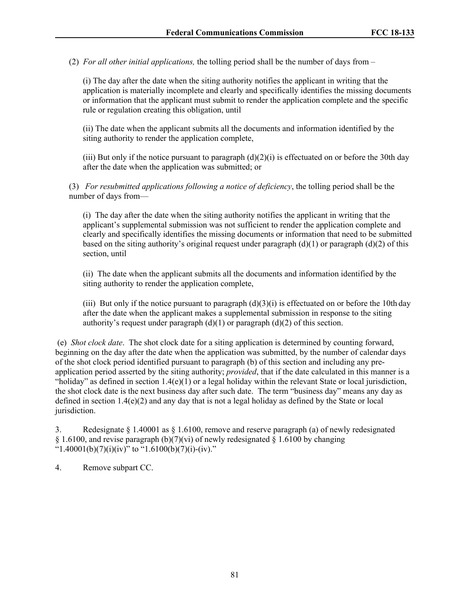(2) *For all other initial applications,* the tolling period shall be the number of days from –

(i) The day after the date when the siting authority notifies the applicant in writing that the application is materially incomplete and clearly and specifically identifies the missing documents or information that the applicant must submit to render the application complete and the specific rule or regulation creating this obligation, until

(ii) The date when the applicant submits all the documents and information identified by the siting authority to render the application complete,

(iii) But only if the notice pursuant to paragraph  $(d)(2)(i)$  is effectuated on or before the 30th day after the date when the application was submitted; or

(3) *For resubmitted applications following a notice of deficiency*, the tolling period shall be the number of days from—

(i) The day after the date when the siting authority notifies the applicant in writing that the applicant's supplemental submission was not sufficient to render the application complete and clearly and specifically identifies the missing documents or information that need to be submitted based on the siting authority's original request under paragraph  $(d)(1)$  or paragraph  $(d)(2)$  of this section, until

(ii) The date when the applicant submits all the documents and information identified by the siting authority to render the application complete,

(iii) But only if the notice pursuant to paragraph  $(d)(3)(i)$  is effectuated on or before the 10th day after the date when the applicant makes a supplemental submission in response to the siting authority's request under paragraph  $(d)(1)$  or paragraph  $(d)(2)$  of this section.

(e) *Shot clock date*. The shot clock date for a siting application is determined by counting forward, beginning on the day after the date when the application was submitted, by the number of calendar days of the shot clock period identified pursuant to paragraph (b) of this section and including any preapplication period asserted by the siting authority; *provided*, that if the date calculated in this manner is a "holiday" as defined in section  $1.4(e)(1)$  or a legal holiday within the relevant State or local jurisdiction, the shot clock date is the next business day after such date. The term "business day" means any day as defined in section 1.4(e)(2) and any day that is not a legal holiday as defined by the State or local jurisdiction.

3. Redesignate § 1.40001 as § 1.6100, remove and reserve paragraph (a) of newly redesignated  $§$  1.6100, and revise paragraph (b)(7)(vi) of newly redesignated  $§$  1.6100 by changing "1.40001(b)(7)(i)(iv)" to "1.6100(b)(7)(i)-(iv)."

4. Remove subpart CC.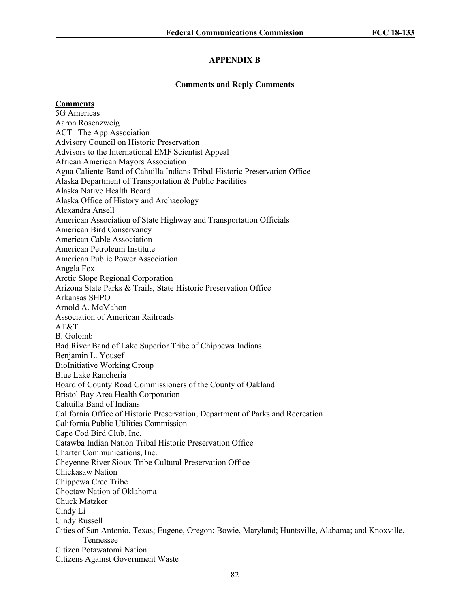### **APPENDIX B**

#### **Comments and Reply Comments**

**Comments**

5G Americas Aaron Rosenzweig ACT | The App Association Advisory Council on Historic Preservation Advisors to the International EMF Scientist Appeal African American Mayors Association Agua Caliente Band of Cahuilla Indians Tribal Historic Preservation Office Alaska Department of Transportation & Public Facilities Alaska Native Health Board Alaska Office of History and Archaeology Alexandra Ansell American Association of State Highway and Transportation Officials American Bird Conservancy American Cable Association American Petroleum Institute American Public Power Association Angela Fox Arctic Slope Regional Corporation Arizona State Parks & Trails, State Historic Preservation Office Arkansas SHPO Arnold A. McMahon Association of American Railroads  $AT&T$ B. Golomb Bad River Band of Lake Superior Tribe of Chippewa Indians Benjamin L. Yousef BioInitiative Working Group Blue Lake Rancheria Board of County Road Commissioners of the County of Oakland Bristol Bay Area Health Corporation Cahuilla Band of Indians California Office of Historic Preservation, Department of Parks and Recreation California Public Utilities Commission Cape Cod Bird Club, Inc. Catawba Indian Nation Tribal Historic Preservation Office Charter Communications, Inc. Cheyenne River Sioux Tribe Cultural Preservation Office Chickasaw Nation Chippewa Cree Tribe Choctaw Nation of Oklahoma Chuck Matzker Cindy Li Cindy Russell Cities of San Antonio, Texas; Eugene, Oregon; Bowie, Maryland; Huntsville, Alabama; and Knoxville, Tennessee Citizen Potawatomi Nation Citizens Against Government Waste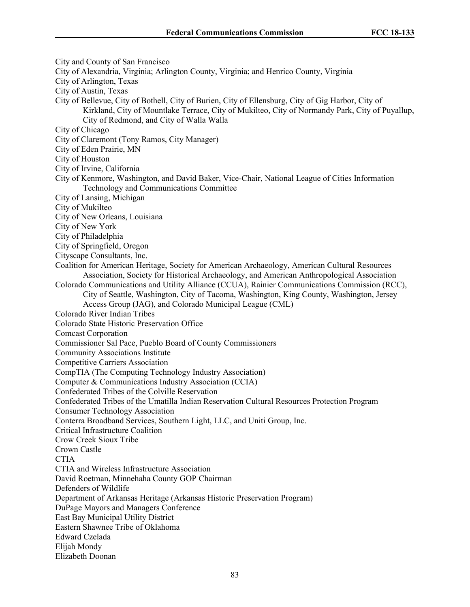City and County of San Francisco City of Alexandria, Virginia; Arlington County, Virginia; and Henrico County, Virginia City of Arlington, Texas City of Austin, Texas City of Bellevue, City of Bothell, City of Burien, City of Ellensburg, City of Gig Harbor, City of Kirkland, City of Mountlake Terrace, City of Mukilteo, City of Normandy Park, City of Puyallup, City of Redmond, and City of Walla Walla City of Chicago City of Claremont (Tony Ramos, City Manager) City of Eden Prairie, MN City of Houston City of Irvine, California City of Kenmore, Washington, and David Baker, Vice-Chair, National League of Cities Information Technology and Communications Committee City of Lansing, Michigan City of Mukilteo City of New Orleans, Louisiana City of New York City of Philadelphia City of Springfield, Oregon Cityscape Consultants, Inc. Coalition for American Heritage, Society for American Archaeology, American Cultural Resources Association, Society for Historical Archaeology, and American Anthropological Association Colorado Communications and Utility Alliance (CCUA), Rainier Communications Commission (RCC), City of Seattle, Washington, City of Tacoma, Washington, King County, Washington, Jersey Access Group (JAG), and Colorado Municipal League (CML) Colorado River Indian Tribes Colorado State Historic Preservation Office Comcast Corporation Commissioner Sal Pace, Pueblo Board of County Commissioners Community Associations Institute Competitive Carriers Association CompTIA (The Computing Technology Industry Association) Computer & Communications Industry Association (CCIA) Confederated Tribes of the Colville Reservation Confederated Tribes of the Umatilla Indian Reservation Cultural Resources Protection Program Consumer Technology Association Conterra Broadband Services, Southern Light, LLC, and Uniti Group, Inc. Critical Infrastructure Coalition Crow Creek Sioux Tribe Crown Castle **CTIA** CTIA and Wireless Infrastructure Association David Roetman, Minnehaha County GOP Chairman Defenders of Wildlife Department of Arkansas Heritage (Arkansas Historic Preservation Program) DuPage Mayors and Managers Conference East Bay Municipal Utility District Eastern Shawnee Tribe of Oklahoma Edward Czelada Elijah Mondy Elizabeth Doonan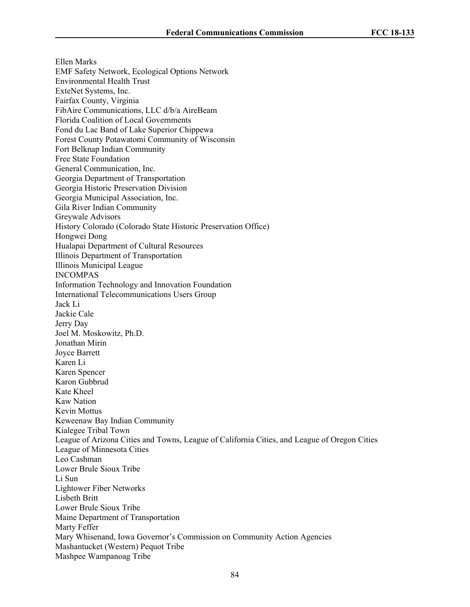Ellen Marks EMF Safety Network, Ecological Options Network Environmental Health Trust ExteNet Systems, Inc. Fairfax County, Virginia FibAire Communications, LLC d/b/a AireBeam Florida Coalition of Local Governments Fond du Lac Band of Lake Superior Chippewa Forest County Potawatomi Community of Wisconsin Fort Belknap Indian Community Free State Foundation General Communication, Inc. Georgia Department of Transportation Georgia Historic Preservation Division Georgia Municipal Association, Inc. Gila River Indian Community Greywale Advisors History Colorado (Colorado State Historic Preservation Office) Hongwei Dong Hualapai Department of Cultural Resources Illinois Department of Transportation Illinois Municipal League INCOMPAS Information Technology and Innovation Foundation International Telecommunications Users Group Jack Li Jackie Cale Jerry Day Joel M. Moskowitz, Ph.D. Jonathan Mirin Joyce Barrett Karen Li Karen Spencer Karon Gubbrud Kate Kheel Kaw Nation Kevin Mottus Keweenaw Bay Indian Community Kialegee Tribal Town League of Arizona Cities and Towns, League of California Cities, and League of Oregon Cities League of Minnesota Cities Leo Cashman Lower Brule Sioux Tribe Li Sun Lightower Fiber Networks Lisbeth Britt Lower Brule Sioux Tribe Maine Department of Transportation Marty Feffer Mary Whisenand, Iowa Governor's Commission on Community Action Agencies Mashantucket (Western) Pequot Tribe Mashpee Wampanoag Tribe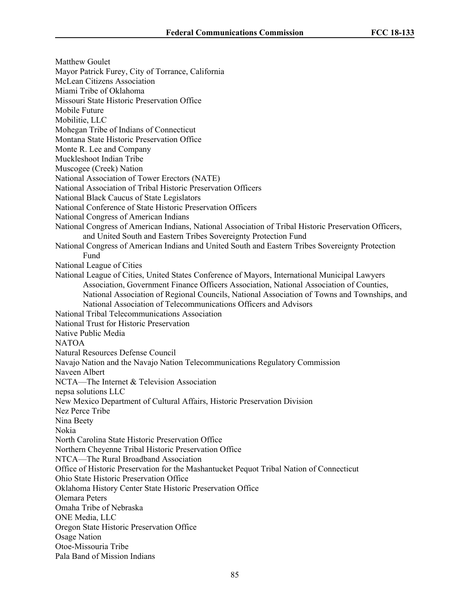Matthew Goulet Mayor Patrick Furey, City of Torrance, California McLean Citizens Association Miami Tribe of Oklahoma Missouri State Historic Preservation Office Mobile Future Mobilitie, LLC Mohegan Tribe of Indians of Connecticut Montana State Historic Preservation Office Monte R. Lee and Company Muckleshoot Indian Tribe Muscogee (Creek) Nation National Association of Tower Erectors (NATE) National Association of Tribal Historic Preservation Officers National Black Caucus of State Legislators National Conference of State Historic Preservation Officers National Congress of American Indians National Congress of American Indians, National Association of Tribal Historic Preservation Officers, and United South and Eastern Tribes Sovereignty Protection Fund National Congress of American Indians and United South and Eastern Tribes Sovereignty Protection Fund National League of Cities National League of Cities, United States Conference of Mayors, International Municipal Lawyers Association, Government Finance Officers Association, National Association of Counties, National Association of Regional Councils, National Association of Towns and Townships, and National Association of Telecommunications Officers and Advisors National Tribal Telecommunications Association National Trust for Historic Preservation Native Public Media NATOA Natural Resources Defense Council Navajo Nation and the Navajo Nation Telecommunications Regulatory Commission Naveen Albert NCTA—The Internet & Television Association nepsa solutions LLC New Mexico Department of Cultural Affairs, Historic Preservation Division Nez Perce Tribe Nina Beety Nokia North Carolina State Historic Preservation Office Northern Cheyenne Tribal Historic Preservation Office NTCA—The Rural Broadband Association Office of Historic Preservation for the Mashantucket Pequot Tribal Nation of Connecticut Ohio State Historic Preservation Office Oklahoma History Center State Historic Preservation Office Olemara Peters Omaha Tribe of Nebraska ONE Media, LLC Oregon State Historic Preservation Office Osage Nation Otoe-Missouria Tribe Pala Band of Mission Indians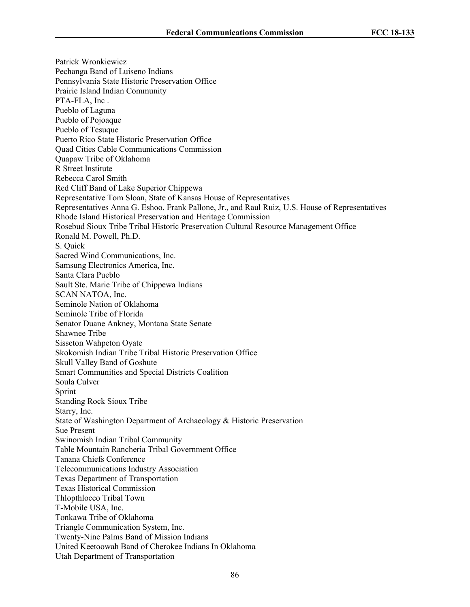Patrick Wronkiewicz Pechanga Band of Luiseno Indians Pennsylvania State Historic Preservation Office Prairie Island Indian Community PTA-FLA, Inc . Pueblo of Laguna Pueblo of Pojoaque Pueblo of Tesuque Puerto Rico State Historic Preservation Office Quad Cities Cable Communications Commission Quapaw Tribe of Oklahoma R Street Institute Rebecca Carol Smith Red Cliff Band of Lake Superior Chippewa Representative Tom Sloan, State of Kansas House of Representatives Representatives Anna G. Eshoo, Frank Pallone, Jr., and Raul Ruiz, U.S. House of Representatives Rhode Island Historical Preservation and Heritage Commission Rosebud Sioux Tribe Tribal Historic Preservation Cultural Resource Management Office Ronald M. Powell, Ph.D. S. Quick Sacred Wind Communications, Inc. Samsung Electronics America, Inc. Santa Clara Pueblo Sault Ste. Marie Tribe of Chippewa Indians SCAN NATOA, Inc. Seminole Nation of Oklahoma Seminole Tribe of Florida Senator Duane Ankney, Montana State Senate Shawnee Tribe Sisseton Wahpeton Oyate Skokomish Indian Tribe Tribal Historic Preservation Office Skull Valley Band of Goshute Smart Communities and Special Districts Coalition Soula Culver Sprint Standing Rock Sioux Tribe Starry, Inc. State of Washington Department of Archaeology & Historic Preservation Sue Present Swinomish Indian Tribal Community Table Mountain Rancheria Tribal Government Office Tanana Chiefs Conference Telecommunications Industry Association Texas Department of Transportation Texas Historical Commission Thlopthlocco Tribal Town T-Mobile USA, Inc. Tonkawa Tribe of Oklahoma Triangle Communication System, Inc. Twenty-Nine Palms Band of Mission Indians United Keetoowah Band of Cherokee Indians In Oklahoma Utah Department of Transportation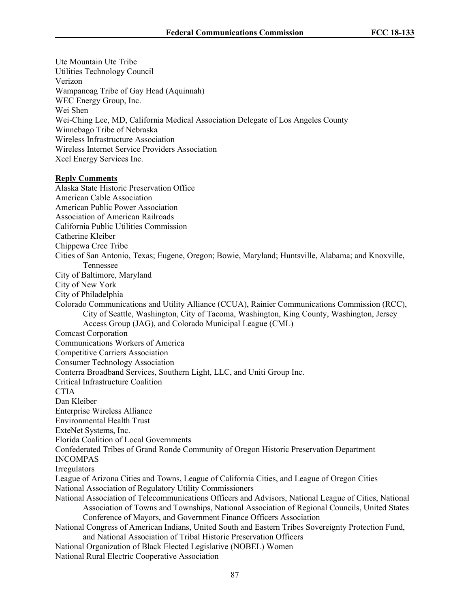Ute Mountain Ute Tribe

Utilities Technology Council Verizon Wampanoag Tribe of Gay Head (Aquinnah) WEC Energy Group, Inc. Wei Shen Wei-Ching Lee, MD, California Medical Association Delegate of Los Angeles County Winnebago Tribe of Nebraska Wireless Infrastructure Association Wireless Internet Service Providers Association Xcel Energy Services Inc. **Reply Comments** Alaska State Historic Preservation Office American Cable Association American Public Power Association Association of American Railroads California Public Utilities Commission Catherine Kleiber Chippewa Cree Tribe Cities of San Antonio, Texas; Eugene, Oregon; Bowie, Maryland; Huntsville, Alabama; and Knoxville, Tennessee City of Baltimore, Maryland City of New York City of Philadelphia Colorado Communications and Utility Alliance (CCUA), Rainier Communications Commission (RCC), City of Seattle, Washington, City of Tacoma, Washington, King County, Washington, Jersey Access Group (JAG), and Colorado Municipal League (CML) Comcast Corporation Communications Workers of America Competitive Carriers Association Consumer Technology Association Conterra Broadband Services, Southern Light, LLC, and Uniti Group Inc. Critical Infrastructure Coalition **CTIA** Dan Kleiber Enterprise Wireless Alliance Environmental Health Trust ExteNet Systems, Inc. Florida Coalition of Local Governments Confederated Tribes of Grand Ronde Community of Oregon Historic Preservation Department INCOMPAS Irregulators League of Arizona Cities and Towns, League of California Cities, and League of Oregon Cities National Association of Regulatory Utility Commissioners National Association of Telecommunications Officers and Advisors, National League of Cities, National Association of Towns and Townships, National Association of Regional Councils, United States Conference of Mayors, and Government Finance Officers Association National Congress of American Indians, United South and Eastern Tribes Sovereignty Protection Fund, and National Association of Tribal Historic Preservation Officers National Organization of Black Elected Legislative (NOBEL) Women National Rural Electric Cooperative Association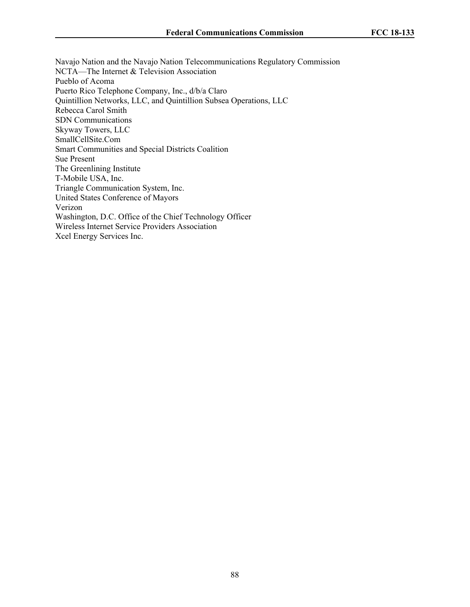Navajo Nation and the Navajo Nation Telecommunications Regulatory Commission NCTA—The Internet & Television Association Pueblo of Acoma Puerto Rico Telephone Company, Inc., d/b/a Claro Quintillion Networks, LLC, and Quintillion Subsea Operations, LLC Rebecca Carol Smith SDN Communications Skyway Towers, LLC SmallCellSite.Com Smart Communities and Special Districts Coalition Sue Present The Greenlining Institute T-Mobile USA, Inc. Triangle Communication System, Inc. United States Conference of Mayors Verizon Washington, D.C. Office of the Chief Technology Officer Wireless Internet Service Providers Association Xcel Energy Services Inc.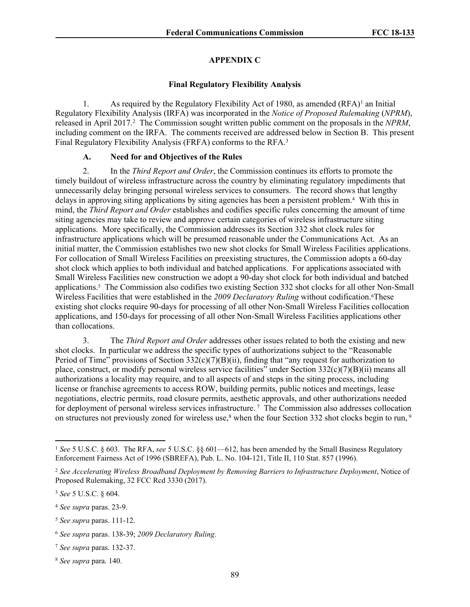### **APPENDIX C**

#### **Final Regulatory Flexibility Analysis**

1. As required by the Regulatory Flexibility Act of 1980, as amended  $(RFA)^{1}$  an Initial Regulatory Flexibility Analysis (IRFA) was incorporated in the *Notice of Proposed Rulemaking* (*NPRM*), released in April 2017.<sup>2</sup> The Commission sought written public comment on the proposals in the *NPRM*, including comment on the IRFA. The comments received are addressed below in Section B. This present Final Regulatory Flexibility Analysis (FRFA) conforms to the RFA.<sup>3</sup>

### **A. Need for and Objectives of the Rules**

2. In the *Third Report and Order*, the Commission continues its efforts to promote the timely buildout of wireless infrastructure across the country by eliminating regulatory impediments that unnecessarily delay bringing personal wireless services to consumers. The record shows that lengthy delays in approving siting applications by siting agencies has been a persistent problem.<sup>4</sup> With this in mind, the *Third Report and Order* establishes and codifies specific rules concerning the amount of time siting agencies may take to review and approve certain categories of wireless infrastructure siting applications. More specifically, the Commission addresses its Section 332 shot clock rules for infrastructure applications which will be presumed reasonable under the Communications Act. As an initial matter, the Commission establishes two new shot clocks for Small Wireless Facilities applications. For collocation of Small Wireless Facilities on preexisting structures, the Commission adopts a 60-day shot clock which applies to both individual and batched applications. For applications associated with Small Wireless Facilities new construction we adopt a 90-day shot clock for both individual and batched applications.<sup>5</sup> The Commission also codifies two existing Section 332 shot clocks for all other Non-Small Wireless Facilities that were established in the *2009 Declaratory Ruling* without codification.6These existing shot clocks require 90-days for processing of all other Non-Small Wireless Facilities collocation applications, and 150-days for processing of all other Non-Small Wireless Facilities applications other than collocations.

3. The *Third Report and Order* addresses other issues related to both the existing and new shot clocks. In particular we address the specific types of authorizations subject to the "Reasonable Period of Time" provisions of Section  $332(c)(7)(B)(ii)$ , finding that "any request for authorization to place, construct, or modify personal wireless service facilities" under Section  $332(c)(7)(B)(ii)$  means all authorizations a locality may require, and to all aspects of and steps in the siting process, including license or franchise agreements to access ROW, building permits, public notices and meetings, lease negotiations, electric permits, road closure permits, aesthetic approvals, and other authorizations needed for deployment of personal wireless services infrastructure. <sup>7</sup> The Commission also addresses collocation on structures not previously zoned for wireless use,<sup>8</sup> when the four Section 332 shot clocks begin to run, <sup>9</sup>

<sup>1</sup> *See* 5 U.S.C. § 603. The RFA, *see* 5 U.S.C. §§ 601—612, has been amended by the Small Business Regulatory Enforcement Fairness Act of 1996 (SBREFA), Pub. L. No. 104-121, Title II, 110 Stat. 857 (1996).

<sup>2</sup> *See Accelerating Wireless Broadband Deployment by Removing Barriers to Infrastructure Deployment*, Notice of Proposed Rulemaking, 32 FCC Rcd 3330 (2017).

<sup>3</sup> *See* 5 U.S.C. § 604.

<sup>4</sup> *See supra* paras. 23-9.

<sup>5</sup> *See supra* paras. 111-12.

<sup>6</sup> *See supra* paras. 138-39; *2009 Declaratory Ruling*.

<sup>7</sup> *See supra* paras. 132-37.

<sup>8</sup> *See supra* para. 140.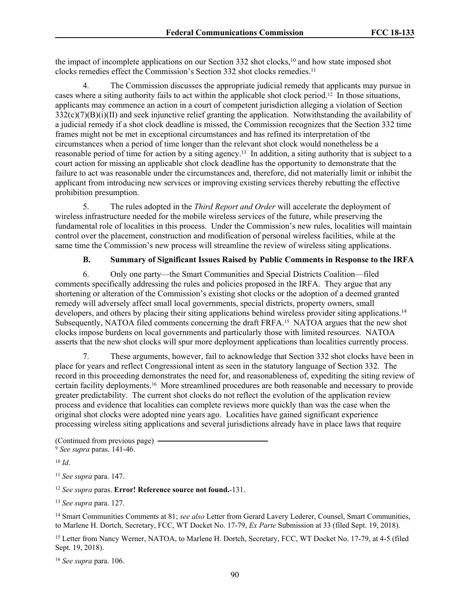the impact of incomplete applications on our Section 332 shot clocks,<sup>10</sup> and how state imposed shot clocks remedies effect the Commission's Section 332 shot clocks remedies.<sup>11</sup>

4. The Commission discusses the appropriate judicial remedy that applicants may pursue in cases where a siting authority fails to act within the applicable shot clock period.<sup>12</sup> In those situations, applicants may commence an action in a court of competent jurisdiction alleging a violation of Section 332(c)(7)(B)(i)(II) and seek injunctive relief granting the application. Notwithstanding the availability of a judicial remedy if a shot clock deadline is missed, the Commission recognizes that the Section 332 time frames might not be met in exceptional circumstances and has refined its interpretation of the circumstances when a period of time longer than the relevant shot clock would nonetheless be a reasonable period of time for action by a siting agency.<sup>13</sup> In addition, a siting authority that is subject to a court action for missing an applicable shot clock deadline has the opportunity to demonstrate that the failure to act was reasonable under the circumstances and, therefore, did not materially limit or inhibit the applicant from introducing new services or improving existing services thereby rebutting the effective prohibition presumption.

5. The rules adopted in the *Third Report and Order* will accelerate the deployment of wireless infrastructure needed for the mobile wireless services of the future, while preserving the fundamental role of localities in this process. Under the Commission's new rules, localities will maintain control over the placement, construction and modification of personal wireless facilities, while at the same time the Commission's new process will streamline the review of wireless siting applications.

# **B. Summary of Significant Issues Raised by Public Comments in Response to the IRFA**

6. Only one party—the Smart Communities and Special Districts Coalition—filed comments specifically addressing the rules and policies proposed in the IRFA. They argue that any shortening or alteration of the Commission's existing shot clocks or the adoption of a deemed granted remedy will adversely affect small local governments, special districts, property owners, small developers, and others by placing their siting applications behind wireless provider siting applications.<sup>14</sup> Subsequently, NATOA filed comments concerning the draft FRFA.<sup>15</sup> NATOA argues that the new shot clocks impose burdens on local governments and particularly those with limited resources. NATOA asserts that the new shot clocks will spur more deployment applications than localities currently process.

7. These arguments, however, fail to acknowledge that Section 332 shot clocks have been in place for years and reflect Congressional intent as seen in the statutory language of Section 332. The record in this proceeding demonstrates the need for, and reasonableness of, expediting the siting review of certain facility deployments.<sup>16</sup> More streamlined procedures are both reasonable and necessary to provide greater predictability. The current shot clocks do not reflect the evolution of the application review process and evidence that localities can complete reviews more quickly than was the case when the original shot clocks were adopted nine years ago. Localities have gained significant experience processing wireless siting applications and several jurisdictions already have in place laws that require

<sup>10</sup> *Id*.

<sup>13</sup> *See supra* para. 127.

<sup>14</sup> Smart Communities Comments at 81; *see also* Letter from Gerard Lavery Lederer, Counsel, Smart Communities, to Marlene H. Dortch, Secretary, FCC, WT Docket No. 17-79, *Ex Parte* Submission at 33 (filed Sept. 19, 2018).

<sup>15</sup> Letter from Nancy Werner, NATOA, to Marlene H. Dortch, Secretary, FCC, WT Docket No. 17-79, at 4-5 (filed Sept. 19, 2018).

<sup>16</sup> *See supra* para. [106.](#page-55-0)

<sup>(</sup>Continued from previous page) <sup>9</sup> *See supra* paras. 141-46.

<sup>11</sup> *See supra* para. 147.

<sup>12</sup> *See supra* paras. **Error! Reference source not found.**[-131](#page-67-0).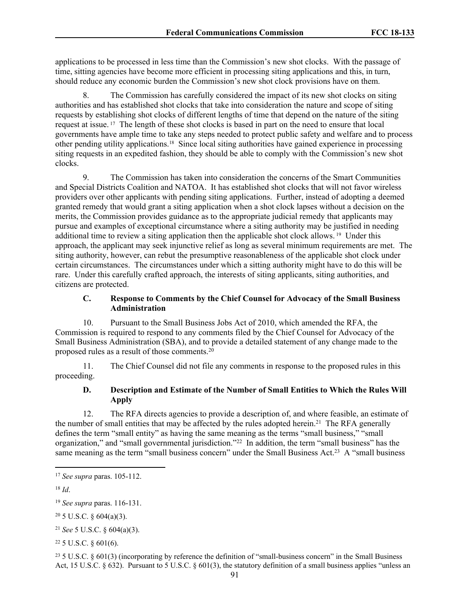applications to be processed in less time than the Commission's new shot clocks. With the passage of time, sitting agencies have become more efficient in processing siting applications and this, in turn, should reduce any economic burden the Commission's new shot clock provisions have on them.

The Commission has carefully considered the impact of its new shot clocks on siting authorities and has established shot clocks that take into consideration the nature and scope of siting requests by establishing shot clocks of different lengths of time that depend on the nature of the siting request at issue. <sup>17</sup> The length of these shot clocks is based in part on the need to ensure that local governments have ample time to take any steps needed to protect public safety and welfare and to process other pending utility applications.<sup>18</sup> Since local siting authorities have gained experience in processing siting requests in an expedited fashion, they should be able to comply with the Commission's new shot clocks.

9. The Commission has taken into consideration the concerns of the Smart Communities and Special Districts Coalition and NATOA. It has established shot clocks that will not favor wireless providers over other applicants with pending siting applications. Further, instead of adopting a deemed granted remedy that would grant a siting application when a shot clock lapses without a decision on the merits, the Commission provides guidance as to the appropriate judicial remedy that applicants may pursue and examples of exceptional circumstance where a siting authority may be justified in needing additional time to review a siting application then the applicable shot clock allows.<sup>19</sup> Under this approach, the applicant may seek injunctive relief as long as several minimum requirements are met. The siting authority, however, can rebut the presumptive reasonableness of the applicable shot clock under certain circumstances. The circumstances under which a sitting authority might have to do this will be rare. Under this carefully crafted approach, the interests of siting applicants, siting authorities, and citizens are protected.

# **C. Response to Comments by the Chief Counsel for Advocacy of the Small Business Administration**

10. Pursuant to the Small Business Jobs Act of 2010, which amended the RFA, the Commission is required to respond to any comments filed by the Chief Counsel for Advocacy of the Small Business Administration (SBA), and to provide a detailed statement of any change made to the proposed rules as a result of those comments. $20$ 

11. The Chief Counsel did not file any comments in response to the proposed rules in this proceeding.

# **D. Description and Estimate of the Number of Small Entities to Which the Rules Will Apply**

12. The RFA directs agencies to provide a description of, and where feasible, an estimate of the number of small entities that may be affected by the rules adopted herein.<sup>21</sup> The RFA generally defines the term "small entity" as having the same meaning as the terms "small business," "small organization," and "small governmental jurisdiction."<sup>22</sup> In addition, the term "small business" has the same meaning as the term "small business concern" under the Small Business Act.<sup>23</sup> A "small business

<sup>23</sup> 5 U.S.C. § 601(3) (incorporating by reference the definition of "small-business concern" in the Small Business Act, 15 U.S.C. § 632). Pursuant to 5 U.S.C. § 601(3), the statutory definition of a small business applies "unless an

<sup>17</sup> *See supra* paras. 105-112.

<sup>18</sup> *Id*.

<sup>19</sup> *See supra* paras. 116-131.

 $20\,5$  U.S.C. § 604(a)(3).

<sup>21</sup> *See* 5 U.S.C. § 604(a)(3).

<sup>22</sup> 5 U.S.C. § 601(6).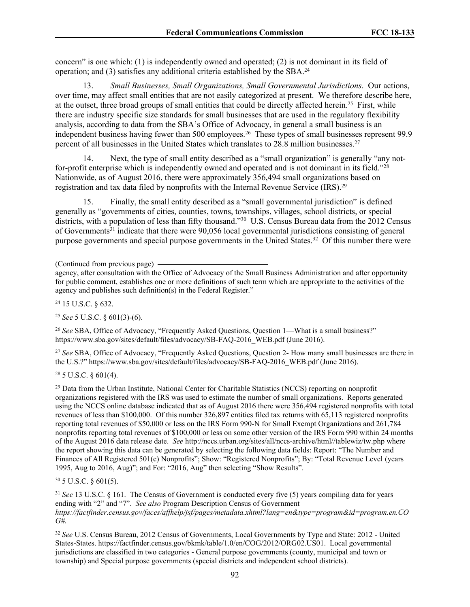concern" is one which: (1) is independently owned and operated; (2) is not dominant in its field of operation; and (3) satisfies any additional criteria established by the SBA.<sup>24</sup>

13. *Small Businesses, Small Organizations, Small Governmental Jurisdictions*. Our actions, over time, may affect small entities that are not easily categorized at present. We therefore describe here, at the outset, three broad groups of small entities that could be directly affected herein.<sup>25</sup> First, while there are industry specific size standards for small businesses that are used in the regulatory flexibility analysis, according to data from the SBA's Office of Advocacy, in general a small business is an independent business having fewer than 500 employees.<sup>26</sup> These types of small businesses represent 99.9 percent of all businesses in the United States which translates to 28.8 million businesses.<sup>27</sup>

Next, the type of small entity described as a "small organization" is generally "any notfor-profit enterprise which is independently owned and operated and is not dominant in its field."<sup>28</sup> Nationwide, as of August 2016, there were approximately 356,494 small organizations based on registration and tax data filed by nonprofits with the Internal Revenue Service (IRS).<sup>29</sup>

15. Finally, the small entity described as a "small governmental jurisdiction" is defined generally as "governments of cities, counties, towns, townships, villages, school districts, or special districts, with a population of less than fifty thousand."<sup>30</sup> U.S. Census Bureau data from the 2012 Census of Governments<sup>31</sup> indicate that there were 90,056 local governmental jurisdictions consisting of general purpose governments and special purpose governments in the United States.<sup>32</sup> Of this number there were

<sup>24</sup> 15 U.S.C. § 632.

<sup>25</sup> *See* 5 U.S.C. § 601(3)-(6).

<sup>26</sup> *See* SBA, Office of Advocacy, "Frequently Asked Questions, Question 1—What is a small business?" https://www.sba.gov/sites/default/files/advocacy/SB-FAQ-2016\_WEB.pdf (June 2016).

<sup>27</sup> *See* SBA, Office of Advocacy, "Frequently Asked Questions, Question 2- How many small businesses are there in the U.S.?" https://www.sba.gov/sites/default/files/advocacy/SB-FAQ-2016\_WEB.pdf (June 2016).

 $28$  5 U.S.C. § 601(4).

<sup>29</sup> Data from the Urban Institute, National Center for Charitable Statistics (NCCS) reporting on nonprofit organizations registered with the IRS was used to estimate the number of small organizations. Reports generated using the NCCS online database indicated that as of August 2016 there were 356,494 registered nonprofits with total revenues of less than \$100,000. Of this number 326,897 entities filed tax returns with 65,113 registered nonprofits reporting total revenues of \$50,000 or less on the IRS Form 990-N for Small Exempt Organizations and 261,784 nonprofits reporting total revenues of \$100,000 or less on some other version of the IRS Form 990 within 24 months of the August 2016 data release date. *See* http://nccs.urban.org/sites/all/nccs-archive/html//tablewiz/tw.php where the report showing this data can be generated by selecting the following data fields: Report: "The Number and Finances of All Registered 501(c) Nonprofits"; Show: "Registered Nonprofits"; By: "Total Revenue Level (years 1995, Aug to 2016, Aug)"; and For: "2016, Aug" then selecting "Show Results".

<sup>30</sup> 5 U.S.C. § 601(5).

<sup>31</sup> *See* 13 U.S.C. § 161. The Census of Government is conducted every five (5) years compiling data for years ending with "2" and "7". *See also* Program Description Census of Government *https://factfinder.census.gov/faces/affhelp/jsf/pages/metadata.xhtml?lang=en&type=program&id=program.en.CO G#*.

<sup>32</sup> *See* U.S. Census Bureau, 2012 Census of Governments, Local Governments by Type and State: 2012 - United States-States. https://factfinder.census.gov/bkmk/table/1.0/en/COG/2012/ORG02.US01. Local governmental jurisdictions are classified in two categories - General purpose governments (county, municipal and town or township) and Special purpose governments (special districts and independent school districts).

<sup>(</sup>Continued from previous page)

agency, after consultation with the Office of Advocacy of the Small Business Administration and after opportunity for public comment, establishes one or more definitions of such term which are appropriate to the activities of the agency and publishes such definition(s) in the Federal Register."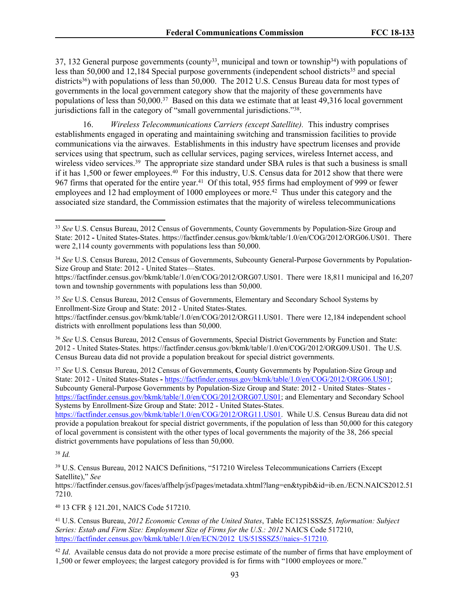37, 132 General purpose governments (county<sup>33</sup>, municipal and town or township<sup>34</sup>) with populations of less than 50,000 and 12,184 Special purpose governments (independent school districts<sup>35</sup> and special districts<sup>36</sup>) with populations of less than 50,000. The 2012 U.S. Census Bureau data for most types of governments in the local government category show that the majority of these governments have populations of less than 50,000.<sup>37</sup> Based on this data we estimate that at least 49,316 local government jurisdictions fall in the category of "small governmental jurisdictions."<sup>38</sup>.

16. *Wireless Telecommunications Carriers (except Satellite).* This industry comprises establishments engaged in operating and maintaining switching and transmission facilities to provide communications via the airwaves. Establishments in this industry have spectrum licenses and provide services using that spectrum, such as cellular services, paging services, wireless Internet access, and wireless video services.<sup>39</sup> The appropriate size standard under SBA rules is that such a business is small if it has 1,500 or fewer employees.<sup>40</sup> For this industry, U.S. Census data for 2012 show that there were 967 firms that operated for the entire year.<sup>41</sup> Of this total, 955 firms had employment of 999 or fewer employees and 12 had employment of 1000 employees or more.<sup>42</sup> Thus under this category and the associated size standard, the Commission estimates that the majority of wireless telecommunications

https://factfinder.census.gov/bkmk/table/1.0/en/COG/2012/ORG11.US01. There were 12,184 independent school districts with enrollment populations less than 50,000.

<sup>36</sup> *See* U.S. Census Bureau, 2012 Census of Governments, Special District Governments by Function and State: 2012 - United States-States. https://factfinder.census.gov/bkmk/table/1.0/en/COG/2012/ORG09.US01. The U.S. Census Bureau data did not provide a population breakout for special district governments.

<sup>37</sup> *See* U.S. Census Bureau, 2012 Census of Governments, **C**ounty Governments by Population-Size Group and State: 2012 - United States-States **-** [https://factfinder.census.gov/bkmk/table/1.0/en/COG/2012/ORG06.US01;](https://factfinder.census.gov/bkmk/table/1.0/en/COG/2012/ORG06.US01) Subcounty General-Purpose Governments by Population-Size Group and State: 2012 - United States–States <https://factfinder.census.gov/bkmk/table/1.0/en/COG/2012/ORG07.US01>; and Elementary and Secondary School Systems by Enrollment-Size Group and State: 2012 - United States-States.

<https://factfinder.census.gov/bkmk/table/1.0/en/COG/2012/ORG11.US01>. While U.S. Census Bureau data did not provide a population breakout for special district governments, if the population of less than 50,000 for this category of local government is consistent with the other types of local governments the majority of the 38, 266 special district governments have populations of less than 50,000.

<sup>38</sup> *Id.*

<sup>39</sup> U.S. Census Bureau, 2012 NAICS Definitions, "517210 Wireless Telecommunications Carriers (Except Satellite)," *See*

https://factfinder.census.gov/faces/affhelp/jsf/pages/metadata.xhtml?lang=en&typib&id=ib.en./ECN.NAICS2012.51 7210.

<sup>40</sup> 13 CFR § 121.201, NAICS Code 517210.

<sup>41</sup> U.S. Census Bureau, *2012 Economic Census of the United States*, Table EC1251SSSZ5*, Information: Subject Series: Estab and Firm Size: Employment Size of Firms for the U.S.: 2012* NAICS Code 517210, [https://factfinder.census.gov/bkmk/table/1.0/en/ECN/2012\\_US/51SSSZ5//naics~517210.](https://factfinder.census.gov/bkmk/table/1.0/en/ECN/2012_US/51SSSZ5/naics~517210)

<sup>42</sup> *Id.* Available census data do not provide a more precise estimate of the number of firms that have employment of 1,500 or fewer employees; the largest category provided is for firms with "1000 employees or more."

<sup>33</sup> *See* U.S. Census Bureau, 2012 Census of Governments, County Governments by Population-Size Group and State: 2012 **-** United States-States. https://factfinder.census.gov/bkmk/table/1.0/en/COG/2012/ORG06.US01. There were 2,114 county governments with populations less than 50,000.

<sup>34</sup> *See* U.S. Census Bureau, 2012 Census of Governments, Subcounty General-Purpose Governments by Population-Size Group and State: 2012 - United States—States.

https://factfinder.census.gov/bkmk/table/1.0/en/COG/2012/ORG07.US01. There were 18,811 municipal and 16,207 town and township governments with populations less than 50,000.

<sup>35</sup> *See* U.S. Census Bureau, 2012 Census of Governments, Elementary and Secondary School Systems by Enrollment-Size Group and State: 2012 - United States-States.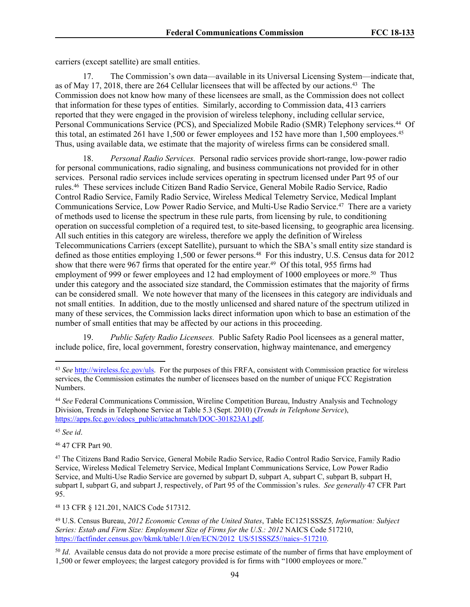carriers (except satellite) are small entities.

17. The Commission's own data—available in its Universal Licensing System—indicate that, as of May 17, 2018, there are 264 Cellular licensees that will be affected by our actions.<sup>43</sup> The Commission does not know how many of these licensees are small, as the Commission does not collect that information for these types of entities. Similarly, according to Commission data, 413 carriers reported that they were engaged in the provision of wireless telephony, including cellular service, Personal Communications Service (PCS), and Specialized Mobile Radio (SMR) Telephony services.<sup>44</sup> Of this total, an estimated 261 have 1,500 or fewer employees and 152 have more than 1,500 employees.<sup>45</sup> Thus, using available data, we estimate that the majority of wireless firms can be considered small.

18. *Personal Radio Services.* Personal radio services provide short-range, low-power radio for personal communications, radio signaling, and business communications not provided for in other services. Personal radio services include services operating in spectrum licensed under Part 95 of our rules.<sup>46</sup> These services include Citizen Band Radio Service, General Mobile Radio Service, Radio Control Radio Service, Family Radio Service, Wireless Medical Telemetry Service, Medical Implant Communications Service, Low Power Radio Service, and Multi-Use Radio Service.<sup>47</sup> There are a variety of methods used to license the spectrum in these rule parts, from licensing by rule, to conditioning operation on successful completion of a required test, to site-based licensing, to geographic area licensing. All such entities in this category are wireless, therefore we apply the definition of Wireless Telecommunications Carriers (except Satellite), pursuant to which the SBA's small entity size standard is defined as those entities employing 1,500 or fewer persons.<sup>48</sup> For this industry, U.S. Census data for 2012 show that there were 967 firms that operated for the entire year.<sup>49</sup> Of this total, 955 firms had employment of 999 or fewer employees and 12 had employment of 1000 employees or more.<sup>50</sup> Thus under this category and the associated size standard, the Commission estimates that the majority of firms can be considered small. We note however that many of the licensees in this category are individuals and not small entities. In addition, due to the mostly unlicensed and shared nature of the spectrum utilized in many of these services, the Commission lacks direct information upon which to base an estimation of the number of small entities that may be affected by our actions in this proceeding.

19. *Public Safety Radio Licensees.* Public Safety Radio Pool licensees as a general matter, include police, fire, local government, forestry conservation, highway maintenance, and emergency

<sup>45</sup> *See id*.

<sup>46</sup> 47 CFR Part 90.

<sup>48</sup> 13 CFR § 121.201, NAICS Code 517312.

<sup>43</sup> *See* [http://wireless.fcc.gov/uls.](http://wireless.fcc.gov/uls) For the purposes of this FRFA, consistent with Commission practice for wireless services, the Commission estimates the number of licensees based on the number of unique FCC Registration Numbers.

<sup>44</sup> *See* Federal Communications Commission, Wireline Competition Bureau, Industry Analysis and Technology Division, Trends in Telephone Service at Table 5.3 (Sept. 2010) (*Trends in Telephone Service*), [https://apps.fcc.gov/edocs\\_public/attachmatch/DOC-301823A1.pdf.](https://apps.fcc.gov/edocs_public/attachmatch/DOC-301823A1.pdf)

<sup>47</sup> The Citizens Band Radio Service, General Mobile Radio Service, Radio Control Radio Service, Family Radio Service, Wireless Medical Telemetry Service, Medical Implant Communications Service, Low Power Radio Service, and Multi-Use Radio Service are governed by subpart D, subpart A, subpart C, subpart B, subpart H, subpart I, subpart G, and subpart J, respectively, of Part 95 of the Commission's rules. *See generally* 47 CFR Part 95.

<sup>49</sup> U.S. Census Bureau, *2012 Economic Census of the United States*, Table EC1251SSSZ5*, Information: Subject Series: Estab and Firm Size: Employment Size of Firms for the U.S.: 2012* NAICS Code 517210, [https://factfinder.census.gov/bkmk/table/1.0/en/ECN/2012\\_US/51SSSZ5//naics~517210.](https://factfinder.census.gov/bkmk/table/1.0/en/ECN/2012_US/51SSSZ5//naics~517210)

<sup>&</sup>lt;sup>50</sup> *Id.* Available census data do not provide a more precise estimate of the number of firms that have employment of 1,500 or fewer employees; the largest category provided is for firms with "1000 employees or more."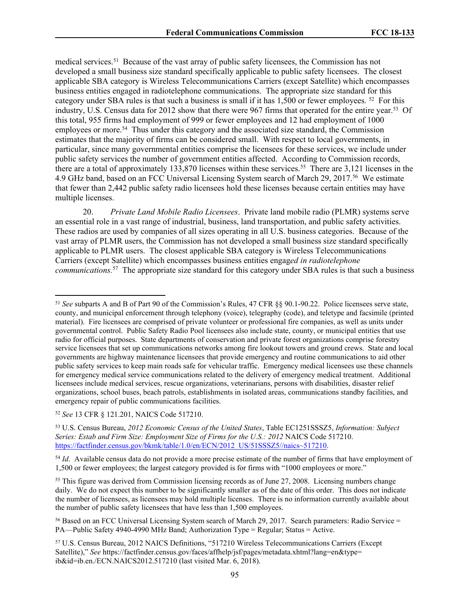medical services.<sup>51</sup> Because of the vast array of public safety licensees, the Commission has not developed a small business size standard specifically applicable to public safety licensees. The closest applicable SBA category is Wireless Telecommunications Carriers (except Satellite) which encompasses business entities engaged in radiotelephone communications. The appropriate size standard for this category under SBA rules is that such a business is small if it has 1,500 or fewer employees*.* 52 For this industry, U.S. Census data for 2012 show that there were 967 firms that operated for the entire year.<sup>53</sup> Of this total, 955 firms had employment of 999 or fewer employees and 12 had employment of 1000 employees or more.<sup>54</sup> Thus under this category and the associated size standard, the Commission estimates that the majority of firms can be considered small. With respect to local governments, in particular, since many governmental entities comprise the licensees for these services, we include under public safety services the number of government entities affected. According to Commission records, there are a total of approximately 133,870 licenses within these services.<sup>55</sup> There are 3,121 licenses in the 4.9 GHz band, based on an FCC Universal Licensing System search of March 29, 2017.<sup>56</sup> We estimate that fewer than 2,442 public safety radio licensees hold these licenses because certain entities may have multiple licenses.

20. *Private Land Mobile Radio Licensees*. Private land mobile radio (PLMR) systems serve an essential role in a vast range of industrial, business, land transportation, and public safety activities. These radios are used by companies of all sizes operating in all U.S. business categories. Because of the vast array of PLMR users, the Commission has not developed a small business size standard specifically applicable to PLMR users. The closest applicable SBA category is Wireless Telecommunications Carriers (except Satellite) which encompasses business entities engag*ed in radiotelephone communications.*<sup>57</sup> The appropriate size standard for this category under SBA rules is that such a business

<sup>54</sup> *Id.* Available census data do not provide a more precise estimate of the number of firms that have employment of 1,500 or fewer employees; the largest category provided is for firms with "1000 employees or more."

<sup>55</sup> This figure was derived from Commission licensing records as of June 27, 2008. Licensing numbers change daily. We do not expect this number to be significantly smaller as of the date of this order. This does not indicate the number of licensees, as licensees may hold multiple licenses. There is no information currently available about the number of public safety licensees that have less than 1,500 employees.

<sup>51</sup> *See* subparts A and B of Part 90 of the Commission's Rules, 47 CFR §§ 90.1-90.22. Police licensees serve state, county, and municipal enforcement through telephony (voice), telegraphy (code), and teletype and facsimile (printed material). Fire licensees are comprised of private volunteer or professional fire companies, as well as units under governmental control. Public Safety Radio Pool licensees also include state, county, or municipal entities that use radio for official purposes. State departments of conservation and private forest organizations comprise forestry service licensees that set up communications networks among fire lookout towers and ground crews. State and local governments are highway maintenance licensees that provide emergency and routine communications to aid other public safety services to keep main roads safe for vehicular traffic. Emergency medical licensees use these channels for emergency medical service communications related to the delivery of emergency medical treatment. Additional licensees include medical services, rescue organizations, veterinarians, persons with disabilities, disaster relief organizations, school buses, beach patrols, establishments in isolated areas, communications standby facilities, and emergency repair of public communications facilities.

<sup>52</sup> *See* 13 CFR § 121.201, NAICS Code 517210.

<sup>53</sup> U.S. Census Bureau, *2012 Economic Census of the United States*, Table EC1251SSSZ5, *Information: Subject Series: Estab and Firm Size: Employment Size of Firms for the U.S.: 2012* NAICS Code 517210. [https://factfinder.census.gov/bkmk/table/1.0/en/ECN/2012\\_US/51SSSZ5//naics~517210.](https://factfinder.census.gov/bkmk/table/1.0/en/ECN/2012_US/51SSSZ5//naics~517210)

<sup>&</sup>lt;sup>56</sup> Based on an FCC Universal Licensing System search of March 29, 2017. Search parameters: Radio Service = PA—Public Safety 4940-4990 MHz Band; Authorization Type = Regular; Status = Active.

<sup>57</sup> U.S. Census Bureau, 2012 NAICS Definitions, "517210 Wireless Telecommunications Carriers (Except Satellite)," *See* https://factfinder.census.gov/faces/affhelp/jsf/pages/metadata.xhtml?lang=en&type= ib&id=ib.en./ECN.NAICS2012.517210 (last visited Mar. 6, 2018).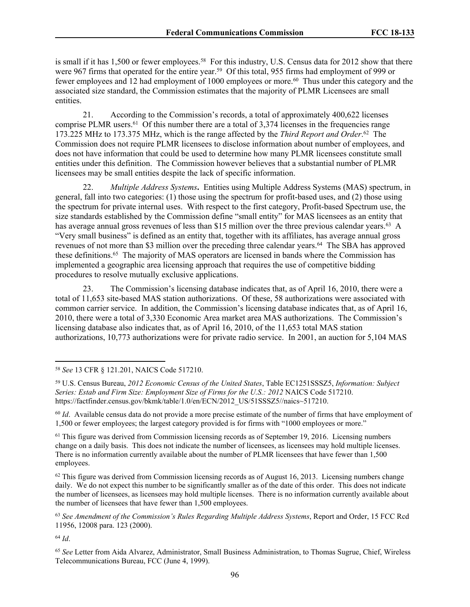is small if it has 1,500 or fewer employees.<sup>58</sup> For this industry, U.S. Census data for 2012 show that there were 967 firms that operated for the entire year.<sup>59</sup> Of this total, 955 firms had employment of 999 or fewer employees and 12 had employment of 1000 employees or more.<sup>60</sup> Thus under this category and the associated size standard, the Commission estimates that the majority of PLMR Licensees are small entities.

21. According to the Commission's records, a total of approximately 400,622 licenses comprise PLMR users.<sup>61</sup> Of this number there are a total of 3,374 licenses in the frequencies range 173.225 MHz to 173.375 MHz, which is the range affected by the *Third Report and Order*. 62 The Commission does not require PLMR licensees to disclose information about number of employees, and does not have information that could be used to determine how many PLMR licensees constitute small entities under this definition. The Commission however believes that a substantial number of PLMR licensees may be small entities despite the lack of specific information.

22. *Multiple Address Systems***.** Entities using Multiple Address Systems (MAS) spectrum, in general, fall into two categories: (1) those using the spectrum for profit-based uses, and (2) those using the spectrum for private internal uses. With respect to the first category, Profit-based Spectrum use, the size standards established by the Commission define "small entity" for MAS licensees as an entity that has average annual gross revenues of less than \$15 million over the three previous calendar years.<sup>63</sup> A "Very small business" is defined as an entity that, together with its affiliates, has average annual gross revenues of not more than \$3 million over the preceding three calendar years.<sup>64</sup> The SBA has approved these definitions.<sup>65</sup> The majority of MAS operators are licensed in bands where the Commission has implemented a geographic area licensing approach that requires the use of competitive bidding procedures to resolve mutually exclusive applications.

23. The Commission's licensing database indicates that, as of April 16, 2010, there were a total of 11,653 site-based MAS station authorizations. Of these, 58 authorizations were associated with common carrier service. In addition, the Commission's licensing database indicates that, as of April 16, 2010, there were a total of 3,330 Economic Area market area MAS authorizations. The Commission's licensing database also indicates that, as of April 16, 2010, of the 11,653 total MAS station authorizations, 10,773 authorizations were for private radio service. In 2001, an auction for 5,104 MAS

<sup>64</sup> *Id*.

<sup>58</sup> *See* 13 CFR § 121.201, NAICS Code 517210.

<sup>59</sup> U.S. Census Bureau, *2012 Economic Census of the United States*, Table EC1251SSSZ5, *Information: Subject Series: Estab and Firm Size: Employment Size of Firms for the U.S.: 2012* NAICS Code 517210. https://factfinder.census.gov/bkmk/table/1.0/en/ECN/2012\_US/51SSSZ5//naics~517210.

<sup>&</sup>lt;sup>60</sup> *Id*. Available census data do not provide a more precise estimate of the number of firms that have employment of 1,500 or fewer employees; the largest category provided is for firms with "1000 employees or more."

 $61$  This figure was derived from Commission licensing records as of September 19, 2016. Licensing numbers change on a daily basis. This does not indicate the number of licensees, as licensees may hold multiple licenses. There is no information currently available about the number of PLMR licensees that have fewer than 1,500 employees.

<sup>&</sup>lt;sup>62</sup> This figure was derived from Commission licensing records as of August 16, 2013. Licensing numbers change daily. We do not expect this number to be significantly smaller as of the date of this order. This does not indicate the number of licensees, as licensees may hold multiple licenses. There is no information currently available about the number of licensees that have fewer than 1,500 employees.

<sup>63</sup> *See Amendment of the Commission's Rules Regarding Multiple Address Systems*, Report and Order, 15 FCC Rcd 11956, 12008 para. 123 (2000).

<sup>65</sup> *See* Letter from Aida Alvarez, Administrator, Small Business Administration, to Thomas Sugrue, Chief, Wireless Telecommunications Bureau, FCC (June 4, 1999).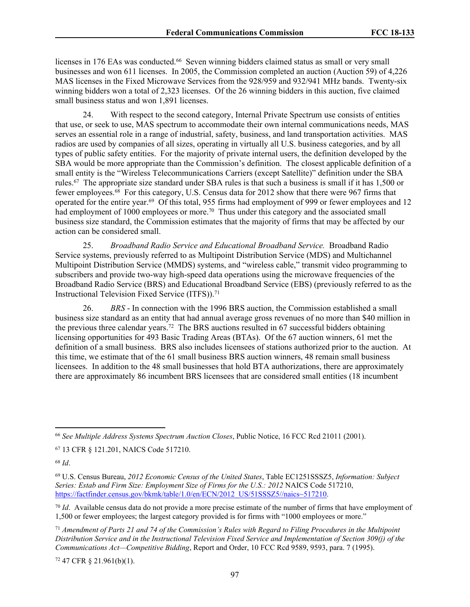licenses in 176 EAs was conducted.<sup>66</sup> Seven winning bidders claimed status as small or very small businesses and won 611 licenses. In 2005, the Commission completed an auction (Auction 59) of 4,226 MAS licenses in the Fixed Microwave Services from the 928/959 and 932/941 MHz bands. Twenty-six winning bidders won a total of 2,323 licenses. Of the 26 winning bidders in this auction, five claimed small business status and won 1,891 licenses.

24. With respect to the second category, Internal Private Spectrum use consists of entities that use, or seek to use, MAS spectrum to accommodate their own internal communications needs, MAS serves an essential role in a range of industrial, safety, business, and land transportation activities. MAS radios are used by companies of all sizes, operating in virtually all U.S. business categories, and by all types of public safety entities. For the majority of private internal users, the definition developed by the SBA would be more appropriate than the Commission's definition. The closest applicable definition of a small entity is the "Wireless Telecommunications Carriers (except Satellite)" definition under the SBA rules.<sup>67</sup> The appropriate size standard under SBA rules is that such a business is small if it has 1,500 or fewer employees.<sup>68</sup> For this category, U.S. Census data for 2012 show that there were 967 firms that operated for the entire year.<sup>69</sup> Of this total, 955 firms had employment of 999 or fewer employees and 12 had employment of 1000 employees or more.<sup>70</sup> Thus under this category and the associated small business size standard, the Commission estimates that the majority of firms that may be affected by our action can be considered small.

25. *Broadband Radio Service and Educational Broadband Service.* Broadband Radio Service systems, previously referred to as Multipoint Distribution Service (MDS) and Multichannel Multipoint Distribution Service (MMDS) systems, and "wireless cable," transmit video programming to subscribers and provide two-way high-speed data operations using the microwave frequencies of the Broadband Radio Service (BRS) and Educational Broadband Service (EBS) (previously referred to as the Instructional Television Fixed Service (ITFS)).<sup>71</sup>

26. *BRS* - In connection with the 1996 BRS auction, the Commission established a small business size standard as an entity that had annual average gross revenues of no more than \$40 million in the previous three calendar years.<sup>72</sup> The BRS auctions resulted in 67 successful bidders obtaining licensing opportunities for 493 Basic Trading Areas (BTAs). Of the 67 auction winners, 61 met the definition of a small business. BRS also includes licensees of stations authorized prior to the auction. At this time, we estimate that of the 61 small business BRS auction winners, 48 remain small business licensees. In addition to the 48 small businesses that hold BTA authorizations, there are approximately there are approximately 86 incumbent BRS licensees that are considered small entities (18 incumbent

<sup>68</sup> *Id*.

 $72$  47 CFR § 21.961(b)(1).

<sup>66</sup> *See Multiple Address Systems Spectrum Auction Closes*, Public Notice, 16 FCC Rcd 21011 (2001).

<sup>67</sup> 13 CFR § 121.201, NAICS Code 517210.

<sup>69</sup> U.S. Census Bureau, *2012 Economic Census of the United States*, Table EC1251SSSZ5, *Information: Subject Series: Estab and Firm Size: Employment Size of Firms for the U.S.: 2012* NAICS Code 517210, [https://factfinder.census.gov/bkmk/table/1.0/en/ECN/2012\\_US/51SSSZ5//naics~517210.](https://factfinder.census.gov/bkmk/table/1.0/en/ECN/2012_US/51SSSZ5//naics~517210)

<sup>70</sup> *Id*. Available census data do not provide a more precise estimate of the number of firms that have employment of 1,500 or fewer employees; the largest category provided is for firms with "1000 employees or more."

 $71$  Amendment of Parts 21 and 74 of the Commission's Rules with Regard to Filing Procedures in the Multipoint Distribution Service and in the Instructional Television Fixed Service and Implementation of Section 309(j) of the *Communications Act—Competitive Bidding*, Report and Order, 10 FCC Rcd 9589, 9593, para. 7 (1995).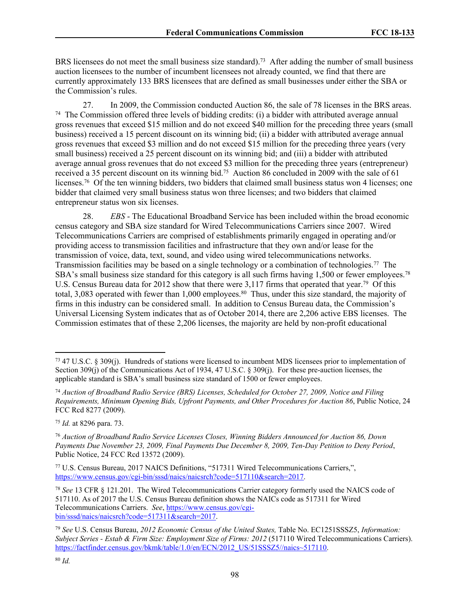BRS licensees do not meet the small business size standard).<sup>73</sup> After adding the number of small business auction licensees to the number of incumbent licensees not already counted, we find that there are currently approximately 133 BRS licensees that are defined as small businesses under either the SBA or the Commission's rules.

27. In 2009, the Commission conducted Auction 86, the sale of 78 licenses in the BRS areas. <sup>74</sup> The Commission offered three levels of bidding credits: (i) a bidder with attributed average annual gross revenues that exceed \$15 million and do not exceed \$40 million for the preceding three years (small business) received a 15 percent discount on its winning bid; (ii) a bidder with attributed average annual gross revenues that exceed \$3 million and do not exceed \$15 million for the preceding three years (very small business) received a 25 percent discount on its winning bid; and (iii) a bidder with attributed average annual gross revenues that do not exceed \$3 million for the preceding three years (entrepreneur) received a 35 percent discount on its winning bid.<sup>75</sup> Auction 86 concluded in 2009 with the sale of 61 licenses.<sup>76</sup> Of the ten winning bidders, two bidders that claimed small business status won 4 licenses; one bidder that claimed very small business status won three licenses; and two bidders that claimed entrepreneur status won six licenses.

28. *EBS* - The Educational Broadband Service has been included within the broad economic census category and SBA size standard for Wired Telecommunications Carriers since 2007. Wired Telecommunications Carriers are comprised of establishments primarily engaged in operating and/or providing access to transmission facilities and infrastructure that they own and/or lease for the transmission of voice, data, text, sound, and video using wired telecommunications networks. Transmission facilities may be based on a single technology or a combination of technologies.<sup>77</sup> The SBA's small business size standard for this category is all such firms having 1,500 or fewer employees.<sup>78</sup> U.S. Census Bureau data for 2012 show that there were 3,117 firms that operated that year.<sup>79</sup> Of this total, 3,083 operated with fewer than 1,000 employees.<sup>80</sup> Thus, under this size standard, the majority of firms in this industry can be considered small. In addition to Census Bureau data, the Commission's Universal Licensing System indicates that as of October 2014, there are 2,206 active EBS licenses. The Commission estimates that of these 2,206 licenses, the majority are held by non-profit educational

<sup>75</sup> *Id.* at 8296 para. 73.

<sup>73</sup> 47 U.S.C. § 309(j). Hundreds of stations were licensed to incumbent MDS licensees prior to implementation of Section 309(j) of the Communications Act of 1934, 47 U.S.C. § 309(j). For these pre-auction licenses, the applicable standard is SBA's small business size standard of 1500 or fewer employees.

<sup>74</sup> *Auction of Broadband Radio Service (BRS) Licenses, Scheduled for October 27, 2009, Notice and Filing Requirements, Minimum Opening Bids, Upfront Payments, and Other Procedures for Auction 86*, Public Notice, 24 FCC Rcd 8277 (2009).

<sup>76</sup> *Auction of Broadband Radio Service Licenses Closes, Winning Bidders Announced for Auction 86, Down Payments Due November 23, 2009, Final Payments Due December 8, 2009, Ten-Day Petition to Deny Period*, Public Notice, 24 FCC Rcd 13572 (2009).

<sup>77</sup> U.S. Census Bureau, 2017 NAICS Definitions, "517311 Wired Telecommunications Carriers,", [https://www.census.gov/cgi-bin/sssd/naics/naicsrch?code=517110&search=2017.](https://www.census.gov/cgi-bin/sssd/naics/naicsrch?code=517110&search=2017)

<sup>78</sup> *See* 13 CFR § 121.201. The Wired Telecommunications Carrier category formerly used the NAICS code of 517110. As of 2017 the U.S. Census Bureau definition shows the NAICs code as 517311 for Wired Telecommunications Carriers. *See*, [https://www.census.gov/cgi](https://www.census.gov/cgi-bin/sssd/naics/naicsrch?code=517311&search=2017)[bin/sssd/naics/naicsrch?code=517311&search=2017.](https://www.census.gov/cgi-bin/sssd/naics/naicsrch?code=517311&search=2017)

<sup>79</sup> *See* U.S. Census Bureau, *2012 Economic Census of the United States,* Table No. EC1251SSSZ5, *Information: Subject Series - Estab & Firm Size: Employment Size of Firms: 2012* (517110 Wired Telecommunications Carriers). [https://factfinder.census.gov/bkmk/table/1.0/en/ECN/2012\\_US/51SSSZ5//naics~517110.](https://factfinder.census.gov/bkmk/table/1.0/en/ECN/2012_US/51SSSZ5//naics~517110)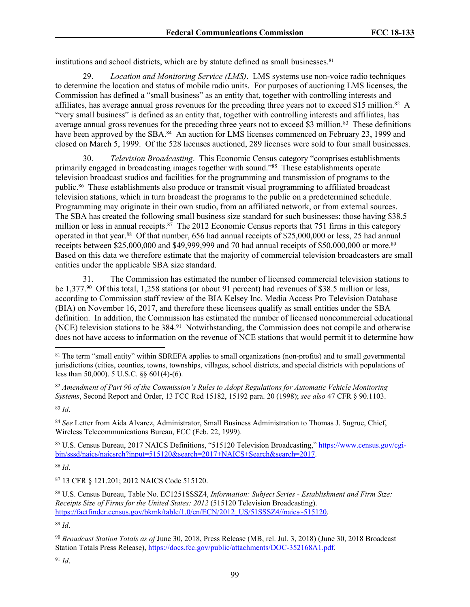institutions and school districts, which are by statute defined as small businesses. $81$ 

29. *Location and Monitoring Service (LMS)*. LMS systems use non-voice radio techniques to determine the location and status of mobile radio units. For purposes of auctioning LMS licenses, the Commission has defined a "small business" as an entity that, together with controlling interests and affiliates, has average annual gross revenues for the preceding three years not to exceed \$15 million.<sup>82</sup> A "very small business" is defined as an entity that, together with controlling interests and affiliates, has average annual gross revenues for the preceding three years not to exceed \$3 million.<sup>83</sup> These definitions have been approved by the SBA.<sup>84</sup> An auction for LMS licenses commenced on February 23, 1999 and closed on March 5, 1999. Of the 528 licenses auctioned, 289 licenses were sold to four small businesses.

30. *Television Broadcasting*. This Economic Census category "comprises establishments primarily engaged in broadcasting images together with sound."<sup>85</sup> These establishments operate television broadcast studios and facilities for the programming and transmission of programs to the public.<sup>86</sup> These establishments also produce or transmit visual programming to affiliated broadcast television stations, which in turn broadcast the programs to the public on a predetermined schedule. Programming may originate in their own studio, from an affiliated network, or from external sources. The SBA has created the following small business size standard for such businesses: those having \$38.5 million or less in annual receipts.<sup>87</sup> The 2012 Economic Census reports that 751 firms in this category operated in that year.<sup>88</sup> Of that number, 656 had annual receipts of \$25,000,000 or less, 25 had annual receipts between \$25,000,000 and \$49,999,999 and 70 had annual receipts of \$50,000,000 or more.<sup>89</sup> Based on this data we therefore estimate that the majority of commercial television broadcasters are small entities under the applicable SBA size standard.

31. The Commission has estimated the number of licensed commercial television stations to be 1,377.<sup>90</sup> Of this total, 1,258 stations (or about 91 percent) had revenues of \$38.5 million or less, according to Commission staff review of the BIA Kelsey Inc. Media Access Pro Television Database (BIA) on November 16, 2017, and therefore these licensees qualify as small entities under the SBA definition. In addition, the Commission has estimated the number of licensed noncommercial educational (NCE) television stations to be 384.<sup>91</sup> Notwithstanding, the Commission does not compile and otherwise does not have access to information on the revenue of NCE stations that would permit it to determine how

<sup>82</sup> *Amendment of Part 90 of the Commission's Rules to Adopt Regulations for Automatic Vehicle Monitoring Systems*, Second Report and Order, 13 FCC Rcd 15182, 15192 para. 20 (1998); *see also* 47 CFR § 90.1103.

<sup>83</sup> *Id*.

<sup>84</sup> *See* Letter from Aida Alvarez, Administrator, Small Business Administration to Thomas J. Sugrue, Chief, Wireless Telecommunications Bureau, FCC (Feb. 22, 1999).

<sup>85</sup> U.S. Census Bureau, 2017 NAICS Definitions, "515120 Television Broadcasting," [https://www.census.gov/cgi](https://www.census.gov/cgi-bin/sssd/naics/naicsrch?input=515120&search=2017+NAICS+Search&search=2017)[bin/sssd/naics/naicsrch?input=515120&search=2017+NAICS+Search&search=2017.](https://www.census.gov/cgi-bin/sssd/naics/naicsrch?input=515120&search=2017+NAICS+Search&search=2017)

<sup>86</sup> *Id*.

<sup>87</sup> 13 CFR § 121.201; 2012 NAICS Code 515120.

<sup>88</sup> U.S. Census Bureau, Table No. EC1251SSSZ4, *Information: Subject Series - Establishment and Firm Size: Receipts Size of Firms for the United States: 2012* (515120 Television Broadcasting). [https://factfinder.census.gov/bkmk/table/1.0/en/ECN/2012\\_US/51SSSZ4//naics~515120.](https://factfinder.census.gov/bkmk/table/1.0/en/ECN/2012_US/51SSSZ4//naics~515120)

<sup>89</sup> *Id*.

<sup>90</sup> *Broadcast Station Totals as of* June 30, 2018, Press Release (MB, rel. Jul. 3, 2018) (June 30, 2018 Broadcast Station Totals Press Release), <https://docs.fcc.gov/public/attachments/DOC-352168A1.pdf>.

 $91$  *Id.* 

<sup>81</sup> The term "small entity" within SBREFA applies to small organizations (non-profits) and to small governmental jurisdictions (cities, counties, towns, townships, villages, school districts, and special districts with populations of less than 50,000). 5 U.S.C. §§ 601(4)-(6).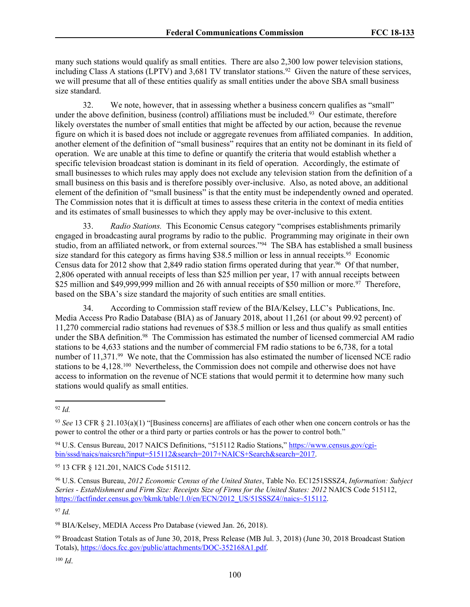many such stations would qualify as small entities. There are also 2,300 low power television stations, including Class A stations (LPTV) and 3,681 TV translator stations.<sup>92</sup> Given the nature of these services, we will presume that all of these entities qualify as small entities under the above SBA small business size standard.

32. We note, however, that in assessing whether a business concern qualifies as "small" under the above definition, business (control) affiliations must be included.<sup>93</sup> Our estimate, therefore likely overstates the number of small entities that might be affected by our action, because the revenue figure on which it is based does not include or aggregate revenues from affiliated companies. In addition, another element of the definition of "small business" requires that an entity not be dominant in its field of operation. We are unable at this time to define or quantify the criteria that would establish whether a specific television broadcast station is dominant in its field of operation. Accordingly, the estimate of small businesses to which rules may apply does not exclude any television station from the definition of a small business on this basis and is therefore possibly over-inclusive. Also, as noted above, an additional element of the definition of "small business" is that the entity must be independently owned and operated. The Commission notes that it is difficult at times to assess these criteria in the context of media entities and its estimates of small businesses to which they apply may be over-inclusive to this extent.

33. *Radio Stations.* This Economic Census category "comprises establishments primarily engaged in broadcasting aural programs by radio to the public. Programming may originate in their own studio, from an affiliated network, or from external sources."<sup>94</sup> The SBA has established a small business size standard for this category as firms having \$38.5 million or less in annual receipts.<sup>95</sup> Economic Census data for 2012 show that 2,849 radio station firms operated during that year.<sup>96</sup> Of that number, 2,806 operated with annual receipts of less than \$25 million per year, 17 with annual receipts between \$25 million and \$49,999,999 million and 26 with annual receipts of \$50 million or more.<sup>97</sup> Therefore, based on the SBA's size standard the majority of such entities are small entities.

34. According to Commission staff review of the BIA/Kelsey, LLC's Publications, Inc. Media Access Pro Radio Database (BIA) as of January 2018, about 11,261 (or about 99.92 percent) of 11,270 commercial radio stations had revenues of \$38.5 million or less and thus qualify as small entities under the SBA definition.<sup>98</sup> The Commission has estimated the number of licensed commercial AM radio stations to be 4,633 stations and the number of commercial FM radio stations to be 6,738, for a total number of 11,371.<sup>99</sup> We note, that the Commission has also estimated the number of licensed NCE radio stations to be 4,128.<sup>100</sup> Nevertheless, the Commission does not compile and otherwise does not have access to information on the revenue of NCE stations that would permit it to determine how many such stations would qualify as small entities.

<sup>97</sup> *Id.*

<sup>98</sup> BIA/Kelsey, MEDIA Access Pro Database (viewed Jan. 26, 2018).

<sup>99</sup> Broadcast Station Totals as of June 30, 2018, Press Release (MB Jul. 3, 2018) (June 30, 2018 Broadcast Station Totals), [https://docs.fcc.gov/public/attachments/DOC-352168A1.pdf.](https://docs.fcc.gov/public/attachments/DOC-352168A1.pdf)

<sup>92</sup> *Id.*

<sup>93</sup> *See* 13 CFR § 21.103(a)(1) "[Business concerns] are affiliates of each other when one concern controls or has the power to control the other or a third party or parties controls or has the power to control both."

<sup>94</sup> U.S. Census Bureau, 2017 NAICS Definitions, "515112 Radio Stations," [https://www.census.gov/cgi](https://www.census.gov/cgi-bin/sssd/naics/naicsrch?input=515112&search=2017+NAICS+Search&search=2017)[bin/sssd/naics/naicsrch?input=515112&search=2017+NAICS+Search&search=2017.](https://www.census.gov/cgi-bin/sssd/naics/naicsrch?input=515112&search=2017+NAICS+Search&search=2017)

<sup>95</sup> 13 CFR § 121.201, NAICS Code 515112.

<sup>96</sup> U.S. Census Bureau, *2012 Economic Census of the United States*, Table No. EC1251SSSZ4, *Information: Subject Series - Establishment and Firm Size: Receipts Size of Firms for the United States: 2012* NAICS Code 515112, [https://factfinder.census.gov/bkmk/table/1.0/en/ECN/2012\\_US/51SSSZ4//naics~515112.](https://factfinder.census.gov/bkmk/table/1.0/en/ECN/2012_US/51SSSZ4//naics~515112)

<sup>100</sup> *Id*.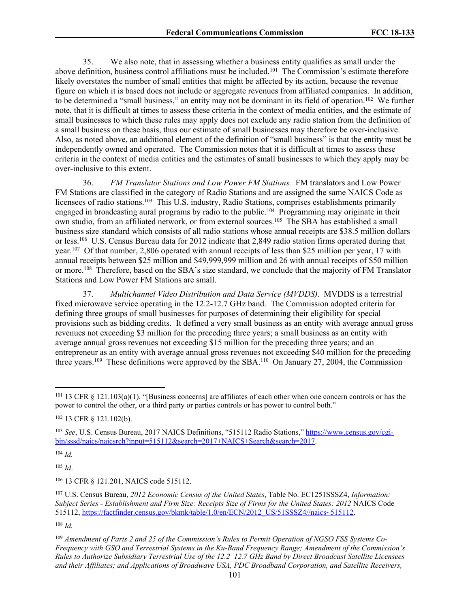35. We also note, that in assessing whether a business entity qualifies as small under the above definition, business control affiliations must be included.<sup>101</sup> The Commission's estimate therefore likely overstates the number of small entities that might be affected by its action, because the revenue figure on which it is based does not include or aggregate revenues from affiliated companies. In addition, to be determined a "small business," an entity may not be dominant in its field of operation.<sup>102</sup> We further note, that it is difficult at times to assess these criteria in the context of media entities, and the estimate of small businesses to which these rules may apply does not exclude any radio station from the definition of a small business on these basis, thus our estimate of small businesses may therefore be over-inclusive. Also, as noted above, an additional element of the definition of "small business" is that the entity must be independently owned and operated. The Commission notes that it is difficult at times to assess these criteria in the context of media entities and the estimates of small businesses to which they apply may be over-inclusive to this extent.

36. *FM Translator Stations and Low Power FM Stations.* FM translators and Low Power FM Stations are classified in the category of Radio Stations and are assigned the same NAICS Code as licensees of radio stations.<sup>103</sup> This U.S. industry, Radio Stations, comprises establishments primarily engaged in broadcasting aural programs by radio to the public.<sup>104</sup> Programming may originate in their own studio, from an affiliated network, or from external sources.<sup>105</sup> The SBA has established a small business size standard which consists of all radio stations whose annual receipts are \$38.5 million dollars or less.<sup>106</sup> U.S. Census Bureau data for 2012 indicate that 2,849 radio station firms operated during that year.<sup>107</sup> Of that number, 2,806 operated with annual receipts of less than \$25 million per year, 17 with annual receipts between \$25 million and \$49,999,999 million and 26 with annual receipts of \$50 million or more.<sup>108</sup> Therefore, based on the SBA's size standard, we conclude that the majority of FM Translator Stations and Low Power FM Stations are small.

37. *Multichannel Video Distribution and Data Service (MVDDS)*. MVDDS is a terrestrial fixed microwave service operating in the 12.2-12.7 GHz band. The Commission adopted criteria for defining three groups of small businesses for purposes of determining their eligibility for special provisions such as bidding credits. It defined a very small business as an entity with average annual gross revenues not exceeding \$3 million for the preceding three years; a small business as an entity with average annual gross revenues not exceeding \$15 million for the preceding three years; and an entrepreneur as an entity with average annual gross revenues not exceeding \$40 million for the preceding three years.<sup>109</sup> These definitions were approved by the SBA.<sup>110</sup> On January 27, 2004, the Commission

<sup>104</sup> *Id.*

<sup>105</sup> *Id*.

<sup>106</sup> 13 CFR § 121.201, NAICS code 515112.

<sup>107</sup> U.S. Census Bureau, *2012 Economic Census of the United States*, Table No. EC1251SSSZ4, *Information: Subject Series - Establishment and Firm Size: Receipts Size of Firms for the United States: 2012* NAICS Code 515112, [https://factfinder.census.gov/bkmk/table/1.0/en/ECN/2012\\_US/51SSSZ4//naics~515112.](https://factfinder.census.gov/bkmk/table/1.0/en/ECN/2012_US/51SSSZ4//naics~515112)

<sup>108</sup> *Id.*

<sup>109</sup> Amendment of Parts 2 and 25 of the Commission's Rules to Permit Operation of NGSO FSS Systems Co-*Frequency with GSO and Terrestrial Systems in the Ku-Band Frequency Range; Amendment of the Commission's Rules to Authorize Subsidiary Terrestrial Use of the 12.2–12.7 GHz Band by Direct Broadcast Satellite Licensees and their Affiliates; and Applications of Broadwave USA, PDC Broadband Corporation, and Satellite Receivers,*

 $101$  13 CFR § 121.103(a)(1). "[Business concerns] are affiliates of each other when one concern controls or has the power to control the other, or a third party or parties controls or has power to control both."

<sup>102</sup> 13 CFR § 121.102(b).

<sup>103</sup> *See*, U.S. Census Bureau, 2017 NAICS Definitions, "515112 Radio Stations," [https://www.census.gov/cgi](https://www.census.gov/cgi-bin/sssd/naics/naicsrch?input=515112&search=2017+NAICS+Search&search=2017)[bin/sssd/naics/naicsrch?input=515112&search=2017+NAICS+Search&search=2017.](https://www.census.gov/cgi-bin/sssd/naics/naicsrch?input=515112&search=2017+NAICS+Search&search=2017)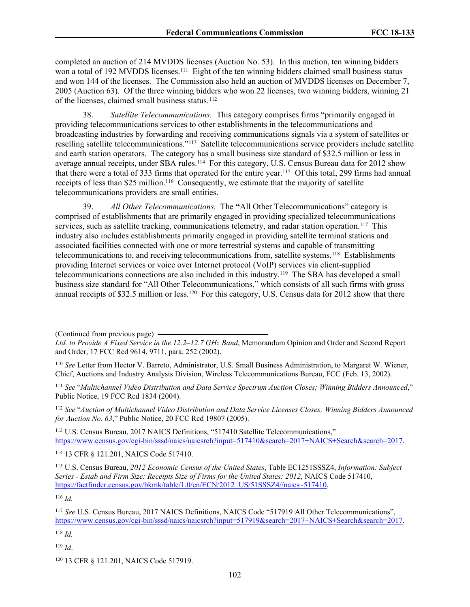completed an auction of 214 MVDDS licenses (Auction No. 53). In this auction, ten winning bidders won a total of 192 MVDDS licenses.<sup>111</sup> Eight of the ten winning bidders claimed small business status and won 144 of the licenses. The Commission also held an auction of MVDDS licenses on December 7, 2005 (Auction 63). Of the three winning bidders who won 22 licenses, two winning bidders, winning 21 of the licenses, claimed small business status.<sup>112</sup>

38. *Satellite Telecommunications.* This category comprises firms "primarily engaged in providing telecommunications services to other establishments in the telecommunications and broadcasting industries by forwarding and receiving communications signals via a system of satellites or reselling satellite telecommunications."<sup>113</sup> Satellite telecommunications service providers include satellite and earth station operators. The category has a small business size standard of \$32.5 million or less in average annual receipts, under SBA rules.<sup>114</sup> For this category, U.S. Census Bureau data for 2012 show that there were a total of 333 firms that operated for the entire year.<sup>115</sup> Of this total, 299 firms had annual receipts of less than \$25 million.<sup>116</sup> Consequently, we estimate that the majority of satellite telecommunications providers are small entities.

39. *All Other Telecommunications.* The **"**All Other Telecommunications" category is comprised of establishments that are primarily engaged in providing specialized telecommunications services, such as satellite tracking, communications telemetry, and radar station operation.<sup>117</sup> This industry also includes establishments primarily engaged in providing satellite terminal stations and associated facilities connected with one or more terrestrial systems and capable of transmitting telecommunications to, and receiving telecommunications from, satellite systems.<sup>118</sup> Establishments providing Internet services or voice over Internet protocol (VoIP) services via client-supplied telecommunications connections are also included in this industry.<sup>119</sup> The SBA has developed a small business size standard for "All Other Telecommunications," which consists of all such firms with gross annual receipts of \$32.5 million or less.<sup>120</sup> For this category, U.S. Census data for 2012 show that there

<sup>111</sup> *See* "*Multichannel Video Distribution and Data Service Spectrum Auction Closes; Winning Bidders Announced*," Public Notice, 19 FCC Rcd 1834 (2004).

<sup>112</sup> *See* "*Auction of Multichannel Video Distribution and Data Service Licenses Closes; Winning Bidders Announced for Auction No. 63*," Public Notice, 20 FCC Rcd 19807 (2005).

<sup>113</sup> U.S. Census Bureau, 2017 NAICS Definitions, "517410 Satellite Telecommunications," [https://www.census.gov/cgi-bin/sssd/naics/naicsrch?input=517410&search=2017+NAICS+Search&search=2017.](https://www.census.gov/cgi-bin/sssd/naics/naicsrch?input=517410&search=2017+NAICS+Search&search=2017)

<sup>114</sup> 13 CFR § 121.201, NAICS Code 517410.

<sup>115</sup> U.S. Census Bureau, *2012 Economic Census of the United States*, Table EC1251SSSZ4, *Information: Subject Series - Estab and Firm Size: Receipts Size of Firms for the United States: 2012*, NAICS Code 517410, [https://factfinder.census.gov/bkmk/table/1.0/en/ECN/2012\\_US/51SSSZ4//naics~517410.](https://factfinder.census.gov/bkmk/table/1.0/en/ECN/2012_US/51SSSZ4//naics~517410)

<sup>116</sup> *Id.*

<sup>118</sup> *Id.*

<sup>119</sup> *Id*.

<sup>(</sup>Continued from previous page)

*Ltd. to Provide A Fixed Service in the 12.2–12.7 GHz Band*, Memorandum Opinion and Order and Second Report and Order, 17 FCC Rcd 9614, 9711, para. 252 (2002).

<sup>110</sup> *See* Letter from Hector V. Barreto, Administrator, U.S. Small Business Administration, to Margaret W. Wiener, Chief, Auctions and Industry Analysis Division, Wireless Telecommunications Bureau, FCC (Feb. 13, 2002).

<sup>117</sup> *See* U.S. Census Bureau, 2017 NAICS Definitions, NAICS Code "517919 All Other Telecommunications", [https://www.census.gov/cgi-bin/sssd/naics/naicsrch?input=517919&search=2017+NAICS+Search&search=2017.](https://www.census.gov/cgi-bin/sssd/naics/naicsrch?input=517919&search=2017+NAICS+Search&search=2017)

<sup>120</sup> 13 CFR § 121.201, NAICS Code 517919.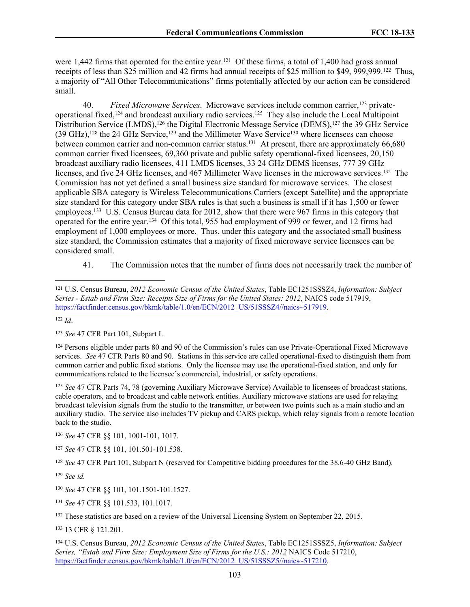were 1,442 firms that operated for the entire year.<sup>121</sup> Of these firms, a total of 1,400 had gross annual receipts of less than \$25 million and 42 firms had annual receipts of \$25 million to \$49, 999,999.<sup>122</sup> Thus, a majority of "All Other Telecommunications" firms potentially affected by our action can be considered small.

40. *Fixed Microwave Services*. Microwave services include common carrier,<sup>123</sup> privateoperational fixed,<sup>124</sup> and broadcast auxiliary radio services.<sup>125</sup> They also include the Local Multipoint Distribution Service (LMDS),<sup>126</sup> the Digital Electronic Message Service (DEMS),<sup>127</sup> the 39 GHz Service (39 GHz),<sup>128</sup> the 24 GHz Service,<sup>129</sup> and the Millimeter Wave Service<sup>130</sup> where licensees can choose between common carrier and non-common carrier status.<sup>131</sup> At present, there are approximately 66,680 common carrier fixed licensees, 69,360 private and public safety operational-fixed licensees, 20,150 broadcast auxiliary radio licensees, 411 LMDS licenses, 33 24 GHz DEMS licenses, 777 39 GHz licenses, and five 24 GHz licenses, and 467 Millimeter Wave licenses in the microwave services.<sup>132</sup> The Commission has not yet defined a small business size standard for microwave services. The closest applicable SBA category is Wireless Telecommunications Carriers (except Satellite) and the appropriate size standard for this category under SBA rules is that such a business is small if it has 1,500 or fewer employees.<sup>133</sup> U.S. Census Bureau data for 2012, show that there were 967 firms in this category that operated for the entire year.<sup>134</sup> Of this total, 955 had employment of 999 or fewer, and 12 firms had employment of 1,000 employees or more. Thus, under this category and the associated small business size standard, the Commission estimates that a majority of fixed microwave service licensees can be considered small.

41. The Commission notes that the number of firms does not necessarily track the number of

<sup>122</sup> *Id*.

<sup>123</sup> *See* 47 CFR Part 101, Subpart I.

<sup>124</sup> Persons eligible under parts 80 and 90 of the Commission's rules can use Private-Operational Fixed Microwave services. *See* 47 CFR Parts 80 and 90. Stations in this service are called operational-fixed to distinguish them from common carrier and public fixed stations. Only the licensee may use the operational-fixed station, and only for communications related to the licensee's commercial, industrial, or safety operations.

<sup>125</sup> *See* 47 CFR Parts 74, 78 (governing Auxiliary Microwave Service) Available to licensees of broadcast stations, cable operators, and to broadcast and cable network entities. Auxiliary microwave stations are used for relaying broadcast television signals from the studio to the transmitter, or between two points such as a main studio and an auxiliary studio. The service also includes TV pickup and CARS pickup, which relay signals from a remote location back to the studio.

<sup>126</sup> *See* 47 CFR §§ 101, 1001-101, 1017.

<sup>127</sup> *See* 47 CFR §§ 101, 101.501-101.538.

<sup>128</sup> *See* 47 CFR Part 101, Subpart N (reserved for Competitive bidding procedures for the 38.6-40 GHz Band).

<sup>129</sup> *See id.*

<sup>130</sup> *See* 47 CFR §§ 101, 101.1501-101.1527.

<sup>131</sup> *See* 47 CFR §§ 101.533, 101.1017.

<sup>132</sup> These statistics are based on a review of the Universal Licensing System on September 22, 2015.

<sup>133</sup> 13 CFR § 121.201.

<sup>134</sup> U.S. Census Bureau, *2012 Economic Census of the United States*, Table EC1251SSSZ5, *Information: Subject Series, "Estab and Firm Size: Employment Size of Firms for the U.S.: 2012* NAICS Code 517210, [https://factfinder.census.gov/bkmk/table/1.0/en/ECN/2012\\_US/51SSSZ5//naics~517210.](https://factfinder.census.gov/bkmk/table/1.0/en/ECN/2012_US/51SSSZ5/naics~517210)

<sup>121</sup> U.S. Census Bureau, *2012 Economic Census of the United States*, Table EC1251SSSZ4, *Information: Subject Series - Estab and Firm Size: Receipts Size of Firms for the United States: 2012*, NAICS code 517919, [https://factfinder.census.gov/bkmk/table/1.0/en/ECN/2012\\_US/51SSSZ4//naics~517919.](https://factfinder.census.gov/bkmk/table/1.0/en/ECN/2012_US/51SSSZ4//naics~517919)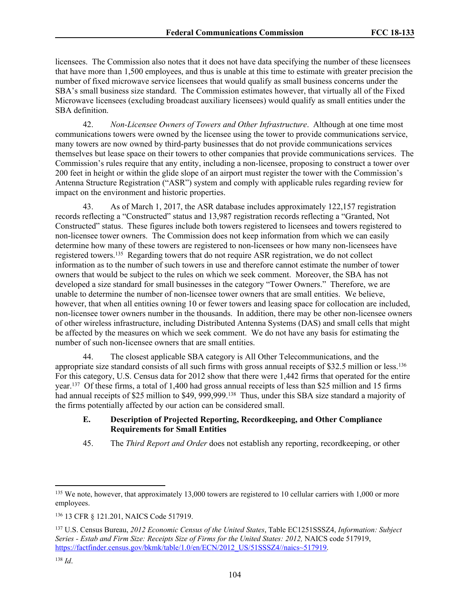licensees. The Commission also notes that it does not have data specifying the number of these licensees that have more than 1,500 employees, and thus is unable at this time to estimate with greater precision the number of fixed microwave service licensees that would qualify as small business concerns under the SBA's small business size standard. The Commission estimates however, that virtually all of the Fixed Microwave licensees (excluding broadcast auxiliary licensees) would qualify as small entities under the SBA definition.

42. *Non-Licensee Owners of Towers and Other Infrastructure*. Although at one time most communications towers were owned by the licensee using the tower to provide communications service, many towers are now owned by third-party businesses that do not provide communications services themselves but lease space on their towers to other companies that provide communications services. The Commission's rules require that any entity, including a non-licensee, proposing to construct a tower over 200 feet in height or within the glide slope of an airport must register the tower with the Commission's Antenna Structure Registration ("ASR") system and comply with applicable rules regarding review for impact on the environment and historic properties.

43. As of March 1, 2017, the ASR database includes approximately 122,157 registration records reflecting a "Constructed" status and 13,987 registration records reflecting a "Granted, Not Constructed" status. These figures include both towers registered to licensees and towers registered to non-licensee tower owners. The Commission does not keep information from which we can easily determine how many of these towers are registered to non-licensees or how many non-licensees have registered towers.<sup>135</sup> Regarding towers that do not require ASR registration, we do not collect information as to the number of such towers in use and therefore cannot estimate the number of tower owners that would be subject to the rules on which we seek comment. Moreover, the SBA has not developed a size standard for small businesses in the category "Tower Owners." Therefore, we are unable to determine the number of non-licensee tower owners that are small entities. We believe, however, that when all entities owning 10 or fewer towers and leasing space for collocation are included, non-licensee tower owners number in the thousands. In addition, there may be other non-licensee owners of other wireless infrastructure, including Distributed Antenna Systems (DAS) and small cells that might be affected by the measures on which we seek comment. We do not have any basis for estimating the number of such non-licensee owners that are small entities.

44. The closest applicable SBA category is All Other Telecommunications, and the appropriate size standard consists of all such firms with gross annual receipts of \$32.5 million or less.<sup>136</sup> For this category, U.S. Census data for 2012 show that there were 1,442 firms that operated for the entire year.<sup>137</sup> Of these firms, a total of 1,400 had gross annual receipts of less than \$25 million and 15 firms had annual receipts of \$25 million to \$49, 999,999.<sup>138</sup> Thus, under this SBA size standard a majority of the firms potentially affected by our action can be considered small.

### **E. Description of Projected Reporting, Recordkeeping, and Other Compliance Requirements for Small Entities**

45. The *Third Report and Order* does not establish any reporting, recordkeeping, or other

<sup>&</sup>lt;sup>135</sup> We note, however, that approximately 13,000 towers are registered to 10 cellular carriers with 1,000 or more employees.

<sup>136</sup> 13 CFR § 121.201, NAICS Code 517919.

<sup>137</sup> U.S. Census Bureau, *2012 Economic Census of the United States*, Table EC1251SSSZ4, *Information: Subject Series - Estab and Firm Size: Receipts Size of Firms for the United States: 2012,* NAICS code 517919, [https://factfinder.census.gov/bkmk/table/1.0/en/ECN/2012\\_US/51SSSZ4//naics~517919.](https://factfinder.census.gov/bkmk/table/1.0/en/ECN/2012_US/51SSSZ4//naics~517919)

<sup>138</sup> *Id*.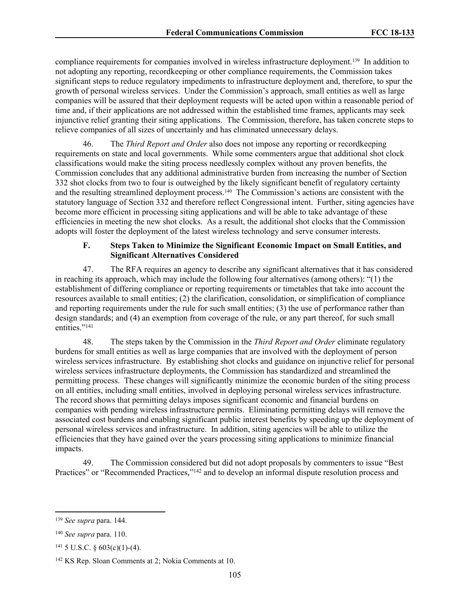compliance requirements for companies involved in wireless infrastructure deployment.<sup>139</sup> In addition to not adopting any reporting, recordkeeping or other compliance requirements, the Commission takes significant steps to reduce regulatory impediments to infrastructure deployment and, therefore, to spur the growth of personal wireless services. Under the Commission's approach, small entities as well as large companies will be assured that their deployment requests will be acted upon within a reasonable period of time and, if their applications are not addressed within the established time frames, applicants may seek injunctive relief granting their siting applications. The Commission, therefore, has taken concrete steps to relieve companies of all sizes of uncertainly and has eliminated unnecessary delays.

46. The *Third Report and Order* also does not impose any reporting or recordkeeping requirements on state and local governments. While some commenters argue that additional shot clock classifications would make the siting process needlessly complex without any proven benefits, the Commission concludes that any additional administrative burden from increasing the number of Section 332 shot clocks from two to four is outweighed by the likely significant benefit of regulatory certainty and the resulting streamlined deployment process.<sup>140</sup> The Commission's actions are consistent with the statutory language of Section 332 and therefore reflect Congressional intent. Further, siting agencies have become more efficient in processing siting applications and will be able to take advantage of these efficiencies in meeting the new shot clocks. As a result, the additional shot clocks that the Commission adopts will foster the deployment of the latest wireless technology and serve consumer interests.

### **F. Steps Taken to Minimize the Significant Economic Impact on Small Entities, and Significant Alternatives Considered**

47. The RFA requires an agency to describe any significant alternatives that it has considered in reaching its approach, which may include the following four alternatives (among others): "(1) the establishment of differing compliance or reporting requirements or timetables that take into account the resources available to small entities; (2) the clarification, consolidation, or simplification of compliance and reporting requirements under the rule for such small entities; (3) the use of performance rather than design standards; and (4) an exemption from coverage of the rule, or any part thereof, for such small entities."<sup>141</sup>

48. The steps taken by the Commission in the *Third Report and Order* eliminate regulatory burdens for small entities as well as large companies that are involved with the deployment of person wireless services infrastructure. By establishing shot clocks and guidance on injunctive relief for personal wireless services infrastructure deployments, the Commission has standardized and streamlined the permitting process. These changes will significantly minimize the economic burden of the siting process on all entities, including small entities, involved in deploying personal wireless services infrastructure. The record shows that permitting delays imposes significant economic and financial burdens on companies with pending wireless infrastructure permits. Eliminating permitting delays will remove the associated cost burdens and enabling significant public interest benefits by speeding up the deployment of personal wireless services and infrastructure. In addition, siting agencies will be able to utilize the efficiencies that they have gained over the years processing siting applications to minimize financial impacts.

49. The Commission considered but did not adopt proposals by commenters to issue "Best Practices" or "Recommended Practices,"<sup>142</sup> and to develop an informal dispute resolution process and

<sup>139</sup> *See supra* para. 144.

<sup>140</sup> *See supra* para. 110.

 $141\,5$  U.S.C. § 603(c)(1)-(4).

<sup>142</sup> KS Rep. Sloan Comments at 2; Nokia Comments at 10.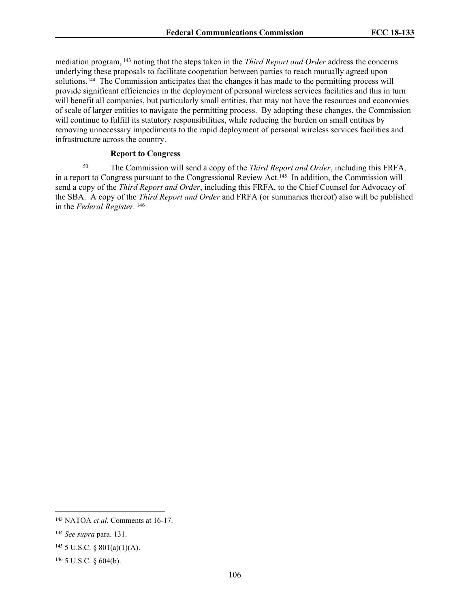mediation program, <sup>143</sup> noting that the steps taken in the *Third Report and Order* address the concerns underlying these proposals to facilitate cooperation between parties to reach mutually agreed upon solutions.<sup>144</sup> The Commission anticipates that the changes it has made to the permitting process will provide significant efficiencies in the deployment of personal wireless services facilities and this in turn will benefit all companies, but particularly small entities, that may not have the resources and economies of scale of larger entities to navigate the permitting process. By adopting these changes, the Commission will continue to fulfill its statutory responsibilities, while reducing the burden on small entities by removing unnecessary impediments to the rapid deployment of personal wireless services facilities and infrastructure across the country.

#### **Report to Congress**

50. The Commission will send a copy of the *Third Report and Order*, including this FRFA, in a report to Congress pursuant to the Congressional Review Act.<sup>145</sup> In addition, the Commission will send a copy of the *Third Report and Order*, including this FRFA, to the Chief Counsel for Advocacy of the SBA. A copy of the *Third Report and Order* and FRFA (or summaries thereof) also will be published in the *Federal Register.* <sup>146</sup>

<sup>143</sup> NATOA *et al*. Comments at 16-17.

<sup>144</sup> *See supra* para. 131.

 $145$  5 U.S.C. § 801(a)(1)(A).

 $146$  5 U.S.C. § 604(b).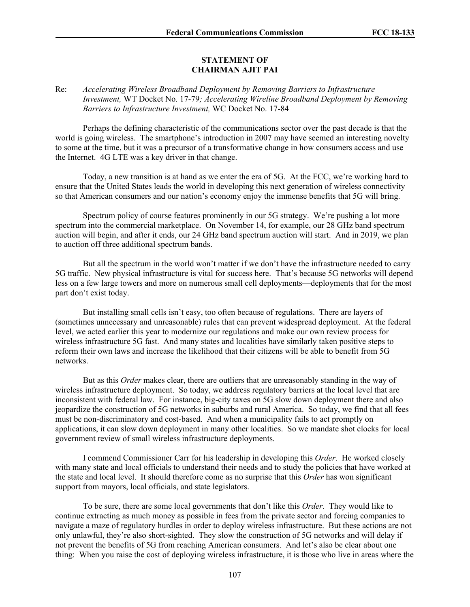#### **STATEMENT OF CHAIRMAN AJIT PAI**

### Re: *Accelerating Wireless Broadband Deployment by Removing Barriers to Infrastructure Investment,* WT Docket No. 17-79*; Accelerating Wireline Broadband Deployment by Removing Barriers to Infrastructure Investment,* WC Docket No. 17-84

Perhaps the defining characteristic of the communications sector over the past decade is that the world is going wireless. The smartphone's introduction in 2007 may have seemed an interesting novelty to some at the time, but it was a precursor of a transformative change in how consumers access and use the Internet. 4G LTE was a key driver in that change.

Today, a new transition is at hand as we enter the era of 5G. At the FCC, we're working hard to ensure that the United States leads the world in developing this next generation of wireless connectivity so that American consumers and our nation's economy enjoy the immense benefits that 5G will bring.

Spectrum policy of course features prominently in our 5G strategy. We're pushing a lot more spectrum into the commercial marketplace. On November 14, for example, our 28 GHz band spectrum auction will begin, and after it ends, our 24 GHz band spectrum auction will start. And in 2019, we plan to auction off three additional spectrum bands.

But all the spectrum in the world won't matter if we don't have the infrastructure needed to carry 5G traffic. New physical infrastructure is vital for success here. That's because 5G networks will depend less on a few large towers and more on numerous small cell deployments—deployments that for the most part don't exist today.

But installing small cells isn't easy, too often because of regulations. There are layers of (sometimes unnecessary and unreasonable) rules that can prevent widespread deployment. At the federal level, we acted earlier this year to modernize our regulations and make our own review process for wireless infrastructure 5G fast. And many states and localities have similarly taken positive steps to reform their own laws and increase the likelihood that their citizens will be able to benefit from 5G networks.

But as this *Order* makes clear, there are outliers that are unreasonably standing in the way of wireless infrastructure deployment. So today, we address regulatory barriers at the local level that are inconsistent with federal law. For instance, big-city taxes on 5G slow down deployment there and also jeopardize the construction of 5G networks in suburbs and rural America. So today, we find that all fees must be non-discriminatory and cost-based. And when a municipality fails to act promptly on applications, it can slow down deployment in many other localities. So we mandate shot clocks for local government review of small wireless infrastructure deployments.

I commend Commissioner Carr for his leadership in developing this *Order*. He worked closely with many state and local officials to understand their needs and to study the policies that have worked at the state and local level. It should therefore come as no surprise that this *Order* has won significant support from mayors, local officials, and state legislators.

To be sure, there are some local governments that don't like this *Order*. They would like to continue extracting as much money as possible in fees from the private sector and forcing companies to navigate a maze of regulatory hurdles in order to deploy wireless infrastructure. But these actions are not only unlawful, they're also short-sighted. They slow the construction of 5G networks and will delay if not prevent the benefits of 5G from reaching American consumers. And let's also be clear about one thing: When you raise the cost of deploying wireless infrastructure, it is those who live in areas where the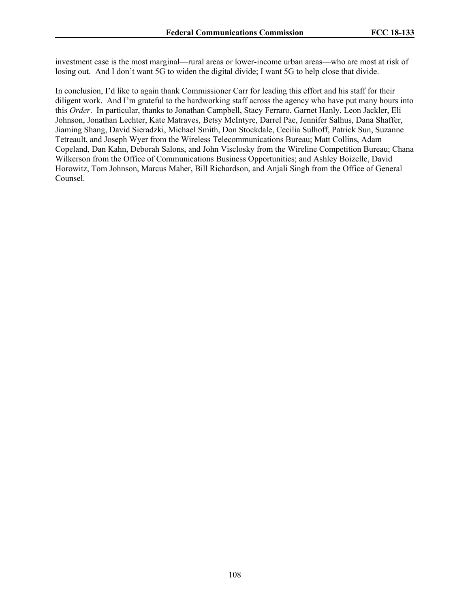investment case is the most marginal—rural areas or lower-income urban areas—who are most at risk of losing out. And I don't want 5G to widen the digital divide; I want 5G to help close that divide.

In conclusion, I'd like to again thank Commissioner Carr for leading this effort and his staff for their diligent work. And I'm grateful to the hardworking staff across the agency who have put many hours into this *Order*. In particular, thanks to Jonathan Campbell, Stacy Ferraro, Garnet Hanly, Leon Jackler, Eli Johnson, Jonathan Lechter, Kate Matraves, Betsy McIntyre, Darrel Pae, Jennifer Salhus, Dana Shaffer, Jiaming Shang, David Sieradzki, Michael Smith, Don Stockdale, Cecilia Sulhoff, Patrick Sun, Suzanne Tetreault, and Joseph Wyer from the Wireless Telecommunications Bureau; Matt Collins, Adam Copeland, Dan Kahn, Deborah Salons, and John Visclosky from the Wireline Competition Bureau; Chana Wilkerson from the Office of Communications Business Opportunities; and Ashley Boizelle, David Horowitz, Tom Johnson, Marcus Maher, Bill Richardson, and Anjali Singh from the Office of General Counsel.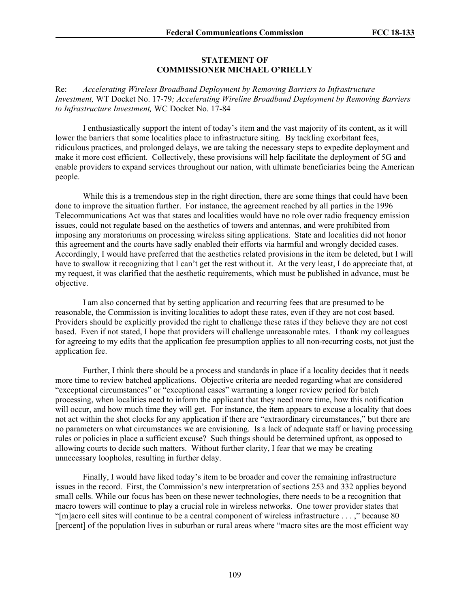## **STATEMENT OF COMMISSIONER MICHAEL O'RIELLY**

Re: *Accelerating Wireless Broadband Deployment by Removing Barriers to Infrastructure Investment,* WT Docket No. 17-79*; Accelerating Wireline Broadband Deployment by Removing Barriers to Infrastructure Investment,* WC Docket No. 17-84

I enthusiastically support the intent of today's item and the vast majority of its content, as it will lower the barriers that some localities place to infrastructure siting. By tackling exorbitant fees, ridiculous practices, and prolonged delays, we are taking the necessary steps to expedite deployment and make it more cost efficient. Collectively, these provisions will help facilitate the deployment of 5G and enable providers to expand services throughout our nation, with ultimate beneficiaries being the American people.

While this is a tremendous step in the right direction, there are some things that could have been done to improve the situation further. For instance, the agreement reached by all parties in the 1996 Telecommunications Act was that states and localities would have no role over radio frequency emission issues, could not regulate based on the aesthetics of towers and antennas, and were prohibited from imposing any moratoriums on processing wireless siting applications. State and localities did not honor this agreement and the courts have sadly enabled their efforts via harmful and wrongly decided cases. Accordingly, I would have preferred that the aesthetics related provisions in the item be deleted, but I will have to swallow it recognizing that I can't get the rest without it. At the very least, I do appreciate that, at my request, it was clarified that the aesthetic requirements, which must be published in advance, must be objective.

I am also concerned that by setting application and recurring fees that are presumed to be reasonable, the Commission is inviting localities to adopt these rates, even if they are not cost based. Providers should be explicitly provided the right to challenge these rates if they believe they are not cost based. Even if not stated, I hope that providers will challenge unreasonable rates. I thank my colleagues for agreeing to my edits that the application fee presumption applies to all non-recurring costs, not just the application fee.

Further, I think there should be a process and standards in place if a locality decides that it needs more time to review batched applications. Objective criteria are needed regarding what are considered "exceptional circumstances" or "exceptional cases" warranting a longer review period for batch processing, when localities need to inform the applicant that they need more time, how this notification will occur, and how much time they will get. For instance, the item appears to excuse a locality that does not act within the shot clocks for any application if there are "extraordinary circumstances," but there are no parameters on what circumstances we are envisioning. Is a lack of adequate staff or having processing rules or policies in place a sufficient excuse? Such things should be determined upfront, as opposed to allowing courts to decide such matters. Without further clarity, I fear that we may be creating unnecessary loopholes, resulting in further delay.

Finally, I would have liked today's item to be broader and cover the remaining infrastructure issues in the record. First, the Commission's new interpretation of sections 253 and 332 applies beyond small cells. While our focus has been on these newer technologies, there needs to be a recognition that macro towers will continue to play a crucial role in wireless networks. One tower provider states that "[m]acro cell sites will continue to be a central component of wireless infrastructure . . . ," because 80 [percent] of the population lives in suburban or rural areas where "macro sites are the most efficient way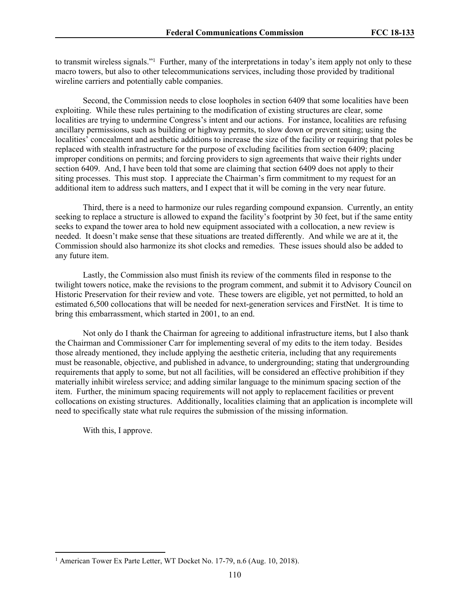to transmit wireless signals."<sup>1</sup> Further, many of the interpretations in today's item apply not only to these macro towers, but also to other telecommunications services, including those provided by traditional wireline carriers and potentially cable companies.

Second, the Commission needs to close loopholes in section 6409 that some localities have been exploiting. While these rules pertaining to the modification of existing structures are clear, some localities are trying to undermine Congress's intent and our actions. For instance, localities are refusing ancillary permissions, such as building or highway permits, to slow down or prevent siting; using the localities' concealment and aesthetic additions to increase the size of the facility or requiring that poles be replaced with stealth infrastructure for the purpose of excluding facilities from section 6409; placing improper conditions on permits; and forcing providers to sign agreements that waive their rights under section 6409. And, I have been told that some are claiming that section 6409 does not apply to their siting processes. This must stop. I appreciate the Chairman's firm commitment to my request for an additional item to address such matters, and I expect that it will be coming in the very near future.

Third, there is a need to harmonize our rules regarding compound expansion. Currently, an entity seeking to replace a structure is allowed to expand the facility's footprint by 30 feet, but if the same entity seeks to expand the tower area to hold new equipment associated with a collocation, a new review is needed. It doesn't make sense that these situations are treated differently. And while we are at it, the Commission should also harmonize its shot clocks and remedies. These issues should also be added to any future item.

Lastly, the Commission also must finish its review of the comments filed in response to the twilight towers notice, make the revisions to the program comment, and submit it to Advisory Council on Historic Preservation for their review and vote. These towers are eligible, yet not permitted, to hold an estimated 6,500 collocations that will be needed for next-generation services and FirstNet. It is time to bring this embarrassment, which started in 2001, to an end.

Not only do I thank the Chairman for agreeing to additional infrastructure items, but I also thank the Chairman and Commissioner Carr for implementing several of my edits to the item today. Besides those already mentioned, they include applying the aesthetic criteria, including that any requirements must be reasonable, objective, and published in advance, to undergrounding; stating that undergrounding requirements that apply to some, but not all facilities, will be considered an effective prohibition if they materially inhibit wireless service; and adding similar language to the minimum spacing section of the item. Further, the minimum spacing requirements will not apply to replacement facilities or prevent collocations on existing structures. Additionally, localities claiming that an application is incomplete will need to specifically state what rule requires the submission of the missing information.

With this, I approve.

<sup>&</sup>lt;sup>1</sup> American Tower Ex Parte Letter, WT Docket No. 17-79, n.6 (Aug. 10, 2018).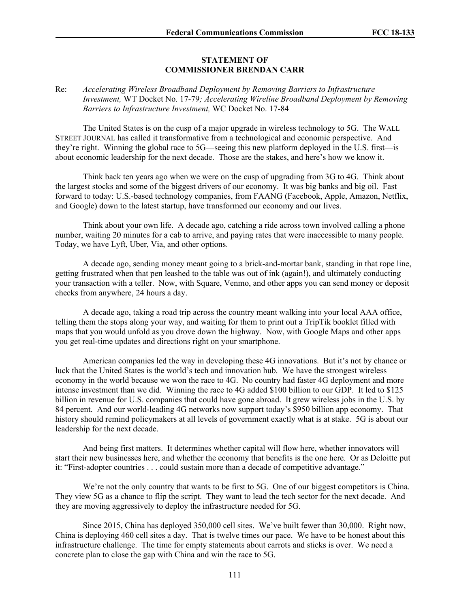## **STATEMENT OF COMMISSIONER BRENDAN CARR**

## Re: *Accelerating Wireless Broadband Deployment by Removing Barriers to Infrastructure Investment,* WT Docket No. 17-79*; Accelerating Wireline Broadband Deployment by Removing Barriers to Infrastructure Investment,* WC Docket No. 17-84

The United States is on the cusp of a major upgrade in wireless technology to 5G. The WALL STREET JOURNAL has called it transformative from a technological and economic perspective. And they're right. Winning the global race to 5G—seeing this new platform deployed in the U.S. first—is about economic leadership for the next decade. Those are the stakes, and here's how we know it.

Think back ten years ago when we were on the cusp of upgrading from 3G to 4G. Think about the largest stocks and some of the biggest drivers of our economy. It was big banks and big oil. Fast forward to today: U.S.-based technology companies, from FAANG (Facebook, Apple, Amazon, Netflix, and Google) down to the latest startup, have transformed our economy and our lives.

Think about your own life. A decade ago, catching a ride across town involved calling a phone number, waiting 20 minutes for a cab to arrive, and paying rates that were inaccessible to many people. Today, we have Lyft, Uber, Via, and other options.

A decade ago, sending money meant going to a brick-and-mortar bank, standing in that rope line, getting frustrated when that pen leashed to the table was out of ink (again!), and ultimately conducting your transaction with a teller. Now, with Square, Venmo, and other apps you can send money or deposit checks from anywhere, 24 hours a day.

A decade ago, taking a road trip across the country meant walking into your local AAA office, telling them the stops along your way, and waiting for them to print out a TripTik booklet filled with maps that you would unfold as you drove down the highway. Now, with Google Maps and other apps you get real-time updates and directions right on your smartphone.

American companies led the way in developing these 4G innovations. But it's not by chance or luck that the United States is the world's tech and innovation hub. We have the strongest wireless economy in the world because we won the race to 4G. No country had faster 4G deployment and more intense investment than we did. Winning the race to 4G added \$100 billion to our GDP. It led to \$125 billion in revenue for U.S. companies that could have gone abroad. It grew wireless jobs in the U.S. by 84 percent. And our world-leading 4G networks now support today's \$950 billion app economy. That history should remind policymakers at all levels of government exactly what is at stake. 5G is about our leadership for the next decade.

And being first matters. It determines whether capital will flow here, whether innovators will start their new businesses here, and whether the economy that benefits is the one here. Or as Deloitte put it: "First-adopter countries . . . could sustain more than a decade of competitive advantage."

We're not the only country that wants to be first to 5G. One of our biggest competitors is China. They view 5G as a chance to flip the script. They want to lead the tech sector for the next decade. And they are moving aggressively to deploy the infrastructure needed for 5G.

Since 2015, China has deployed 350,000 cell sites. We've built fewer than 30,000. Right now, China is deploying 460 cell sites a day. That is twelve times our pace. We have to be honest about this infrastructure challenge. The time for empty statements about carrots and sticks is over. We need a concrete plan to close the gap with China and win the race to 5G.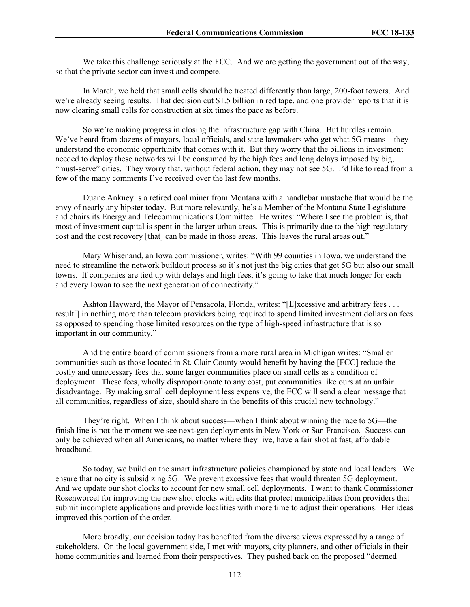We take this challenge seriously at the FCC. And we are getting the government out of the way, so that the private sector can invest and compete.

In March, we held that small cells should be treated differently than large, 200-foot towers. And we're already seeing results. That decision cut \$1.5 billion in red tape, and one provider reports that it is now clearing small cells for construction at six times the pace as before.

So we're making progress in closing the infrastructure gap with China. But hurdles remain. We've heard from dozens of mayors, local officials, and state lawmakers who get what 5G means—they understand the economic opportunity that comes with it. But they worry that the billions in investment needed to deploy these networks will be consumed by the high fees and long delays imposed by big, "must-serve" cities. They worry that, without federal action, they may not see 5G. I'd like to read from a few of the many comments I've received over the last few months.

Duane Ankney is a retired coal miner from Montana with a handlebar mustache that would be the envy of nearly any hipster today. But more relevantly, he's a Member of the Montana State Legislature and chairs its Energy and Telecommunications Committee. He writes: "Where I see the problem is, that most of investment capital is spent in the larger urban areas. This is primarily due to the high regulatory cost and the cost recovery [that] can be made in those areas. This leaves the rural areas out."

Mary Whisenand, an Iowa commissioner, writes: "With 99 counties in Iowa, we understand the need to streamline the network buildout process so it's not just the big cities that get 5G but also our small towns. If companies are tied up with delays and high fees, it's going to take that much longer for each and every Iowan to see the next generation of connectivity."

Ashton Hayward, the Mayor of Pensacola, Florida, writes: "[E]xcessive and arbitrary fees . . . result[] in nothing more than telecom providers being required to spend limited investment dollars on fees as opposed to spending those limited resources on the type of high-speed infrastructure that is so important in our community."

And the entire board of commissioners from a more rural area in Michigan writes: "Smaller communities such as those located in St. Clair County would benefit by having the [FCC] reduce the costly and unnecessary fees that some larger communities place on small cells as a condition of deployment. These fees, wholly disproportionate to any cost, put communities like ours at an unfair disadvantage. By making small cell deployment less expensive, the FCC will send a clear message that all communities, regardless of size, should share in the benefits of this crucial new technology."

They're right. When I think about success—when I think about winning the race to 5G—the finish line is not the moment we see next-gen deployments in New York or San Francisco. Success can only be achieved when all Americans, no matter where they live, have a fair shot at fast, affordable broadband.

So today, we build on the smart infrastructure policies championed by state and local leaders. We ensure that no city is subsidizing 5G. We prevent excessive fees that would threaten 5G deployment. And we update our shot clocks to account for new small cell deployments. I want to thank Commissioner Rosenworcel for improving the new shot clocks with edits that protect municipalities from providers that submit incomplete applications and provide localities with more time to adjust their operations. Her ideas improved this portion of the order.

More broadly, our decision today has benefited from the diverse views expressed by a range of stakeholders. On the local government side, I met with mayors, city planners, and other officials in their home communities and learned from their perspectives. They pushed back on the proposed "deemed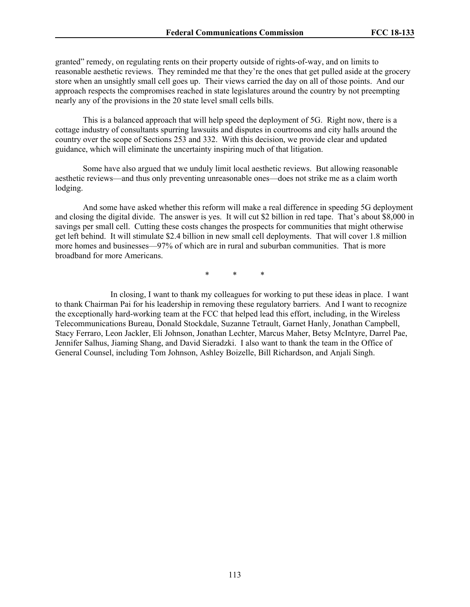granted" remedy, on regulating rents on their property outside of rights-of-way, and on limits to reasonable aesthetic reviews. They reminded me that they're the ones that get pulled aside at the grocery store when an unsightly small cell goes up. Their views carried the day on all of those points. And our approach respects the compromises reached in state legislatures around the country by not preempting nearly any of the provisions in the 20 state level small cells bills.

This is a balanced approach that will help speed the deployment of 5G. Right now, there is a cottage industry of consultants spurring lawsuits and disputes in courtrooms and city halls around the country over the scope of Sections 253 and 332. With this decision, we provide clear and updated guidance, which will eliminate the uncertainty inspiring much of that litigation.

Some have also argued that we unduly limit local aesthetic reviews. But allowing reasonable aesthetic reviews—and thus only preventing unreasonable ones—does not strike me as a claim worth lodging.

And some have asked whether this reform will make a real difference in speeding 5G deployment and closing the digital divide. The answer is yes. It will cut \$2 billion in red tape. That's about \$8,000 in savings per small cell. Cutting these costs changes the prospects for communities that might otherwise get left behind. It will stimulate \$2.4 billion in new small cell deployments. That will cover 1.8 million more homes and businesses—97% of which are in rural and suburban communities. That is more broadband for more Americans.

\* \* \*

In closing, I want to thank my colleagues for working to put these ideas in place. I want to thank Chairman Pai for his leadership in removing these regulatory barriers. And I want to recognize the exceptionally hard-working team at the FCC that helped lead this effort, including, in the Wireless Telecommunications Bureau, Donald Stockdale, Suzanne Tetrault, Garnet Hanly, Jonathan Campbell, Stacy Ferraro, Leon Jackler, Eli Johnson, Jonathan Lechter, Marcus Maher, Betsy McIntyre, Darrel Pae, Jennifer Salhus, Jiaming Shang, and David Sieradzki. I also want to thank the team in the Office of General Counsel, including Tom Johnson, Ashley Boizelle, Bill Richardson, and Anjali Singh.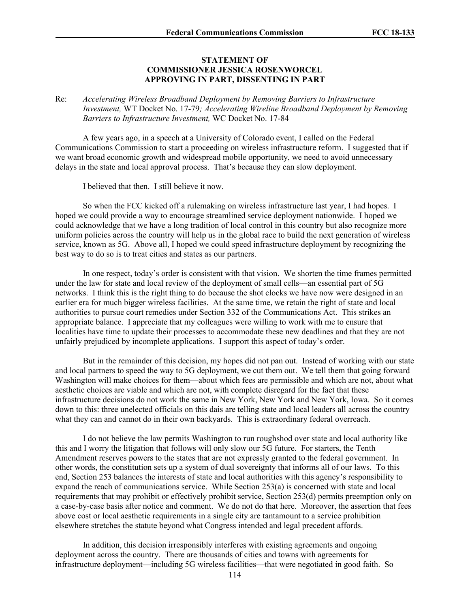## **STATEMENT OF COMMISSIONER JESSICA ROSENWORCEL APPROVING IN PART, DISSENTING IN PART**

Re: *Accelerating Wireless Broadband Deployment by Removing Barriers to Infrastructure Investment,* WT Docket No. 17-79*; Accelerating Wireline Broadband Deployment by Removing Barriers to Infrastructure Investment,* WC Docket No. 17-84

A few years ago, in a speech at a University of Colorado event, I called on the Federal Communications Commission to start a proceeding on wireless infrastructure reform. I suggested that if we want broad economic growth and widespread mobile opportunity, we need to avoid unnecessary delays in the state and local approval process. That's because they can slow deployment.

I believed that then. I still believe it now.

So when the FCC kicked off a rulemaking on wireless infrastructure last year, I had hopes. I hoped we could provide a way to encourage streamlined service deployment nationwide. I hoped we could acknowledge that we have a long tradition of local control in this country but also recognize more uniform policies across the country will help us in the global race to build the next generation of wireless service, known as 5G. Above all, I hoped we could speed infrastructure deployment by recognizing the best way to do so is to treat cities and states as our partners.

In one respect, today's order is consistent with that vision. We shorten the time frames permitted under the law for state and local review of the deployment of small cells—an essential part of 5G networks. I think this is the right thing to do because the shot clocks we have now were designed in an earlier era for much bigger wireless facilities. At the same time, we retain the right of state and local authorities to pursue court remedies under Section 332 of the Communications Act. This strikes an appropriate balance. I appreciate that my colleagues were willing to work with me to ensure that localities have time to update their processes to accommodate these new deadlines and that they are not unfairly prejudiced by incomplete applications. I support this aspect of today's order.

But in the remainder of this decision, my hopes did not pan out. Instead of working with our state and local partners to speed the way to 5G deployment, we cut them out. We tell them that going forward Washington will make choices for them—about which fees are permissible and which are not, about what aesthetic choices are viable and which are not, with complete disregard for the fact that these infrastructure decisions do not work the same in New York, New York and New York, Iowa. So it comes down to this: three unelected officials on this dais are telling state and local leaders all across the country what they can and cannot do in their own backyards. This is extraordinary federal overreach.

I do not believe the law permits Washington to run roughshod over state and local authority like this and I worry the litigation that follows will only slow our 5G future. For starters, the Tenth Amendment reserves powers to the states that are not expressly granted to the federal government. In other words, the constitution sets up a system of dual sovereignty that informs all of our laws. To this end, Section 253 balances the interests of state and local authorities with this agency's responsibility to expand the reach of communications service. While Section 253(a) is concerned with state and local requirements that may prohibit or effectively prohibit service, Section 253(d) permits preemption only on a case-by-case basis after notice and comment. We do not do that here. Moreover, the assertion that fees above cost or local aesthetic requirements in a single city are tantamount to a service prohibition elsewhere stretches the statute beyond what Congress intended and legal precedent affords.

In addition, this decision irresponsibly interferes with existing agreements and ongoing deployment across the country. There are thousands of cities and towns with agreements for infrastructure deployment—including 5G wireless facilities—that were negotiated in good faith. So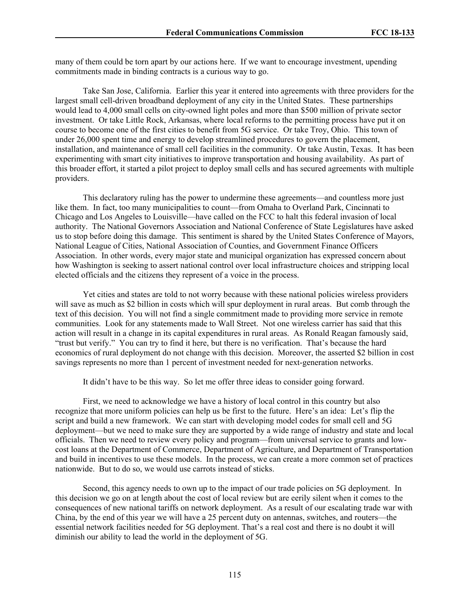many of them could be torn apart by our actions here. If we want to encourage investment, upending commitments made in binding contracts is a curious way to go.

Take San Jose, California. Earlier this year it entered into agreements with three providers for the largest small cell-driven broadband deployment of any city in the United States. These partnerships would lead to 4,000 small cells on city-owned light poles and more than \$500 million of private sector investment. Or take Little Rock, Arkansas, where local reforms to the permitting process have put it on course to become one of the first cities to benefit from 5G service. Or take Troy, Ohio. This town of under 26,000 spent time and energy to develop streamlined procedures to govern the placement, installation, and maintenance of small cell facilities in the community. Or take Austin, Texas. It has been experimenting with smart city initiatives to improve transportation and housing availability. As part of this broader effort, it started a pilot project to deploy small cells and has secured agreements with multiple providers.

This declaratory ruling has the power to undermine these agreements—and countless more just like them. In fact, too many municipalities to count—from Omaha to Overland Park, Cincinnati to Chicago and Los Angeles to Louisville—have called on the FCC to halt this federal invasion of local authority. The National Governors Association and National Conference of State Legislatures have asked us to stop before doing this damage. This sentiment is shared by the United States Conference of Mayors, National League of Cities, National Association of Counties, and Government Finance Officers Association. In other words, every major state and municipal organization has expressed concern about how Washington is seeking to assert national control over local infrastructure choices and stripping local elected officials and the citizens they represent of a voice in the process.

Yet cities and states are told to not worry because with these national policies wireless providers will save as much as \$2 billion in costs which will spur deployment in rural areas. But comb through the text of this decision. You will not find a single commitment made to providing more service in remote communities. Look for any statements made to Wall Street. Not one wireless carrier has said that this action will result in a change in its capital expenditures in rural areas. As Ronald Reagan famously said, "trust but verify." You can try to find it here, but there is no verification. That's because the hard economics of rural deployment do not change with this decision. Moreover, the asserted \$2 billion in cost savings represents no more than 1 percent of investment needed for next-generation networks.

It didn't have to be this way. So let me offer three ideas to consider going forward.

First, we need to acknowledge we have a history of local control in this country but also recognize that more uniform policies can help us be first to the future. Here's an idea: Let's flip the script and build a new framework. We can start with developing model codes for small cell and 5G deployment—but we need to make sure they are supported by a wide range of industry and state and local officials. Then we need to review every policy and program—from universal service to grants and lowcost loans at the Department of Commerce, Department of Agriculture, and Department of Transportation and build in incentives to use these models. In the process, we can create a more common set of practices nationwide. But to do so, we would use carrots instead of sticks.

Second, this agency needs to own up to the impact of our trade policies on 5G deployment. In this decision we go on at length about the cost of local review but are eerily silent when it comes to the consequences of new national tariffs on network deployment. As a result of our escalating trade war with China, by the end of this year we will have a 25 percent duty on antennas, switches, and routers—the essential network facilities needed for 5G deployment. That's a real cost and there is no doubt it will diminish our ability to lead the world in the deployment of 5G.